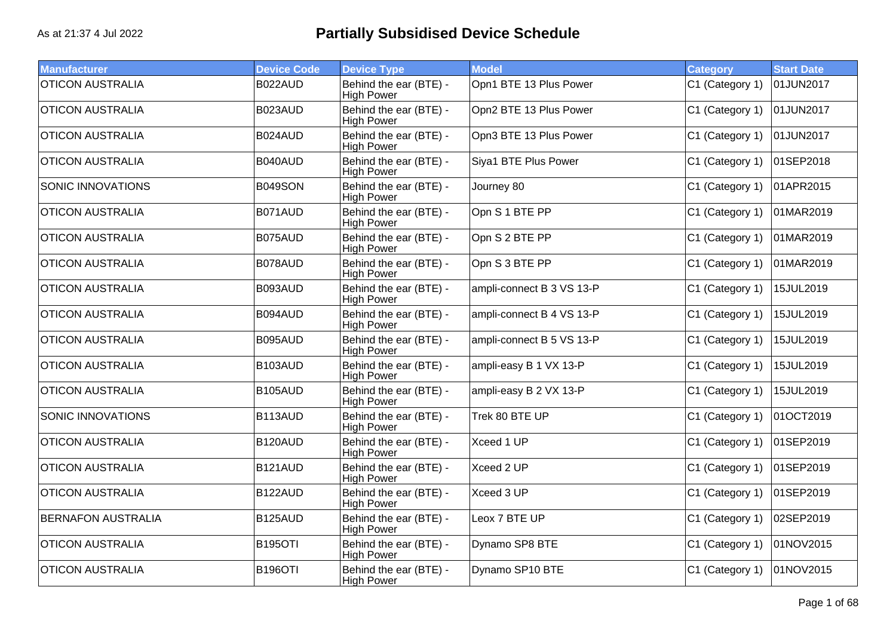| <b>Manufacturer</b>       | <b>Device Code</b> | <b>Device Type</b>                          | <b>Model</b>              | <b>Category</b> | <b>Start Date</b> |
|---------------------------|--------------------|---------------------------------------------|---------------------------|-----------------|-------------------|
| <b>OTICON AUSTRALIA</b>   | B022AUD            | Behind the ear (BTE) -<br><b>High Power</b> | Opn1 BTE 13 Plus Power    | C1 (Category 1) | 01JUN2017         |
| <b>OTICON AUSTRALIA</b>   | B023AUD            | Behind the ear (BTE) -<br><b>High Power</b> | Opn2 BTE 13 Plus Power    | C1 (Category 1) | 01JUN2017         |
| <b>OTICON AUSTRALIA</b>   | B024AUD            | Behind the ear (BTE) -<br><b>High Power</b> | Opn3 BTE 13 Plus Power    | C1 (Category 1) | 01JUN2017         |
| <b>OTICON AUSTRALIA</b>   | B040AUD            | Behind the ear (BTE) -<br><b>High Power</b> | Siya1 BTE Plus Power      | C1 (Category 1) | 01SEP2018         |
| <b>SONIC INNOVATIONS</b>  | <b>B049SON</b>     | Behind the ear (BTE) -<br><b>High Power</b> | Journey 80                | C1 (Category 1) | 01APR2015         |
| <b>OTICON AUSTRALIA</b>   | B071AUD            | Behind the ear (BTE) -<br><b>High Power</b> | Opn S 1 BTE PP            | C1 (Category 1) | 01MAR2019         |
| <b>OTICON AUSTRALIA</b>   | B075AUD            | Behind the ear (BTE) -<br><b>High Power</b> | Opn S 2 BTE PP            | C1 (Category 1) | 01MAR2019         |
| <b>OTICON AUSTRALIA</b>   | B078AUD            | Behind the ear (BTE) -<br><b>High Power</b> | Opn S 3 BTE PP            | C1 (Category 1) | 01MAR2019         |
| <b>OTICON AUSTRALIA</b>   | B093AUD            | Behind the ear (BTE) -<br>High Power        | ampli-connect B 3 VS 13-P | C1 (Category 1) | 15JUL2019         |
| <b>OTICON AUSTRALIA</b>   | B094AUD            | Behind the ear (BTE) -<br><b>High Power</b> | ampli-connect B 4 VS 13-P | C1 (Category 1) | 15JUL2019         |
| <b>OTICON AUSTRALIA</b>   | B095AUD            | Behind the ear (BTE) -<br><b>High Power</b> | ampli-connect B 5 VS 13-P | C1 (Category 1) | 15JUL2019         |
| <b>OTICON AUSTRALIA</b>   | B103AUD            | Behind the ear (BTE) -<br><b>High Power</b> | ampli-easy B 1 VX 13-P    | C1 (Category 1) | 15JUL2019         |
| <b>OTICON AUSTRALIA</b>   | B105AUD            | Behind the ear (BTE) -<br><b>High Power</b> | ampli-easy B 2 VX 13-P    | C1 (Category 1) | 15JUL2019         |
| <b>SONIC INNOVATIONS</b>  | B113AUD            | Behind the ear (BTE) -<br><b>High Power</b> | Trek 80 BTE UP            | C1 (Category 1) | 01OCT2019         |
| <b>OTICON AUSTRALIA</b>   | B120AUD            | Behind the ear (BTE) -<br><b>High Power</b> | Xceed 1 UP                | C1 (Category 1) | 01SEP2019         |
| <b>OTICON AUSTRALIA</b>   | B121AUD            | Behind the ear (BTE) -<br><b>High Power</b> | Xceed 2 UP                | C1 (Category 1) | 01SEP2019         |
| <b>OTICON AUSTRALIA</b>   | B122AUD            | Behind the ear (BTE) -<br><b>High Power</b> | Xceed 3 UP                | C1 (Category 1) | 01SEP2019         |
| <b>BERNAFON AUSTRALIA</b> | B125AUD            | Behind the ear (BTE) -<br><b>High Power</b> | Leox 7 BTE UP             | C1 (Category 1) | 02SEP2019         |
| <b>OTICON AUSTRALIA</b>   | <b>B195OTI</b>     | Behind the ear (BTE) -<br><b>High Power</b> | Dynamo SP8 BTE            | C1 (Category 1) | 01NOV2015         |
| <b>OTICON AUSTRALIA</b>   | <b>B196OTI</b>     | Behind the ear (BTE) -<br><b>High Power</b> | Dynamo SP10 BTE           | C1 (Category 1) | 01NOV2015         |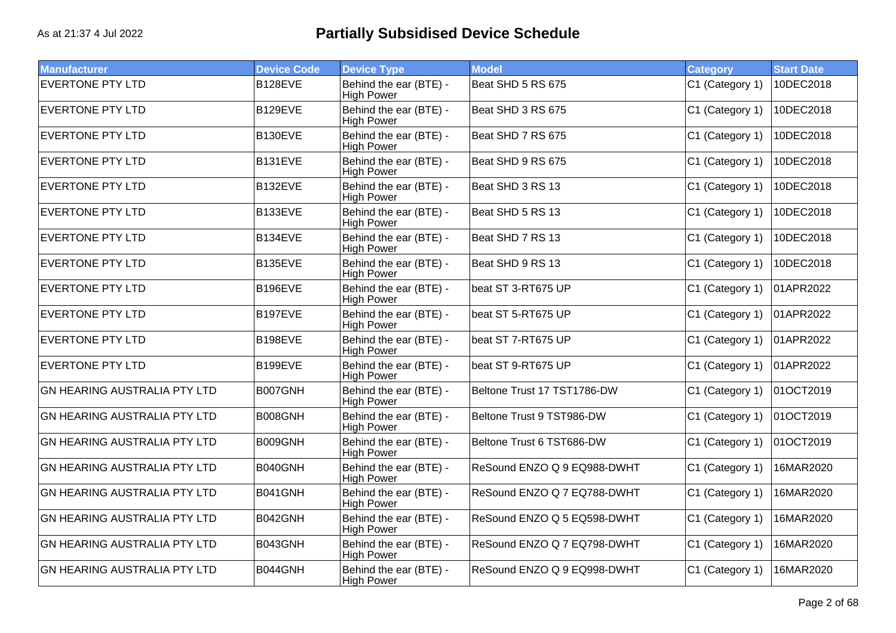| <b>Manufacturer</b>                 | <b>Device Code</b> | <b>Device Type</b>                          | <b>Model</b>                | <b>Category</b> | <b>Start Date</b> |
|-------------------------------------|--------------------|---------------------------------------------|-----------------------------|-----------------|-------------------|
| <b>EVERTONE PTY LTD</b>             | B128EVE            | Behind the ear (BTE) -<br><b>High Power</b> | Beat SHD 5 RS 675           | C1 (Category 1) | 10DEC2018         |
| <b>EVERTONE PTY LTD</b>             | B129EVE            | Behind the ear (BTE) -<br><b>High Power</b> | Beat SHD 3 RS 675           | C1 (Category 1) | 10DEC2018         |
| <b>EVERTONE PTY LTD</b>             | B130EVE            | Behind the ear (BTE) -<br><b>High Power</b> | Beat SHD 7 RS 675           | C1 (Category 1) | 10DEC2018         |
| <b>EVERTONE PTY LTD</b>             | B131EVE            | Behind the ear (BTE) -<br><b>High Power</b> | Beat SHD 9 RS 675           | C1 (Category 1) | 10DEC2018         |
| <b>EVERTONE PTY LTD</b>             | B132EVE            | Behind the ear (BTE) -<br><b>High Power</b> | Beat SHD 3 RS 13            | C1 (Category 1) | 10DEC2018         |
| <b>EVERTONE PTY LTD</b>             | B133EVE            | Behind the ear (BTE) -<br><b>High Power</b> | Beat SHD 5 RS 13            | C1 (Category 1) | 10DEC2018         |
| <b>EVERTONE PTY LTD</b>             | B134EVE            | Behind the ear (BTE) -<br><b>High Power</b> | Beat SHD 7 RS 13            | C1 (Category 1) | 10DEC2018         |
| <b>EVERTONE PTY LTD</b>             | B135EVE            | Behind the ear (BTE) -<br><b>High Power</b> | Beat SHD 9 RS 13            | C1 (Category 1) | 10DEC2018         |
| <b>EVERTONE PTY LTD</b>             | B196EVE            | Behind the ear (BTE) -<br><b>High Power</b> | beat ST 3-RT675 UP          | C1 (Category 1) | 01APR2022         |
| <b>EVERTONE PTY LTD</b>             | <b>B197EVE</b>     | Behind the ear (BTE) -<br><b>High Power</b> | beat ST 5-RT675 UP          | C1 (Category 1) | 01APR2022         |
| <b>EVERTONE PTY LTD</b>             | B198EVE            | Behind the ear (BTE) -<br><b>High Power</b> | beat ST 7-RT675 UP          | C1 (Category 1) | 01APR2022         |
| <b>EVERTONE PTY LTD</b>             | B199EVE            | Behind the ear (BTE) -<br><b>High Power</b> | beat ST 9-RT675 UP          | C1 (Category 1) | 01APR2022         |
| <b>GN HEARING AUSTRALIA PTY LTD</b> | B007GNH            | Behind the ear (BTE) -<br><b>High Power</b> | Beltone Trust 17 TST1786-DW | C1 (Category 1) | 01OCT2019         |
| <b>GN HEARING AUSTRALIA PTY LTD</b> | B008GNH            | Behind the ear (BTE) -<br><b>High Power</b> | Beltone Trust 9 TST986-DW   | C1 (Category 1) | 01OCT2019         |
| <b>GN HEARING AUSTRALIA PTY LTD</b> | B009GNH            | Behind the ear (BTE) -<br><b>High Power</b> | Beltone Trust 6 TST686-DW   | C1 (Category 1) | 01OCT2019         |
| <b>GN HEARING AUSTRALIA PTY LTD</b> | B040GNH            | Behind the ear (BTE) -<br><b>High Power</b> | ReSound ENZO Q 9 EQ988-DWHT | C1 (Category 1) | 16MAR2020         |
| <b>GN HEARING AUSTRALIA PTY LTD</b> | B041GNH            | Behind the ear (BTE) -<br><b>High Power</b> | ReSound ENZO Q 7 EQ788-DWHT | C1 (Category 1) | 16MAR2020         |
| <b>GN HEARING AUSTRALIA PTY LTD</b> | B042GNH            | Behind the ear (BTE) -<br><b>High Power</b> | ReSound ENZO Q 5 EQ598-DWHT | C1 (Category 1) | 16MAR2020         |
| <b>GN HEARING AUSTRALIA PTY LTD</b> | B043GNH            | Behind the ear (BTE) -<br><b>High Power</b> | ReSound ENZO Q 7 EQ798-DWHT | C1 (Category 1) | 16MAR2020         |
| <b>GN HEARING AUSTRALIA PTY LTD</b> | B044GNH            | Behind the ear (BTE) -<br><b>High Power</b> | ReSound ENZO Q 9 EQ998-DWHT | C1 (Category 1) | 16MAR2020         |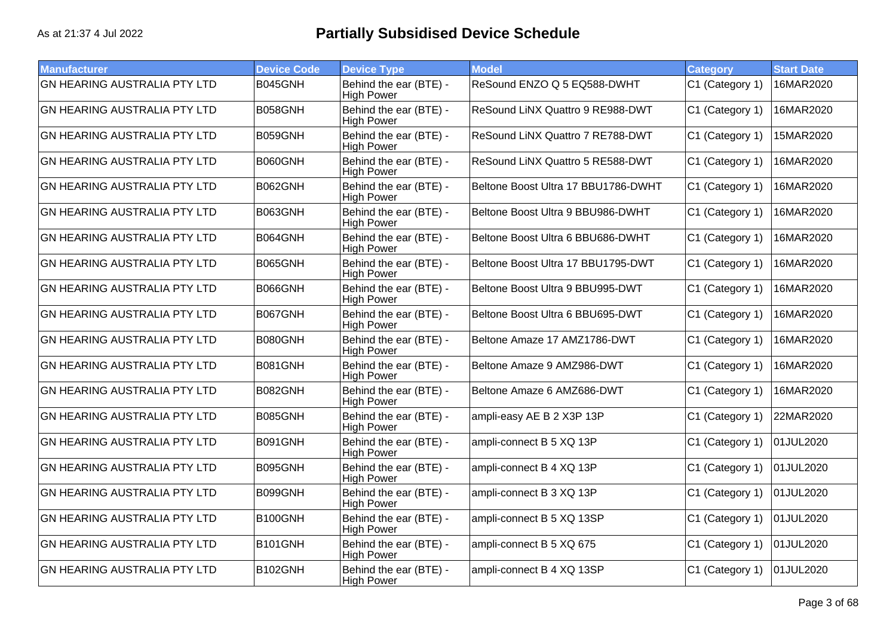| <b>Manufacturer</b>                 | <b>Device Code</b> | <b>Device Type</b>                          | <b>Model</b>                        | Category        | <b>Start Date</b> |
|-------------------------------------|--------------------|---------------------------------------------|-------------------------------------|-----------------|-------------------|
| <b>GN HEARING AUSTRALIA PTY LTD</b> | B045GNH            | Behind the ear (BTE) -<br><b>High Power</b> | ReSound ENZO Q 5 EQ588-DWHT         | C1 (Category 1) | 16MAR2020         |
| <b>GN HEARING AUSTRALIA PTY LTD</b> | B058GNH            | Behind the ear (BTE) -<br><b>High Power</b> | ReSound LiNX Quattro 9 RE988-DWT    | C1 (Category 1) | 16MAR2020         |
| <b>GN HEARING AUSTRALIA PTY LTD</b> | B059GNH            | Behind the ear (BTE) -<br><b>High Power</b> | ReSound LiNX Quattro 7 RE788-DWT    | C1 (Category 1) | 15MAR2020         |
| <b>GN HEARING AUSTRALIA PTY LTD</b> | B060GNH            | Behind the ear (BTE) -<br><b>High Power</b> | ReSound LINX Quattro 5 RE588-DWT    | C1 (Category 1) | 16MAR2020         |
| <b>GN HEARING AUSTRALIA PTY LTD</b> | B062GNH            | Behind the ear (BTE) -<br><b>High Power</b> | Beltone Boost Ultra 17 BBU1786-DWHT | C1 (Category 1) | 16MAR2020         |
| <b>GN HEARING AUSTRALIA PTY LTD</b> | B063GNH            | Behind the ear (BTE) -<br><b>High Power</b> | Beltone Boost Ultra 9 BBU986-DWHT   | C1 (Category 1) | 16MAR2020         |
| <b>GN HEARING AUSTRALIA PTY LTD</b> | B064GNH            | Behind the ear (BTE) -<br><b>High Power</b> | Beltone Boost Ultra 6 BBU686-DWHT   | C1 (Category 1) | 16MAR2020         |
| <b>GN HEARING AUSTRALIA PTY LTD</b> | B065GNH            | Behind the ear (BTE) -<br><b>High Power</b> | Beltone Boost Ultra 17 BBU1795-DWT  | C1 (Category 1) | 16MAR2020         |
| <b>GN HEARING AUSTRALIA PTY LTD</b> | B066GNH            | Behind the ear (BTE) -<br><b>High Power</b> | Beltone Boost Ultra 9 BBU995-DWT    | C1 (Category 1) | 16MAR2020         |
| <b>GN HEARING AUSTRALIA PTY LTD</b> | B067GNH            | Behind the ear (BTE) -<br><b>High Power</b> | Beltone Boost Ultra 6 BBU695-DWT    | C1 (Category 1) | 16MAR2020         |
| <b>GN HEARING AUSTRALIA PTY LTD</b> | B080GNH            | Behind the ear (BTE) -<br><b>High Power</b> | Beltone Amaze 17 AMZ1786-DWT        | C1 (Category 1) | 16MAR2020         |
| <b>GN HEARING AUSTRALIA PTY LTD</b> | B081GNH            | Behind the ear (BTE) -<br><b>High Power</b> | Beltone Amaze 9 AMZ986-DWT          | C1 (Category 1) | 16MAR2020         |
| <b>GN HEARING AUSTRALIA PTY LTD</b> | B082GNH            | Behind the ear (BTE) -<br><b>High Power</b> | Beltone Amaze 6 AMZ686-DWT          | C1 (Category 1) | 16MAR2020         |
| <b>GN HEARING AUSTRALIA PTY LTD</b> | B085GNH            | Behind the ear (BTE) -<br><b>High Power</b> | ampli-easy AE B 2 X3P 13P           | C1 (Category 1) | 22MAR2020         |
| <b>GN HEARING AUSTRALIA PTY LTD</b> | B091GNH            | Behind the ear (BTE) -<br><b>High Power</b> | ampli-connect B 5 XQ 13P            | C1 (Category 1) | 01JUL2020         |
| <b>GN HEARING AUSTRALIA PTY LTD</b> | B095GNH            | Behind the ear (BTE) -<br><b>High Power</b> | ampli-connect B 4 XQ 13P            | C1 (Category 1) | 01JUL2020         |
| <b>GN HEARING AUSTRALIA PTY LTD</b> | B099GNH            | Behind the ear (BTE) -<br><b>High Power</b> | ampli-connect B 3 XQ 13P            | C1 (Category 1) | 01JUL2020         |
| <b>GN HEARING AUSTRALIA PTY LTD</b> | B100GNH            | Behind the ear (BTE) -<br><b>High Power</b> | ampli-connect B 5 XQ 13SP           | C1 (Category 1) | 01JUL2020         |
| <b>GN HEARING AUSTRALIA PTY LTD</b> | B101GNH            | Behind the ear (BTE) -<br><b>High Power</b> | ampli-connect B 5 XQ 675            | C1 (Category 1) | 01JUL2020         |
| <b>GN HEARING AUSTRALIA PTY LTD</b> | B102GNH            | Behind the ear (BTE) -<br><b>High Power</b> | ampli-connect B 4 XQ 13SP           | C1 (Category 1) | 01JUL2020         |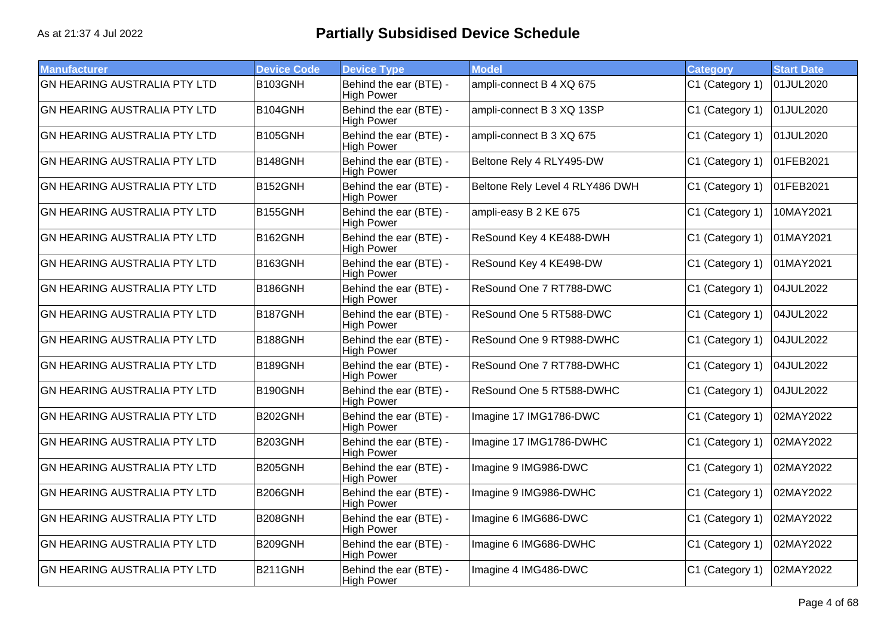| <b>Manufacturer</b>                 | <b>Device Code</b> | <b>Device Type</b>                          | <b>Model</b>                    | <b>Category</b> | <b>Start Date</b> |
|-------------------------------------|--------------------|---------------------------------------------|---------------------------------|-----------------|-------------------|
| <b>GN HEARING AUSTRALIA PTY LTD</b> | B103GNH            | Behind the ear (BTE) -<br><b>High Power</b> | ampli-connect B 4 XQ 675        | C1 (Category 1) | 01JUL2020         |
| <b>GN HEARING AUSTRALIA PTY LTD</b> | B104GNH            | Behind the ear (BTE) -<br><b>High Power</b> | ampli-connect B 3 XQ 13SP       | C1 (Category 1) | 01JUL2020         |
| <b>GN HEARING AUSTRALIA PTY LTD</b> | B105GNH            | Behind the ear (BTE) -<br><b>High Power</b> | ampli-connect B 3 XQ 675        | C1 (Category 1) | 01JUL2020         |
| <b>GN HEARING AUSTRALIA PTY LTD</b> | B148GNH            | Behind the ear (BTE) -<br><b>High Power</b> | Beltone Rely 4 RLY495-DW        | C1 (Category 1) | 01FEB2021         |
| <b>GN HEARING AUSTRALIA PTY LTD</b> | B152GNH            | Behind the ear (BTE) -<br><b>High Power</b> | Beltone Rely Level 4 RLY486 DWH | C1 (Category 1) | 01FEB2021         |
| <b>GN HEARING AUSTRALIA PTY LTD</b> | B155GNH            | Behind the ear (BTE) -<br><b>High Power</b> | ampli-easy B 2 KE 675           | C1 (Category 1) | 10MAY2021         |
| <b>GN HEARING AUSTRALIA PTY LTD</b> | B162GNH            | Behind the ear (BTE) -<br><b>High Power</b> | ReSound Key 4 KE488-DWH         | C1 (Category 1) | 01MAY2021         |
| <b>GN HEARING AUSTRALIA PTY LTD</b> | B163GNH            | Behind the ear (BTE) -<br><b>High Power</b> | ReSound Key 4 KE498-DW          | C1 (Category 1) | 01MAY2021         |
| <b>GN HEARING AUSTRALIA PTY LTD</b> | B186GNH            | Behind the ear (BTE) -<br><b>High Power</b> | ReSound One 7 RT788-DWC         | C1 (Category 1) | 04JUL2022         |
| <b>GN HEARING AUSTRALIA PTY LTD</b> | B187GNH            | Behind the ear (BTE) -<br><b>High Power</b> | ReSound One 5 RT588-DWC         | C1 (Category 1) | 04JUL2022         |
| <b>GN HEARING AUSTRALIA PTY LTD</b> | B188GNH            | Behind the ear (BTE) -<br><b>High Power</b> | ReSound One 9 RT988-DWHC        | C1 (Category 1) | 04JUL2022         |
| <b>GN HEARING AUSTRALIA PTY LTD</b> | B189GNH            | Behind the ear (BTE) -<br><b>High Power</b> | ReSound One 7 RT788-DWHC        | C1 (Category 1) | 04JUL2022         |
| <b>GN HEARING AUSTRALIA PTY LTD</b> | B190GNH            | Behind the ear (BTE) -<br><b>High Power</b> | ReSound One 5 RT588-DWHC        | C1 (Category 1) | 04JUL2022         |
| <b>GN HEARING AUSTRALIA PTY LTD</b> | B202GNH            | Behind the ear (BTE) -<br><b>High Power</b> | Imagine 17 IMG1786-DWC          | C1 (Category 1) | 02MAY2022         |
| <b>GN HEARING AUSTRALIA PTY LTD</b> | B203GNH            | Behind the ear (BTE) -<br><b>High Power</b> | Imagine 17 IMG1786-DWHC         | C1 (Category 1) | 02MAY2022         |
| <b>GN HEARING AUSTRALIA PTY LTD</b> | B205GNH            | Behind the ear (BTE) -<br><b>High Power</b> | Imagine 9 IMG986-DWC            | C1 (Category 1) | 02MAY2022         |
| <b>GN HEARING AUSTRALIA PTY LTD</b> | B206GNH            | Behind the ear (BTE) -<br><b>High Power</b> | Imagine 9 IMG986-DWHC           | C1 (Category 1) | 02MAY2022         |
| <b>GN HEARING AUSTRALIA PTY LTD</b> | B208GNH            | Behind the ear (BTE) -<br><b>High Power</b> | Imagine 6 IMG686-DWC            | C1 (Category 1) | 02MAY2022         |
| <b>GN HEARING AUSTRALIA PTY LTD</b> | B209GNH            | Behind the ear (BTE) -<br><b>High Power</b> | Imagine 6 IMG686-DWHC           | C1 (Category 1) | 02MAY2022         |
| <b>GN HEARING AUSTRALIA PTY LTD</b> | <b>B211GNH</b>     | Behind the ear (BTE) -<br><b>High Power</b> | Imagine 4 IMG486-DWC            | C1 (Category 1) | 02MAY2022         |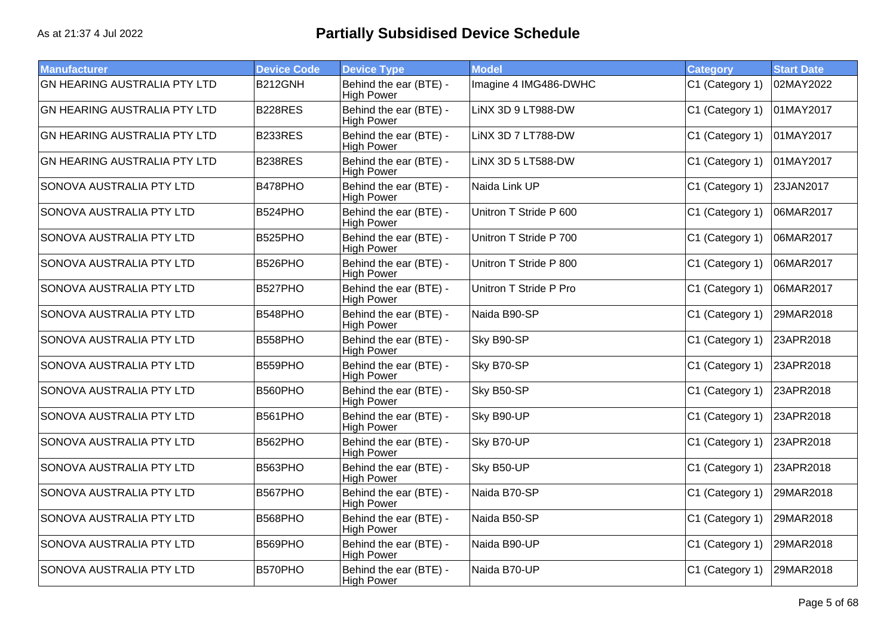| <b>Manufacturer</b>                 | <b>Device Code</b> | <b>Device Type</b>                          | <b>Model</b>           | <b>Category</b> | <b>Start Date</b> |
|-------------------------------------|--------------------|---------------------------------------------|------------------------|-----------------|-------------------|
|                                     |                    |                                             |                        |                 |                   |
| <b>GN HEARING AUSTRALIA PTY LTD</b> | B212GNH            | Behind the ear (BTE) -<br><b>High Power</b> | Imagine 4 IMG486-DWHC  | C1 (Category 1) | 02MAY2022         |
| <b>GN HEARING AUSTRALIA PTY LTD</b> | B228RES            | Behind the ear (BTE) -<br><b>High Power</b> | LINX 3D 9 LT988-DW     | C1 (Category 1) | 01MAY2017         |
| <b>GN HEARING AUSTRALIA PTY LTD</b> | B233RES            | Behind the ear (BTE) -<br><b>High Power</b> | LiNX 3D 7 LT788-DW     | C1 (Category 1) | 01MAY2017         |
| <b>GN HEARING AUSTRALIA PTY LTD</b> | B238RES            | Behind the ear (BTE) -<br><b>High Power</b> | LiNX 3D 5 LT588-DW     | C1 (Category 1) | 01MAY2017         |
| SONOVA AUSTRALIA PTY LTD            | B478PHO            | Behind the ear (BTE) -<br><b>High Power</b> | Naida Link UP          | C1 (Category 1) | 23JAN2017         |
| SONOVA AUSTRALIA PTY LTD            | B524PHO            | Behind the ear (BTE) -<br><b>High Power</b> | Unitron T Stride P 600 | C1 (Category 1) | 06MAR2017         |
| SONOVA AUSTRALIA PTY LTD            | B525PHO            | Behind the ear (BTE) -<br><b>High Power</b> | Unitron T Stride P 700 | C1 (Category 1) | 06MAR2017         |
| SONOVA AUSTRALIA PTY LTD            | B526PHO            | Behind the ear (BTE) -<br><b>High Power</b> | Unitron T Stride P 800 | C1 (Category 1) | 06MAR2017         |
| SONOVA AUSTRALIA PTY LTD            | B527PHO            | Behind the ear (BTE) -<br><b>High Power</b> | Unitron T Stride P Pro | C1 (Category 1) | 06MAR2017         |
| SONOVA AUSTRALIA PTY LTD            | B548PHO            | Behind the ear (BTE) -<br><b>High Power</b> | Naida B90-SP           | C1 (Category 1) | 29MAR2018         |
| SONOVA AUSTRALIA PTY LTD            | B558PHO            | Behind the ear (BTE) -<br><b>High Power</b> | Sky B90-SP             | C1 (Category 1) | 23APR2018         |
| SONOVA AUSTRALIA PTY LTD            | B559PHO            | Behind the ear (BTE) -<br><b>High Power</b> | Sky B70-SP             | C1 (Category 1) | 23APR2018         |
| SONOVA AUSTRALIA PTY LTD            | B560PHO            | Behind the ear (BTE) -<br><b>High Power</b> | Sky B50-SP             | C1 (Category 1) | 23APR2018         |
| SONOVA AUSTRALIA PTY LTD            | B561PHO            | Behind the ear (BTE) -<br><b>High Power</b> | Sky B90-UP             | C1 (Category 1) | 23APR2018         |
| SONOVA AUSTRALIA PTY LTD            | B562PHO            | Behind the ear (BTE) -<br><b>High Power</b> | Sky B70-UP             | C1 (Category 1) | 23APR2018         |
| SONOVA AUSTRALIA PTY LTD            | B563PHO            | Behind the ear (BTE) -<br><b>High Power</b> | Sky B50-UP             | C1 (Category 1) | 23APR2018         |
| SONOVA AUSTRALIA PTY LTD            | B567PHO            | Behind the ear (BTE) -<br><b>High Power</b> | Naida B70-SP           | C1 (Category 1) | 29MAR2018         |
| SONOVA AUSTRALIA PTY LTD            | B568PHO            | Behind the ear (BTE) -<br><b>High Power</b> | Naida B50-SP           | C1 (Category 1) | 29MAR2018         |
| SONOVA AUSTRALIA PTY LTD            | B569PHO            | Behind the ear (BTE) -<br><b>High Power</b> | Naida B90-UP           | C1 (Category 1) | 29MAR2018         |
| SONOVA AUSTRALIA PTY LTD            | B570PHO            | Behind the ear (BTE) -<br><b>High Power</b> | Naida B70-UP           | C1 (Category 1) | 29MAR2018         |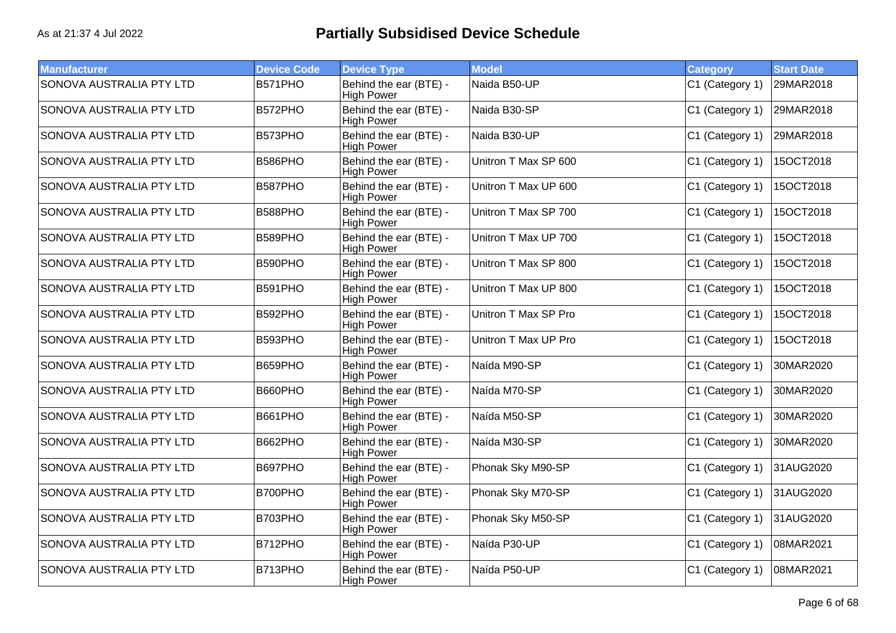| <b>Manufacturer</b>             | <b>Device Code</b> | <b>Device Type</b>                          | <b>Model</b>         | <b>Category</b> | <b>Start Date</b> |
|---------------------------------|--------------------|---------------------------------------------|----------------------|-----------------|-------------------|
| <b>SONOVA AUSTRALIA PTY LTD</b> | B571PHO            | Behind the ear (BTE) -<br><b>High Power</b> | Naida B50-UP         | C1 (Category 1) | 29MAR2018         |
| SONOVA AUSTRALIA PTY LTD        | B572PHO            | Behind the ear (BTE) -<br><b>High Power</b> | Naida B30-SP         | C1 (Category 1) | 29MAR2018         |
| SONOVA AUSTRALIA PTY LTD        | B573PHO            | Behind the ear (BTE) -<br><b>High Power</b> | Naida B30-UP         | C1 (Category 1) | 29MAR2018         |
| SONOVA AUSTRALIA PTY LTD        | B586PHO            | Behind the ear (BTE) -<br><b>High Power</b> | Unitron T Max SP 600 | C1 (Category 1) | 15OCT2018         |
| SONOVA AUSTRALIA PTY LTD        | B587PHO            | Behind the ear (BTE) -<br><b>High Power</b> | Unitron T Max UP 600 | C1 (Category 1) | 15OCT2018         |
| SONOVA AUSTRALIA PTY LTD        | B588PHO            | Behind the ear (BTE) -<br><b>High Power</b> | Unitron T Max SP 700 | C1 (Category 1) | 15OCT2018         |
| SONOVA AUSTRALIA PTY LTD        | B589PHO            | Behind the ear (BTE) -<br><b>High Power</b> | Unitron T Max UP 700 | C1 (Category 1) | 15OCT2018         |
| SONOVA AUSTRALIA PTY LTD        | B590PHO            | Behind the ear (BTE) -<br><b>High Power</b> | Unitron T Max SP 800 | C1 (Category 1) | 15OCT2018         |
| SONOVA AUSTRALIA PTY LTD        | B591PHO            | Behind the ear (BTE) -<br><b>High Power</b> | Unitron T Max UP 800 | C1 (Category 1) | 15OCT2018         |
| SONOVA AUSTRALIA PTY LTD        | B592PHO            | Behind the ear (BTE) -<br><b>High Power</b> | Unitron T Max SP Pro | C1 (Category 1) | 15OCT2018         |
| SONOVA AUSTRALIA PTY LTD        | B593PHO            | Behind the ear (BTE) -<br><b>High Power</b> | Unitron T Max UP Pro | C1 (Category 1) | 15OCT2018         |
| SONOVA AUSTRALIA PTY LTD        | B659PHO            | Behind the ear (BTE) -<br><b>High Power</b> | Naída M90-SP         | C1 (Category 1) | 30MAR2020         |
| SONOVA AUSTRALIA PTY LTD        | B660PHO            | Behind the ear (BTE) -<br><b>High Power</b> | Naída M70-SP         | C1 (Category 1) | 30MAR2020         |
| SONOVA AUSTRALIA PTY LTD        | <b>B661PHO</b>     | Behind the ear (BTE) -<br><b>High Power</b> | Naída M50-SP         | C1 (Category 1) | 30MAR2020         |
| SONOVA AUSTRALIA PTY LTD        | B662PHO            | Behind the ear (BTE) -<br><b>High Power</b> | Naída M30-SP         | C1 (Category 1) | 30MAR2020         |
| SONOVA AUSTRALIA PTY LTD        | B697PHO            | Behind the ear (BTE) -<br><b>High Power</b> | Phonak Sky M90-SP    | C1 (Category 1) | 31AUG2020         |
| SONOVA AUSTRALIA PTY LTD        | B700PHO            | Behind the ear (BTE) -<br><b>High Power</b> | Phonak Sky M70-SP    | C1 (Category 1) | 31AUG2020         |
| SONOVA AUSTRALIA PTY LTD        | B703PHO            | Behind the ear (BTE) -<br><b>High Power</b> | Phonak Sky M50-SP    | C1 (Category 1) | 31AUG2020         |
| SONOVA AUSTRALIA PTY LTD        | B712PHO            | Behind the ear (BTE) -<br><b>High Power</b> | Naída P30-UP         | C1 (Category 1) | 08MAR2021         |
| SONOVA AUSTRALIA PTY LTD        | B713PHO            | Behind the ear (BTE) -<br><b>High Power</b> | Naída P50-UP         | C1 (Category 1) | 08MAR2021         |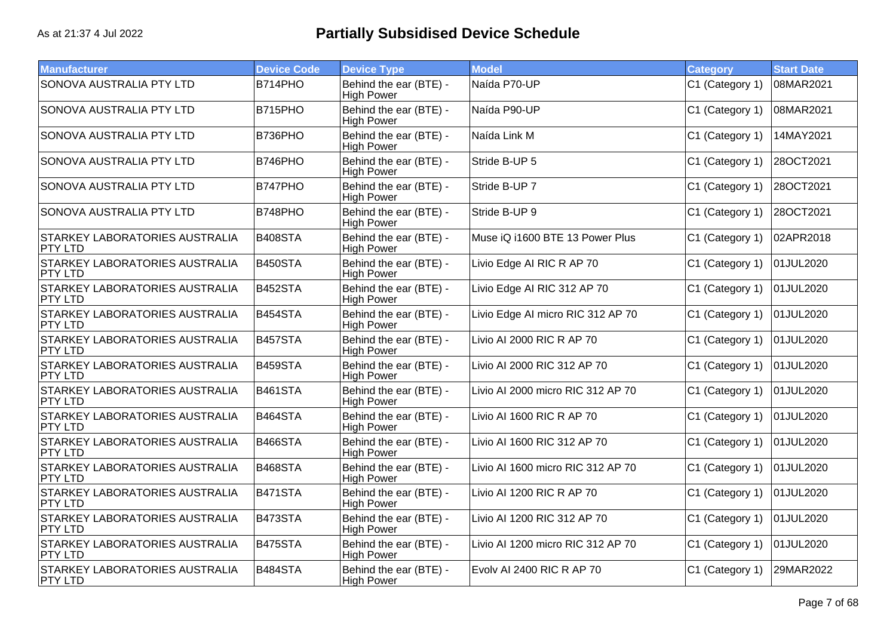| <b>Manufacturer</b>                                     | <b>Device Code</b> | <b>Device Type</b>                          | <b>Model</b>                      | <b>Category</b> | <b>Start Date</b> |
|---------------------------------------------------------|--------------------|---------------------------------------------|-----------------------------------|-----------------|-------------------|
| SONOVA AUSTRALIA PTY LTD                                | B714PHO            | Behind the ear (BTE) -<br><b>High Power</b> | Naída P70-UP                      | C1 (Category 1) | 08MAR2021         |
| SONOVA AUSTRALIA PTY LTD                                | B715PHO            | Behind the ear (BTE) -<br><b>High Power</b> | Naída P90-UP                      | C1 (Category 1) | 08MAR2021         |
| SONOVA AUSTRALIA PTY LTD                                | B736PHO            | Behind the ear (BTE) -<br><b>High Power</b> | Naída Link M                      | C1 (Category 1) | 14MAY2021         |
| SONOVA AUSTRALIA PTY LTD                                | B746PHO            | Behind the ear (BTE) -<br><b>High Power</b> | Stride B-UP 5                     | C1 (Category 1) | 28OCT2021         |
| SONOVA AUSTRALIA PTY LTD                                | B747PHO            | Behind the ear (BTE) -<br><b>High Power</b> | Stride B-UP 7                     | C1 (Category 1) | 28OCT2021         |
| SONOVA AUSTRALIA PTY LTD                                | B748PHO            | Behind the ear (BTE) -<br><b>High Power</b> | Stride B-UP 9                     | C1 (Category 1) | 28OCT2021         |
| <b>STARKEY LABORATORIES AUSTRALIA</b><br>PTY LTD        | B408STA            | Behind the ear (BTE) -<br><b>High Power</b> | Muse iQ i1600 BTE 13 Power Plus   | C1 (Category 1) | 02APR2018         |
| STARKEY LABORATORIES AUSTRALIA<br><b>PTY LTD</b>        | <b>B450STA</b>     | Behind the ear (BTE) -<br><b>High Power</b> | Livio Edge AI RIC R AP 70         | C1 (Category 1) | 01JUL2020         |
| STARKEY LABORATORIES AUSTRALIA<br>PTY LTD               | B452STA            | Behind the ear (BTE) -<br><b>High Power</b> | Livio Edge AI RIC 312 AP 70       | C1 (Category 1) | 01JUL2020         |
| STARKEY LABORATORIES AUSTRALIA<br>PTY LTD               | B454STA            | Behind the ear (BTE) -<br><b>High Power</b> | Livio Edge AI micro RIC 312 AP 70 | C1 (Category 1) | 01JUL2020         |
| <b>STARKEY LABORATORIES AUSTRALIA</b><br>PTY LTD        | B457STA            | Behind the ear (BTE) -<br><b>High Power</b> | Livio AI 2000 RIC R AP 70         | C1 (Category 1) | 01JUL2020         |
| STARKEY LABORATORIES AUSTRALIA<br>PTY LTD               | B459STA            | Behind the ear (BTE) -<br><b>High Power</b> | Livio AI 2000 RIC 312 AP 70       | C1 (Category 1) | 01JUL2020         |
| STARKEY LABORATORIES AUSTRALIA<br><b>PTY LTD</b>        | B461STA            | Behind the ear (BTE) -<br><b>High Power</b> | Livio AI 2000 micro RIC 312 AP 70 | C1 (Category 1) | 01JUL2020         |
| STARKEY LABORATORIES AUSTRALIA<br>PTY LTD               | B464STA            | Behind the ear (BTE) -<br><b>High Power</b> | Livio AI 1600 RIC R AP 70         | C1 (Category 1) | 01JUL2020         |
| STARKEY LABORATORIES AUSTRALIA<br><b>PTY LTD</b>        | <b>B466STA</b>     | Behind the ear (BTE) -<br><b>High Power</b> | Livio AI 1600 RIC 312 AP 70       | C1 (Category 1) | 01JUL2020         |
| <b>STARKEY LABORATORIES AUSTRALIA</b><br>PTY LTD        | B468STA            | Behind the ear (BTE) -<br><b>High Power</b> | Livio AI 1600 micro RIC 312 AP 70 | C1 (Category 1) | 01JUL2020         |
| STARKEY LABORATORIES AUSTRALIA<br>PTY LTD               | B471STA            | Behind the ear (BTE) -<br><b>High Power</b> | Livio AI 1200 RIC R AP 70         | C1 (Category 1) | 01JUL2020         |
| STARKEY LABORATORIES AUSTRALIA<br><b>PTY LTD</b>        | B473STA            | Behind the ear (BTE) -<br><b>High Power</b> | Livio AI 1200 RIC 312 AP 70       | C1 (Category 1) | 01JUL2020         |
| <b>STARKEY LABORATORIES AUSTRALIA</b><br><b>PTY LTD</b> | B475STA            | Behind the ear (BTE) -<br><b>High Power</b> | Livio AI 1200 micro RIC 312 AP 70 | C1 (Category 1) | 01JUL2020         |
| STARKEY LABORATORIES AUSTRALIA<br><b>PTY LTD</b>        | B484STA            | Behind the ear (BTE) -<br><b>High Power</b> | Evolv AI 2400 RIC R AP 70         | C1 (Category 1) | 29MAR2022         |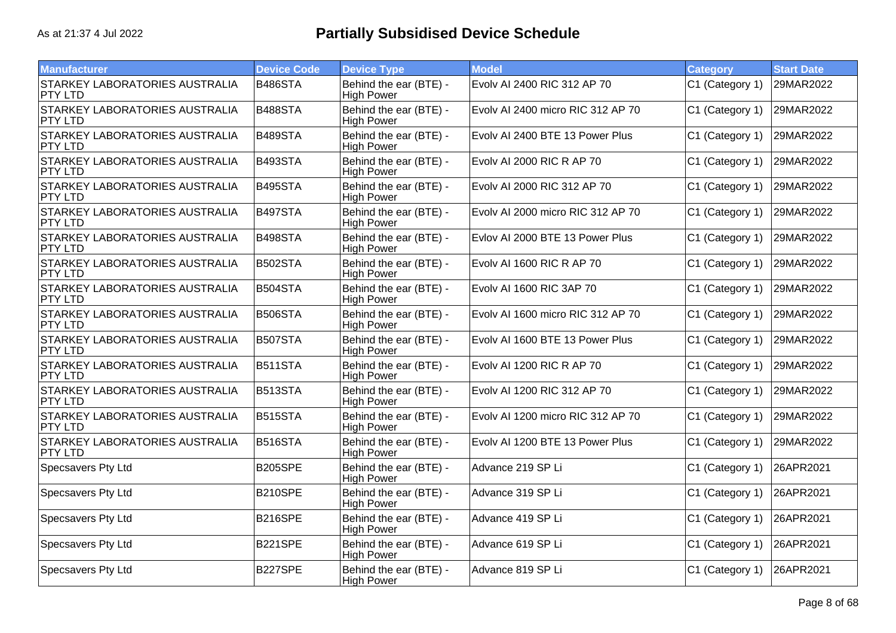| <b>Manufacturer</b>                                     | <b>Device Code</b> | <b>Device Type</b>                          | <b>Model</b>                      | <b>Category</b> | <b>Start Date</b> |
|---------------------------------------------------------|--------------------|---------------------------------------------|-----------------------------------|-----------------|-------------------|
| <b>STARKEY LABORATORIES AUSTRALIA</b><br>PTY LTD        | B486STA            | Behind the ear (BTE) -<br><b>High Power</b> | Evolv AI 2400 RIC 312 AP 70       | C1 (Category 1) | 29MAR2022         |
| STARKEY LABORATORIES AUSTRALIA<br>PTY LTD               | B488STA            | Behind the ear (BTE) -<br><b>High Power</b> | Evolv AI 2400 micro RIC 312 AP 70 | C1 (Category 1) | 29MAR2022         |
| STARKEY LABORATORIES AUSTRALIA<br><b>PTY LTD</b>        | B489STA            | Behind the ear (BTE) -<br><b>High Power</b> | Evolv AI 2400 BTE 13 Power Plus   | C1 (Category 1) | 29MAR2022         |
| STARKEY LABORATORIES AUSTRALIA<br>PTY LTD               | B493STA            | Behind the ear (BTE) -<br><b>High Power</b> | Evolv AI 2000 RIC R AP 70         | C1 (Category 1) | 29MAR2022         |
| STARKEY LABORATORIES AUSTRALIA<br>PTY LTD               | B495STA            | Behind the ear (BTE) -<br><b>High Power</b> | Evoly AI 2000 RIC 312 AP 70       | C1 (Category 1) | 29MAR2022         |
| <b>STARKEY LABORATORIES AUSTRALIA</b><br>PTY LTD        | <b>B497STA</b>     | Behind the ear (BTE) -<br><b>High Power</b> | Evolv AI 2000 micro RIC 312 AP 70 | C1 (Category 1) | 29MAR2022         |
| STARKEY LABORATORIES AUSTRALIA<br>PTY LTD               | B498STA            | Behind the ear (BTE) -<br><b>High Power</b> | Evlov AI 2000 BTE 13 Power Plus   | C1 (Category 1) | 29MAR2022         |
| STARKEY LABORATORIES AUSTRALIA<br><b>PTY LTD</b>        | <b>B502STA</b>     | Behind the ear (BTE) -<br><b>High Power</b> | Evolv AI 1600 RIC R AP 70         | C1 (Category 1) | 29MAR2022         |
| STARKEY LABORATORIES AUSTRALIA<br><b>PTY LTD</b>        | B504STA            | Behind the ear (BTE) -<br><b>High Power</b> | Evoly AI 1600 RIC 3AP 70          | C1 (Category 1) | 29MAR2022         |
| STARKEY LABORATORIES AUSTRALIA<br><b>PTY LTD</b>        | B506STA            | Behind the ear (BTE) -<br><b>High Power</b> | Evoly AI 1600 micro RIC 312 AP 70 | C1 (Category 1) | 29MAR2022         |
| <b>STARKEY LABORATORIES AUSTRALIA</b><br>PTY LTD        | <b>B507STA</b>     | Behind the ear (BTE) -<br><b>High Power</b> | Evolv AI 1600 BTE 13 Power Plus   | C1 (Category 1) | 29MAR2022         |
| <b>STARKEY LABORATORIES AUSTRALIA</b><br>PTY LTD        | B511STA            | Behind the ear (BTE) -<br><b>High Power</b> | Evolv AI 1200 RIC R AP 70         | C1 (Category 1) | 29MAR2022         |
| STARKEY LABORATORIES AUSTRALIA<br><b>PTY LTD</b>        | B513STA            | Behind the ear (BTE) -<br><b>High Power</b> | Evolv AI 1200 RIC 312 AP 70       | C1 (Category 1) | 29MAR2022         |
| <b>STARKEY LABORATORIES AUSTRALIA</b><br><b>PTY LTD</b> | B515STA            | Behind the ear (BTE) -<br><b>High Power</b> | Evolv AI 1200 micro RIC 312 AP 70 | C1 (Category 1) | 29MAR2022         |
| STARKEY LABORATORIES AUSTRALIA<br>PTY LTD               | B516STA            | Behind the ear (BTE) -<br><b>High Power</b> | Evoly AI 1200 BTE 13 Power Plus   | C1 (Category 1) | 29MAR2022         |
| Specsavers Pty Ltd                                      | <b>B205SPE</b>     | Behind the ear (BTE) -<br><b>High Power</b> | Advance 219 SP Li                 | C1 (Category 1) | 26APR2021         |
| Specsavers Pty Ltd                                      | B210SPE            | Behind the ear (BTE) -<br><b>High Power</b> | Advance 319 SP Li                 | C1 (Category 1) | 26APR2021         |
| Specsavers Pty Ltd                                      | <b>B216SPE</b>     | Behind the ear (BTE) -<br><b>High Power</b> | Advance 419 SP Li                 | C1 (Category 1) | 26APR2021         |
| Specsavers Pty Ltd                                      | <b>B221SPE</b>     | Behind the ear (BTE) -<br><b>High Power</b> | Advance 619 SP Li                 | C1 (Category 1) | 26APR2021         |
| Specsavers Pty Ltd                                      | B227SPE            | Behind the ear (BTE) -<br><b>High Power</b> | Advance 819 SP Li                 | C1 (Category 1) | 26APR2021         |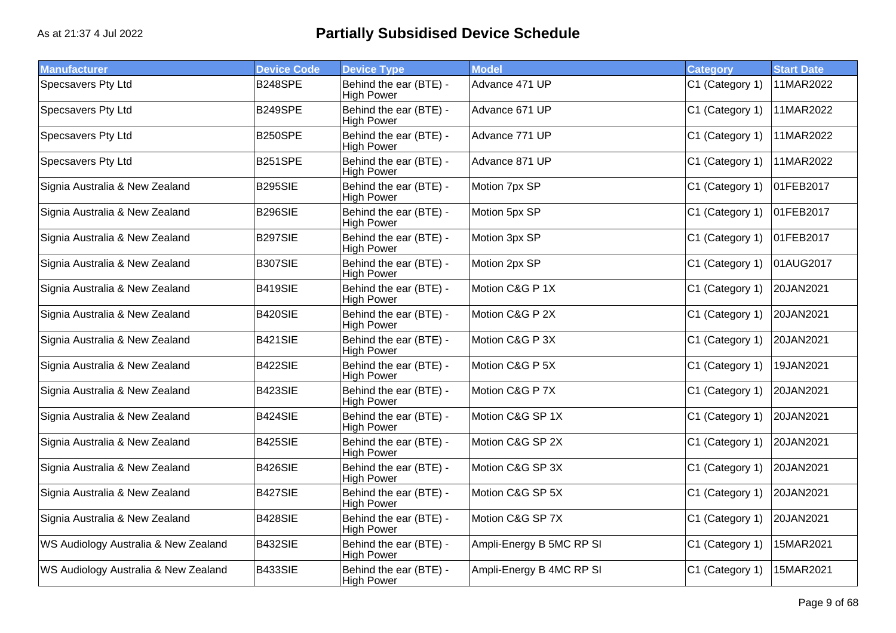| <b>Manufacturer</b>                  | <b>Device Code</b> | <b>Device Type</b>                          | <b>Model</b>             | <b>Category</b> | <b>Start Date</b> |
|--------------------------------------|--------------------|---------------------------------------------|--------------------------|-----------------|-------------------|
| Specsavers Pty Ltd                   | B248SPE            | Behind the ear (BTE) -<br><b>High Power</b> | Advance 471 UP           | C1 (Category 1) | 11MAR2022         |
| Specsavers Pty Ltd                   | <b>B249SPE</b>     | Behind the ear (BTE) -<br><b>High Power</b> | Advance 671 UP           | C1 (Category 1) | 11MAR2022         |
| Specsavers Pty Ltd                   | B250SPE            | Behind the ear (BTE) -<br><b>High Power</b> | Advance 771 UP           | C1 (Category 1) | 11MAR2022         |
| Specsavers Pty Ltd                   | B251SPE            | Behind the ear (BTE) -<br><b>High Power</b> | Advance 871 UP           | C1 (Category 1) | 11MAR2022         |
| Signia Australia & New Zealand       | B295SIE            | Behind the ear (BTE) -<br><b>High Power</b> | Motion 7px SP            | C1 (Category 1) | 01FEB2017         |
| Signia Australia & New Zealand       | <b>B296SIE</b>     | Behind the ear (BTE) -<br><b>High Power</b> | Motion 5px SP            | C1 (Category 1) | 01FEB2017         |
| Signia Australia & New Zealand       | <b>B297SIE</b>     | Behind the ear (BTE) -<br><b>High Power</b> | Motion 3px SP            | C1 (Category 1) | 01FEB2017         |
| Signia Australia & New Zealand       | B307SIE            | Behind the ear (BTE) -<br><b>High Power</b> | Motion 2px SP            | C1 (Category 1) | 01AUG2017         |
| Signia Australia & New Zealand       | B419SIE            | Behind the ear (BTE) -<br><b>High Power</b> | Motion C&G P 1X          | C1 (Category 1) | 20JAN2021         |
| Signia Australia & New Zealand       | <b>B420SIE</b>     | Behind the ear (BTE) -<br><b>High Power</b> | Motion C&G P 2X          | C1 (Category 1) | 20JAN2021         |
| Signia Australia & New Zealand       | B421SIE            | Behind the ear (BTE) -<br><b>High Power</b> | Motion C&G P 3X          | C1 (Category 1) | 20JAN2021         |
| Signia Australia & New Zealand       | B422SIE            | Behind the ear (BTE) -<br><b>High Power</b> | Motion C&G P 5X          | C1 (Category 1) | 19JAN2021         |
| Signia Australia & New Zealand       | B423SIE            | Behind the ear (BTE) -<br><b>High Power</b> | Motion C&G P 7X          | C1 (Category 1) | 20JAN2021         |
| Signia Australia & New Zealand       | <b>B424SIE</b>     | Behind the ear (BTE) -<br><b>High Power</b> | Motion C&G SP 1X         | C1 (Category 1) | 20JAN2021         |
| Signia Australia & New Zealand       | <b>B425SIE</b>     | Behind the ear (BTE) -<br><b>High Power</b> | Motion C&G SP 2X         | C1 (Category 1) | 20JAN2021         |
| Signia Australia & New Zealand       | B426SIE            | Behind the ear (BTE) -<br><b>High Power</b> | Motion C&G SP 3X         | C1 (Category 1) | 20JAN2021         |
| Signia Australia & New Zealand       | B427SIE            | Behind the ear (BTE) -<br><b>High Power</b> | Motion C&G SP 5X         | C1 (Category 1) | 20JAN2021         |
| Signia Australia & New Zealand       | B428SIE            | Behind the ear (BTE) -<br><b>High Power</b> | Motion C&G SP 7X         | C1 (Category 1) | 20JAN2021         |
| WS Audiology Australia & New Zealand | B432SIE            | Behind the ear (BTE) -<br><b>High Power</b> | Ampli-Energy B 5MC RP SI | C1 (Category 1) | 15MAR2021         |
| WS Audiology Australia & New Zealand | B433SIE            | Behind the ear (BTE) -<br><b>High Power</b> | Ampli-Energy B 4MC RP SI | C1 (Category 1) | 15MAR2021         |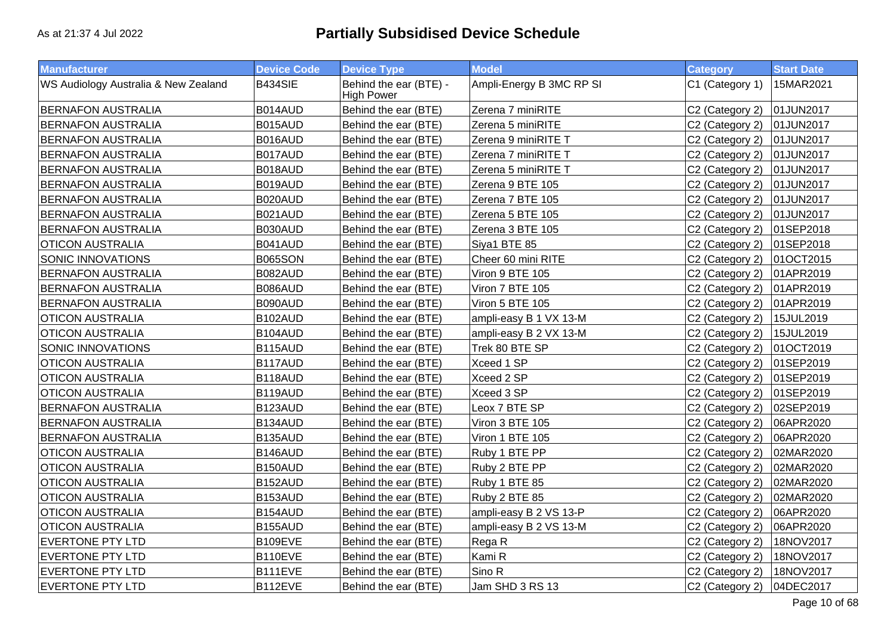| Manufacturer                         | <b>Device Code</b> | <b>Device Type</b>                          | <b>Model</b>             | <b>Category</b> | <b>Start Date</b> |
|--------------------------------------|--------------------|---------------------------------------------|--------------------------|-----------------|-------------------|
| WS Audiology Australia & New Zealand | B434SIE            | Behind the ear (BTE) -<br><b>High Power</b> | Ampli-Energy B 3MC RP SI | C1 (Category 1) | 15MAR2021         |
| <b>BERNAFON AUSTRALIA</b>            | B014AUD            | Behind the ear (BTE)                        | Zerena 7 miniRITE        | C2 (Category 2) | 01JUN2017         |
| <b>BERNAFON AUSTRALIA</b>            | B015AUD            | Behind the ear (BTE)                        | Zerena 5 miniRITE        | C2 (Category 2) | 01JUN2017         |
| <b>BERNAFON AUSTRALIA</b>            | B016AUD            | Behind the ear (BTE)                        | Zerena 9 miniRITE T      | C2 (Category 2) | 01JUN2017         |
| <b>BERNAFON AUSTRALIA</b>            | B017AUD            | Behind the ear (BTE)                        | Zerena 7 miniRITE T      | C2 (Category 2) | 01JUN2017         |
| <b>BERNAFON AUSTRALIA</b>            | B018AUD            | Behind the ear (BTE)                        | Zerena 5 miniRITE T      | C2 (Category 2) | 01JUN2017         |
| <b>BERNAFON AUSTRALIA</b>            | B019AUD            | Behind the ear (BTE)                        | Zerena 9 BTE 105         | C2 (Category 2) | 01JUN2017         |
| <b>BERNAFON AUSTRALIA</b>            | B020AUD            | Behind the ear (BTE)                        | Zerena 7 BTE 105         | C2 (Category 2) | 01JUN2017         |
| <b>BERNAFON AUSTRALIA</b>            | B021AUD            | Behind the ear (BTE)                        | Zerena 5 BTE 105         | C2 (Category 2) | 01JUN2017         |
| <b>BERNAFON AUSTRALIA</b>            | B030AUD            | Behind the ear (BTE)                        | Zerena 3 BTE 105         | C2 (Category 2) | 01SEP2018         |
| <b>OTICON AUSTRALIA</b>              | B041AUD            | Behind the ear (BTE)                        | Siya1 BTE 85             | C2 (Category 2) | 01SEP2018         |
| <b>SONIC INNOVATIONS</b>             | <b>B065SON</b>     | Behind the ear (BTE)                        | Cheer 60 mini RITE       | C2 (Category 2) | 01OCT2015         |
| <b>BERNAFON AUSTRALIA</b>            | B082AUD            | Behind the ear (BTE)                        | Viron 9 BTE 105          | C2 (Category 2) | 01APR2019         |
| <b>BERNAFON AUSTRALIA</b>            | B086AUD            | Behind the ear (BTE)                        | Viron 7 BTE 105          | C2 (Category 2) | 01APR2019         |
| <b>BERNAFON AUSTRALIA</b>            | B090AUD            | Behind the ear (BTE)                        | Viron 5 BTE 105          | C2 (Category 2) | 01APR2019         |
| <b>OTICON AUSTRALIA</b>              | B102AUD            | Behind the ear (BTE)                        | ampli-easy B 1 VX 13-M   | C2 (Category 2) | 15JUL2019         |
| <b>OTICON AUSTRALIA</b>              | B104AUD            | Behind the ear (BTE)                        | ampli-easy B 2 VX 13-M   | C2 (Category 2) | 15JUL2019         |
| SONIC INNOVATIONS                    | B115AUD            | Behind the ear (BTE)                        | Trek 80 BTE SP           | C2 (Category 2) | 01OCT2019         |
| <b>OTICON AUSTRALIA</b>              | B117AUD            | Behind the ear (BTE)                        | Xceed 1 SP               | C2 (Category 2) | 01SEP2019         |
| <b>OTICON AUSTRALIA</b>              | B118AUD            | Behind the ear (BTE)                        | Xceed 2 SP               | C2 (Category 2) | 01SEP2019         |
| <b>OTICON AUSTRALIA</b>              | B119AUD            | Behind the ear (BTE)                        | Xceed 3 SP               | C2 (Category 2) | 01SEP2019         |
| <b>BERNAFON AUSTRALIA</b>            | B123AUD            | Behind the ear (BTE)                        | Leox 7 BTE SP            | C2 (Category 2) | 02SEP2019         |
| <b>BERNAFON AUSTRALIA</b>            | B134AUD            | Behind the ear (BTE)                        | Viron 3 BTE 105          | C2 (Category 2) | 06APR2020         |
| <b>BERNAFON AUSTRALIA</b>            | B135AUD            | Behind the ear (BTE)                        | Viron 1 BTE 105          | C2 (Category 2) | 06APR2020         |
| <b>OTICON AUSTRALIA</b>              | B146AUD            | Behind the ear (BTE)                        | Ruby 1 BTE PP            | C2 (Category 2) | 02MAR2020         |
| <b>OTICON AUSTRALIA</b>              | B150AUD            | Behind the ear (BTE)                        | Ruby 2 BTE PP            | C2 (Category 2) | 02MAR2020         |
| <b>OTICON AUSTRALIA</b>              | B152AUD            | Behind the ear (BTE)                        | Ruby 1 BTE 85            | C2 (Category 2) | 02MAR2020         |
| <b>OTICON AUSTRALIA</b>              | B153AUD            | Behind the ear (BTE)                        | Ruby 2 BTE 85            | C2 (Category 2) | 02MAR2020         |
| <b>OTICON AUSTRALIA</b>              | B154AUD            | Behind the ear (BTE)                        | ampli-easy B 2 VS 13-P   | C2 (Category 2) | 06APR2020         |
| <b>OTICON AUSTRALIA</b>              | B155AUD            | Behind the ear (BTE)                        | ampli-easy B 2 VS 13-M   | C2 (Category 2) | 06APR2020         |
| <b>EVERTONE PTY LTD</b>              | B109EVE            | Behind the ear (BTE)                        | Rega R                   | C2 (Category 2) | 18NOV2017         |
| <b>EVERTONE PTY LTD</b>              | B110EVE            | Behind the ear (BTE)                        | Kami R                   | C2 (Category 2) | 18NOV2017         |
| <b>EVERTONE PTY LTD</b>              | B111EVE            | Behind the ear (BTE)                        | Sino R                   | C2 (Category 2) | 18NOV2017         |
| <b>EVERTONE PTY LTD</b>              | B112EVE            | Behind the ear (BTE)                        | Jam SHD 3 RS 13          | C2 (Category 2) | 04DEC2017         |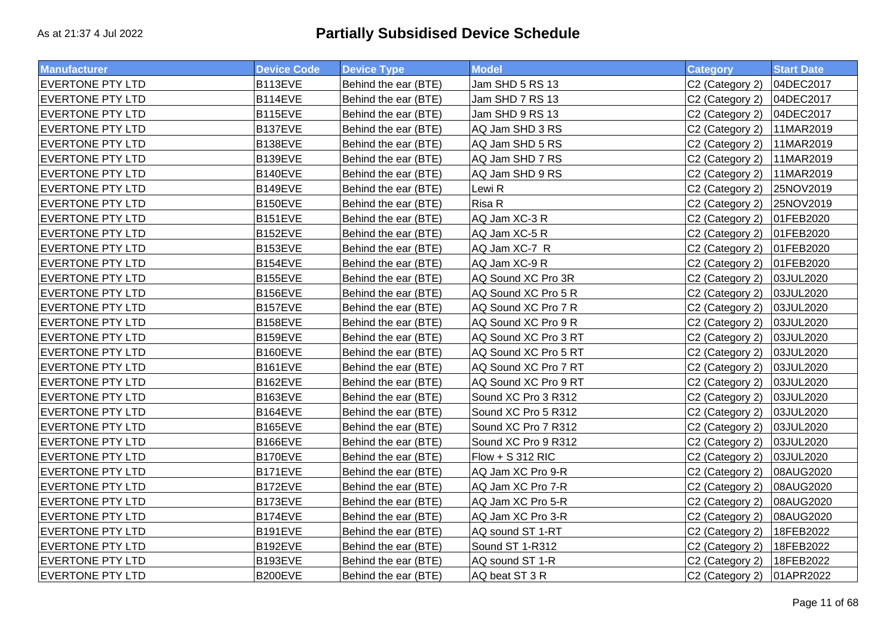| <b>Manufacturer</b>     | <b>Device Code</b> | <b>Device Type</b>   | <b>Model</b>         | <b>Category</b>             | <b>Start Date</b> |
|-------------------------|--------------------|----------------------|----------------------|-----------------------------|-------------------|
| <b>EVERTONE PTY LTD</b> | B113EVE            | Behind the ear (BTE) | Jam SHD 5 RS 13      | C2 (Category 2)             | 04DEC2017         |
| <b>EVERTONE PTY LTD</b> | B114EVE            | Behind the ear (BTE) | Jam SHD 7 RS 13      | C2 (Category 2)             | 04DEC2017         |
| <b>EVERTONE PTY LTD</b> | B115EVE            | Behind the ear (BTE) | Jam SHD 9 RS 13      | C2 (Category 2)             | 04DEC2017         |
| <b>EVERTONE PTY LTD</b> | B137EVE            | Behind the ear (BTE) | AQ Jam SHD 3 RS      | C2 (Category 2)             | 11MAR2019         |
| <b>EVERTONE PTY LTD</b> | B138EVE            | Behind the ear (BTE) | AQ Jam SHD 5 RS      | C2 (Category 2)             | 11MAR2019         |
| <b>EVERTONE PTY LTD</b> | B139EVE            | Behind the ear (BTE) | AQ Jam SHD 7 RS      | C2 (Category 2)             | 11MAR2019         |
| <b>EVERTONE PTY LTD</b> | B140EVE            | Behind the ear (BTE) | AQ Jam SHD 9 RS      | C2 (Category 2)             | 11MAR2019         |
| <b>EVERTONE PTY LTD</b> | B149EVE            | Behind the ear (BTE) | Lewi R               | C2 (Category 2)             | 25NOV2019         |
| <b>EVERTONE PTY LTD</b> | B150EVE            | Behind the ear (BTE) | Risa R               | C2 (Category 2)             | 25NOV2019         |
| <b>EVERTONE PTY LTD</b> | B151EVE            | Behind the ear (BTE) | AQ Jam XC-3 R        | C <sub>2</sub> (Category 2) | 01FEB2020         |
| <b>EVERTONE PTY LTD</b> | B152EVE            | Behind the ear (BTE) | AQ Jam XC-5 R        | C2 (Category 2)             | 01FEB2020         |
| <b>EVERTONE PTY LTD</b> | B153EVE            | Behind the ear (BTE) | AQ Jam XC-7 R        | C2 (Category 2)             | 01FEB2020         |
| <b>EVERTONE PTY LTD</b> | B154EVE            | Behind the ear (BTE) | AQ Jam XC-9 R        | C2 (Category 2)             | 01FEB2020         |
| <b>EVERTONE PTY LTD</b> | B155EVE            | Behind the ear (BTE) | AQ Sound XC Pro 3R   | C2 (Category 2)             | 03JUL2020         |
| <b>EVERTONE PTY LTD</b> | B156EVE            | Behind the ear (BTE) | AQ Sound XC Pro 5 R  | C2 (Category 2)             | 03JUL2020         |
| <b>EVERTONE PTY LTD</b> | B157EVE            | Behind the ear (BTE) | AQ Sound XC Pro 7 R  | C2 (Category 2)             | 03JUL2020         |
| <b>EVERTONE PTY LTD</b> | B158EVE            | Behind the ear (BTE) | AQ Sound XC Pro 9 R  | C2 (Category 2)             | 03JUL2020         |
| <b>EVERTONE PTY LTD</b> | B159EVE            | Behind the ear (BTE) | AQ Sound XC Pro 3 RT | C2 (Category 2)             | 03JUL2020         |
| <b>EVERTONE PTY LTD</b> | B160EVE            | Behind the ear (BTE) | AQ Sound XC Pro 5 RT | C2 (Category 2)             | 03JUL2020         |
| <b>EVERTONE PTY LTD</b> | B161EVE            | Behind the ear (BTE) | AQ Sound XC Pro 7 RT | C2 (Category 2)             | 03JUL2020         |
| <b>EVERTONE PTY LTD</b> | B162EVE            | Behind the ear (BTE) | AQ Sound XC Pro 9 RT | C2 (Category 2)             | 03JUL2020         |
| <b>EVERTONE PTY LTD</b> | B163EVE            | Behind the ear (BTE) | Sound XC Pro 3 R312  | C2 (Category 2)             | 03JUL2020         |
| <b>EVERTONE PTY LTD</b> | B164EVE            | Behind the ear (BTE) | Sound XC Pro 5 R312  | C2 (Category 2)             | 03JUL2020         |
| <b>EVERTONE PTY LTD</b> | B165EVE            | Behind the ear (BTE) | Sound XC Pro 7 R312  | C2 (Category 2)             | 03JUL2020         |
| <b>EVERTONE PTY LTD</b> | B166EVE            | Behind the ear (BTE) | Sound XC Pro 9 R312  | C2 (Category 2)             | 03JUL2020         |
| <b>EVERTONE PTY LTD</b> | B170EVE            | Behind the ear (BTE) | $Flow + S 312 RIC$   | C2 (Category 2)             | 03JUL2020         |
| <b>EVERTONE PTY LTD</b> | B171EVE            | Behind the ear (BTE) | AQ Jam XC Pro 9-R    | C2 (Category 2)             | 08AUG2020         |
| <b>EVERTONE PTY LTD</b> | B172EVE            | Behind the ear (BTE) | AQ Jam XC Pro 7-R    | C2 (Category 2)             | 08AUG2020         |
| <b>EVERTONE PTY LTD</b> | B173EVE            | Behind the ear (BTE) | AQ Jam XC Pro 5-R    | C2 (Category 2)             | 08AUG2020         |
| <b>EVERTONE PTY LTD</b> | B174EVE            | Behind the ear (BTE) | AQ Jam XC Pro 3-R    | C2 (Category 2)             | 08AUG2020         |
| <b>EVERTONE PTY LTD</b> | <b>B191EVE</b>     | Behind the ear (BTE) | AQ sound ST 1-RT     | C2 (Category 2)             | 18FEB2022         |
| <b>EVERTONE PTY LTD</b> | B192EVE            | Behind the ear (BTE) | Sound ST 1-R312      | C <sub>2</sub> (Category 2) | 18FEB2022         |
| <b>EVERTONE PTY LTD</b> | B193EVE            | Behind the ear (BTE) | AQ sound ST 1-R      | C2 (Category 2)             | 18FEB2022         |
| <b>EVERTONE PTY LTD</b> | B200EVE            | Behind the ear (BTE) | AQ beat ST 3 R       | C2 (Category 2)             | 01APR2022         |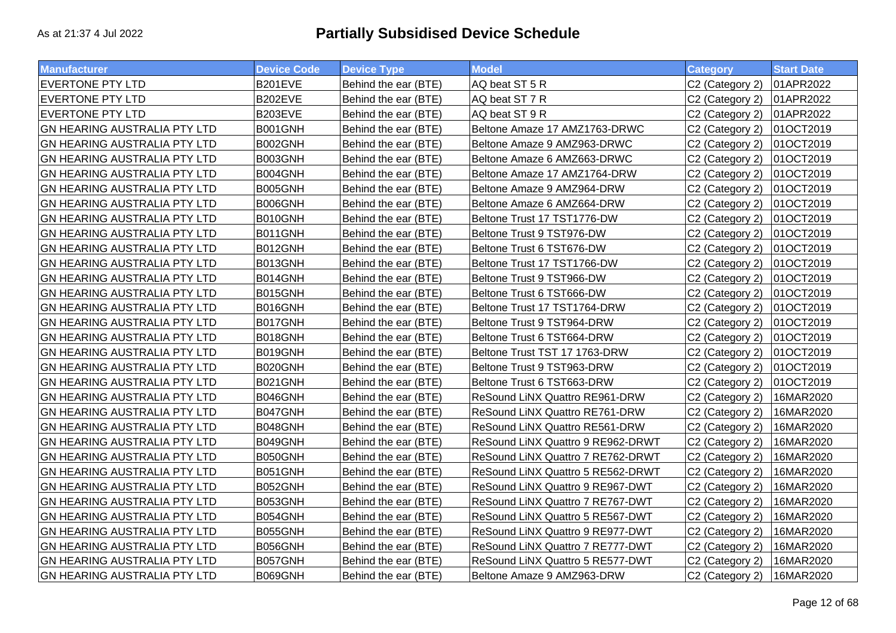| <b>Manufacturer</b>                 | <b>Device Code</b> | <b>Device Type</b>   | <b>Model</b>                      | <b>Category</b>             | <b>Start Date</b> |
|-------------------------------------|--------------------|----------------------|-----------------------------------|-----------------------------|-------------------|
| <b>EVERTONE PTY LTD</b>             | <b>B201EVE</b>     | Behind the ear (BTE) | AQ beat ST 5 R                    | C2 (Category 2)             | 01APR2022         |
| <b>EVERTONE PTY LTD</b>             | B202EVE            | Behind the ear (BTE) | AQ beat ST 7 R                    | C2 (Category 2)             | 01APR2022         |
| <b>EVERTONE PTY LTD</b>             | <b>B203EVE</b>     | Behind the ear (BTE) | AQ beat ST 9 R                    | C2 (Category 2)             | 01APR2022         |
| GN HEARING AUSTRALIA PTY LTD        | B001GNH            | Behind the ear (BTE) | Beltone Amaze 17 AMZ1763-DRWC     | C2 (Category 2)             | 01OCT2019         |
| GN HEARING AUSTRALIA PTY LTD        | B002GNH            | Behind the ear (BTE) | Beltone Amaze 9 AMZ963-DRWC       | C2 (Category 2)             | 01OCT2019         |
| GN HEARING AUSTRALIA PTY LTD        | B003GNH            | Behind the ear (BTE) | Beltone Amaze 6 AMZ663-DRWC       | C2 (Category 2)             | 01OCT2019         |
| GN HEARING AUSTRALIA PTY LTD        | B004GNH            | Behind the ear (BTE) | Beltone Amaze 17 AMZ1764-DRW      | C2 (Category 2)             | 01OCT2019         |
| <b>GN HEARING AUSTRALIA PTY LTD</b> | B005GNH            | Behind the ear (BTE) | Beltone Amaze 9 AMZ964-DRW        | C2 (Category 2)             | 01OCT2019         |
| <b>GN HEARING AUSTRALIA PTY LTD</b> | B006GNH            | Behind the ear (BTE) | Beltone Amaze 6 AMZ664-DRW        | C2 (Category 2)             | 01OCT2019         |
| GN HEARING AUSTRALIA PTY LTD        | B010GNH            | Behind the ear (BTE) | Beltone Trust 17 TST1776-DW       | C2 (Category 2)             | 01OCT2019         |
| GN HEARING AUSTRALIA PTY LTD        | B011GNH            | Behind the ear (BTE) | Beltone Trust 9 TST976-DW         | C2 (Category 2)             | 01OCT2019         |
| GN HEARING AUSTRALIA PTY LTD        | B012GNH            | Behind the ear (BTE) | Beltone Trust 6 TST676-DW         | C2 (Category 2)             | 01OCT2019         |
| GN HEARING AUSTRALIA PTY LTD        | B013GNH            | Behind the ear (BTE) | Beltone Trust 17 TST1766-DW       | C2 (Category 2)             | 01OCT2019         |
| GN HEARING AUSTRALIA PTY LTD        | B014GNH            | Behind the ear (BTE) | Beltone Trust 9 TST966-DW         | C2 (Category 2)             | 01OCT2019         |
| GN HEARING AUSTRALIA PTY LTD        | B015GNH            | Behind the ear (BTE) | Beltone Trust 6 TST666-DW         | C2 (Category 2)             | 01OCT2019         |
| GN HEARING AUSTRALIA PTY LTD        | B016GNH            | Behind the ear (BTE) | Beltone Trust 17 TST1764-DRW      | C2 (Category 2)             | 01OCT2019         |
| GN HEARING AUSTRALIA PTY LTD        | B017GNH            | Behind the ear (BTE) | Beltone Trust 9 TST964-DRW        | C2 (Category 2)             | 01OCT2019         |
| GN HEARING AUSTRALIA PTY LTD        | B018GNH            | Behind the ear (BTE) | Beltone Trust 6 TST664-DRW        | C2 (Category 2)             | 01OCT2019         |
| GN HEARING AUSTRALIA PTY LTD        | B019GNH            | Behind the ear (BTE) | Beltone Trust TST 17 1763-DRW     | C2 (Category 2)             | 01OCT2019         |
| GN HEARING AUSTRALIA PTY LTD        | B020GNH            | Behind the ear (BTE) | Beltone Trust 9 TST963-DRW        | C2 (Category 2)             | 01OCT2019         |
| GN HEARING AUSTRALIA PTY LTD        | B021GNH            | Behind the ear (BTE) | Beltone Trust 6 TST663-DRW        | C2 (Category 2)             | 01OCT2019         |
| <b>GN HEARING AUSTRALIA PTY LTD</b> | B046GNH            | Behind the ear (BTE) | ReSound LiNX Quattro RE961-DRW    | C2 (Category 2)             | 16MAR2020         |
| GN HEARING AUSTRALIA PTY LTD        | B047GNH            | Behind the ear (BTE) | ReSound LiNX Quattro RE761-DRW    | C2 (Category 2)             | 16MAR2020         |
| <b>GN HEARING AUSTRALIA PTY LTD</b> | B048GNH            | Behind the ear (BTE) | ReSound LiNX Quattro RE561-DRW    | C2 (Category 2)             | 16MAR2020         |
| <b>GN HEARING AUSTRALIA PTY LTD</b> | B049GNH            | Behind the ear (BTE) | ReSound LINX Quattro 9 RE962-DRWT | C2 (Category 2)             | 16MAR2020         |
| GN HEARING AUSTRALIA PTY LTD        | B050GNH            | Behind the ear (BTE) | ReSound LiNX Quattro 7 RE762-DRWT | C2 (Category 2)             | 16MAR2020         |
| GN HEARING AUSTRALIA PTY LTD        | B051GNH            | Behind the ear (BTE) | ReSound LiNX Quattro 5 RE562-DRWT | C2 (Category 2)             | 16MAR2020         |
| <b>GN HEARING AUSTRALIA PTY LTD</b> | B052GNH            | Behind the ear (BTE) | ReSound LiNX Quattro 9 RE967-DWT  | C2 (Category 2)             | 16MAR2020         |
| GN HEARING AUSTRALIA PTY LTD        | B053GNH            | Behind the ear (BTE) | ReSound LiNX Quattro 7 RE767-DWT  | C2 (Category 2)             | 16MAR2020         |
| GN HEARING AUSTRALIA PTY LTD        | B054GNH            | Behind the ear (BTE) | ReSound LiNX Quattro 5 RE567-DWT  | C2 (Category 2)             | 16MAR2020         |
| GN HEARING AUSTRALIA PTY LTD        | B055GNH            | Behind the ear (BTE) | ReSound LiNX Quattro 9 RE977-DWT  | C2 (Category 2)             | 16MAR2020         |
| GN HEARING AUSTRALIA PTY LTD        | B056GNH            | Behind the ear (BTE) | ReSound LiNX Quattro 7 RE777-DWT  | C2 (Category 2)             | 16MAR2020         |
| GN HEARING AUSTRALIA PTY LTD        | B057GNH            | Behind the ear (BTE) | ReSound LiNX Quattro 5 RE577-DWT  | C2 (Category 2)             | 16MAR2020         |
| <b>GN HEARING AUSTRALIA PTY LTD</b> | B069GNH            | Behind the ear (BTE) | Beltone Amaze 9 AMZ963-DRW        | C <sub>2</sub> (Category 2) | 16MAR2020         |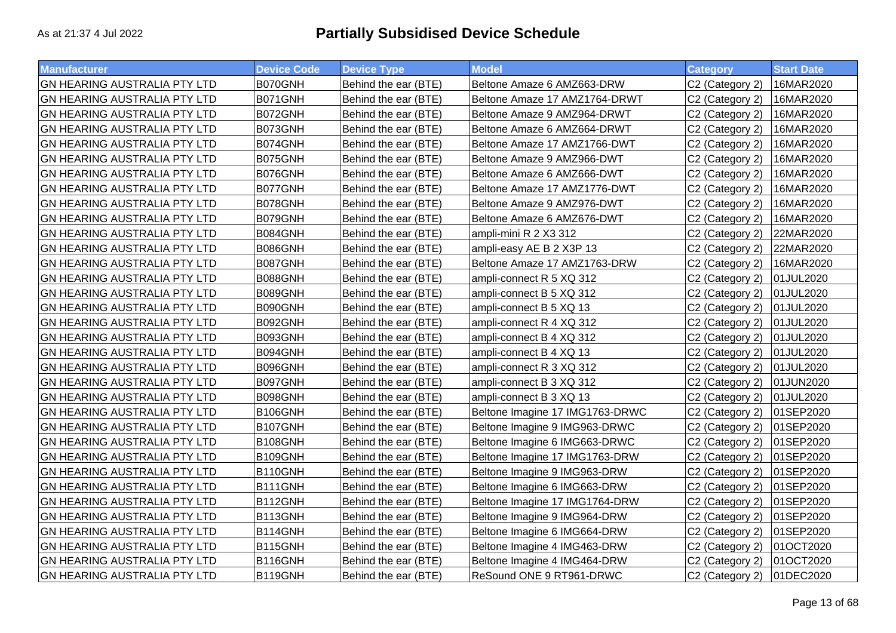| <b>Manufacturer</b>                 | <b>Device Code</b> | <b>Device Type</b>   | <b>Model</b>                    | <b>Category</b>             | <b>Start Date</b> |
|-------------------------------------|--------------------|----------------------|---------------------------------|-----------------------------|-------------------|
| <b>GN HEARING AUSTRALIA PTY LTD</b> | B070GNH            | Behind the ear (BTE) | Beltone Amaze 6 AMZ663-DRW      | C2 (Category 2)             | 16MAR2020         |
| <b>GN HEARING AUSTRALIA PTY LTD</b> | B071GNH            | Behind the ear (BTE) | Beltone Amaze 17 AMZ1764-DRWT   | C2 (Category 2)             | 16MAR2020         |
| <b>GN HEARING AUSTRALIA PTY LTD</b> | B072GNH            | Behind the ear (BTE) | Beltone Amaze 9 AMZ964-DRWT     | C2 (Category 2)             | 16MAR2020         |
| <b>GN HEARING AUSTRALIA PTY LTD</b> | B073GNH            | Behind the ear (BTE) | Beltone Amaze 6 AMZ664-DRWT     | C2 (Category 2)             | 16MAR2020         |
| <b>GN HEARING AUSTRALIA PTY LTD</b> | B074GNH            | Behind the ear (BTE) | Beltone Amaze 17 AMZ1766-DWT    | C2 (Category 2)             | 16MAR2020         |
| <b>GN HEARING AUSTRALIA PTY LTD</b> | B075GNH            | Behind the ear (BTE) | Beltone Amaze 9 AMZ966-DWT      | C2 (Category 2)             | 16MAR2020         |
| <b>GN HEARING AUSTRALIA PTY LTD</b> | B076GNH            | Behind the ear (BTE) | Beltone Amaze 6 AMZ666-DWT      | C2 (Category 2)             | 16MAR2020         |
| GN HEARING AUSTRALIA PTY LTD        | B077GNH            | Behind the ear (BTE) | Beltone Amaze 17 AMZ1776-DWT    | C2 (Category 2)             | 16MAR2020         |
| <b>GN HEARING AUSTRALIA PTY LTD</b> | B078GNH            | Behind the ear (BTE) | Beltone Amaze 9 AMZ976-DWT      | C2 (Category 2)             | 16MAR2020         |
| GN HEARING AUSTRALIA PTY LTD        | B079GNH            | Behind the ear (BTE) | Beltone Amaze 6 AMZ676-DWT      | C2 (Category 2)             | 16MAR2020         |
| <b>GN HEARING AUSTRALIA PTY LTD</b> | B084GNH            | Behind the ear (BTE) | ampli-mini R 2 X3 312           | C2 (Category 2)             | 22MAR2020         |
| <b>GN HEARING AUSTRALIA PTY LTD</b> | B086GNH            | Behind the ear (BTE) | ampli-easy AE B 2 X3P 13        | C2 (Category 2)             | 22MAR2020         |
| <b>GN HEARING AUSTRALIA PTY LTD</b> | B087GNH            | Behind the ear (BTE) | Beltone Amaze 17 AMZ1763-DRW    | C2 (Category 2)             | 16MAR2020         |
| <b>GN HEARING AUSTRALIA PTY LTD</b> | B088GNH            | Behind the ear (BTE) | ampli-connect R 5 XQ 312        | C2 (Category 2)             | 01JUL2020         |
| <b>GN HEARING AUSTRALIA PTY LTD</b> | B089GNH            | Behind the ear (BTE) | ampli-connect B 5 XQ 312        | C2 (Category 2)             | 01JUL2020         |
| <b>GN HEARING AUSTRALIA PTY LTD</b> | B090GNH            | Behind the ear (BTE) | ampli-connect B 5 XQ 13         | C2 (Category 2)             | 01JUL2020         |
| <b>GN HEARING AUSTRALIA PTY LTD</b> | B092GNH            | Behind the ear (BTE) | ampli-connect R 4 XQ 312        | C2 (Category 2)             | 01JUL2020         |
| <b>GN HEARING AUSTRALIA PTY LTD</b> | B093GNH            | Behind the ear (BTE) | ampli-connect B 4 XQ 312        | C2 (Category 2)             | 01JUL2020         |
| <b>GN HEARING AUSTRALIA PTY LTD</b> | B094GNH            | Behind the ear (BTE) | ampli-connect B 4 XQ 13         | C2 (Category 2)             | 01JUL2020         |
| <b>GN HEARING AUSTRALIA PTY LTD</b> | B096GNH            | Behind the ear (BTE) | ampli-connect R 3 XQ 312        | C2 (Category 2)             | 01JUL2020         |
| <b>GN HEARING AUSTRALIA PTY LTD</b> | B097GNH            | Behind the ear (BTE) | ampli-connect B 3 XQ 312        | C2 (Category 2)             | 01JUN2020         |
| <b>GN HEARING AUSTRALIA PTY LTD</b> | B098GNH            | Behind the ear (BTE) | ampli-connect B 3 XQ 13         | C2 (Category 2)             | 01JUL2020         |
| <b>GN HEARING AUSTRALIA PTY LTD</b> | B106GNH            | Behind the ear (BTE) | Beltone Imagine 17 IMG1763-DRWC | C <sub>2</sub> (Category 2) | 01SEP2020         |
| <b>GN HEARING AUSTRALIA PTY LTD</b> | B107GNH            | Behind the ear (BTE) | Beltone Imagine 9 IMG963-DRWC   | C2 (Category 2)             | 01SEP2020         |
| GN HEARING AUSTRALIA PTY LTD        | B108GNH            | Behind the ear (BTE) | Beltone Imagine 6 IMG663-DRWC   | C2 (Category 2)             | 01SEP2020         |
| <b>GN HEARING AUSTRALIA PTY LTD</b> | B109GNH            | Behind the ear (BTE) | Beltone Imagine 17 IMG1763-DRW  | C2 (Category 2)             | 01SEP2020         |
| GN HEARING AUSTRALIA PTY LTD        | B110GNH            | Behind the ear (BTE) | Beltone Imagine 9 IMG963-DRW    | C2 (Category 2)             | 01SEP2020         |
| <b>GN HEARING AUSTRALIA PTY LTD</b> | B111GNH            | Behind the ear (BTE) | Beltone Imagine 6 IMG663-DRW    | C2 (Category 2)             | 01SEP2020         |
| <b>GN HEARING AUSTRALIA PTY LTD</b> | B112GNH            | Behind the ear (BTE) | Beltone Imagine 17 IMG1764-DRW  | C2 (Category 2)             | 01SEP2020         |
| <b>GN HEARING AUSTRALIA PTY LTD</b> | B113GNH            | Behind the ear (BTE) | Beltone Imagine 9 IMG964-DRW    | C2 (Category 2)             | 01SEP2020         |
| <b>GN HEARING AUSTRALIA PTY LTD</b> | B114GNH            | Behind the ear (BTE) | Beltone Imagine 6 IMG664-DRW    | C2 (Category 2)             | 01SEP2020         |
| <b>GN HEARING AUSTRALIA PTY LTD</b> | B115GNH            | Behind the ear (BTE) | Beltone Imagine 4 IMG463-DRW    | C2 (Category 2)             | 01OCT2020         |
| <b>GN HEARING AUSTRALIA PTY LTD</b> | B116GNH            | Behind the ear (BTE) | Beltone Imagine 4 IMG464-DRW    | C2 (Category 2)             | 01OCT2020         |
| <b>GN HEARING AUSTRALIA PTY LTD</b> | B119GNH            | Behind the ear (BTE) | ReSound ONE 9 RT961-DRWC        | C2 (Category 2)             | 01DEC2020         |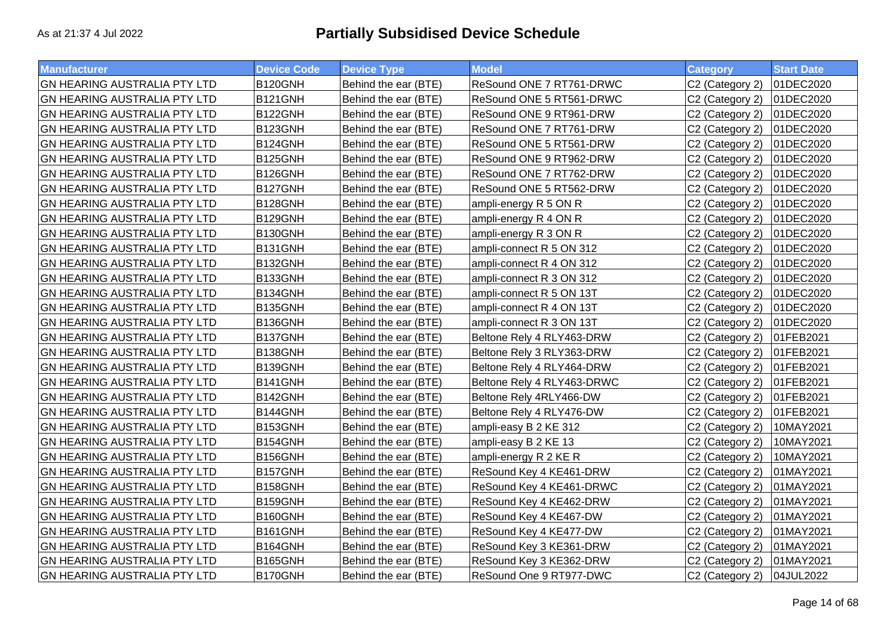| <b>Manufacturer</b>                 | <b>Device Code</b> | <b>Device Type</b>   | <b>Model</b>               | <b>Category</b> | <b>Start Date</b> |
|-------------------------------------|--------------------|----------------------|----------------------------|-----------------|-------------------|
| <b>GN HEARING AUSTRALIA PTY LTD</b> | B120GNH            | Behind the ear (BTE) | ReSound ONE 7 RT761-DRWC   | C2 (Category 2) | 01DEC2020         |
| <b>GN HEARING AUSTRALIA PTY LTD</b> | B121GNH            | Behind the ear (BTE) | ReSound ONE 5 RT561-DRWC   | C2 (Category 2) | 01DEC2020         |
| <b>GN HEARING AUSTRALIA PTY LTD</b> | B122GNH            | Behind the ear (BTE) | ReSound ONE 9 RT961-DRW    | C2 (Category 2) | 01DEC2020         |
| <b>GN HEARING AUSTRALIA PTY LTD</b> | B123GNH            | Behind the ear (BTE) | ReSound ONE 7 RT761-DRW    | C2 (Category 2) | 01DEC2020         |
| <b>GN HEARING AUSTRALIA PTY LTD</b> | B124GNH            | Behind the ear (BTE) | ReSound ONE 5 RT561-DRW    | C2 (Category 2) | 01DEC2020         |
| <b>GN HEARING AUSTRALIA PTY LTD</b> | B125GNH            | Behind the ear (BTE) | ReSound ONE 9 RT962-DRW    | C2 (Category 2) | 01DEC2020         |
| GN HEARING AUSTRALIA PTY LTD        | B126GNH            | Behind the ear (BTE) | ReSound ONE 7 RT762-DRW    | C2 (Category 2) | 01DEC2020         |
| <b>GN HEARING AUSTRALIA PTY LTD</b> | B127GNH            | Behind the ear (BTE) | ReSound ONE 5 RT562-DRW    | C2 (Category 2) | 01DEC2020         |
| GN HEARING AUSTRALIA PTY LTD        | B128GNH            | Behind the ear (BTE) | ampli-energy R 5 ON R      | C2 (Category 2) | 01DEC2020         |
| <b>GN HEARING AUSTRALIA PTY LTD</b> | B129GNH            | Behind the ear (BTE) | ampli-energy R 4 ON R      | C2 (Category 2) | 01DEC2020         |
| <b>GN HEARING AUSTRALIA PTY LTD</b> | B130GNH            | Behind the ear (BTE) | ampli-energy R 3 ON R      | C2 (Category 2) | 01DEC2020         |
| <b>GN HEARING AUSTRALIA PTY LTD</b> | B131GNH            | Behind the ear (BTE) | ampli-connect R 5 ON 312   | C2 (Category 2) | 01DEC2020         |
| <b>GN HEARING AUSTRALIA PTY LTD</b> | B132GNH            | Behind the ear (BTE) | ampli-connect R 4 ON 312   | C2 (Category 2) | 01DEC2020         |
| <b>GN HEARING AUSTRALIA PTY LTD</b> | B133GNH            | Behind the ear (BTE) | ampli-connect R 3 ON 312   | C2 (Category 2) | 01DEC2020         |
| <b>GN HEARING AUSTRALIA PTY LTD</b> | B134GNH            | Behind the ear (BTE) | ampli-connect R 5 ON 13T   | C2 (Category 2) | 01DEC2020         |
| GN HEARING AUSTRALIA PTY LTD        | B135GNH            | Behind the ear (BTE) | ampli-connect R 4 ON 13T   | C2 (Category 2) | 01DEC2020         |
| <b>GN HEARING AUSTRALIA PTY LTD</b> | B136GNH            | Behind the ear (BTE) | ampli-connect R 3 ON 13T   | C2 (Category 2) | 01DEC2020         |
| <b>GN HEARING AUSTRALIA PTY LTD</b> | B137GNH            | Behind the ear (BTE) | Beltone Rely 4 RLY463-DRW  | C2 (Category 2) | 01FEB2021         |
| <b>GN HEARING AUSTRALIA PTY LTD</b> | B138GNH            | Behind the ear (BTE) | Beltone Rely 3 RLY363-DRW  | C2 (Category 2) | 01FEB2021         |
| <b>GN HEARING AUSTRALIA PTY LTD</b> | B139GNH            | Behind the ear (BTE) | Beltone Rely 4 RLY464-DRW  | C2 (Category 2) | 01FEB2021         |
| <b>GN HEARING AUSTRALIA PTY LTD</b> | B141GNH            | Behind the ear (BTE) | Beltone Rely 4 RLY463-DRWC | C2 (Category 2) | 01FEB2021         |
| <b>GN HEARING AUSTRALIA PTY LTD</b> | B142GNH            | Behind the ear (BTE) | Beltone Rely 4RLY466-DW    | C2 (Category 2) | 01FEB2021         |
| <b>GN HEARING AUSTRALIA PTY LTD</b> | B144GNH            | Behind the ear (BTE) | Beltone Rely 4 RLY476-DW   | C2 (Category 2) | 01FEB2021         |
| <b>GN HEARING AUSTRALIA PTY LTD</b> | B153GNH            | Behind the ear (BTE) | ampli-easy B 2 KE 312      | C2 (Category 2) | 10MAY2021         |
| <b>GN HEARING AUSTRALIA PTY LTD</b> | B154GNH            | Behind the ear (BTE) | ampli-easy B 2 KE 13       | C2 (Category 2) | 10MAY2021         |
| <b>GN HEARING AUSTRALIA PTY LTD</b> | B156GNH            | Behind the ear (BTE) | ampli-energy R 2 KE R      | C2 (Category 2) | 10MAY2021         |
| <b>GN HEARING AUSTRALIA PTY LTD</b> | B157GNH            | Behind the ear (BTE) | ReSound Key 4 KE461-DRW    | C2 (Category 2) | 01MAY2021         |
| <b>GN HEARING AUSTRALIA PTY LTD</b> | B158GNH            | Behind the ear (BTE) | ReSound Key 4 KE461-DRWC   | C2 (Category 2) | 01MAY2021         |
| <b>GN HEARING AUSTRALIA PTY LTD</b> | B159GNH            | Behind the ear (BTE) | ReSound Key 4 KE462-DRW    | C2 (Category 2) | 01MAY2021         |
| <b>GN HEARING AUSTRALIA PTY LTD</b> | B160GNH            | Behind the ear (BTE) | ReSound Key 4 KE467-DW     | C2 (Category 2) | 01MAY2021         |
| <b>GN HEARING AUSTRALIA PTY LTD</b> | B161GNH            | Behind the ear (BTE) | ReSound Key 4 KE477-DW     | C2 (Category 2) | 01MAY2021         |
| <b>GN HEARING AUSTRALIA PTY LTD</b> | B164GNH            | Behind the ear (BTE) | ReSound Key 3 KE361-DRW    | C2 (Category 2) | 01MAY2021         |
| <b>GN HEARING AUSTRALIA PTY LTD</b> | B165GNH            | Behind the ear (BTE) | ReSound Key 3 KE362-DRW    | C2 (Category 2) | 01MAY2021         |
| <b>GN HEARING AUSTRALIA PTY LTD</b> | B170GNH            | Behind the ear (BTE) | ReSound One 9 RT977-DWC    | C2 (Category 2) | 04JUL2022         |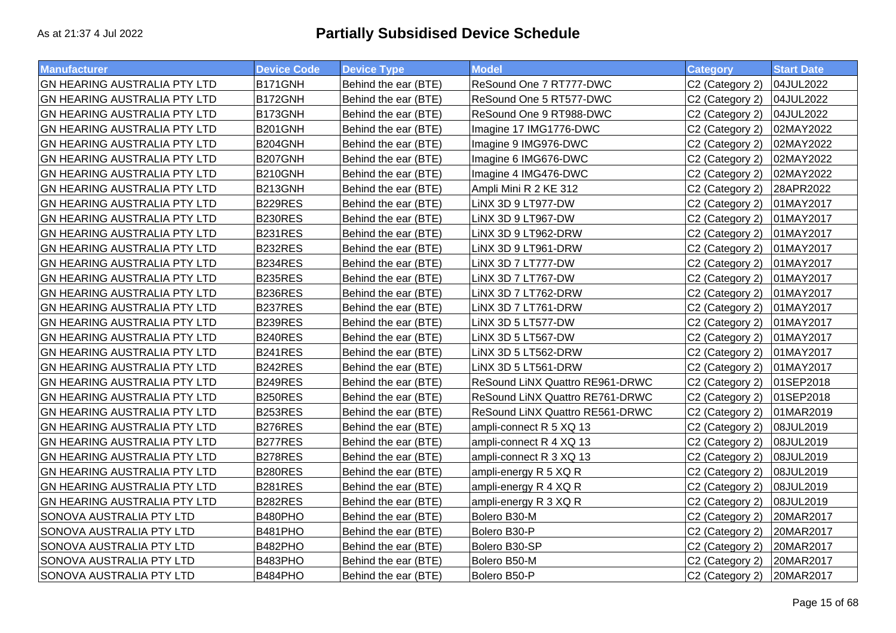| <b>Manufacturer</b>                 | <b>Device Code</b> | <b>Device Type</b>   | <b>Model</b>                    | <b>Category</b> | <b>Start Date</b> |
|-------------------------------------|--------------------|----------------------|---------------------------------|-----------------|-------------------|
| GN HEARING AUSTRALIA PTY LTD        | B171GNH            | Behind the ear (BTE) | ReSound One 7 RT777-DWC         | C2 (Category 2) | 04JUL2022         |
| <b>GN HEARING AUSTRALIA PTY LTD</b> | B172GNH            | Behind the ear (BTE) | ReSound One 5 RT577-DWC         | C2 (Category 2) | 04JUL2022         |
| GN HEARING AUSTRALIA PTY LTD        | <b>B173GNH</b>     | Behind the ear (BTE) | ReSound One 9 RT988-DWC         | C2 (Category 2) | 04JUL2022         |
| GN HEARING AUSTRALIA PTY LTD        | B201GNH            | Behind the ear (BTE) | Imagine 17 IMG1776-DWC          | C2 (Category 2) | 02MAY2022         |
| GN HEARING AUSTRALIA PTY LTD        | B204GNH            | Behind the ear (BTE) | Imagine 9 IMG976-DWC            | C2 (Category 2) | 02MAY2022         |
| <b>GN HEARING AUSTRALIA PTY LTD</b> | B207GNH            | Behind the ear (BTE) | Imagine 6 IMG676-DWC            | C2 (Category 2) | 02MAY2022         |
| GN HEARING AUSTRALIA PTY LTD        | B210GNH            | Behind the ear (BTE) | Imagine 4 IMG476-DWC            | C2 (Category 2) | 02MAY2022         |
| GN HEARING AUSTRALIA PTY LTD        | B213GNH            | Behind the ear (BTE) | Ampli Mini R 2 KE 312           | C2 (Category 2) | 28APR2022         |
| GN HEARING AUSTRALIA PTY LTD        | B229RES            | Behind the ear (BTE) | LINX 3D 9 LT977-DW              | C2 (Category 2) | 01MAY2017         |
| GN HEARING AUSTRALIA PTY LTD        | <b>B230RES</b>     | Behind the ear (BTE) | LINX 3D 9 LT967-DW              | C2 (Category 2) | 01MAY2017         |
| GN HEARING AUSTRALIA PTY LTD        | B231RES            | Behind the ear (BTE) | LINX 3D 9 LT962-DRW             | C2 (Category 2) | 01MAY2017         |
| GN HEARING AUSTRALIA PTY LTD        | B232RES            | Behind the ear (BTE) | LINX 3D 9 LT961-DRW             | C2 (Category 2) | 01MAY2017         |
| GN HEARING AUSTRALIA PTY LTD        | B234RES            | Behind the ear (BTE) | LINX 3D 7 LT777-DW              | C2 (Category 2) | 01MAY2017         |
| GN HEARING AUSTRALIA PTY LTD        | B235RES            | Behind the ear (BTE) | LINX 3D 7 LT767-DW              | C2 (Category 2) | 01MAY2017         |
| <b>GN HEARING AUSTRALIA PTY LTD</b> | <b>B236RES</b>     | Behind the ear (BTE) | LINX 3D 7 LT762-DRW             | C2 (Category 2) | 01MAY2017         |
| GN HEARING AUSTRALIA PTY LTD        | B237RES            | Behind the ear (BTE) | LINX 3D 7 LT761-DRW             | C2 (Category 2) | 01MAY2017         |
| <b>GN HEARING AUSTRALIA PTY LTD</b> | B239RES            | Behind the ear (BTE) | LINX 3D 5 LT577-DW              | C2 (Category 2) | 01MAY2017         |
| GN HEARING AUSTRALIA PTY LTD        | <b>B240RES</b>     | Behind the ear (BTE) | LINX 3D 5 LT567-DW              | C2 (Category 2) | 01MAY2017         |
| GN HEARING AUSTRALIA PTY LTD        | B241RES            | Behind the ear (BTE) | LINX 3D 5 LT562-DRW             | C2 (Category 2) | 01MAY2017         |
| GN HEARING AUSTRALIA PTY LTD        | B242RES            | Behind the ear (BTE) | LINX 3D 5 LT561-DRW             | C2 (Category 2) | 01MAY2017         |
| GN HEARING AUSTRALIA PTY LTD        | B249RES            | Behind the ear (BTE) | ReSound LiNX Quattro RE961-DRWC | C2 (Category 2) | 01SEP2018         |
| GN HEARING AUSTRALIA PTY LTD        | <b>B250RES</b>     | Behind the ear (BTE) | ReSound LiNX Quattro RE761-DRWC | C2 (Category 2) | 01SEP2018         |
| GN HEARING AUSTRALIA PTY LTD        | B253RES            | Behind the ear (BTE) | ReSound LINX Quattro RE561-DRWC | C2 (Category 2) | 01MAR2019         |
| GN HEARING AUSTRALIA PTY LTD        | B276RES            | Behind the ear (BTE) | ampli-connect R 5 XQ 13         | C2 (Category 2) | 08JUL2019         |
| <b>GN HEARING AUSTRALIA PTY LTD</b> | B277RES            | Behind the ear (BTE) | ampli-connect R 4 XQ 13         | C2 (Category 2) | 08JUL2019         |
| GN HEARING AUSTRALIA PTY LTD        | B278RES            | Behind the ear (BTE) | ampli-connect R 3 XQ 13         | C2 (Category 2) | 08JUL2019         |
| GN HEARING AUSTRALIA PTY LTD        | <b>B280RES</b>     | Behind the ear (BTE) | ampli-energy R 5 XQ R           | C2 (Category 2) | 08JUL2019         |
| GN HEARING AUSTRALIA PTY LTD        | B281RES            | Behind the ear (BTE) | ampli-energy R 4 XQ R           | C2 (Category 2) | 08JUL2019         |
| GN HEARING AUSTRALIA PTY LTD        | B282RES            | Behind the ear (BTE) | ampli-energy R 3 XQ R           | C2 (Category 2) | 08JUL2019         |
| SONOVA AUSTRALIA PTY LTD            | B480PHO            | Behind the ear (BTE) | Bolero B30-M                    | C2 (Category 2) | 20MAR2017         |
| SONOVA AUSTRALIA PTY LTD            | B481PHO            | Behind the ear (BTE) | Bolero B30-P                    | C2 (Category 2) | 20MAR2017         |
| SONOVA AUSTRALIA PTY LTD            | B482PHO            | Behind the ear (BTE) | Bolero B30-SP                   | C2 (Category 2) | 20MAR2017         |
| SONOVA AUSTRALIA PTY LTD            | B483PHO            | Behind the ear (BTE) | Bolero B50-M                    | C2 (Category 2) | 20MAR2017         |
| <b>SONOVA AUSTRALIA PTY LTD</b>     | B484PHO            | Behind the ear (BTE) | Bolero B50-P                    | C2 (Category 2) | 20MAR2017         |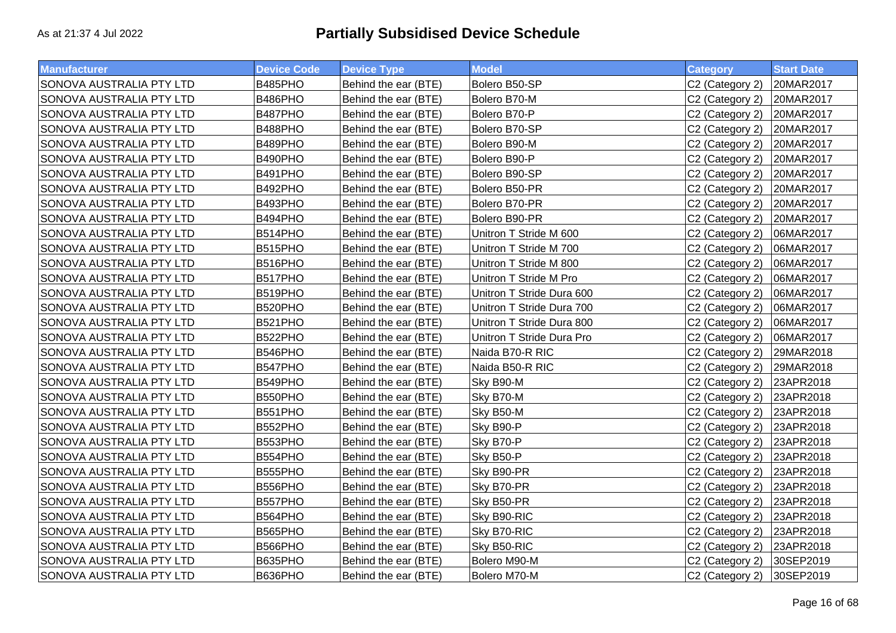| <b>Manufacturer</b>      | <b>Device Code</b> | <b>Device Type</b>   | <b>Model</b>              | <b>Category</b>             | <b>Start Date</b> |
|--------------------------|--------------------|----------------------|---------------------------|-----------------------------|-------------------|
| SONOVA AUSTRALIA PTY LTD | B485PHO            | Behind the ear (BTE) | Bolero B50-SP             | C2 (Category 2)             | 20MAR2017         |
| SONOVA AUSTRALIA PTY LTD | B486PHO            | Behind the ear (BTE) | Bolero B70-M              | C <sub>2</sub> (Category 2) | 20MAR2017         |
| SONOVA AUSTRALIA PTY LTD | B487PHO            | Behind the ear (BTE) | Bolero B70-P              | C2 (Category 2)             | 20MAR2017         |
| SONOVA AUSTRALIA PTY LTD | B488PHO            | Behind the ear (BTE) | Bolero B70-SP             | C2 (Category 2)             | 20MAR2017         |
| SONOVA AUSTRALIA PTY LTD | B489PHO            | Behind the ear (BTE) | Bolero B90-M              | C2 (Category 2)             | 20MAR2017         |
| SONOVA AUSTRALIA PTY LTD | B490PHO            | Behind the ear (BTE) | Bolero B90-P              | C2 (Category 2)             | 20MAR2017         |
| SONOVA AUSTRALIA PTY LTD | B491PHO            | Behind the ear (BTE) | Bolero B90-SP             | C2 (Category 2)             | 20MAR2017         |
| SONOVA AUSTRALIA PTY LTD | B492PHO            | Behind the ear (BTE) | Bolero B50-PR             | C2 (Category 2)             | 20MAR2017         |
| SONOVA AUSTRALIA PTY LTD | B493PHO            | Behind the ear (BTE) | Bolero B70-PR             | C2 (Category 2)             | 20MAR2017         |
| SONOVA AUSTRALIA PTY LTD | B494PHO            | Behind the ear (BTE) | Bolero B90-PR             | C2 (Category 2)             | 20MAR2017         |
| SONOVA AUSTRALIA PTY LTD | B514PHO            | Behind the ear (BTE) | Unitron T Stride M 600    | C2 (Category 2)             | 06MAR2017         |
| SONOVA AUSTRALIA PTY LTD | B515PHO            | Behind the ear (BTE) | Unitron T Stride M 700    | C2 (Category 2)             | 06MAR2017         |
| SONOVA AUSTRALIA PTY LTD | B516PHO            | Behind the ear (BTE) | Unitron T Stride M 800    | C2 (Category 2)             | 06MAR2017         |
| SONOVA AUSTRALIA PTY LTD | B517PHO            | Behind the ear (BTE) | Unitron T Stride M Pro    | C2 (Category 2)             | 06MAR2017         |
| SONOVA AUSTRALIA PTY LTD | B519PHO            | Behind the ear (BTE) | Unitron T Stride Dura 600 | C2 (Category 2)             | 06MAR2017         |
| SONOVA AUSTRALIA PTY LTD | B520PHO            | Behind the ear (BTE) | Unitron T Stride Dura 700 | C2 (Category 2)             | 06MAR2017         |
| SONOVA AUSTRALIA PTY LTD | B521PHO            | Behind the ear (BTE) | Unitron T Stride Dura 800 | C2 (Category 2)             | 06MAR2017         |
| SONOVA AUSTRALIA PTY LTD | B522PHO            | Behind the ear (BTE) | Unitron T Stride Dura Pro | C2 (Category 2)             | 06MAR2017         |
| SONOVA AUSTRALIA PTY LTD | B546PHO            | Behind the ear (BTE) | Naida B70-R RIC           | C <sub>2</sub> (Category 2) | 29MAR2018         |
| SONOVA AUSTRALIA PTY LTD | B547PHO            | Behind the ear (BTE) | Naida B50-R RIC           | C2 (Category 2)             | 29MAR2018         |
| SONOVA AUSTRALIA PTY LTD | B549PHO            | Behind the ear (BTE) | Sky B90-M                 | C2 (Category 2)             | 23APR2018         |
| SONOVA AUSTRALIA PTY LTD | B550PHO            | Behind the ear (BTE) | Sky B70-M                 | C2 (Category 2)             | 23APR2018         |
| SONOVA AUSTRALIA PTY LTD | B551PHO            | Behind the ear (BTE) | Sky B50-M                 | C2 (Category 2)             | 23APR2018         |
| SONOVA AUSTRALIA PTY LTD | B552PHO            | Behind the ear (BTE) | Sky B90-P                 | C2 (Category 2)             | 23APR2018         |
| SONOVA AUSTRALIA PTY LTD | B553PHO            | Behind the ear (BTE) | Sky B70-P                 | C2 (Category 2)             | 23APR2018         |
| SONOVA AUSTRALIA PTY LTD | B554PHO            | Behind the ear (BTE) | Sky B50-P                 | C2 (Category 2)             | 23APR2018         |
| SONOVA AUSTRALIA PTY LTD | B555PHO            | Behind the ear (BTE) | Sky B90-PR                | C <sub>2</sub> (Category 2) | 23APR2018         |
| SONOVA AUSTRALIA PTY LTD | B556PHO            | Behind the ear (BTE) | Sky B70-PR                | C2 (Category 2)             | 23APR2018         |
| SONOVA AUSTRALIA PTY LTD | B557PHO            | Behind the ear (BTE) | Sky B50-PR                | C2 (Category 2)             | 23APR2018         |
| SONOVA AUSTRALIA PTY LTD | B564PHO            | Behind the ear (BTE) | Sky B90-RIC               | C2 (Category 2)             | 23APR2018         |
| SONOVA AUSTRALIA PTY LTD | B565PHO            | Behind the ear (BTE) | Sky B70-RIC               | C2 (Category 2)             | 23APR2018         |
| SONOVA AUSTRALIA PTY LTD | B566PHO            | Behind the ear (BTE) | Sky B50-RIC               | C2 (Category 2)             | 23APR2018         |
| SONOVA AUSTRALIA PTY LTD | B635PHO            | Behind the ear (BTE) | Bolero M90-M              | C2 (Category 2)             | 30SEP2019         |
| SONOVA AUSTRALIA PTY LTD | B636PHO            | Behind the ear (BTE) | Bolero M70-M              | C2 (Category 2)             | 30SEP2019         |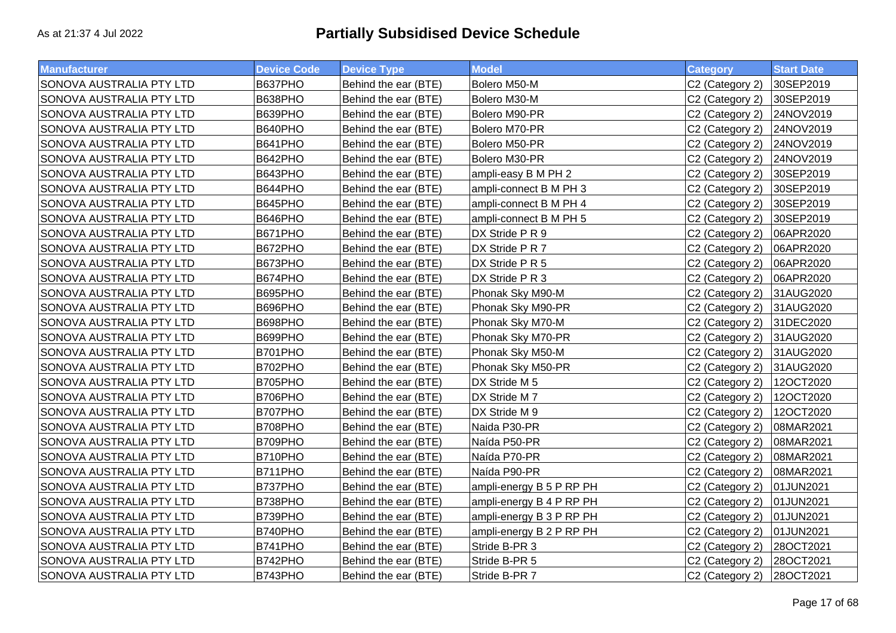| <b>Manufacturer</b>      | <b>Device Code</b> | <b>Device Type</b>   | <b>Model</b>             | <b>Category</b> | <b>Start Date</b> |
|--------------------------|--------------------|----------------------|--------------------------|-----------------|-------------------|
| SONOVA AUSTRALIA PTY LTD | B637PHO            | Behind the ear (BTE) | Bolero M50-M             | C2 (Category 2) | 30SEP2019         |
| SONOVA AUSTRALIA PTY LTD | B638PHO            | Behind the ear (BTE) | Bolero M30-M             | C2 (Category 2) | 30SEP2019         |
| SONOVA AUSTRALIA PTY LTD | B639PHO            | Behind the ear (BTE) | Bolero M90-PR            | C2 (Category 2) | 24NOV2019         |
| SONOVA AUSTRALIA PTY LTD | B640PHO            | Behind the ear (BTE) | Bolero M70-PR            | C2 (Category 2) | 24NOV2019         |
| SONOVA AUSTRALIA PTY LTD | B641PHO            | Behind the ear (BTE) | Bolero M50-PR            | C2 (Category 2) | 24NOV2019         |
| SONOVA AUSTRALIA PTY LTD | B642PHO            | Behind the ear (BTE) | Bolero M30-PR            | C2 (Category 2) | 24NOV2019         |
| SONOVA AUSTRALIA PTY LTD | B643PHO            | Behind the ear (BTE) | ampli-easy B M PH 2      | C2 (Category 2) | 30SEP2019         |
| SONOVA AUSTRALIA PTY LTD | B644PHO            | Behind the ear (BTE) | ampli-connect B M PH 3   | C2 (Category 2) | 30SEP2019         |
| SONOVA AUSTRALIA PTY LTD | B645PHO            | Behind the ear (BTE) | ampli-connect B M PH 4   | C2 (Category 2) | 30SEP2019         |
| SONOVA AUSTRALIA PTY LTD | B646PHO            | Behind the ear (BTE) | ampli-connect B M PH 5   | C2 (Category 2) | 30SEP2019         |
| SONOVA AUSTRALIA PTY LTD | <b>B671PHO</b>     | Behind the ear (BTE) | DX Stride P R 9          | C2 (Category 2) | 06APR2020         |
| SONOVA AUSTRALIA PTY LTD | B672PHO            | Behind the ear (BTE) | DX Stride P R 7          | C2 (Category 2) | 06APR2020         |
| SONOVA AUSTRALIA PTY LTD | B673PHO            | Behind the ear (BTE) | DX Stride P R 5          | C2 (Category 2) | 06APR2020         |
| SONOVA AUSTRALIA PTY LTD | B674PHO            | Behind the ear (BTE) | DX Stride P R 3          | C2 (Category 2) | 06APR2020         |
| SONOVA AUSTRALIA PTY LTD | B695PHO            | Behind the ear (BTE) | Phonak Sky M90-M         | C2 (Category 2) | 31AUG2020         |
| SONOVA AUSTRALIA PTY LTD | B696PHO            | Behind the ear (BTE) | Phonak Sky M90-PR        | C2 (Category 2) | 31AUG2020         |
| SONOVA AUSTRALIA PTY LTD | B698PHO            | Behind the ear (BTE) | Phonak Sky M70-M         | C2 (Category 2) | 31DEC2020         |
| SONOVA AUSTRALIA PTY LTD | B699PHO            | Behind the ear (BTE) | Phonak Sky M70-PR        | C2 (Category 2) | 31AUG2020         |
| SONOVA AUSTRALIA PTY LTD | B701PHO            | Behind the ear (BTE) | Phonak Sky M50-M         | C2 (Category 2) | 31AUG2020         |
| SONOVA AUSTRALIA PTY LTD | B702PHO            | Behind the ear (BTE) | Phonak Sky M50-PR        | C2 (Category 2) | 31AUG2020         |
| SONOVA AUSTRALIA PTY LTD | B705PHO            | Behind the ear (BTE) | DX Stride M 5            | C2 (Category 2) | 12OCT2020         |
| SONOVA AUSTRALIA PTY LTD | B706PHO            | Behind the ear (BTE) | DX Stride M 7            | C2 (Category 2) | 12OCT2020         |
| SONOVA AUSTRALIA PTY LTD | B707PHO            | Behind the ear (BTE) | DX Stride M 9            | C2 (Category 2) | 12OCT2020         |
| SONOVA AUSTRALIA PTY LTD | B708PHO            | Behind the ear (BTE) | Naida P30-PR             | C2 (Category 2) | 08MAR2021         |
| SONOVA AUSTRALIA PTY LTD | B709PHO            | Behind the ear (BTE) | Naída P50-PR             | C2 (Category 2) | 08MAR2021         |
| SONOVA AUSTRALIA PTY LTD | B710PHO            | Behind the ear (BTE) | Naída P70-PR             | C2 (Category 2) | 08MAR2021         |
| SONOVA AUSTRALIA PTY LTD | <b>B711PHO</b>     | Behind the ear (BTE) | Naída P90-PR             | C2 (Category 2) | 08MAR2021         |
| SONOVA AUSTRALIA PTY LTD | <b>B737PHO</b>     | Behind the ear (BTE) | ampli-energy B 5 P RP PH | C2 (Category 2) | 01JUN2021         |
| SONOVA AUSTRALIA PTY LTD | B738PHO            | Behind the ear (BTE) | ampli-energy B 4 P RP PH | C2 (Category 2) | 01JUN2021         |
| SONOVA AUSTRALIA PTY LTD | B739PHO            | Behind the ear (BTE) | ampli-energy B 3 P RP PH | C2 (Category 2) | 01JUN2021         |
| SONOVA AUSTRALIA PTY LTD | B740PHO            | Behind the ear (BTE) | ampli-energy B 2 P RP PH | C2 (Category 2) | 01JUN2021         |
| SONOVA AUSTRALIA PTY LTD | B741PHO            | Behind the ear (BTE) | Stride B-PR 3            | C2 (Category 2) | 28OCT2021         |
| SONOVA AUSTRALIA PTY LTD | B742PHO            | Behind the ear (BTE) | Stride B-PR 5            | C2 (Category 2) | 28OCT2021         |
| SONOVA AUSTRALIA PTY LTD | B743PHO            | Behind the ear (BTE) | Stride B-PR 7            | C2 (Category 2) | 28OCT2021         |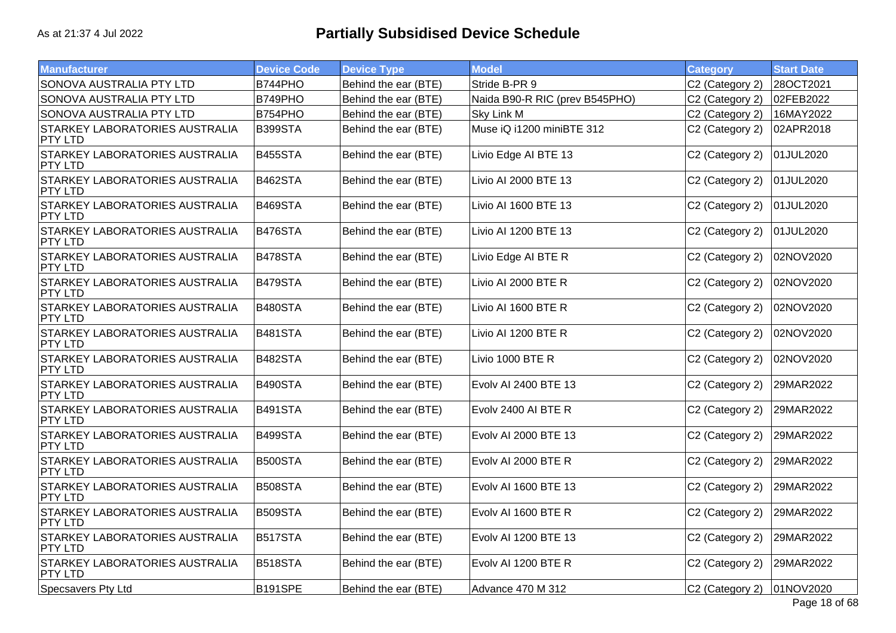| <b>Manufacturer</b>                                     | <b>Device Code</b> | <b>Device Type</b>   | <b>Model</b>                   | Category        | <b>Start Date</b> |
|---------------------------------------------------------|--------------------|----------------------|--------------------------------|-----------------|-------------------|
| SONOVA AUSTRALIA PTY LTD                                | B744PHO            | Behind the ear (BTE) | Stride B-PR 9                  | C2 (Category 2) | 28OCT2021         |
| SONOVA AUSTRALIA PTY LTD                                | B749PHO            | Behind the ear (BTE) | Naida B90-R RIC (prev B545PHO) | C2 (Category 2) | 02FEB2022         |
| SONOVA AUSTRALIA PTY LTD                                | B754PHO            | Behind the ear (BTE) | <b>Sky Link M</b>              | C2 (Category 2) | 16MAY2022         |
| STARKEY LABORATORIES AUSTRALIA<br>PTY LTD               | B399STA            | Behind the ear (BTE) | Muse iQ i1200 miniBTE 312      | C2 (Category 2) | 02APR2018         |
| STARKEY LABORATORIES AUSTRALIA<br><b>PTY LTD</b>        | <b>B455STA</b>     | Behind the ear (BTE) | Livio Edge AI BTE 13           | C2 (Category 2) | 01JUL2020         |
| STARKEY LABORATORIES AUSTRALIA<br>PTY LTD               | <b>B462STA</b>     | Behind the ear (BTE) | Livio AI 2000 BTE 13           | C2 (Category 2) | 01JUL2020         |
| STARKEY LABORATORIES AUSTRALIA<br>PTY LTD               | <b>B469STA</b>     | Behind the ear (BTE) | Livio AI 1600 BTE 13           | C2 (Category 2) | 01JUL2020         |
| STARKEY LABORATORIES AUSTRALIA<br>PTY LTD               | <b>B476STA</b>     | Behind the ear (BTE) | Livio AI 1200 BTE 13           | C2 (Category 2) | 01JUL2020         |
| STARKEY LABORATORIES AUSTRALIA<br><b>PTY LTD</b>        | B478STA            | Behind the ear (BTE) | Livio Edge AI BTE R            | C2 (Category 2) | 02NOV2020         |
| STARKEY LABORATORIES AUSTRALIA<br><b>PTY LTD</b>        | B479STA            | Behind the ear (BTE) | Livio AI 2000 BTE R            | C2 (Category 2) | 02NOV2020         |
| STARKEY LABORATORIES AUSTRALIA<br>PTY LTD               | <b>B480STA</b>     | Behind the ear (BTE) | Livio AI 1600 BTE R            | C2 (Category 2) | 02NOV2020         |
| <b>STARKEY LABORATORIES AUSTRALIA</b><br><b>PTY LTD</b> | <b>B481STA</b>     | Behind the ear (BTE) | Livio AI 1200 BTE R            | C2 (Category 2) | 02NOV2020         |
| STARKEY LABORATORIES AUSTRALIA<br>PTY LTD               | <b>B482STA</b>     | Behind the ear (BTE) | Livio 1000 BTE R               | C2 (Category 2) | 02NOV2020         |
| STARKEY LABORATORIES AUSTRALIA<br>PTY LTD               | <b>B490STA</b>     | Behind the ear (BTE) | Evolv AI 2400 BTE 13           | C2 (Category 2) | 29MAR2022         |
| STARKEY LABORATORIES AUSTRALIA<br>PTY LTD               | <b>B491STA</b>     | Behind the ear (BTE) | Evolv 2400 AI BTE R            | C2 (Category 2) | 29MAR2022         |
| STARKEY LABORATORIES AUSTRALIA<br>PTY LTD               | B499STA            | Behind the ear (BTE) | Evolv AI 2000 BTE 13           | C2 (Category 2) | 29MAR2022         |
| STARKEY LABORATORIES AUSTRALIA<br><b>PTY LTD</b>        | <b>B500STA</b>     | Behind the ear (BTE) | Evolv AI 2000 BTE R            | C2 (Category 2) | 29MAR2022         |
| STARKEY LABORATORIES AUSTRALIA<br><b>PTY LTD</b>        | <b>B508STA</b>     | Behind the ear (BTE) | Evolv AI 1600 BTE 13           | C2 (Category 2) | 29MAR2022         |
| STARKEY LABORATORIES AUSTRALIA<br><b>PTY LTD</b>        | <b>B509STA</b>     | Behind the ear (BTE) | Evolv AI 1600 BTE R            | C2 (Category 2) | 29MAR2022         |
| STARKEY LABORATORIES AUSTRALIA<br>PTY LTD               | <b>B517STA</b>     | Behind the ear (BTE) | Evolv AI 1200 BTE 13           | C2 (Category 2) | 29MAR2022         |
| STARKEY LABORATORIES AUSTRALIA<br><b>PTY LTD</b>        | <b>B518STA</b>     | Behind the ear (BTE) | Evolv AI 1200 BTE R            | C2 (Category 2) | 29MAR2022         |
| Specsavers Pty Ltd                                      | <b>B191SPE</b>     | Behind the ear (BTE) | Advance 470 M 312              | C2 (Category 2) | 01NOV2020         |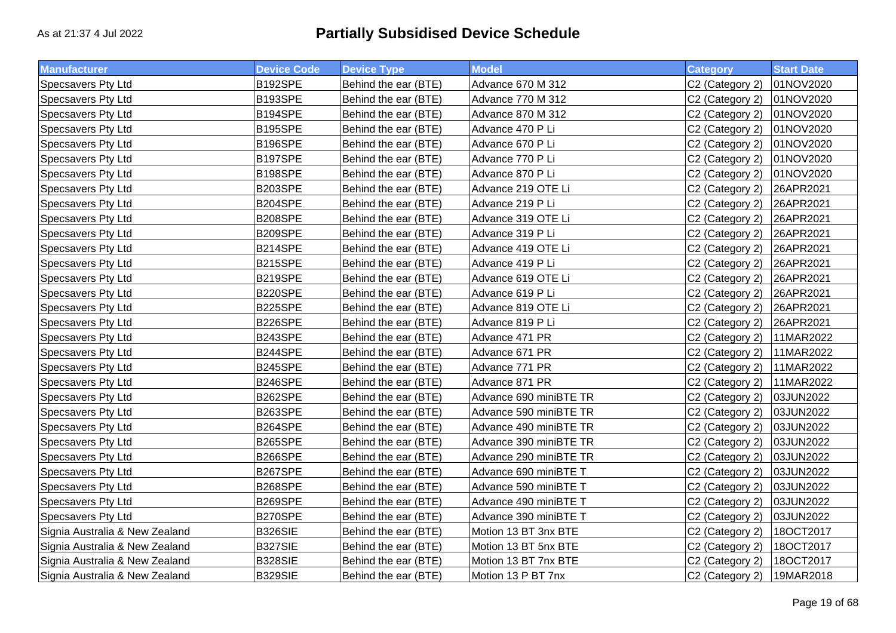| <b>Manufacturer</b>            | <b>Device Code</b> | <b>Device Type</b>   | <b>Model</b>           | <b>Category</b>             | <b>Start Date</b> |
|--------------------------------|--------------------|----------------------|------------------------|-----------------------------|-------------------|
| Specsavers Pty Ltd             | B192SPE            | Behind the ear (BTE) | Advance 670 M 312      | C2 (Category 2)             | 01NOV2020         |
| Specsavers Pty Ltd             | B193SPE            | Behind the ear (BTE) | Advance 770 M 312      | C <sub>2</sub> (Category 2) | 01NOV2020         |
| Specsavers Pty Ltd             | B194SPE            | Behind the ear (BTE) | Advance 870 M 312      | C2 (Category 2)             | 01NOV2020         |
| Specsavers Pty Ltd             | <b>B195SPE</b>     | Behind the ear (BTE) | Advance 470 P Li       | C2 (Category 2)             | 01NOV2020         |
| Specsavers Pty Ltd             | B196SPE            | Behind the ear (BTE) | Advance 670 P Li       | C2 (Category 2)             | 01NOV2020         |
| Specsavers Pty Ltd             | B197SPE            | Behind the ear (BTE) | Advance 770 P Li       | C <sub>2</sub> (Category 2) | 01NOV2020         |
| Specsavers Pty Ltd             | B198SPE            | Behind the ear (BTE) | Advance 870 P Li       | C2 (Category 2)             | 01NOV2020         |
| Specsavers Pty Ltd             | B203SPE            | Behind the ear (BTE) | Advance 219 OTE Li     | C2 (Category 2)             | 26APR2021         |
| Specsavers Pty Ltd             | B204SPE            | Behind the ear (BTE) | Advance 219 P Li       | C <sub>2</sub> (Category 2) | 26APR2021         |
| Specsavers Pty Ltd             | <b>B208SPE</b>     | Behind the ear (BTE) | Advance 319 OTE Li     | C2 (Category 2)             | 26APR2021         |
| Specsavers Pty Ltd             | B209SPE            | Behind the ear (BTE) | Advance 319 P Li       | C2 (Category 2)             | 26APR2021         |
| Specsavers Pty Ltd             | B214SPE            | Behind the ear (BTE) | Advance 419 OTE Li     | C2 (Category 2)             | 26APR2021         |
| Specsavers Pty Ltd             | B215SPE            | Behind the ear (BTE) | Advance 419 P Li       | C2 (Category 2)             | 26APR2021         |
| Specsavers Pty Ltd             | B219SPE            | Behind the ear (BTE) | Advance 619 OTE Li     | C2 (Category 2)             | 26APR2021         |
| Specsavers Pty Ltd             | B220SPE            | Behind the ear (BTE) | Advance 619 P Li       | C2 (Category 2)             | 26APR2021         |
| Specsavers Pty Ltd             | B225SPE            | Behind the ear (BTE) | Advance 819 OTE Li     | C <sub>2</sub> (Category 2) | 26APR2021         |
| Specsavers Pty Ltd             | B226SPE            | Behind the ear (BTE) | Advance 819 P Li       | C2 (Category 2)             | 26APR2021         |
| Specsavers Pty Ltd             | B243SPE            | Behind the ear (BTE) | Advance 471 PR         | C2 (Category 2)             | 11MAR2022         |
| Specsavers Pty Ltd             | B244SPE            | Behind the ear (BTE) | Advance 671 PR         | C2 (Category 2)             | 11MAR2022         |
| Specsavers Pty Ltd             | B245SPE            | Behind the ear (BTE) | Advance 771 PR         | C2 (Category 2)             | 11MAR2022         |
| Specsavers Pty Ltd             | B246SPE            | Behind the ear (BTE) | Advance 871 PR         | C2 (Category 2)             | 11MAR2022         |
| Specsavers Pty Ltd             | B262SPE            | Behind the ear (BTE) | Advance 690 miniBTE TR | C2 (Category 2)             | 03JUN2022         |
| Specsavers Pty Ltd             | B263SPE            | Behind the ear (BTE) | Advance 590 miniBTE TR | C2 (Category 2)             | 03JUN2022         |
| Specsavers Pty Ltd             | B264SPE            | Behind the ear (BTE) | Advance 490 miniBTE TR | C2 (Category 2)             | 03JUN2022         |
| Specsavers Pty Ltd             | B265SPE            | Behind the ear (BTE) | Advance 390 miniBTE TR | C2 (Category 2)             | 03JUN2022         |
| Specsavers Pty Ltd             | B266SPE            | Behind the ear (BTE) | Advance 290 miniBTE TR | C2 (Category 2)             | 03JUN2022         |
| Specsavers Pty Ltd             | B267SPE            | Behind the ear (BTE) | Advance 690 miniBTE T  | C2 (Category 2)             | 03JUN2022         |
| Specsavers Pty Ltd             | B268SPE            | Behind the ear (BTE) | Advance 590 miniBTE T  | C2 (Category 2)             | 03JUN2022         |
| Specsavers Pty Ltd             | B269SPE            | Behind the ear (BTE) | Advance 490 miniBTE T  | C2 (Category 2)             | 03JUN2022         |
| Specsavers Pty Ltd             | B270SPE            | Behind the ear (BTE) | Advance 390 miniBTE T  | C2 (Category 2)             | 03JUN2022         |
| Signia Australia & New Zealand | <b>B326SIE</b>     | Behind the ear (BTE) | Motion 13 BT 3nx BTE   | C2 (Category 2)             | 180CT2017         |
| Signia Australia & New Zealand | B327SIE            | Behind the ear (BTE) | Motion 13 BT 5nx BTE   | C2 (Category 2)             | 180CT2017         |
| Signia Australia & New Zealand | <b>B328SIE</b>     | Behind the ear (BTE) | Motion 13 BT 7nx BTE   | C2 (Category 2)             | 180CT2017         |
| Signia Australia & New Zealand | <b>B329SIE</b>     | Behind the ear (BTE) | Motion 13 P BT 7nx     | C <sub>2</sub> (Category 2) | 19MAR2018         |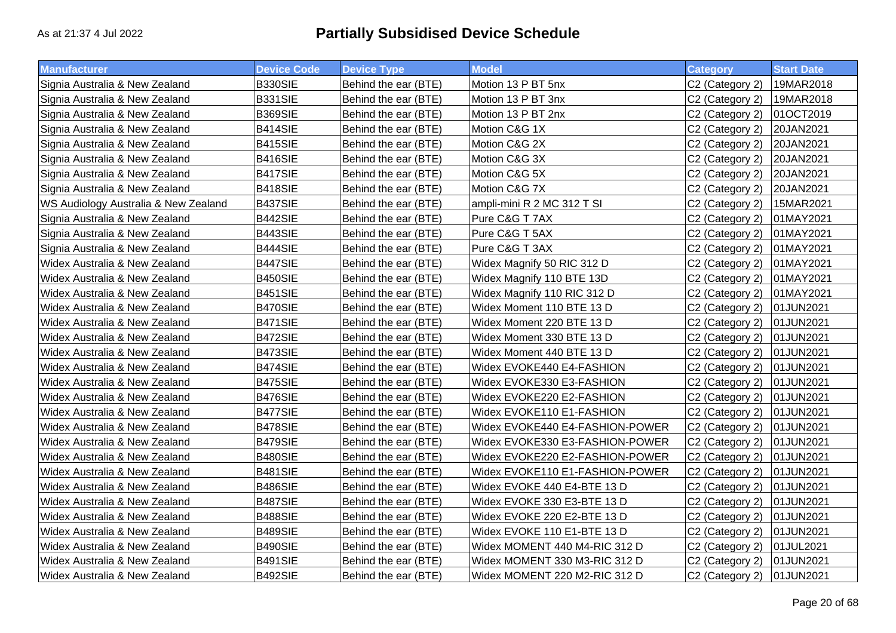| <b>Manufacturer</b>                  | <b>Device Code</b> | <b>Device Type</b>   | <b>Model</b>                    | <b>Category</b>             | <b>Start Date</b> |
|--------------------------------------|--------------------|----------------------|---------------------------------|-----------------------------|-------------------|
| Signia Australia & New Zealand       | <b>B330SIE</b>     | Behind the ear (BTE) | Motion 13 P BT 5nx              | C2 (Category 2)             | 19MAR2018         |
| Signia Australia & New Zealand       | <b>B331SIE</b>     | Behind the ear (BTE) | Motion 13 P BT 3nx              | C2 (Category 2)             | 19MAR2018         |
| Signia Australia & New Zealand       | <b>B369SIE</b>     | Behind the ear (BTE) | Motion 13 P BT 2nx              | C2 (Category 2)             | 01OCT2019         |
| Signia Australia & New Zealand       | B414SIE            | Behind the ear (BTE) | Motion C&G 1X                   | C2 (Category 2)             | 20JAN2021         |
| Signia Australia & New Zealand       | B415SIE            | Behind the ear (BTE) | Motion C&G 2X                   | C2 (Category 2)             | 20JAN2021         |
| Signia Australia & New Zealand       | B416SIE            | Behind the ear (BTE) | Motion C&G 3X                   | C2 (Category 2)             | 20JAN2021         |
| Signia Australia & New Zealand       | <b>B417SIE</b>     | Behind the ear (BTE) | Motion C&G 5X                   | C2 (Category 2)             | 20JAN2021         |
| Signia Australia & New Zealand       | B418SIE            | Behind the ear (BTE) | Motion C&G 7X                   | C <sub>2</sub> (Category 2) | 20JAN2021         |
| WS Audiology Australia & New Zealand | B437SIE            | Behind the ear (BTE) | ampli-mini R 2 MC 312 T SI      | C2 (Category 2)             | 15MAR2021         |
| Signia Australia & New Zealand       | B442SIE            | Behind the ear (BTE) | Pure C&G T 7AX                  | C2 (Category 2)             | 01MAY2021         |
| Signia Australia & New Zealand       | B443SIE            | Behind the ear (BTE) | Pure C&G T 5AX                  | C2 (Category 2)             | 01MAY2021         |
| Signia Australia & New Zealand       | B444SIE            | Behind the ear (BTE) | Pure C&G T 3AX                  | C2 (Category 2)             | 01MAY2021         |
| Widex Australia & New Zealand        | B447SIE            | Behind the ear (BTE) | Widex Magnify 50 RIC 312 D      | C2 (Category 2)             | 01MAY2021         |
| Widex Australia & New Zealand        | B450SIE            | Behind the ear (BTE) | Widex Magnify 110 BTE 13D       | C2 (Category 2)             | 01MAY2021         |
| Widex Australia & New Zealand        | B451SIE            | Behind the ear (BTE) | Widex Magnify 110 RIC 312 D     | C2 (Category 2)             | 01MAY2021         |
| Widex Australia & New Zealand        | B470SIE            | Behind the ear (BTE) | Widex Moment 110 BTE 13 D       | C2 (Category 2)             | 01JUN2021         |
| Widex Australia & New Zealand        | B471SIE            | Behind the ear (BTE) | Widex Moment 220 BTE 13 D       | C2 (Category 2)             | 01JUN2021         |
| Widex Australia & New Zealand        | B472SIE            | Behind the ear (BTE) | Widex Moment 330 BTE 13 D       | C2 (Category 2)             | 01JUN2021         |
| Widex Australia & New Zealand        | B473SIE            | Behind the ear (BTE) | Widex Moment 440 BTE 13 D       | C2 (Category 2)             | 01JUN2021         |
| Widex Australia & New Zealand        | B474SIE            | Behind the ear (BTE) | Widex EVOKE440 E4-FASHION       | C2 (Category 2)             | 01JUN2021         |
| Widex Australia & New Zealand        | B475SIE            | Behind the ear (BTE) | Widex EVOKE330 E3-FASHION       | C2 (Category 2)             | 01JUN2021         |
| Widex Australia & New Zealand        | B476SIE            | Behind the ear (BTE) | Widex EVOKE220 E2-FASHION       | C2 (Category 2)             | 01JUN2021         |
| Widex Australia & New Zealand        | B477SIE            | Behind the ear (BTE) | Widex EVOKE110 E1-FASHION       | C2 (Category 2)             | 01JUN2021         |
| Widex Australia & New Zealand        | B478SIE            | Behind the ear (BTE) | Widex EVOKE440 E4-FASHION-POWER | C2 (Category 2)             | 01JUN2021         |
| Widex Australia & New Zealand        | <b>B479SIE</b>     | Behind the ear (BTE) | Widex EVOKE330 E3-FASHION-POWER | C2 (Category 2)             | 01JUN2021         |
| Widex Australia & New Zealand        | B480SIE            | Behind the ear (BTE) | Widex EVOKE220 E2-FASHION-POWER | C2 (Category 2)             | 01JUN2021         |
| Widex Australia & New Zealand        | B481SIE            | Behind the ear (BTE) | Widex EVOKE110 E1-FASHION-POWER | C2 (Category 2)             | 01JUN2021         |
| Widex Australia & New Zealand        | B486SIE            | Behind the ear (BTE) | Widex EVOKE 440 E4-BTE 13 D     | C2 (Category 2)             | 01JUN2021         |
| Widex Australia & New Zealand        | B487SIE            | Behind the ear (BTE) | Widex EVOKE 330 E3-BTE 13 D     | C2 (Category 2)             | 01JUN2021         |
| Widex Australia & New Zealand        | B488SIE            | Behind the ear (BTE) | Widex EVOKE 220 E2-BTE 13 D     | C2 (Category 2)             | 01JUN2021         |
| Widex Australia & New Zealand        | B489SIE            | Behind the ear (BTE) | Widex EVOKE 110 E1-BTE 13 D     | C2 (Category 2)             | 01JUN2021         |
| Widex Australia & New Zealand        | B490SIE            | Behind the ear (BTE) | Widex MOMENT 440 M4-RIC 312 D   | C2 (Category 2)             | 01JUL2021         |
| Widex Australia & New Zealand        | B491SIE            | Behind the ear (BTE) | Widex MOMENT 330 M3-RIC 312 D   | C2 (Category 2)             | 01JUN2021         |
| Widex Australia & New Zealand        | B492SIE            | Behind the ear (BTE) | Widex MOMENT 220 M2-RIC 312 D   | C2 (Category 2)             | 01JUN2021         |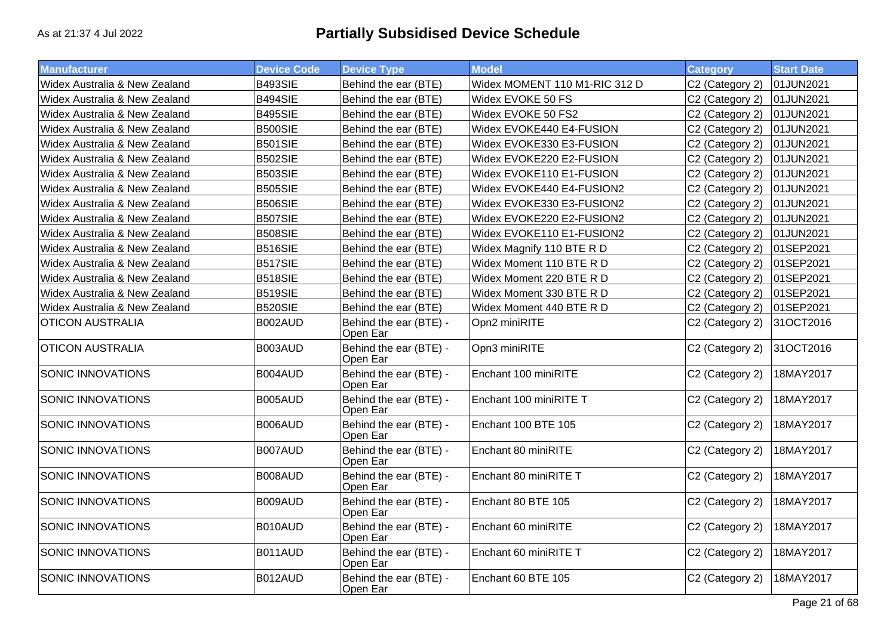| <b>Manufacturer</b>           | <b>Device Code</b> | <b>Device Type</b>                 | <b>Model</b>                  | <b>Category</b> | <b>Start Date</b> |
|-------------------------------|--------------------|------------------------------------|-------------------------------|-----------------|-------------------|
| Widex Australia & New Zealand | <b>B493SIE</b>     | Behind the ear (BTE)               | Widex MOMENT 110 M1-RIC 312 D | C2 (Category 2) | 01JUN2021         |
| Widex Australia & New Zealand | <b>B494SIE</b>     | Behind the ear (BTE)               | Widex EVOKE 50 FS             | C2 (Category 2) | 01JUN2021         |
| Widex Australia & New Zealand | <b>B495SIE</b>     | Behind the ear (BTE)               | Widex EVOKE 50 FS2            | C2 (Category 2) | 01JUN2021         |
| Widex Australia & New Zealand | <b>B500SIE</b>     | Behind the ear (BTE)               | Widex EVOKE440 E4-FUSION      | C2 (Category 2) | 01JUN2021         |
| Widex Australia & New Zealand | <b>B501SIE</b>     | Behind the ear (BTE)               | Widex EVOKE330 E3-FUSION      | C2 (Category 2) | 01JUN2021         |
| Widex Australia & New Zealand | <b>B502SIE</b>     | Behind the ear (BTE)               | Widex EVOKE220 E2-FUSION      | C2 (Category 2) | 01JUN2021         |
| Widex Australia & New Zealand | <b>B503SIE</b>     | Behind the ear (BTE)               | Widex EVOKE110 E1-FUSION      | C2 (Category 2) | 01JUN2021         |
| Widex Australia & New Zealand | <b>B505SIE</b>     | Behind the ear (BTE)               | Widex EVOKE440 E4-FUSION2     | C2 (Category 2) | 01JUN2021         |
| Widex Australia & New Zealand | <b>B506SIE</b>     | Behind the ear (BTE)               | Widex EVOKE330 E3-FUSION2     | C2 (Category 2) | 01JUN2021         |
| Widex Australia & New Zealand | <b>B507SIE</b>     | Behind the ear (BTE)               | Widex EVOKE220 E2-FUSION2     | C2 (Category 2) | 01JUN2021         |
| Widex Australia & New Zealand | <b>B508SIE</b>     | Behind the ear (BTE)               | Widex EVOKE110 E1-FUSION2     | C2 (Category 2) | 01JUN2021         |
| Widex Australia & New Zealand | <b>B516SIE</b>     | Behind the ear (BTE)               | Widex Magnify 110 BTE R D     | C2 (Category 2) | 01SEP2021         |
| Widex Australia & New Zealand | <b>B517SIE</b>     | Behind the ear (BTE)               | Widex Moment 110 BTE R D      | C2 (Category 2) | 01SEP2021         |
| Widex Australia & New Zealand | <b>B518SIE</b>     | Behind the ear (BTE)               | Widex Moment 220 BTE R D      | C2 (Category 2) | 01SEP2021         |
| Widex Australia & New Zealand | <b>B519SIE</b>     | Behind the ear (BTE)               | Widex Moment 330 BTE R D      | C2 (Category 2) | 01SEP2021         |
| Widex Australia & New Zealand | <b>B520SIE</b>     | Behind the ear (BTE)               | Widex Moment 440 BTE R D      | C2 (Category 2) | 01SEP2021         |
| <b>OTICON AUSTRALIA</b>       | B002AUD            | Behind the ear (BTE) -<br>Open Ear | Opn2 miniRITE                 | C2 (Category 2) | 31OCT2016         |
| <b>OTICON AUSTRALIA</b>       | B003AUD            | Behind the ear (BTE) -<br>Open Ear | Opn3 miniRITE                 | C2 (Category 2) | 31OCT2016         |
| <b>SONIC INNOVATIONS</b>      | B004AUD            | Behind the ear (BTE) -<br>Open Ear | Enchant 100 miniRITE          | C2 (Category 2) | 18MAY2017         |
| SONIC INNOVATIONS             | B005AUD            | Behind the ear (BTE) -<br>Open Ear | Enchant 100 miniRITE T        | C2 (Category 2) | 18MAY2017         |
| SONIC INNOVATIONS             | B006AUD            | Behind the ear (BTE) -<br>Open Ear | Enchant 100 BTE 105           | C2 (Category 2) | 18MAY2017         |
| SONIC INNOVATIONS             | B007AUD            | Behind the ear (BTE) -<br>Open Ear | Enchant 80 miniRITE           | C2 (Category 2) | 18MAY2017         |
| <b>SONIC INNOVATIONS</b>      | B008AUD            | Behind the ear (BTE) -<br>Open Ear | Enchant 80 miniRITE T         | C2 (Category 2) | 18MAY2017         |
| <b>SONIC INNOVATIONS</b>      | B009AUD            | Behind the ear (BTE) -<br>Open Ear | Enchant 80 BTE 105            | C2 (Category 2) | 18MAY2017         |
| SONIC INNOVATIONS             | B010AUD            | Behind the ear (BTE) -<br>Open Ear | Enchant 60 miniRITE           | C2 (Category 2) | 18MAY2017         |
| SONIC INNOVATIONS             | B011AUD            | Behind the ear (BTE) -<br>Open Ear | Enchant 60 miniRITE T         | C2 (Category 2) | 18MAY2017         |
| SONIC INNOVATIONS             | B012AUD            | Behind the ear (BTE) -<br>Open Ear | Enchant 60 BTE 105            | C2 (Category 2) | 18MAY2017         |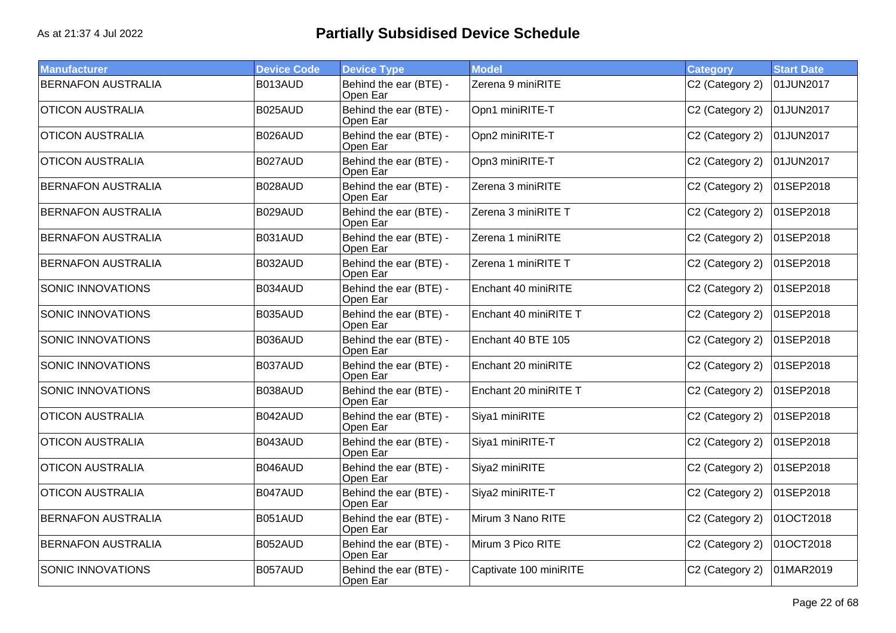| <b>Manufacturer</b>       | <b>Device Code</b> | <b>Device Type</b>                 | <b>Model</b>           | <b>Category</b> | <b>Start Date</b> |
|---------------------------|--------------------|------------------------------------|------------------------|-----------------|-------------------|
| <b>BERNAFON AUSTRALIA</b> | B013AUD            | Behind the ear (BTE) -<br>Open Ear | Zerena 9 miniRITE      | C2 (Category 2) | 01JUN2017         |
| <b>OTICON AUSTRALIA</b>   | B025AUD            | Behind the ear (BTE) -<br>Open Ear | Opn1 miniRITE-T        | C2 (Category 2) | 01JUN2017         |
| <b>OTICON AUSTRALIA</b>   | B026AUD            | Behind the ear (BTE) -<br>Open Ear | Opn2 miniRITE-T        | C2 (Category 2) | 01JUN2017         |
| <b>OTICON AUSTRALIA</b>   | B027AUD            | Behind the ear (BTE) -<br>Open Ear | Opn3 miniRITE-T        | C2 (Category 2) | 01JUN2017         |
| <b>BERNAFON AUSTRALIA</b> | B028AUD            | Behind the ear (BTE) -<br>Open Ear | Zerena 3 miniRITE      | C2 (Category 2) | 01SEP2018         |
| <b>BERNAFON AUSTRALIA</b> | B029AUD            | Behind the ear (BTE) -<br>Open Ear | Zerena 3 miniRITE T    | C2 (Category 2) | 01SEP2018         |
| <b>BERNAFON AUSTRALIA</b> | B031AUD            | Behind the ear (BTE) -<br>Open Ear | Zerena 1 miniRITE      | C2 (Category 2) | 01SEP2018         |
| <b>BERNAFON AUSTRALIA</b> | B032AUD            | Behind the ear (BTE) -<br>Open Ear | Zerena 1 miniRITE T    | C2 (Category 2) | 01SEP2018         |
| <b>SONIC INNOVATIONS</b>  | B034AUD            | Behind the ear (BTE) -<br>Open Ear | Enchant 40 miniRITE    | C2 (Category 2) | 01SEP2018         |
| SONIC INNOVATIONS         | B035AUD            | Behind the ear (BTE) -<br>Open Ear | Enchant 40 miniRITE T  | C2 (Category 2) | 01SEP2018         |
| SONIC INNOVATIONS         | B036AUD            | Behind the ear (BTE) -<br>Open Ear | Enchant 40 BTE 105     | C2 (Category 2) | 01SEP2018         |
| SONIC INNOVATIONS         | B037AUD            | Behind the ear (BTE) -<br>Open Ear | Enchant 20 miniRITE    | C2 (Category 2) | 01SEP2018         |
| <b>SONIC INNOVATIONS</b>  | B038AUD            | Behind the ear (BTE) -<br>Open Ear | Enchant 20 miniRITE T  | C2 (Category 2) | 01SEP2018         |
| <b>OTICON AUSTRALIA</b>   | B042AUD            | Behind the ear (BTE) -<br>Open Ear | Siya1 miniRITE         | C2 (Category 2) | 01SEP2018         |
| <b>OTICON AUSTRALIA</b>   | B043AUD            | Behind the ear (BTE) -<br>Open Ear | Siya1 miniRITE-T       | C2 (Category 2) | 01SEP2018         |
| <b>OTICON AUSTRALIA</b>   | B046AUD            | Behind the ear (BTE) -<br>Open Ear | Siya2 miniRITE         | C2 (Category 2) | 01SEP2018         |
| <b>OTICON AUSTRALIA</b>   | B047AUD            | Behind the ear (BTE) -<br>Open Ear | Siya2 miniRITE-T       | C2 (Category 2) | 01SEP2018         |
| <b>BERNAFON AUSTRALIA</b> | B051AUD            | Behind the ear (BTE) -<br>Open Ear | Mirum 3 Nano RITE      | C2 (Category 2) | 01OCT2018         |
| <b>BERNAFON AUSTRALIA</b> | B052AUD            | Behind the ear (BTE) -<br>Open Ear | Mirum 3 Pico RITE      | C2 (Category 2) | 01OCT2018         |
| SONIC INNOVATIONS         | B057AUD            | Behind the ear (BTE) -<br>Open Ear | Captivate 100 miniRITE | C2 (Category 2) | 01MAR2019         |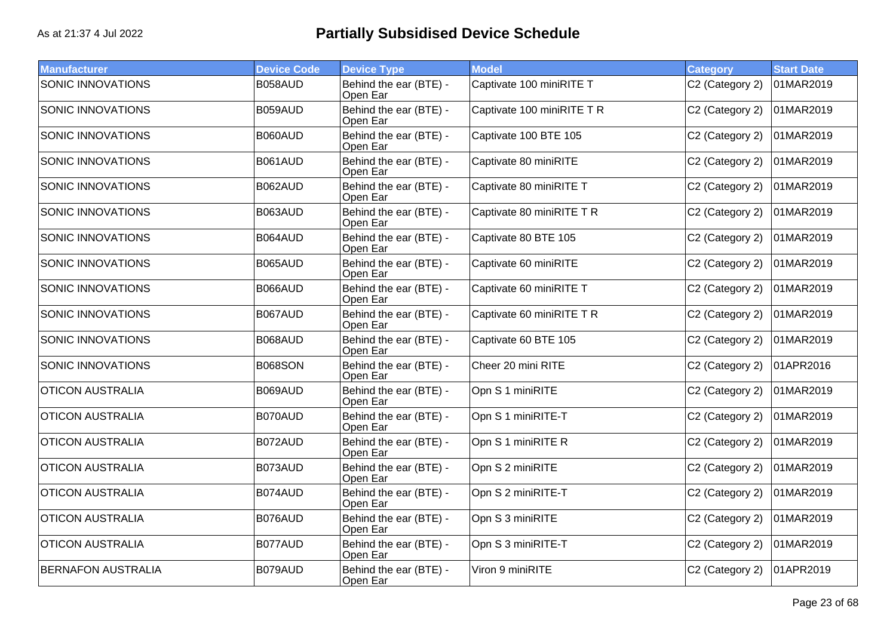| <b>Manufacturer</b>       | <b>Device Code</b> | <b>Device Type</b>                 | <b>Model</b>               | <b>Category</b> | <b>Start Date</b> |
|---------------------------|--------------------|------------------------------------|----------------------------|-----------------|-------------------|
| <b>SONIC INNOVATIONS</b>  | B058AUD            | Behind the ear (BTE) -<br>Open Ear | Captivate 100 miniRITE T   | C2 (Category 2) | 01MAR2019         |
| SONIC INNOVATIONS         | B059AUD            | Behind the ear (BTE) -<br>Open Ear | Captivate 100 miniRITE T R | C2 (Category 2) | 01MAR2019         |
| SONIC INNOVATIONS         | B060AUD            | Behind the ear (BTE) -<br>Open Ear | Captivate 100 BTE 105      | C2 (Category 2) | 01MAR2019         |
| <b>SONIC INNOVATIONS</b>  | B061AUD            | Behind the ear (BTE) -<br>Open Ear | Captivate 80 miniRITE      | C2 (Category 2) | 01MAR2019         |
| <b>SONIC INNOVATIONS</b>  | B062AUD            | Behind the ear (BTE) -<br>Open Ear | Captivate 80 miniRITE T    | C2 (Category 2) | 01MAR2019         |
| <b>SONIC INNOVATIONS</b>  | B063AUD            | Behind the ear (BTE) -<br>Open Ear | Captivate 80 miniRITE T R  | C2 (Category 2) | 01MAR2019         |
| SONIC INNOVATIONS         | B064AUD            | Behind the ear (BTE) -<br>Open Ear | Captivate 80 BTE 105       | C2 (Category 2) | 01MAR2019         |
| <b>SONIC INNOVATIONS</b>  | B065AUD            | Behind the ear (BTE) -<br>Open Ear | Captivate 60 miniRITE      | C2 (Category 2) | 01MAR2019         |
| <b>SONIC INNOVATIONS</b>  | B066AUD            | Behind the ear (BTE) -<br>Open Ear | Captivate 60 miniRITE T    | C2 (Category 2) | 01MAR2019         |
| <b>SONIC INNOVATIONS</b>  | B067AUD            | Behind the ear (BTE) -<br>Open Ear | Captivate 60 miniRITE T R  | C2 (Category 2) | 01MAR2019         |
| SONIC INNOVATIONS         | B068AUD            | Behind the ear (BTE) -<br>Open Ear | Captivate 60 BTE 105       | C2 (Category 2) | 01MAR2019         |
| <b>SONIC INNOVATIONS</b>  | <b>B068SON</b>     | Behind the ear (BTE) -<br>Open Ear | Cheer 20 mini RITE         | C2 (Category 2) | 01APR2016         |
| <b>OTICON AUSTRALIA</b>   | B069AUD            | Behind the ear (BTE) -<br>Open Ear | Opn S 1 miniRITE           | C2 (Category 2) | 01MAR2019         |
| <b>OTICON AUSTRALIA</b>   | B070AUD            | Behind the ear (BTE) -<br>Open Ear | Opn S 1 miniRITE-T         | C2 (Category 2) | 01MAR2019         |
| <b>OTICON AUSTRALIA</b>   | B072AUD            | Behind the ear (BTE) -<br>Open Ear | Opn S 1 miniRITE R         | C2 (Category 2) | 01MAR2019         |
| <b>OTICON AUSTRALIA</b>   | B073AUD            | Behind the ear (BTE) -<br>Open Ear | Opn S 2 miniRITE           | C2 (Category 2) | 01MAR2019         |
| <b>OTICON AUSTRALIA</b>   | B074AUD            | Behind the ear (BTE) -<br>Open Ear | Opn S 2 miniRITE-T         | C2 (Category 2) | 01MAR2019         |
| <b>OTICON AUSTRALIA</b>   | B076AUD            | Behind the ear (BTE) -<br>Open Ear | Opn S 3 miniRITE           | C2 (Category 2) | 01MAR2019         |
| <b>OTICON AUSTRALIA</b>   | B077AUD            | Behind the ear (BTE) -<br>Open Ear | Opn S 3 miniRITE-T         | C2 (Category 2) | 01MAR2019         |
| <b>BERNAFON AUSTRALIA</b> | B079AUD            | Behind the ear (BTE) -<br>Open Ear | Viron 9 miniRITE           | C2 (Category 2) | 01APR2019         |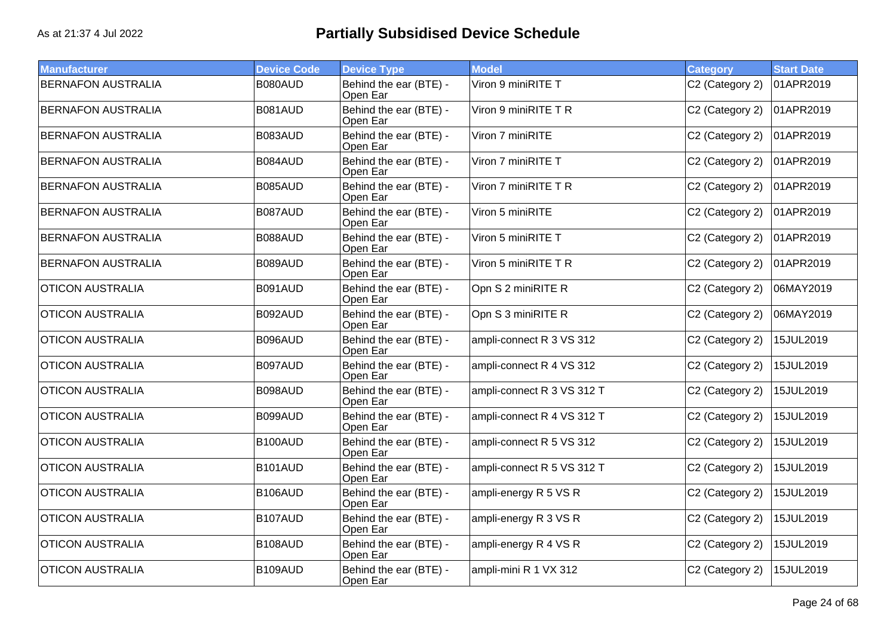| <b>Manufacturer</b>       | <b>Device Code</b> | <b>Device Type</b>                 | <b>Model</b>               | <b>Category</b> | <b>Start Date</b> |
|---------------------------|--------------------|------------------------------------|----------------------------|-----------------|-------------------|
| <b>BERNAFON AUSTRALIA</b> | B080AUD            | Behind the ear (BTE) -<br>Open Ear | Viron 9 miniRITE T         | C2 (Category 2) | 01APR2019         |
| <b>BERNAFON AUSTRALIA</b> | B081AUD            | Behind the ear (BTE) -<br>Open Ear | Viron 9 miniRITE TR        | C2 (Category 2) | 01APR2019         |
| <b>BERNAFON AUSTRALIA</b> | B083AUD            | Behind the ear (BTE) -<br>Open Ear | Viron 7 miniRITE           | C2 (Category 2) | 01APR2019         |
| <b>BERNAFON AUSTRALIA</b> | B084AUD            | Behind the ear (BTE) -<br>Open Ear | Viron 7 miniRITE T         | C2 (Category 2) | 01APR2019         |
| <b>BERNAFON AUSTRALIA</b> | B085AUD            | Behind the ear (BTE) -<br>Open Ear | Viron 7 miniRITE T R       | C2 (Category 2) | 01APR2019         |
| <b>BERNAFON AUSTRALIA</b> | B087AUD            | Behind the ear (BTE) -<br>Open Ear | Viron 5 miniRITE           | C2 (Category 2) | 01APR2019         |
| <b>BERNAFON AUSTRALIA</b> | B088AUD            | Behind the ear (BTE) -<br>Open Ear | Viron 5 miniRITE T         | C2 (Category 2) | 01APR2019         |
| <b>BERNAFON AUSTRALIA</b> | B089AUD            | Behind the ear (BTE) -<br>Open Ear | Viron 5 miniRITE T R       | C2 (Category 2) | 01APR2019         |
| <b>OTICON AUSTRALIA</b>   | B091AUD            | Behind the ear (BTE) -<br>Open Ear | Opn S 2 miniRITE R         | C2 (Category 2) | 06MAY2019         |
| <b>OTICON AUSTRALIA</b>   | B092AUD            | Behind the ear (BTE) -<br>Open Ear | Opn S 3 miniRITE R         | C2 (Category 2) | 06MAY2019         |
| <b>OTICON AUSTRALIA</b>   | B096AUD            | Behind the ear (BTE) -<br>Open Ear | ampli-connect R 3 VS 312   | C2 (Category 2) | 15JUL2019         |
| <b>OTICON AUSTRALIA</b>   | B097AUD            | Behind the ear (BTE) -<br>Open Ear | ampli-connect R 4 VS 312   | C2 (Category 2) | 15JUL2019         |
| <b>OTICON AUSTRALIA</b>   | B098AUD            | Behind the ear (BTE) -<br>Open Ear | ampli-connect R 3 VS 312 T | C2 (Category 2) | 15JUL2019         |
| <b>OTICON AUSTRALIA</b>   | B099AUD            | Behind the ear (BTE) -<br>Open Ear | ampli-connect R 4 VS 312 T | C2 (Category 2) | 15JUL2019         |
| <b>OTICON AUSTRALIA</b>   | B100AUD            | Behind the ear (BTE) -<br>Open Ear | ampli-connect R 5 VS 312   | C2 (Category 2) | 15JUL2019         |
| <b>OTICON AUSTRALIA</b>   | B101AUD            | Behind the ear (BTE) -<br>Open Ear | ampli-connect R 5 VS 312 T | C2 (Category 2) | 15JUL2019         |
| <b>OTICON AUSTRALIA</b>   | B106AUD            | Behind the ear (BTE) -<br>Open Ear | ampli-energy R 5 VS R      | C2 (Category 2) | 15JUL2019         |
| <b>OTICON AUSTRALIA</b>   | B107AUD            | Behind the ear (BTE) -<br>Open Ear | ampli-energy R 3 VS R      | C2 (Category 2) | 15JUL2019         |
| <b>OTICON AUSTRALIA</b>   | B108AUD            | Behind the ear (BTE) -<br>Open Ear | ampli-energy R 4 VS R      | C2 (Category 2) | 15JUL2019         |
| <b>OTICON AUSTRALIA</b>   | B109AUD            | Behind the ear (BTE) -<br>Open Ear | ampli-mini R 1 VX 312      | C2 (Category 2) | 15JUL2019         |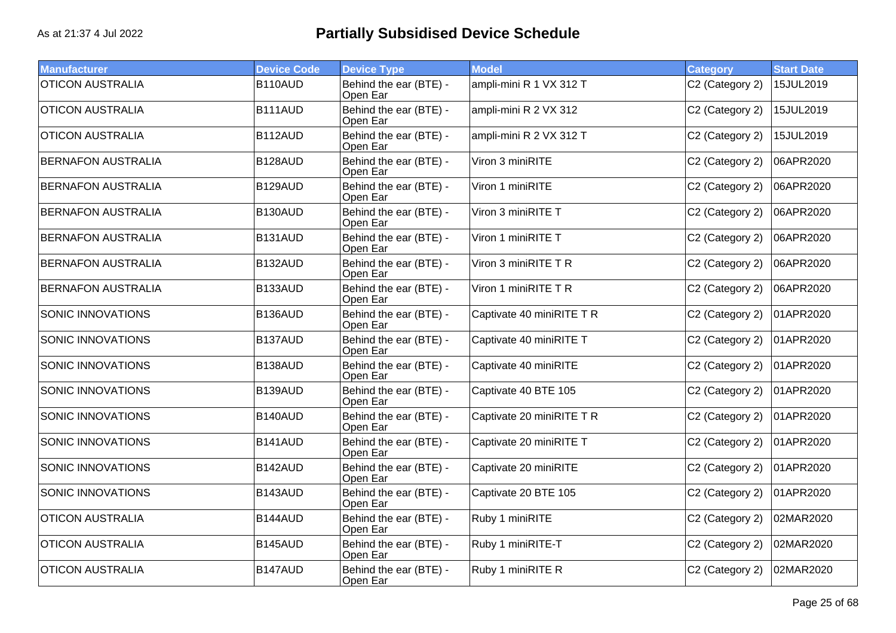| <b>Manufacturer</b>       | <b>Device Code</b> | <b>Device Type</b>                 | <b>Model</b>              | <b>Category</b> | <b>Start Date</b> |
|---------------------------|--------------------|------------------------------------|---------------------------|-----------------|-------------------|
| <b>OTICON AUSTRALIA</b>   | B110AUD            | Behind the ear (BTE) -<br>Open Ear | ampli-mini R 1 VX 312 T   | C2 (Category 2) | 15JUL2019         |
| <b>OTICON AUSTRALIA</b>   | B111AUD            | Behind the ear (BTE) -<br>Open Ear | ampli-mini R 2 VX 312     | C2 (Category 2) | 15JUL2019         |
| <b>OTICON AUSTRALIA</b>   | B112AUD            | Behind the ear (BTE) -<br>Open Ear | ampli-mini R 2 VX 312 T   | C2 (Category 2) | 15JUL2019         |
| <b>BERNAFON AUSTRALIA</b> | B128AUD            | Behind the ear (BTE) -<br>Open Ear | Viron 3 miniRITE          | C2 (Category 2) | 06APR2020         |
| <b>BERNAFON AUSTRALIA</b> | B129AUD            | Behind the ear (BTE) -<br>Open Ear | Viron 1 miniRITE          | C2 (Category 2) | 06APR2020         |
| <b>BERNAFON AUSTRALIA</b> | B130AUD            | Behind the ear (BTE) -<br>Open Ear | Viron 3 miniRITE T        | C2 (Category 2) | 06APR2020         |
| <b>BERNAFON AUSTRALIA</b> | B131AUD            | Behind the ear (BTE) -<br>Open Ear | Viron 1 miniRITE T        | C2 (Category 2) | 06APR2020         |
| <b>BERNAFON AUSTRALIA</b> | B132AUD            | Behind the ear (BTE) -<br>Open Ear | Viron 3 miniRITE T R      | C2 (Category 2) | 06APR2020         |
| <b>BERNAFON AUSTRALIA</b> | B133AUD            | Behind the ear (BTE) -<br>Open Ear | Viron 1 miniRITE T R      | C2 (Category 2) | 06APR2020         |
| <b>SONIC INNOVATIONS</b>  | B136AUD            | Behind the ear (BTE) -<br>Open Ear | Captivate 40 miniRITE T R | C2 (Category 2) | 01APR2020         |
| <b>SONIC INNOVATIONS</b>  | B137AUD            | Behind the ear (BTE) -<br>Open Ear | Captivate 40 miniRITE T   | C2 (Category 2) | 01APR2020         |
| <b>SONIC INNOVATIONS</b>  | B138AUD            | Behind the ear (BTE) -<br>Open Ear | Captivate 40 miniRITE     | C2 (Category 2) | 01APR2020         |
| <b>SONIC INNOVATIONS</b>  | B139AUD            | Behind the ear (BTE) -<br>Open Ear | Captivate 40 BTE 105      | C2 (Category 2) | 01APR2020         |
| <b>SONIC INNOVATIONS</b>  | B140AUD            | Behind the ear (BTE) -<br>Open Ear | Captivate 20 miniRITE T R | C2 (Category 2) | 01APR2020         |
| SONIC INNOVATIONS         | B141AUD            | Behind the ear (BTE) -<br>Open Ear | Captivate 20 miniRITE T   | C2 (Category 2) | 01APR2020         |
| <b>SONIC INNOVATIONS</b>  | B142AUD            | Behind the ear (BTE) -<br>Open Ear | Captivate 20 miniRITE     | C2 (Category 2) | 01APR2020         |
| <b>SONIC INNOVATIONS</b>  | B143AUD            | Behind the ear (BTE) -<br>Open Ear | Captivate 20 BTE 105      | C2 (Category 2) | 01APR2020         |
| <b>OTICON AUSTRALIA</b>   | B144AUD            | Behind the ear (BTE) -<br>Open Ear | Ruby 1 miniRITE           | C2 (Category 2) | 02MAR2020         |
| <b>OTICON AUSTRALIA</b>   | B145AUD            | Behind the ear (BTE) -<br>Open Ear | Ruby 1 miniRITE-T         | C2 (Category 2) | 02MAR2020         |
| <b>OTICON AUSTRALIA</b>   | B147AUD            | Behind the ear (BTE) -<br>Open Ear | Ruby 1 miniRITE R         | C2 (Category 2) | 02MAR2020         |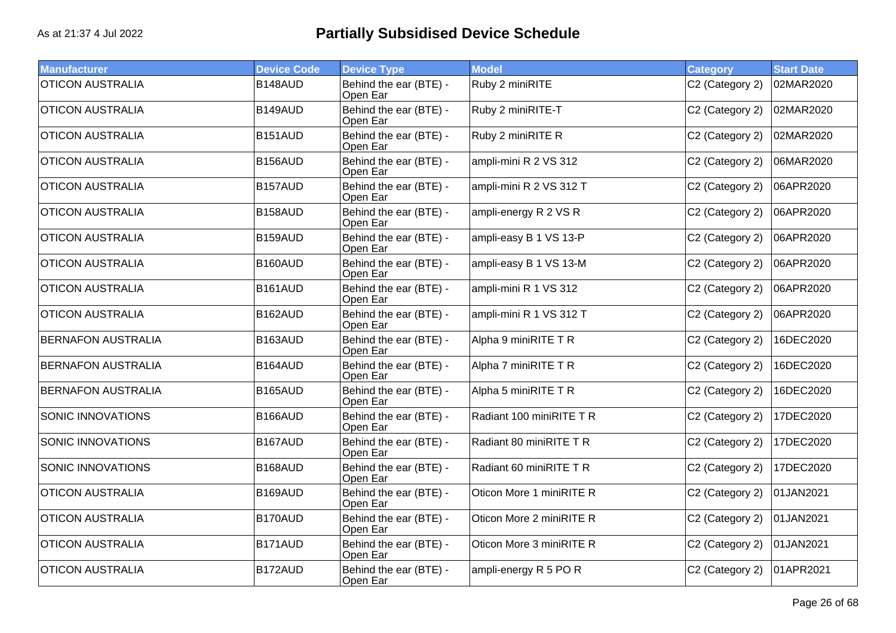| <b>Manufacturer</b>       | <b>Device Code</b> | <b>Device Type</b>                 | <b>Model</b>             | <b>Category</b> | <b>Start Date</b> |
|---------------------------|--------------------|------------------------------------|--------------------------|-----------------|-------------------|
| <b>OTICON AUSTRALIA</b>   | B148AUD            | Behind the ear (BTE) -<br>Open Ear | Ruby 2 miniRITE          | C2 (Category 2) | 02MAR2020         |
| <b>OTICON AUSTRALIA</b>   | B149AUD            | Behind the ear (BTE) -<br>Open Ear | Ruby 2 miniRITE-T        | C2 (Category 2) | 02MAR2020         |
| <b>OTICON AUSTRALIA</b>   | B151AUD            | Behind the ear (BTE) -<br>Open Ear | Ruby 2 miniRITE R        | C2 (Category 2) | 02MAR2020         |
| <b>OTICON AUSTRALIA</b>   | B156AUD            | Behind the ear (BTE) -<br>Open Ear | ampli-mini R 2 VS 312    | C2 (Category 2) | 06MAR2020         |
| <b>OTICON AUSTRALIA</b>   | B157AUD            | Behind the ear (BTE) -<br>Open Ear | ampli-mini R 2 VS 312 T  | C2 (Category 2) | 06APR2020         |
| <b>OTICON AUSTRALIA</b>   | B158AUD            | Behind the ear (BTE) -<br>Open Ear | ampli-energy R 2 VS R    | C2 (Category 2) | 06APR2020         |
| <b>OTICON AUSTRALIA</b>   | B159AUD            | Behind the ear (BTE) -<br>Open Ear | ampli-easy B 1 VS 13-P   | C2 (Category 2) | 06APR2020         |
| <b>OTICON AUSTRALIA</b>   | B160AUD            | Behind the ear (BTE) -<br>Open Ear | ampli-easy B 1 VS 13-M   | C2 (Category 2) | 06APR2020         |
| <b>OTICON AUSTRALIA</b>   | B161AUD            | Behind the ear (BTE) -<br>Open Ear | ampli-mini R 1 VS 312    | C2 (Category 2) | 06APR2020         |
| <b>OTICON AUSTRALIA</b>   | B162AUD            | Behind the ear (BTE) -<br>Open Ear | ampli-mini R 1 VS 312 T  | C2 (Category 2) | 06APR2020         |
| <b>BERNAFON AUSTRALIA</b> | B163AUD            | Behind the ear (BTE) -<br>Open Ear | Alpha 9 miniRITE T R     | C2 (Category 2) | 16DEC2020         |
| <b>BERNAFON AUSTRALIA</b> | B164AUD            | Behind the ear (BTE) -<br>Open Ear | Alpha 7 miniRITE T R     | C2 (Category 2) | 16DEC2020         |
| <b>BERNAFON AUSTRALIA</b> | B165AUD            | Behind the ear (BTE) -<br>Open Ear | Alpha 5 miniRITE T R     | C2 (Category 2) | 16DEC2020         |
| <b>SONIC INNOVATIONS</b>  | B166AUD            | Behind the ear (BTE) -<br>Open Ear | Radiant 100 miniRITE T R | C2 (Category 2) | 17DEC2020         |
| SONIC INNOVATIONS         | B167AUD            | Behind the ear (BTE) -<br>Open Ear | Radiant 80 miniRITE T R  | C2 (Category 2) | 17DEC2020         |
| <b>SONIC INNOVATIONS</b>  | B168AUD            | Behind the ear (BTE) -<br>Open Ear | Radiant 60 miniRITE T R  | C2 (Category 2) | 17DEC2020         |
| <b>OTICON AUSTRALIA</b>   | B169AUD            | Behind the ear (BTE) -<br>Open Ear | Oticon More 1 miniRITE R | C2 (Category 2) | 01JAN2021         |
| <b>OTICON AUSTRALIA</b>   | B170AUD            | Behind the ear (BTE) -<br>Open Ear | Oticon More 2 miniRITE R | C2 (Category 2) | 01JAN2021         |
| <b>OTICON AUSTRALIA</b>   | B171AUD            | Behind the ear (BTE) -<br>Open Ear | Oticon More 3 miniRITE R | C2 (Category 2) | 01JAN2021         |
| <b>OTICON AUSTRALIA</b>   | B172AUD            | Behind the ear (BTE) -<br>Open Ear | ampli-energy R 5 PO R    | C2 (Category 2) | 01APR2021         |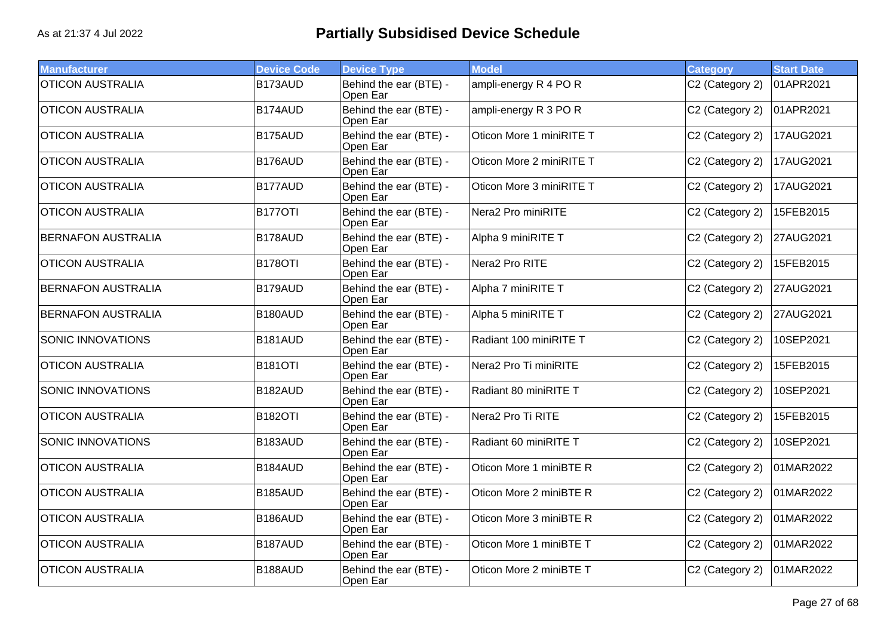| <b>Manufacturer</b>       | <b>Device Code</b> | <b>Device Type</b>                 | <b>Model</b>             | <b>Category</b> | <b>Start Date</b> |
|---------------------------|--------------------|------------------------------------|--------------------------|-----------------|-------------------|
| <b>OTICON AUSTRALIA</b>   | B173AUD            | Behind the ear (BTE) -<br>Open Ear | ampli-energy R 4 PO R    | C2 (Category 2) | 01APR2021         |
| <b>OTICON AUSTRALIA</b>   | B174AUD            | Behind the ear (BTE) -<br>Open Ear | ampli-energy R 3 PO R    | C2 (Category 2) | 01APR2021         |
| <b>OTICON AUSTRALIA</b>   | B175AUD            | Behind the ear (BTE) -<br>Open Ear | Oticon More 1 miniRITE T | C2 (Category 2) | 17AUG2021         |
| <b>OTICON AUSTRALIA</b>   | B176AUD            | Behind the ear (BTE) -<br>Open Ear | Oticon More 2 miniRITE T | C2 (Category 2) | 17AUG2021         |
| <b>OTICON AUSTRALIA</b>   | B177AUD            | Behind the ear (BTE) -<br>Open Ear | Oticon More 3 miniRITE T | C2 (Category 2) | 17AUG2021         |
| <b>OTICON AUSTRALIA</b>   | <b>B177OTI</b>     | Behind the ear (BTE) -<br>Open Ear | Nera2 Pro miniRITE       | C2 (Category 2) | 15FEB2015         |
| <b>BERNAFON AUSTRALIA</b> | B178AUD            | Behind the ear (BTE) -<br>Open Ear | Alpha 9 miniRITE T       | C2 (Category 2) | 27AUG2021         |
| <b>OTICON AUSTRALIA</b>   | B178OTI            | Behind the ear (BTE) -<br>Open Ear | Nera2 Pro RITE           | C2 (Category 2) | 15FEB2015         |
| <b>BERNAFON AUSTRALIA</b> | B179AUD            | Behind the ear (BTE) -<br>Open Ear | Alpha 7 miniRITE T       | C2 (Category 2) | 27AUG2021         |
| <b>BERNAFON AUSTRALIA</b> | B180AUD            | Behind the ear (BTE) -<br>Open Ear | Alpha 5 miniRITE T       | C2 (Category 2) | 27AUG2021         |
| <b>SONIC INNOVATIONS</b>  | B181AUD            | Behind the ear (BTE) -<br>Open Ear | Radiant 100 miniRITE T   | C2 (Category 2) | 10SEP2021         |
| <b>OTICON AUSTRALIA</b>   | <b>B181OTI</b>     | Behind the ear (BTE) -<br>Open Ear | Nera2 Pro Ti miniRITE    | C2 (Category 2) | 15FEB2015         |
| <b>SONIC INNOVATIONS</b>  | B182AUD            | Behind the ear (BTE) -<br>Open Ear | Radiant 80 miniRITE T    | C2 (Category 2) | 10SEP2021         |
| <b>OTICON AUSTRALIA</b>   | <b>B182OTI</b>     | Behind the ear (BTE) -<br>Open Ear | Nera2 Pro Ti RITE        | C2 (Category 2) | 15FEB2015         |
| SONIC INNOVATIONS         | B183AUD            | Behind the ear (BTE) -<br>Open Ear | Radiant 60 miniRITE T    | C2 (Category 2) | 10SEP2021         |
| <b>OTICON AUSTRALIA</b>   | B184AUD            | Behind the ear (BTE) -<br>Open Ear | Oticon More 1 miniBTE R  | C2 (Category 2) | 01MAR2022         |
| <b>OTICON AUSTRALIA</b>   | B185AUD            | Behind the ear (BTE) -<br>Open Ear | Oticon More 2 miniBTE R  | C2 (Category 2) | 01MAR2022         |
| <b>OTICON AUSTRALIA</b>   | B186AUD            | Behind the ear (BTE) -<br>Open Ear | Oticon More 3 miniBTE R  | C2 (Category 2) | 01MAR2022         |
| <b>OTICON AUSTRALIA</b>   | B187AUD            | Behind the ear (BTE) -<br>Open Ear | Oticon More 1 miniBTE T  | C2 (Category 2) | 01MAR2022         |
| <b>OTICON AUSTRALIA</b>   | B188AUD            | Behind the ear (BTE) -<br>Open Ear | Oticon More 2 miniBTE T  | C2 (Category 2) | 01MAR2022         |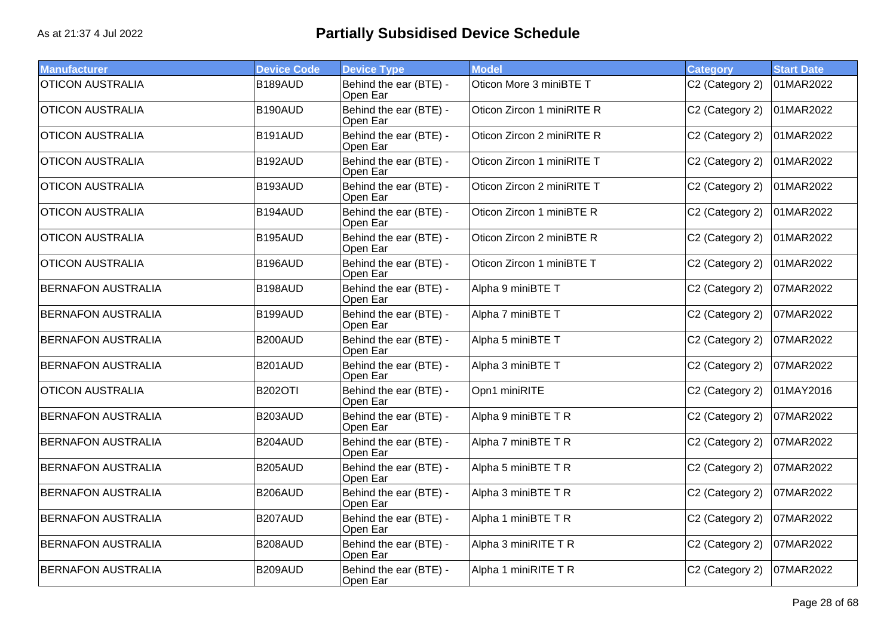| <b>Manufacturer</b>       | <b>Device Code</b> | <b>Device Type</b>                 | <b>Model</b>               | <b>Category</b> | <b>Start Date</b> |
|---------------------------|--------------------|------------------------------------|----------------------------|-----------------|-------------------|
| <b>OTICON AUSTRALIA</b>   | B189AUD            | Behind the ear (BTE) -<br>Open Ear | Oticon More 3 miniBTE T    | C2 (Category 2) | 01MAR2022         |
| <b>OTICON AUSTRALIA</b>   | B190AUD            | Behind the ear (BTE) -<br>Open Ear | Oticon Zircon 1 miniRITE R | C2 (Category 2) | 01MAR2022         |
| <b>OTICON AUSTRALIA</b>   | B191AUD            | Behind the ear (BTE) -<br>Open Ear | Oticon Zircon 2 miniRITE R | C2 (Category 2) | 01MAR2022         |
| <b>OTICON AUSTRALIA</b>   | B192AUD            | Behind the ear (BTE) -<br>Open Ear | Oticon Zircon 1 miniRITE T | C2 (Category 2) | 01MAR2022         |
| <b>OTICON AUSTRALIA</b>   | B193AUD            | Behind the ear (BTE) -<br>Open Ear | Oticon Zircon 2 miniRITE T | C2 (Category 2) | 01MAR2022         |
| <b>OTICON AUSTRALIA</b>   | B194AUD            | Behind the ear (BTE) -<br>Open Ear | Oticon Zircon 1 miniBTE R  | C2 (Category 2) | 01MAR2022         |
| <b>OTICON AUSTRALIA</b>   | B195AUD            | Behind the ear (BTE) -<br>Open Ear | Oticon Zircon 2 miniBTE R  | C2 (Category 2) | 01MAR2022         |
| <b>OTICON AUSTRALIA</b>   | B196AUD            | Behind the ear (BTE) -<br>Open Ear | Oticon Zircon 1 miniBTE T  | C2 (Category 2) | 01MAR2022         |
| <b>BERNAFON AUSTRALIA</b> | B198AUD            | Behind the ear (BTE) -<br>Open Ear | Alpha 9 miniBTE T          | C2 (Category 2) | 07MAR2022         |
| <b>BERNAFON AUSTRALIA</b> | B199AUD            | Behind the ear (BTE) -<br>Open Ear | Alpha 7 miniBTE T          | C2 (Category 2) | 07MAR2022         |
| <b>BERNAFON AUSTRALIA</b> | B200AUD            | Behind the ear (BTE) -<br>Open Ear | Alpha 5 miniBTE T          | C2 (Category 2) | 07MAR2022         |
| <b>BERNAFON AUSTRALIA</b> | B201AUD            | Behind the ear (BTE) -<br>Open Ear | Alpha 3 miniBTE T          | C2 (Category 2) | 07MAR2022         |
| <b>OTICON AUSTRALIA</b>   | <b>B202OTI</b>     | Behind the ear (BTE) -<br>Open Ear | Opn1 miniRITE              | C2 (Category 2) | 01MAY2016         |
| <b>BERNAFON AUSTRALIA</b> | B203AUD            | Behind the ear (BTE) -<br>Open Ear | Alpha 9 miniBTE T R        | C2 (Category 2) | 07MAR2022         |
| <b>BERNAFON AUSTRALIA</b> | B204AUD            | Behind the ear (BTE) -<br>Open Ear | Alpha 7 miniBTE T R        | C2 (Category 2) | 07MAR2022         |
| <b>BERNAFON AUSTRALIA</b> | <b>B205AUD</b>     | Behind the ear (BTE) -<br>Open Ear | Alpha 5 miniBTE T R        | C2 (Category 2) | 07MAR2022         |
| <b>BERNAFON AUSTRALIA</b> | B206AUD            | Behind the ear (BTE) -<br>Open Ear | Alpha 3 miniBTE T R        | C2 (Category 2) | 07MAR2022         |
| <b>BERNAFON AUSTRALIA</b> | B207AUD            | Behind the ear (BTE) -<br>Open Ear | Alpha 1 miniBTE T R        | C2 (Category 2) | 07MAR2022         |
| <b>BERNAFON AUSTRALIA</b> | B208AUD            | Behind the ear (BTE) -<br>Open Ear | Alpha 3 miniRITE T R       | C2 (Category 2) | 07MAR2022         |
| <b>BERNAFON AUSTRALIA</b> | B209AUD            | Behind the ear (BTE) -<br>Open Ear | Alpha 1 miniRITE T R       | C2 (Category 2) | 07MAR2022         |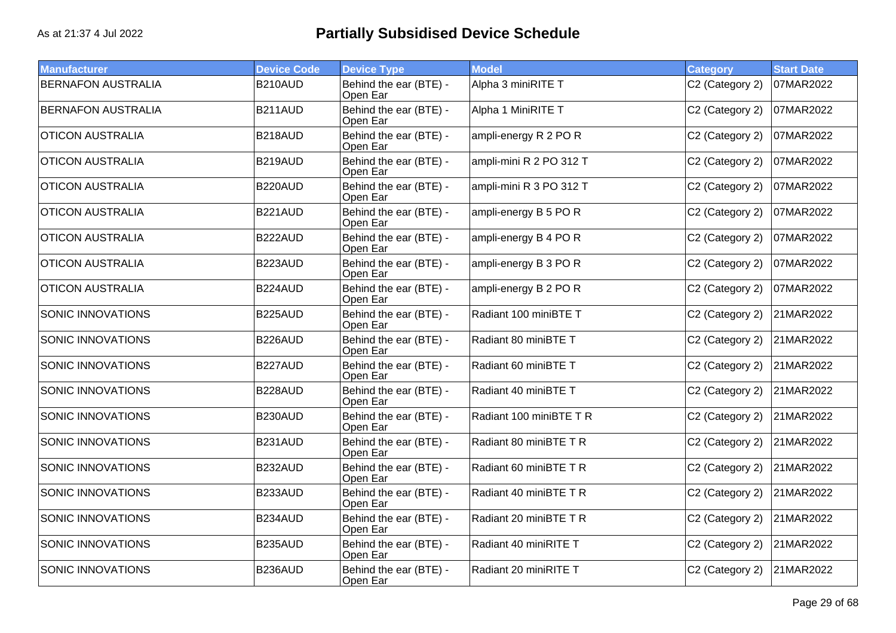| <b>Manufacturer</b>       | <b>Device Code</b> | <b>Device Type</b>                 | <b>Model</b>            | <b>Category</b> | <b>Start Date</b> |
|---------------------------|--------------------|------------------------------------|-------------------------|-----------------|-------------------|
| <b>BERNAFON AUSTRALIA</b> | B210AUD            | Behind the ear (BTE) -<br>Open Ear | Alpha 3 miniRITE T      | C2 (Category 2) | 07MAR2022         |
| <b>BERNAFON AUSTRALIA</b> | B211AUD            | Behind the ear (BTE) -<br>Open Ear | Alpha 1 MiniRITE T      | C2 (Category 2) | 07MAR2022         |
| <b>OTICON AUSTRALIA</b>   | B218AUD            | Behind the ear (BTE) -<br>Open Ear | ampli-energy R 2 PO R   | C2 (Category 2) | 07MAR2022         |
| <b>OTICON AUSTRALIA</b>   | B219AUD            | Behind the ear (BTE) -<br>Open Ear | ampli-mini R 2 PO 312 T | C2 (Category 2) | 07MAR2022         |
| <b>OTICON AUSTRALIA</b>   | B220AUD            | Behind the ear (BTE) -<br>Open Ear | ampli-mini R 3 PO 312 T | C2 (Category 2) | 07MAR2022         |
| <b>OTICON AUSTRALIA</b>   | B221AUD            | Behind the ear (BTE) -<br>Open Ear | ampli-energy B 5 PO R   | C2 (Category 2) | 07MAR2022         |
| <b>OTICON AUSTRALIA</b>   | B222AUD            | Behind the ear (BTE) -<br>Open Ear | ampli-energy B 4 PO R   | C2 (Category 2) | 07MAR2022         |
| <b>OTICON AUSTRALIA</b>   | B223AUD            | Behind the ear (BTE) -<br>Open Ear | ampli-energy B 3 PO R   | C2 (Category 2) | 07MAR2022         |
| <b>OTICON AUSTRALIA</b>   | B224AUD            | Behind the ear (BTE) -<br>Open Ear | ampli-energy B 2 PO R   | C2 (Category 2) | 07MAR2022         |
| SONIC INNOVATIONS         | B225AUD            | Behind the ear (BTE) -<br>Open Ear | Radiant 100 miniBTE T   | C2 (Category 2) | 21MAR2022         |
| <b>SONIC INNOVATIONS</b>  | B226AUD            | Behind the ear (BTE) -<br>Open Ear | Radiant 80 miniBTE T    | C2 (Category 2) | 21MAR2022         |
| <b>SONIC INNOVATIONS</b>  | B227AUD            | Behind the ear (BTE) -<br>Open Ear | Radiant 60 miniBTE T    | C2 (Category 2) | 21MAR2022         |
| <b>SONIC INNOVATIONS</b>  | B228AUD            | Behind the ear (BTE) -<br>Open Ear | Radiant 40 miniBTE T    | C2 (Category 2) | 21MAR2022         |
| <b>SONIC INNOVATIONS</b>  | B230AUD            | Behind the ear (BTE) -<br>Open Ear | Radiant 100 miniBTE T R | C2 (Category 2) | 21MAR2022         |
| SONIC INNOVATIONS         | B231AUD            | Behind the ear (BTE) -<br>Open Ear | Radiant 80 miniBTE T R  | C2 (Category 2) | 21MAR2022         |
| <b>SONIC INNOVATIONS</b>  | B232AUD            | Behind the ear (BTE) -<br>Open Ear | Radiant 60 miniBTE T R  | C2 (Category 2) | 21MAR2022         |
| <b>SONIC INNOVATIONS</b>  | B233AUD            | Behind the ear (BTE) -<br>Open Ear | Radiant 40 miniBTE T R  | C2 (Category 2) | 21MAR2022         |
| <b>SONIC INNOVATIONS</b>  | B234AUD            | Behind the ear (BTE) -<br>Open Ear | Radiant 20 miniBTE T R  | C2 (Category 2) | 21MAR2022         |
| <b>SONIC INNOVATIONS</b>  | B235AUD            | Behind the ear (BTE) -<br>Open Ear | Radiant 40 miniRITE T   | C2 (Category 2) | 21MAR2022         |
| SONIC INNOVATIONS         | B236AUD            | Behind the ear (BTE) -<br>Open Ear | Radiant 20 miniRITE T   | C2 (Category 2) | 21MAR2022         |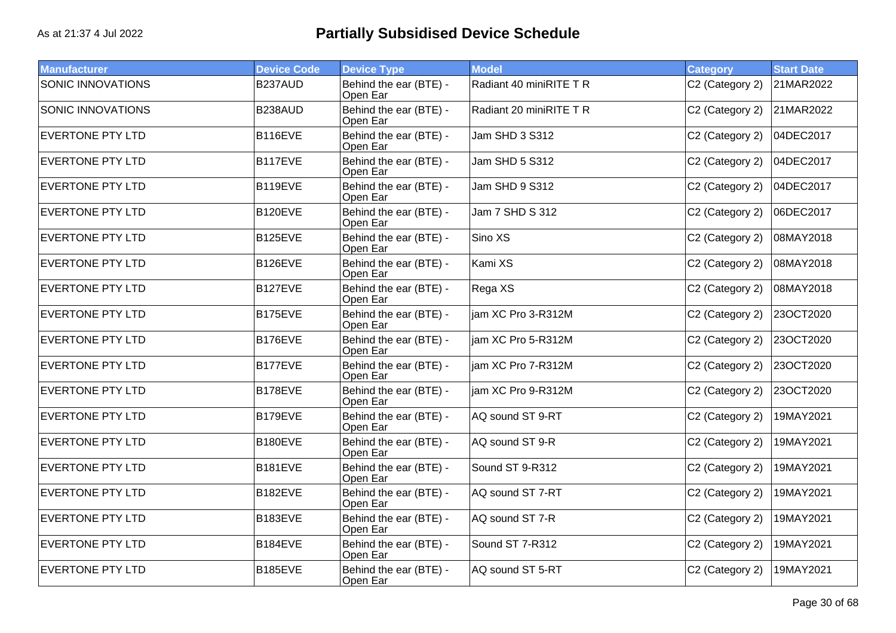| <b>Manufacturer</b>      | <b>Device Code</b> | <b>Device Type</b>                 | <b>Model</b>            | <b>Category</b> | <b>Start Date</b> |
|--------------------------|--------------------|------------------------------------|-------------------------|-----------------|-------------------|
| <b>SONIC INNOVATIONS</b> | B237AUD            | Behind the ear (BTE) -<br>Open Ear | Radiant 40 miniRITE T R | C2 (Category 2) | 21MAR2022         |
| SONIC INNOVATIONS        | B238AUD            | Behind the ear (BTE) -<br>Open Ear | Radiant 20 miniRITE T R | C2 (Category 2) | 21MAR2022         |
| <b>EVERTONE PTY LTD</b>  | B116EVE            | Behind the ear (BTE) -<br>Open Ear | Jam SHD 3 S312          | C2 (Category 2) | 04DEC2017         |
| <b>EVERTONE PTY LTD</b>  | <b>B117EVE</b>     | Behind the ear (BTE) -<br>Open Ear | Jam SHD 5 S312          | C2 (Category 2) | 04DEC2017         |
| <b>EVERTONE PTY LTD</b>  | B119EVE            | Behind the ear (BTE) -<br>Open Ear | Jam SHD 9 S312          | C2 (Category 2) | 04DEC2017         |
| <b>EVERTONE PTY LTD</b>  | B120EVE            | Behind the ear (BTE) -<br>Open Ear | Jam 7 SHD S 312         | C2 (Category 2) | 06DEC2017         |
| <b>EVERTONE PTY LTD</b>  | <b>B125EVE</b>     | Behind the ear (BTE) -<br>Open Ear | Sino XS                 | C2 (Category 2) | 08MAY2018         |
| <b>EVERTONE PTY LTD</b>  | B126EVE            | Behind the ear (BTE) -<br>Open Ear | Kami XS                 | C2 (Category 2) | 08MAY2018         |
| <b>EVERTONE PTY LTD</b>  | B127EVE            | Behind the ear (BTE) -<br>Open Ear | Rega XS                 | C2 (Category 2) | 08MAY2018         |
| <b>EVERTONE PTY LTD</b>  | B175EVE            | Behind the ear (BTE) -<br>Open Ear | jam XC Pro 3-R312M      | C2 (Category 2) | 23OCT2020         |
| <b>EVERTONE PTY LTD</b>  | B176EVE            | Behind the ear (BTE) -<br>Open Ear | iam XC Pro 5-R312M      | C2 (Category 2) | 23OCT2020         |
| <b>EVERTONE PTY LTD</b>  | <b>B177EVE</b>     | Behind the ear (BTE) -<br>Open Ear | jam XC Pro 7-R312M      | C2 (Category 2) | 23OCT2020         |
| <b>EVERTONE PTY LTD</b>  | B178EVE            | Behind the ear (BTE) -<br>Open Ear | jam XC Pro 9-R312M      | C2 (Category 2) | 23OCT2020         |
| <b>EVERTONE PTY LTD</b>  | B179EVE            | Behind the ear (BTE) -<br>Open Ear | AQ sound ST 9-RT        | C2 (Category 2) | 19MAY2021         |
| <b>EVERTONE PTY LTD</b>  | <b>B180EVE</b>     | Behind the ear (BTE) -<br>Open Ear | AQ sound ST 9-R         | C2 (Category 2) | 19MAY2021         |
| <b>EVERTONE PTY LTD</b>  | B181EVE            | Behind the ear (BTE) -<br>Open Ear | Sound ST 9-R312         | C2 (Category 2) | 19MAY2021         |
| <b>EVERTONE PTY LTD</b>  | <b>B182EVE</b>     | Behind the ear (BTE) -<br>Open Ear | AQ sound ST 7-RT        | C2 (Category 2) | 19MAY2021         |
| <b>EVERTONE PTY LTD</b>  | B183EVE            | Behind the ear (BTE) -<br>Open Ear | AQ sound ST 7-R         | C2 (Category 2) | 19MAY2021         |
| <b>EVERTONE PTY LTD</b>  | B184EVE            | Behind the ear (BTE) -<br>Open Ear | Sound ST 7-R312         | C2 (Category 2) | 19MAY2021         |
| <b>EVERTONE PTY LTD</b>  | <b>B185EVE</b>     | Behind the ear (BTE) -<br>Open Ear | AQ sound ST 5-RT        | C2 (Category 2) | 19MAY2021         |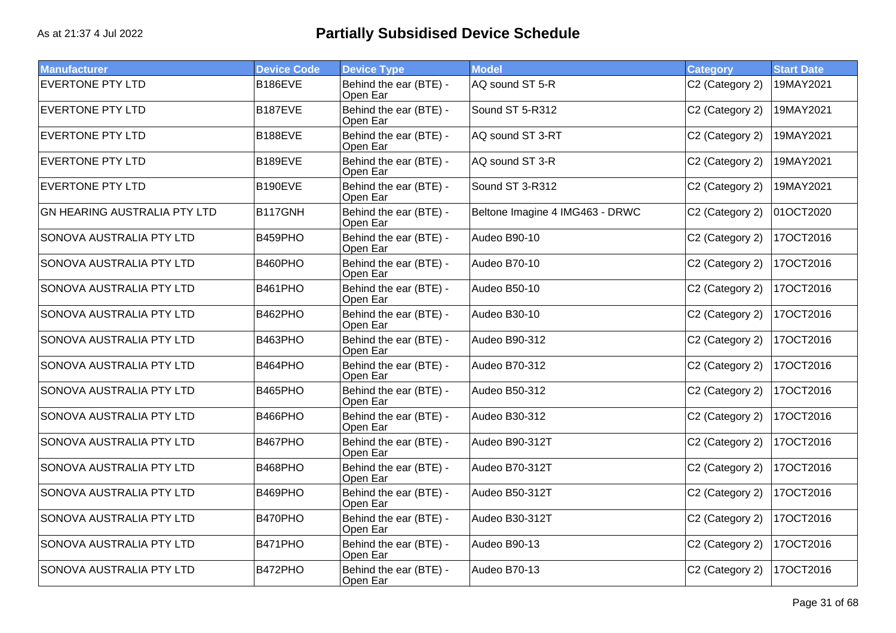| <b>Manufacturer</b>                 | <b>Device Code</b> | <b>Device Type</b>                 | <b>Model</b>                    | Category        | <b>Start Date</b> |
|-------------------------------------|--------------------|------------------------------------|---------------------------------|-----------------|-------------------|
| <b>EVERTONE PTY LTD</b>             | B186EVE            | Behind the ear (BTE) -<br>Open Ear | AQ sound ST 5-R                 | C2 (Category 2) | 19MAY2021         |
| <b>EVERTONE PTY LTD</b>             | B187EVE            | Behind the ear (BTE) -<br>Open Ear | Sound ST 5-R312                 | C2 (Category 2) | 19MAY2021         |
| <b>EVERTONE PTY LTD</b>             | B188EVE            | Behind the ear (BTE) -<br>Open Ear | AQ sound ST 3-RT                | C2 (Category 2) | 19MAY2021         |
| <b>EVERTONE PTY LTD</b>             | <b>B189EVE</b>     | Behind the ear (BTE) -<br>Open Ear | AQ sound ST 3-R                 | C2 (Category 2) | 19MAY2021         |
| <b>EVERTONE PTY LTD</b>             | B190EVE            | Behind the ear (BTE) -<br>Open Ear | Sound ST 3-R312                 | C2 (Category 2) | 19MAY2021         |
| <b>GN HEARING AUSTRALIA PTY LTD</b> | <b>B117GNH</b>     | Behind the ear (BTE) -<br>Open Ear | Beltone Imagine 4 IMG463 - DRWC | C2 (Category 2) | 01OCT2020         |
| SONOVA AUSTRALIA PTY LTD            | B459PHO            | Behind the ear (BTE) -<br>Open Ear | Audeo B90-10                    | C2 (Category 2) | 17OCT2016         |
| SONOVA AUSTRALIA PTY LTD            | B460PHO            | Behind the ear (BTE) -<br>Open Ear | Audeo B70-10                    | C2 (Category 2) | 17OCT2016         |
| SONOVA AUSTRALIA PTY LTD            | B461PHO            | Behind the ear (BTE) -<br>Open Ear | Audeo B50-10                    | C2 (Category 2) | 17OCT2016         |
| SONOVA AUSTRALIA PTY LTD            | B462PHO            | Behind the ear (BTE) -<br>Open Ear | Audeo B30-10                    | C2 (Category 2) | 17OCT2016         |
| SONOVA AUSTRALIA PTY LTD            | B463PHO            | Behind the ear (BTE) -<br>Open Ear | Audeo B90-312                   | C2 (Category 2) | 17OCT2016         |
| SONOVA AUSTRALIA PTY LTD            | B464PHO            | Behind the ear (BTE) -<br>Open Ear | Audeo B70-312                   | C2 (Category 2) | 17OCT2016         |
| SONOVA AUSTRALIA PTY LTD            | B465PHO            | Behind the ear (BTE) -<br>Open Ear | Audeo B50-312                   | C2 (Category 2) | 17OCT2016         |
| SONOVA AUSTRALIA PTY LTD            | B466PHO            | Behind the ear (BTE) -<br>Open Ear | Audeo B30-312                   | C2 (Category 2) | 17OCT2016         |
| SONOVA AUSTRALIA PTY LTD            | B467PHO            | Behind the ear (BTE) -<br>Open Ear | Audeo B90-312T                  | C2 (Category 2) | 17OCT2016         |
| SONOVA AUSTRALIA PTY LTD            | B468PHO            | Behind the ear (BTE) -<br>Open Ear | Audeo B70-312T                  | C2 (Category 2) | 17OCT2016         |
| SONOVA AUSTRALIA PTY LTD            | B469PHO            | Behind the ear (BTE) -<br>Open Ear | Audeo B50-312T                  | C2 (Category 2) | 17OCT2016         |
| SONOVA AUSTRALIA PTY LTD            | B470PHO            | Behind the ear (BTE) -<br>Open Ear | Audeo B30-312T                  | C2 (Category 2) | 17OCT2016         |
| SONOVA AUSTRALIA PTY LTD            | B471PHO            | Behind the ear (BTE) -<br>Open Ear | Audeo B90-13                    | C2 (Category 2) | 17OCT2016         |
| SONOVA AUSTRALIA PTY LTD            | B472PHO            | Behind the ear (BTE) -<br>Open Ear | Audeo B70-13                    | C2 (Category 2) | 17OCT2016         |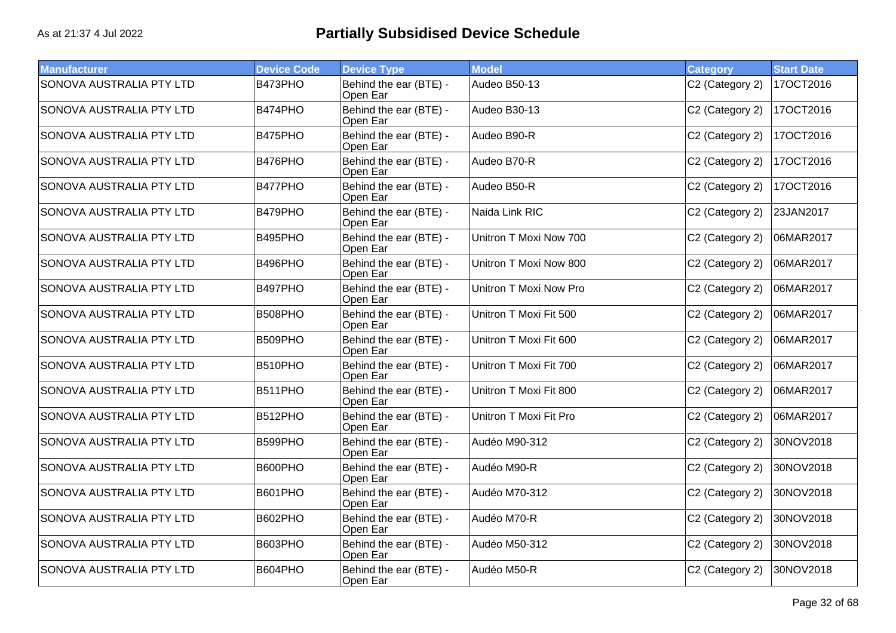| <b>Manufacturer</b>             | <b>Device Code</b> | <b>Device Type</b>                 | <b>Model</b>           | <b>Category</b> | <b>Start Date</b> |
|---------------------------------|--------------------|------------------------------------|------------------------|-----------------|-------------------|
| <b>SONOVA AUSTRALIA PTY LTD</b> | B473PHO            | Behind the ear (BTE) -<br>Open Ear | Audeo B50-13           | C2 (Category 2) | 17OCT2016         |
| SONOVA AUSTRALIA PTY LTD        | B474PHO            | Behind the ear (BTE) -<br>Open Ear | Audeo B30-13           | C2 (Category 2) | 17OCT2016         |
| SONOVA AUSTRALIA PTY LTD        | B475PHO            | Behind the ear (BTE) -<br>Open Ear | Audeo B90-R            | C2 (Category 2) | 17OCT2016         |
| SONOVA AUSTRALIA PTY LTD        | B476PHO            | Behind the ear (BTE) -<br>Open Ear | Audeo B70-R            | C2 (Category 2) | 17OCT2016         |
| SONOVA AUSTRALIA PTY LTD        | B477PHO            | Behind the ear (BTE) -<br>Open Ear | Audeo B50-R            | C2 (Category 2) | 17OCT2016         |
| SONOVA AUSTRALIA PTY LTD        | B479PHO            | Behind the ear (BTE) -<br>Open Ear | Naida Link RIC         | C2 (Category 2) | 23JAN2017         |
| SONOVA AUSTRALIA PTY LTD        | B495PHO            | Behind the ear (BTE) -<br>Open Ear | Unitron T Moxi Now 700 | C2 (Category 2) | 06MAR2017         |
| SONOVA AUSTRALIA PTY LTD        | B496PHO            | Behind the ear (BTE) -<br>Open Ear | Unitron T Moxi Now 800 | C2 (Category 2) | 06MAR2017         |
| SONOVA AUSTRALIA PTY LTD        | B497PHO            | Behind the ear (BTE) -<br>Open Ear | Unitron T Moxi Now Pro | C2 (Category 2) | 06MAR2017         |
| SONOVA AUSTRALIA PTY LTD        | B508PHO            | Behind the ear (BTE) -<br>Open Ear | Unitron T Moxi Fit 500 | C2 (Category 2) | 06MAR2017         |
| SONOVA AUSTRALIA PTY LTD        | B509PHO            | Behind the ear (BTE) -<br>Open Ear | Unitron T Moxi Fit 600 | C2 (Category 2) | 06MAR2017         |
| SONOVA AUSTRALIA PTY LTD        | B510PHO            | Behind the ear (BTE) -<br>Open Ear | Unitron T Moxi Fit 700 | C2 (Category 2) | 06MAR2017         |
| SONOVA AUSTRALIA PTY LTD        | B511PHO            | Behind the ear (BTE) -<br>Open Ear | Unitron T Moxi Fit 800 | C2 (Category 2) | 06MAR2017         |
| SONOVA AUSTRALIA PTY LTD        | B512PHO            | Behind the ear (BTE) -<br>Open Ear | Unitron T Moxi Fit Pro | C2 (Category 2) | 06MAR2017         |
| SONOVA AUSTRALIA PTY LTD        | B599PHO            | Behind the ear (BTE) -<br>Open Ear | Audéo M90-312          | C2 (Category 2) | 30NOV2018         |
| SONOVA AUSTRALIA PTY LTD        | B600PHO            | Behind the ear (BTE) -<br>Open Ear | Audéo M90-R            | C2 (Category 2) | 30NOV2018         |
| SONOVA AUSTRALIA PTY LTD        | B601PHO            | Behind the ear (BTE) -<br>Open Ear | Audéo M70-312          | C2 (Category 2) | 30NOV2018         |
| SONOVA AUSTRALIA PTY LTD        | B602PHO            | Behind the ear (BTE) -<br>Open Ear | Audéo M70-R            | C2 (Category 2) | 30NOV2018         |
| SONOVA AUSTRALIA PTY LTD        | B603PHO            | Behind the ear (BTE) -<br>Open Ear | Audéo M50-312          | C2 (Category 2) | 30NOV2018         |
| SONOVA AUSTRALIA PTY LTD        | B604PHO            | Behind the ear (BTE) -<br>Open Ear | Audéo M50-R            | C2 (Category 2) | 30NOV2018         |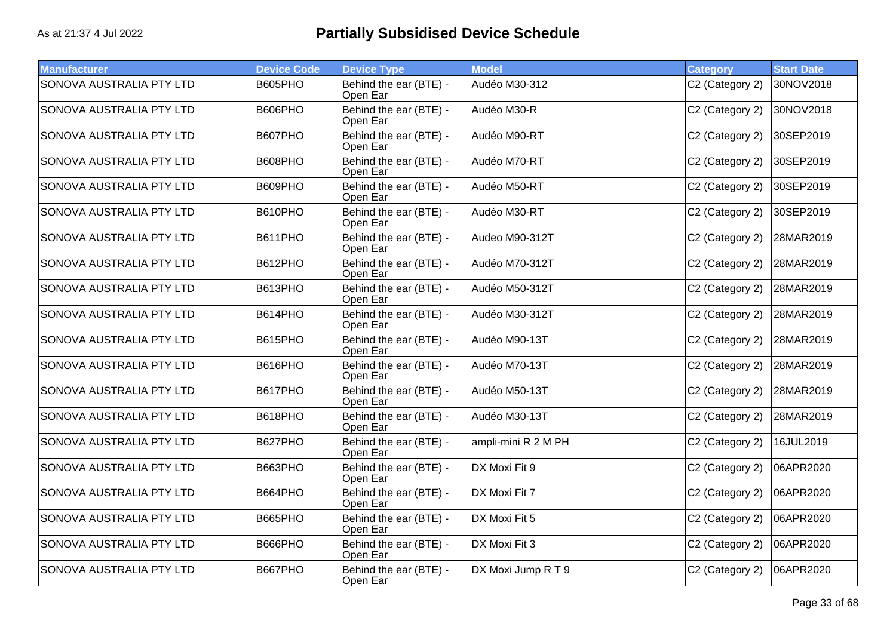| <b>Manufacturer</b>             | <b>Device Code</b> | <b>Device Type</b>                 | <b>Model</b>        | <b>Category</b> | <b>Start Date</b> |
|---------------------------------|--------------------|------------------------------------|---------------------|-----------------|-------------------|
| <b>SONOVA AUSTRALIA PTY LTD</b> | B605PHO            | Behind the ear (BTE) -<br>Open Ear | Audéo M30-312       | C2 (Category 2) | 30NOV2018         |
| SONOVA AUSTRALIA PTY LTD        | B606PHO            | Behind the ear (BTE) -<br>Open Ear | Audéo M30-R         | C2 (Category 2) | 30NOV2018         |
| SONOVA AUSTRALIA PTY LTD        | B607PHO            | Behind the ear (BTE) -<br>Open Ear | Audéo M90-RT        | C2 (Category 2) | 30SEP2019         |
| SONOVA AUSTRALIA PTY LTD        | B608PHO            | Behind the ear (BTE) -<br>Open Ear | Audéo M70-RT        | C2 (Category 2) | 30SEP2019         |
| <b>SONOVA AUSTRALIA PTY LTD</b> | B609PHO            | Behind the ear (BTE) -<br>Open Ear | Audéo M50-RT        | C2 (Category 2) | 30SEP2019         |
| SONOVA AUSTRALIA PTY LTD        | B610PHO            | Behind the ear (BTE) -<br>Open Ear | Audéo M30-RT        | C2 (Category 2) | 30SEP2019         |
| SONOVA AUSTRALIA PTY LTD        | B611PHO            | Behind the ear (BTE) -<br>Open Ear | Audeo M90-312T      | C2 (Category 2) | 28MAR2019         |
| SONOVA AUSTRALIA PTY LTD        | B612PHO            | Behind the ear (BTE) -<br>Open Ear | Audéo M70-312T      | C2 (Category 2) | 28MAR2019         |
| SONOVA AUSTRALIA PTY LTD        | B613PHO            | Behind the ear (BTE) -<br>Open Ear | Audéo M50-312T      | C2 (Category 2) | 28MAR2019         |
| SONOVA AUSTRALIA PTY LTD        | B614PHO            | Behind the ear (BTE) -<br>Open Ear | Audéo M30-312T      | C2 (Category 2) | 28MAR2019         |
| SONOVA AUSTRALIA PTY LTD        | B615PHO            | Behind the ear (BTE) -<br>Open Ear | Audéo M90-13T       | C2 (Category 2) | 28MAR2019         |
| SONOVA AUSTRALIA PTY LTD        | B616PHO            | Behind the ear (BTE) -<br>Open Ear | Audéo M70-13T       | C2 (Category 2) | 28MAR2019         |
| SONOVA AUSTRALIA PTY LTD        | B617PHO            | Behind the ear (BTE) -<br>Open Ear | Audéo M50-13T       | C2 (Category 2) | 28MAR2019         |
| SONOVA AUSTRALIA PTY LTD        | B618PHO            | Behind the ear (BTE) -<br>Open Ear | Audéo M30-13T       | C2 (Category 2) | 28MAR2019         |
| SONOVA AUSTRALIA PTY LTD        | B627PHO            | Behind the ear (BTE) -<br>Open Ear | ampli-mini R 2 M PH | C2 (Category 2) | 16JUL2019         |
| SONOVA AUSTRALIA PTY LTD        | B663PHO            | Behind the ear (BTE) -<br>Open Ear | DX Moxi Fit 9       | C2 (Category 2) | 06APR2020         |
| SONOVA AUSTRALIA PTY LTD        | B664PHO            | Behind the ear (BTE) -<br>Open Ear | DX Moxi Fit 7       | C2 (Category 2) | 06APR2020         |
| SONOVA AUSTRALIA PTY LTD        | B665PHO            | Behind the ear (BTE) -<br>Open Ear | DX Moxi Fit 5       | C2 (Category 2) | 06APR2020         |
| SONOVA AUSTRALIA PTY LTD        | B666PHO            | Behind the ear (BTE) -<br>Open Ear | DX Moxi Fit 3       | C2 (Category 2) | 06APR2020         |
| SONOVA AUSTRALIA PTY LTD        | B667PHO            | Behind the ear (BTE) -<br>Open Ear | DX Moxi Jump R T 9  | C2 (Category 2) | 06APR2020         |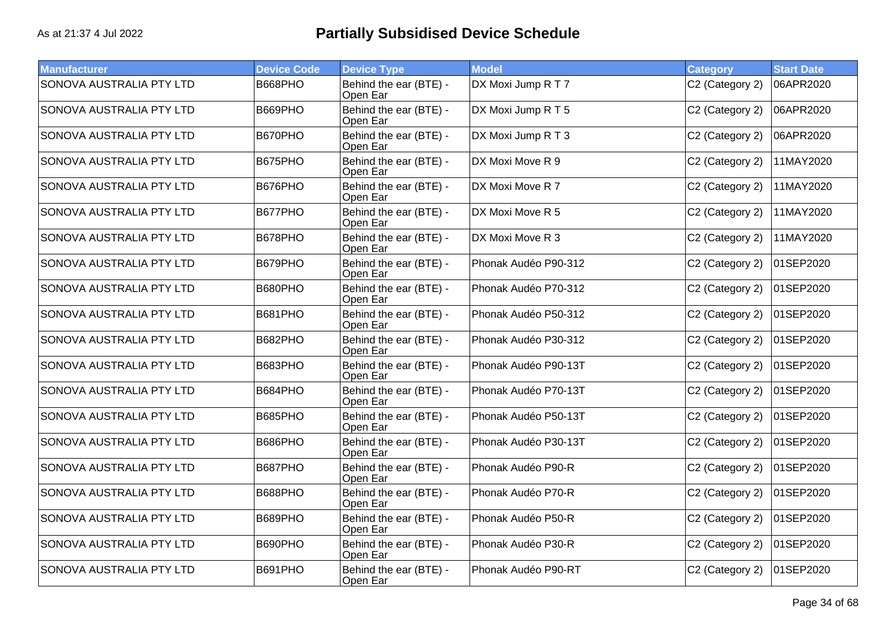| <b>Manufacturer</b>             | <b>Device Code</b> | <b>Device Type</b>                 | <b>Model</b>         | <b>Category</b> | <b>Start Date</b> |
|---------------------------------|--------------------|------------------------------------|----------------------|-----------------|-------------------|
| <b>SONOVA AUSTRALIA PTY LTD</b> | B668PHO            | Behind the ear (BTE) -<br>Open Ear | DX Moxi Jump R T 7   | C2 (Category 2) | 06APR2020         |
| SONOVA AUSTRALIA PTY LTD        | B669PHO            | Behind the ear (BTE) -<br>Open Ear | DX Moxi Jump R T 5   | C2 (Category 2) | 06APR2020         |
| SONOVA AUSTRALIA PTY LTD        | B670PHO            | Behind the ear (BTE) -<br>Open Ear | DX Moxi Jump R T 3   | C2 (Category 2) | 06APR2020         |
| SONOVA AUSTRALIA PTY LTD        | B675PHO            | Behind the ear (BTE) -<br>Open Ear | DX Moxi Move R 9     | C2 (Category 2) | 11MAY2020         |
| SONOVA AUSTRALIA PTY LTD        | B676PHO            | Behind the ear (BTE) -<br>Open Ear | DX Moxi Move R 7     | C2 (Category 2) | 11MAY2020         |
| SONOVA AUSTRALIA PTY LTD        | B677PHO            | Behind the ear (BTE) -<br>Open Ear | DX Moxi Move R 5     | C2 (Category 2) | 11MAY2020         |
| SONOVA AUSTRALIA PTY LTD        | B678PHO            | Behind the ear (BTE) -<br>Open Ear | DX Moxi Move R 3     | C2 (Category 2) | 11MAY2020         |
| SONOVA AUSTRALIA PTY LTD        | B679PHO            | Behind the ear (BTE) -<br>Open Ear | Phonak Audéo P90-312 | C2 (Category 2) | 01SEP2020         |
| SONOVA AUSTRALIA PTY LTD        | B680PHO            | Behind the ear (BTE) -<br>Open Ear | Phonak Audéo P70-312 | C2 (Category 2) | 01SEP2020         |
| SONOVA AUSTRALIA PTY LTD        | B681PHO            | Behind the ear (BTE) -<br>Open Ear | Phonak Audéo P50-312 | C2 (Category 2) | 01SEP2020         |
| SONOVA AUSTRALIA PTY LTD        | B682PHO            | Behind the ear (BTE) -<br>Open Ear | Phonak Audéo P30-312 | C2 (Category 2) | 01SEP2020         |
| SONOVA AUSTRALIA PTY LTD        | B683PHO            | Behind the ear (BTE) -<br>Open Ear | Phonak Audéo P90-13T | C2 (Category 2) | 01SEP2020         |
| SONOVA AUSTRALIA PTY LTD        | B684PHO            | Behind the ear (BTE) -<br>Open Ear | Phonak Audéo P70-13T | C2 (Category 2) | 01SEP2020         |
| SONOVA AUSTRALIA PTY LTD        | B685PHO            | Behind the ear (BTE) -<br>Open Ear | Phonak Audéo P50-13T | C2 (Category 2) | 01SEP2020         |
| SONOVA AUSTRALIA PTY LTD        | B686PHO            | Behind the ear (BTE) -<br>Open Ear | Phonak Audéo P30-13T | C2 (Category 2) | 01SEP2020         |
| SONOVA AUSTRALIA PTY LTD        | B687PHO            | Behind the ear (BTE) -<br>Open Ear | Phonak Audéo P90-R   | C2 (Category 2) | 01SEP2020         |
| SONOVA AUSTRALIA PTY LTD        | B688PHO            | Behind the ear (BTE) -<br>Open Ear | Phonak Audéo P70-R   | C2 (Category 2) | 01SEP2020         |
| SONOVA AUSTRALIA PTY LTD        | B689PHO            | Behind the ear (BTE) -<br>Open Ear | Phonak Audéo P50-R   | C2 (Category 2) | 01SEP2020         |
| SONOVA AUSTRALIA PTY LTD        | B690PHO            | Behind the ear (BTE) -<br>Open Ear | Phonak Audéo P30-R   | C2 (Category 2) | 01SEP2020         |
| SONOVA AUSTRALIA PTY LTD        | B691PHO            | Behind the ear (BTE) -<br>Open Ear | Phonak Audéo P90-RT  | C2 (Category 2) | 01SEP2020         |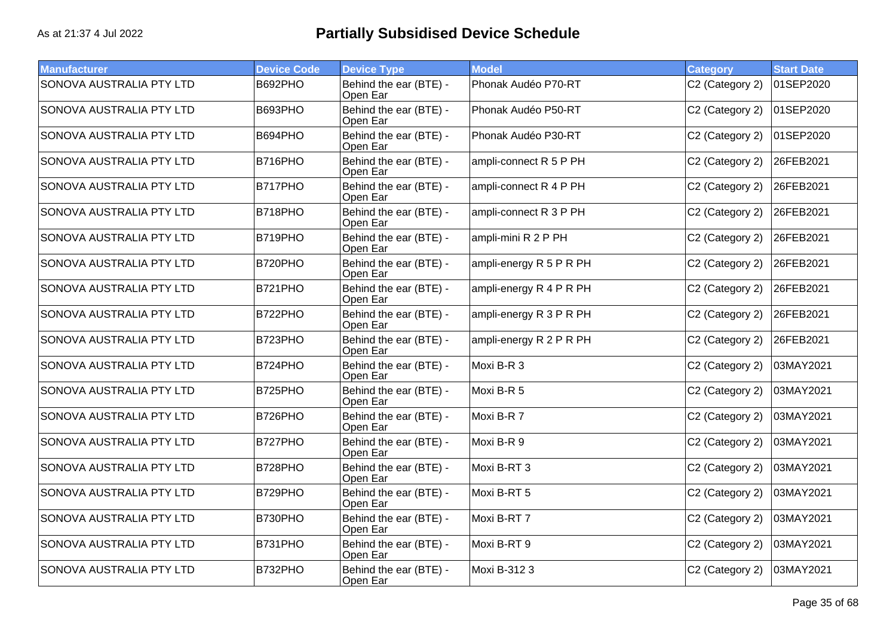| <b>Manufacturer</b>             | <b>Device Code</b> | <b>Device Type</b>                 | <b>Model</b>            | <b>Category</b> | <b>Start Date</b> |
|---------------------------------|--------------------|------------------------------------|-------------------------|-----------------|-------------------|
| <b>SONOVA AUSTRALIA PTY LTD</b> | B692PHO            | Behind the ear (BTE) -<br>Open Ear | Phonak Audéo P70-RT     | C2 (Category 2) | 01SEP2020         |
| SONOVA AUSTRALIA PTY LTD        | B693PHO            | Behind the ear (BTE) -<br>Open Ear | Phonak Audéo P50-RT     | C2 (Category 2) | 01SEP2020         |
| SONOVA AUSTRALIA PTY LTD        | B694PHO            | Behind the ear (BTE) -<br>Open Ear | Phonak Audéo P30-RT     | C2 (Category 2) | 01SEP2020         |
| SONOVA AUSTRALIA PTY LTD        | B716PHO            | Behind the ear (BTE) -<br>Open Ear | ampli-connect R 5 P PH  | C2 (Category 2) | 26FEB2021         |
| SONOVA AUSTRALIA PTY LTD        | <b>B717PHO</b>     | Behind the ear (BTE) -<br>Open Ear | ampli-connect R 4 P PH  | C2 (Category 2) | 26FEB2021         |
| SONOVA AUSTRALIA PTY LTD        | B718PHO            | Behind the ear (BTE) -<br>Open Ear | ampli-connect R 3 P PH  | C2 (Category 2) | 26FEB2021         |
| SONOVA AUSTRALIA PTY LTD        | B719PHO            | Behind the ear (BTE) -<br>Open Ear | ampli-mini R 2 P PH     | C2 (Category 2) | 26FEB2021         |
| SONOVA AUSTRALIA PTY LTD        | B720PHO            | Behind the ear (BTE) -<br>Open Ear | ampli-energy R 5 P R PH | C2 (Category 2) | 26FEB2021         |
| SONOVA AUSTRALIA PTY LTD        | B721PHO            | Behind the ear (BTE) -<br>Open Ear | ampli-energy R 4 P R PH | C2 (Category 2) | 26FEB2021         |
| SONOVA AUSTRALIA PTY LTD        | B722PHO            | Behind the ear (BTE) -<br>Open Ear | ampli-energy R 3 P R PH | C2 (Category 2) | 26FEB2021         |
| SONOVA AUSTRALIA PTY LTD        | B723PHO            | Behind the ear (BTE) -<br>Open Ear | ampli-energy R 2 P R PH | C2 (Category 2) | 26FEB2021         |
| SONOVA AUSTRALIA PTY LTD        | B724PHO            | Behind the ear (BTE) -<br>Open Ear | Moxi B-R 3              | C2 (Category 2) | 03MAY2021         |
| SONOVA AUSTRALIA PTY LTD        | B725PHO            | Behind the ear (BTE) -<br>Open Ear | Moxi B-R 5              | C2 (Category 2) | 03MAY2021         |
| SONOVA AUSTRALIA PTY LTD        | B726PHO            | Behind the ear (BTE) -<br>Open Ear | Moxi B-R 7              | C2 (Category 2) | 03MAY2021         |
| SONOVA AUSTRALIA PTY LTD        | B727PHO            | Behind the ear (BTE) -<br>Open Ear | Moxi B-R 9              | C2 (Category 2) | 03MAY2021         |
| SONOVA AUSTRALIA PTY LTD        | B728PHO            | Behind the ear (BTE) -<br>Open Ear | Moxi B-RT 3             | C2 (Category 2) | 03MAY2021         |
| SONOVA AUSTRALIA PTY LTD        | B729PHO            | Behind the ear (BTE) -<br>Open Ear | Moxi B-RT 5             | C2 (Category 2) | 03MAY2021         |
| SONOVA AUSTRALIA PTY LTD        | B730PHO            | Behind the ear (BTE) -<br>Open Ear | Moxi B-RT 7             | C2 (Category 2) | 03MAY2021         |
| SONOVA AUSTRALIA PTY LTD        | B731PHO            | Behind the ear (BTE) -<br>Open Ear | Moxi B-RT 9             | C2 (Category 2) | 03MAY2021         |
| SONOVA AUSTRALIA PTY LTD        | B732PHO            | Behind the ear (BTE) -<br>Open Ear | Moxi B-312 3            | C2 (Category 2) | 03MAY2021         |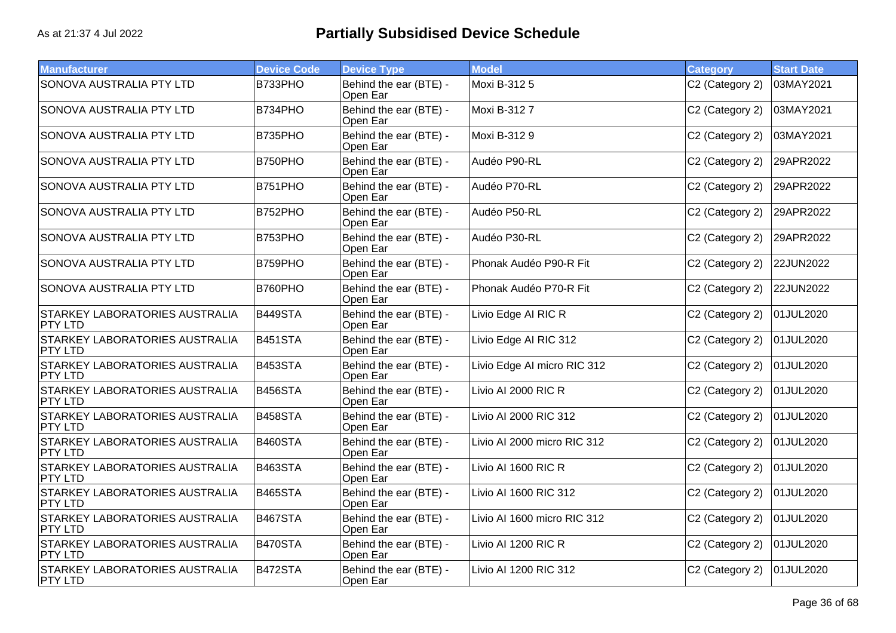| <b>Manufacturer</b>                                     | <b>Device Code</b> | <b>Device Type</b>                 | <b>Model</b>                | <b>Category</b> | <b>Start Date</b> |
|---------------------------------------------------------|--------------------|------------------------------------|-----------------------------|-----------------|-------------------|
| <b>SONOVA AUSTRALIA PTY LTD</b>                         | B733PHO            | Behind the ear (BTE) -<br>Open Ear | Moxi B-312 5                | C2 (Category 2) | 03MAY2021         |
| SONOVA AUSTRALIA PTY LTD                                | B734PHO            | Behind the ear (BTE) -<br>Open Ear | Moxi B-3127                 | C2 (Category 2) | 03MAY2021         |
| SONOVA AUSTRALIA PTY LTD                                | B735PHO            | Behind the ear (BTE) -<br>Open Ear | Moxi B-3129                 | C2 (Category 2) | 03MAY2021         |
| SONOVA AUSTRALIA PTY LTD                                | B750PHO            | Behind the ear (BTE) -<br>Open Ear | Audéo P90-RL                | C2 (Category 2) | 29APR2022         |
| SONOVA AUSTRALIA PTY LTD                                | <b>B751PHO</b>     | Behind the ear (BTE) -<br>Open Ear | Audéo P70-RL                | C2 (Category 2) | 29APR2022         |
| SONOVA AUSTRALIA PTY LTD                                | B752PHO            | Behind the ear (BTE) -<br>Open Ear | Audéo P50-RL                | C2 (Category 2) | 29APR2022         |
| SONOVA AUSTRALIA PTY LTD                                | B753PHO            | Behind the ear (BTE) -<br>Open Ear | Audéo P30-RL                | C2 (Category 2) | 29APR2022         |
| SONOVA AUSTRALIA PTY LTD                                | B759PHO            | Behind the ear (BTE) -<br>Open Ear | Phonak Audéo P90-R Fit      | C2 (Category 2) | 22JUN2022         |
| SONOVA AUSTRALIA PTY LTD                                | B760PHO            | Behind the ear (BTE) -<br>Open Ear | Phonak Audéo P70-R Fit      | C2 (Category 2) | 22JUN2022         |
| STARKEY LABORATORIES AUSTRALIA<br><b>PTY LTD</b>        | B449STA            | Behind the ear (BTE) -<br>Open Ear | Livio Edge AI RIC R         | C2 (Category 2) | 01JUL2020         |
| STARKEY LABORATORIES AUSTRALIA<br>PTY LTD               | B451STA            | Behind the ear (BTE) -<br>Open Ear | Livio Edge AI RIC 312       | C2 (Category 2) | 01JUL2020         |
| <b>STARKEY LABORATORIES AUSTRALIA</b><br>PTY LTD        | B453STA            | Behind the ear (BTE) -<br>Open Ear | Livio Edge Al micro RIC 312 | C2 (Category 2) | 01JUL2020         |
| <b>STARKEY LABORATORIES AUSTRALIA</b><br><b>PTY LTD</b> | B456STA            | Behind the ear (BTE) -<br>Open Ear | Livio AI 2000 RIC R         | C2 (Category 2) | 01JUL2020         |
| <b>STARKEY LABORATORIES AUSTRALIA</b><br><b>PTY LTD</b> | B458STA            | Behind the ear (BTE) -<br>Open Ear | Livio AI 2000 RIC 312       | C2 (Category 2) | 01JUL2020         |
| STARKEY LABORATORIES AUSTRALIA<br><b>PTY LTD</b>        | B460STA            | Behind the ear (BTE) -<br>Open Ear | Livio AI 2000 micro RIC 312 | C2 (Category 2) | 01JUL2020         |
| <b>STARKEY LABORATORIES AUSTRALIA</b><br>PTY LTD        | B463STA            | Behind the ear (BTE) -<br>Open Ear | Livio AI 1600 RIC R         | C2 (Category 2) | 01JUL2020         |
| <b>STARKEY LABORATORIES AUSTRALIA</b><br><b>PTY LTD</b> | B465STA            | Behind the ear (BTE) -<br>Open Ear | Livio AI 1600 RIC 312       | C2 (Category 2) | 01JUL2020         |
| <b>STARKEY LABORATORIES AUSTRALIA</b><br><b>PTY LTD</b> | B467STA            | Behind the ear (BTE) -<br>Open Ear | Livio AI 1600 micro RIC 312 | C2 (Category 2) | 01JUL2020         |
| <b>STARKEY LABORATORIES AUSTRALIA</b><br><b>PTY LTD</b> | B470STA            | Behind the ear (BTE) -<br>Open Ear | Livio AI 1200 RIC R         | C2 (Category 2) | 01JUL2020         |
| STARKEY LABORATORIES AUSTRALIA<br><b>PTY LTD</b>        | B472STA            | Behind the ear (BTE) -<br>Open Ear | Livio AI 1200 RIC 312       | C2 (Category 2) | 01JUL2020         |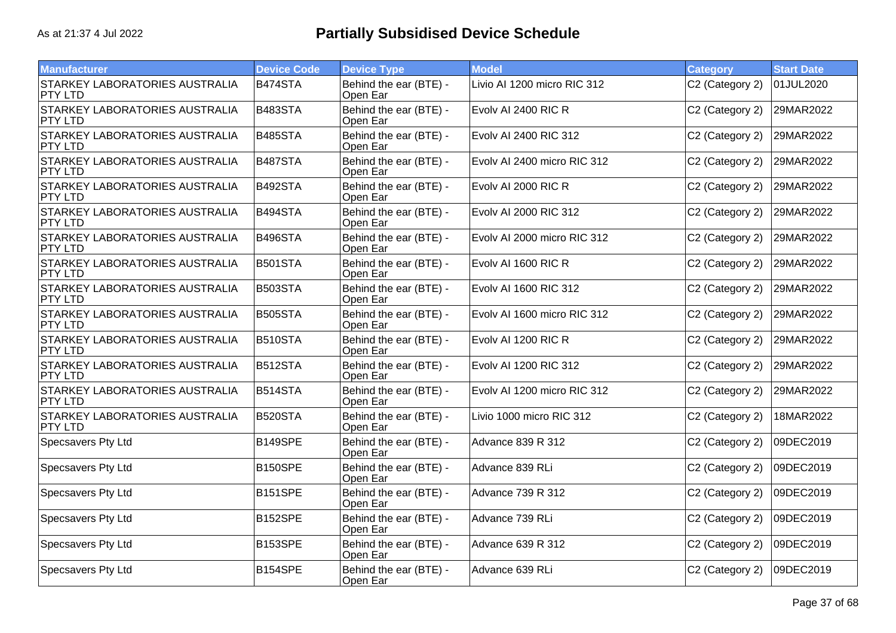| <b>Manufacturer</b>                              | <b>Device Code</b>   | <b>Device Type</b>                 | <b>Model</b>                | <b>Category</b> | <b>Start Date</b> |
|--------------------------------------------------|----------------------|------------------------------------|-----------------------------|-----------------|-------------------|
| <b>STARKEY LABORATORIES AUSTRALIA</b><br>PTY LTD | B474STA              | Behind the ear (BTE) -<br>Open Ear | Livio AI 1200 micro RIC 312 | C2 (Category 2) | 01JUL2020         |
| <b>STARKEY LABORATORIES AUSTRALIA</b><br>PTY LTD | B483STA              | Behind the ear (BTE) -<br>Open Ear | Evolv AI 2400 RIC R         | C2 (Category 2) | 29MAR2022         |
| STARKEY LABORATORIES AUSTRALIA<br><b>PTY LTD</b> | B485STA              | Behind the ear (BTE) -<br>Open Ear | Evolv AI 2400 RIC 312       | C2 (Category 2) | 29MAR2022         |
| STARKEY LABORATORIES AUSTRALIA<br>PTY LTD        | B487STA              | Behind the ear (BTE) -<br>Open Ear | Evolv Al 2400 micro RIC 312 | C2 (Category 2) | 29MAR2022         |
| STARKEY LABORATORIES AUSTRALIA<br><b>PTY LTD</b> | B492STA              | Behind the ear (BTE) -<br>Open Ear | Evolv AI 2000 RIC R         | C2 (Category 2) | 29MAR2022         |
| <b>STARKEY LABORATORIES AUSTRALIA</b><br>PTY LTD | B494STA              | Behind the ear (BTE) -<br>Open Ear | Evolv AI 2000 RIC 312       | C2 (Category 2) | 29MAR2022         |
| STARKEY LABORATORIES AUSTRALIA<br>PTY LTD        | B496STA              | Behind the ear (BTE) -<br>Open Ear | Evolv AI 2000 micro RIC 312 | C2 (Category 2) | 29MAR2022         |
| STARKEY LABORATORIES AUSTRALIA<br><b>PTY LTD</b> | B501STA              | Behind the ear (BTE) -<br>Open Ear | Evolv AI 1600 RIC R         | C2 (Category 2) | 29MAR2022         |
| STARKEY LABORATORIES AUSTRALIA<br>PTY LTD        | B503STA              | Behind the ear (BTE) -<br>Open Ear | Evolv AI 1600 RIC 312       | C2 (Category 2) | 29MAR2022         |
| STARKEY LABORATORIES AUSTRALIA<br><b>PTY LTD</b> | <b>B505STA</b>       | Behind the ear (BTE) -<br>Open Ear | Evoly AI 1600 micro RIC 312 | C2 (Category 2) | 29MAR2022         |
| <b>STARKEY LABORATORIES AUSTRALIA</b><br>PTY LTD | B510STA              | Behind the ear (BTE) -<br>Open Ear | Evolv AI 1200 RIC R         | C2 (Category 2) | 29MAR2022         |
| STARKEY LABORATORIES AUSTRALIA<br>PTY LTD        | B512STA              | Behind the ear (BTE) -<br>Open Ear | Evolv AI 1200 RIC 312       | C2 (Category 2) | 29MAR2022         |
| STARKEY LABORATORIES AUSTRALIA<br><b>PTY LTD</b> | B514STA              | Behind the ear (BTE) -<br>Open Ear | Evolv AI 1200 micro RIC 312 | C2 (Category 2) | 29MAR2022         |
| STARKEY LABORATORIES AUSTRALIA<br><b>PTY LTD</b> | B520STA              | Behind the ear (BTE) -<br>Open Ear | Livio 1000 micro RIC 312    | C2 (Category 2) | 18MAR2022         |
| Specsavers Pty Ltd                               | <b>B149SPE</b>       | Behind the ear (BTE) -<br>Open Ear | Advance 839 R 312           | C2 (Category 2) | 09DEC2019         |
| Specsavers Pty Ltd                               | B150SPE              | Behind the ear (BTE) -<br>Open Ear | Advance 839 RLi             | C2 (Category 2) | 09DEC2019         |
| Specsavers Pty Ltd                               | B <sub>151</sub> SPE | Behind the ear (BTE) -<br>Open Ear | Advance 739 R 312           | C2 (Category 2) | 09DEC2019         |
| Specsavers Pty Ltd                               | B152SPE              | Behind the ear (BTE) -<br>Open Ear | Advance 739 RLi             | C2 (Category 2) | 09DEC2019         |
| Specsavers Pty Ltd                               | B153SPE              | Behind the ear (BTE) -<br>Open Ear | Advance 639 R 312           | C2 (Category 2) | 09DEC2019         |
| Specsavers Pty Ltd                               | B154SPE              | Behind the ear (BTE) -<br>Open Ear | Advance 639 RLi             | C2 (Category 2) | 09DEC2019         |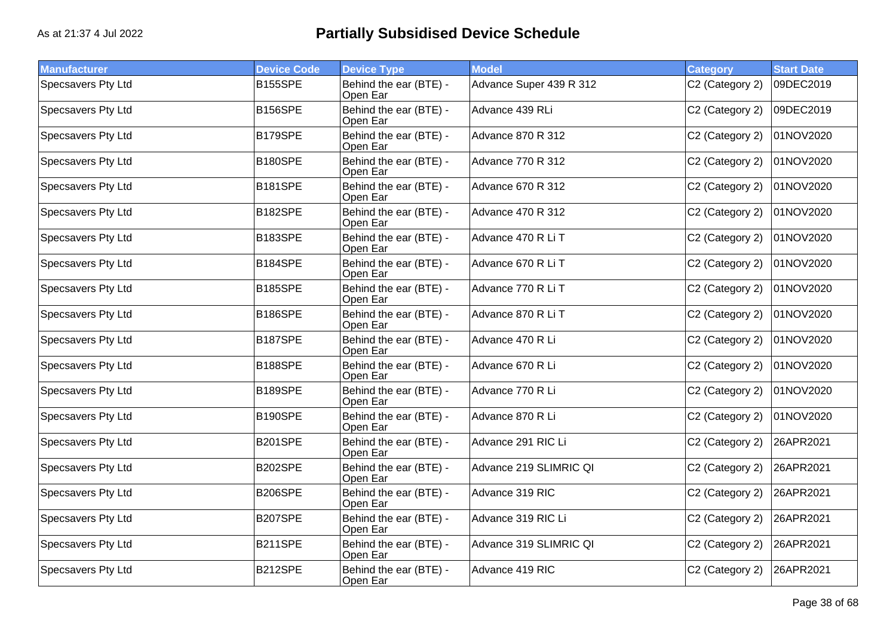| <b>Manufacturer</b>       | <b>Device Code</b> | <b>Device Type</b>                 | <b>Model</b>             | <b>Category</b> | <b>Start Date</b> |
|---------------------------|--------------------|------------------------------------|--------------------------|-----------------|-------------------|
| Specsavers Pty Ltd        | <b>B155SPE</b>     | Behind the ear (BTE) -<br>Open Ear | Advance Super 439 R 312  | C2 (Category 2) | 09DEC2019         |
| Specsavers Pty Ltd        | <b>B156SPE</b>     | Behind the ear (BTE) -<br>Open Ear | Advance 439 RLi          | C2 (Category 2) | 09DEC2019         |
| Specsavers Pty Ltd        | B179SPE            | Behind the ear (BTE) -<br>Open Ear | <b>Advance 870 R 312</b> | C2 (Category 2) | 01NOV2020         |
| Specsavers Pty Ltd        | B180SPE            | Behind the ear (BTE) -<br>Open Ear | <b>Advance 770 R 312</b> | C2 (Category 2) | 01NOV2020         |
| Specsavers Pty Ltd        | B181SPE            | Behind the ear (BTE) -<br>Open Ear | Advance 670 R 312        | C2 (Category 2) | 01NOV2020         |
| Specsavers Pty Ltd        | B182SPE            | Behind the ear (BTE) -<br>Open Ear | <b>Advance 470 R 312</b> | C2 (Category 2) | 01NOV2020         |
| <b>Specsavers Pty Ltd</b> | B183SPE            | Behind the ear (BTE) -<br>Open Ear | Advance 470 R Li T       | C2 (Category 2) | 01NOV2020         |
| <b>Specsavers Pty Ltd</b> | B184SPE            | Behind the ear (BTE) -<br>Open Ear | Advance 670 R Li T       | C2 (Category 2) | 01NOV2020         |
| Specsavers Pty Ltd        | <b>B185SPE</b>     | Behind the ear (BTE) -<br>Open Ear | Advance 770 R Li T       | C2 (Category 2) | 01NOV2020         |
| Specsavers Pty Ltd        | B186SPE            | Behind the ear (BTE) -<br>Open Ear | Advance 870 R Li T       | C2 (Category 2) | 01NOV2020         |
| Specsavers Pty Ltd        | B187SPE            | Behind the ear (BTE) -<br>Open Ear | Advance 470 R Li         | C2 (Category 2) | 01NOV2020         |
| <b>Specsavers Pty Ltd</b> | B188SPE            | Behind the ear (BTE) -<br>Open Ear | Advance 670 R Li         | C2 (Category 2) | 01NOV2020         |
| Specsavers Pty Ltd        | B189SPE            | Behind the ear (BTE) -<br>Open Ear | Advance 770 R Li         | C2 (Category 2) | 01NOV2020         |
| Specsavers Pty Ltd        | B190SPE            | Behind the ear (BTE) -<br>Open Ear | Advance 870 R Li         | C2 (Category 2) | 01NOV2020         |
| Specsavers Pty Ltd        | <b>B201SPE</b>     | Behind the ear (BTE) -<br>Open Ear | Advance 291 RIC Li       | C2 (Category 2) | 26APR2021         |
| Specsavers Pty Ltd        | <b>B202SPE</b>     | Behind the ear (BTE) -<br>Open Ear | Advance 219 SLIMRIC QI   | C2 (Category 2) | 26APR2021         |
| Specsavers Pty Ltd        | <b>B206SPE</b>     | Behind the ear (BTE) -<br>Open Ear | Advance 319 RIC          | C2 (Category 2) | 26APR2021         |
| Specsavers Pty Ltd        | B207SPE            | Behind the ear (BTE) -<br>Open Ear | Advance 319 RIC Li       | C2 (Category 2) | 26APR2021         |
| Specsavers Pty Ltd        | B211SPE            | Behind the ear (BTE) -<br>Open Ear | Advance 319 SLIMRIC QI   | C2 (Category 2) | 26APR2021         |
| Specsavers Pty Ltd        | B212SPE            | Behind the ear (BTE) -<br>Open Ear | Advance 419 RIC          | C2 (Category 2) | 26APR2021         |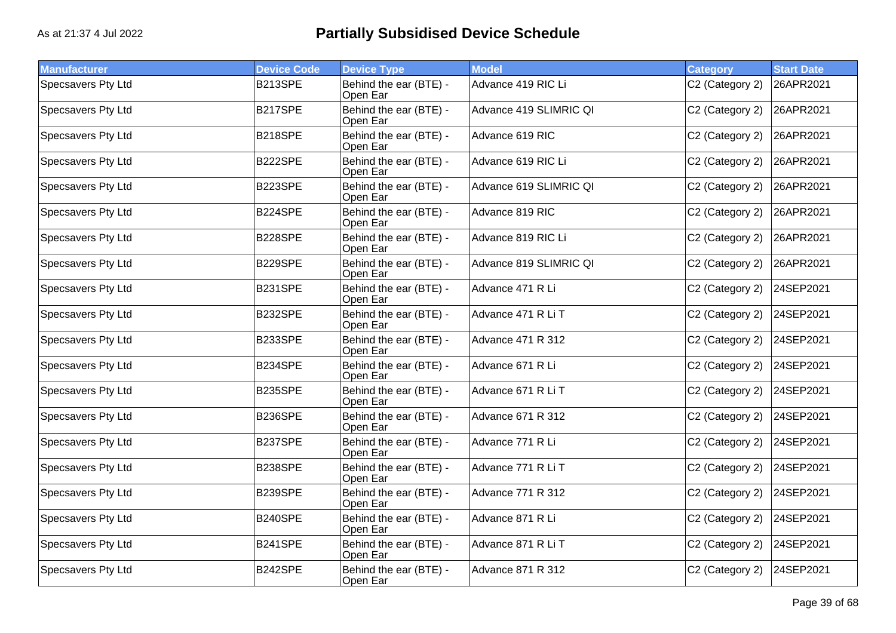| <b>Manufacturer</b>       | <b>Device Code</b> | <b>Device Type</b>                 | <b>Model</b>             | <b>Category</b> | <b>Start Date</b> |
|---------------------------|--------------------|------------------------------------|--------------------------|-----------------|-------------------|
| Specsavers Pty Ltd        | B213SPE            | Behind the ear (BTE) -<br>Open Ear | Advance 419 RIC Li       | C2 (Category 2) | 26APR2021         |
| Specsavers Pty Ltd        | B217SPE            | Behind the ear (BTE) -<br>Open Ear | Advance 419 SLIMRIC QI   | C2 (Category 2) | 26APR2021         |
| Specsavers Pty Ltd        | <b>B218SPE</b>     | Behind the ear (BTE) -<br>Open Ear | Advance 619 RIC          | C2 (Category 2) | 26APR2021         |
| Specsavers Pty Ltd        | B222SPE            | Behind the ear (BTE) -<br>Open Ear | Advance 619 RIC Li       | C2 (Category 2) | 26APR2021         |
| Specsavers Pty Ltd        | B223SPE            | Behind the ear (BTE) -<br>Open Ear | Advance 619 SLIMRIC QI   | C2 (Category 2) | 26APR2021         |
| Specsavers Pty Ltd        | B224SPE            | Behind the ear (BTE) -<br>Open Ear | Advance 819 RIC          | C2 (Category 2) | 26APR2021         |
| <b>Specsavers Pty Ltd</b> | <b>B228SPE</b>     | Behind the ear (BTE) -<br>Open Ear | Advance 819 RIC Li       | C2 (Category 2) | 26APR2021         |
| <b>Specsavers Pty Ltd</b> | <b>B229SPE</b>     | Behind the ear (BTE) -<br>Open Ear | Advance 819 SLIMRIC QI   | C2 (Category 2) | 26APR2021         |
| Specsavers Pty Ltd        | <b>B231SPE</b>     | Behind the ear (BTE) -<br>Open Ear | Advance 471 R Li         | C2 (Category 2) | 24SEP2021         |
| Specsavers Pty Ltd        | B232SPE            | Behind the ear (BTE) -<br>Open Ear | Advance 471 R Li T       | C2 (Category 2) | 24SEP2021         |
| Specsavers Pty Ltd        | B233SPE            | Behind the ear (BTE) -<br>Open Ear | Advance 471 R 312        | C2 (Category 2) | 24SEP2021         |
| <b>Specsavers Pty Ltd</b> | B234SPE            | Behind the ear (BTE) -<br>Open Ear | Advance 671 R Li         | C2 (Category 2) | 24SEP2021         |
| Specsavers Pty Ltd        | <b>B235SPE</b>     | Behind the ear (BTE) -<br>Open Ear | Advance 671 R Li T       | C2 (Category 2) | 24SEP2021         |
| Specsavers Pty Ltd        | <b>B236SPE</b>     | Behind the ear (BTE) -<br>Open Ear | <b>Advance 671 R 312</b> | C2 (Category 2) | 24SEP2021         |
| Specsavers Pty Ltd        | B237SPE            | Behind the ear (BTE) -<br>Open Ear | Advance 771 R Li         | C2 (Category 2) | 24SEP2021         |
| Specsavers Pty Ltd        | <b>B238SPE</b>     | Behind the ear (BTE) -<br>Open Ear | Advance 771 R Li T       | C2 (Category 2) | 24SEP2021         |
| Specsavers Pty Ltd        | B239SPE            | Behind the ear (BTE) -<br>Open Ear | Advance 771 R 312        | C2 (Category 2) | 24SEP2021         |
| Specsavers Pty Ltd        | <b>B240SPE</b>     | Behind the ear (BTE) -<br>Open Ear | Advance 871 R Li         | C2 (Category 2) | 24SEP2021         |
| Specsavers Pty Ltd        | <b>B241SPE</b>     | Behind the ear (BTE) -<br>Open Ear | Advance 871 R Li T       | C2 (Category 2) | 24SEP2021         |
| Specsavers Pty Ltd        | B242SPE            | Behind the ear (BTE) -<br>Open Ear | <b>Advance 871 R 312</b> | C2 (Category 2) | 24SEP2021         |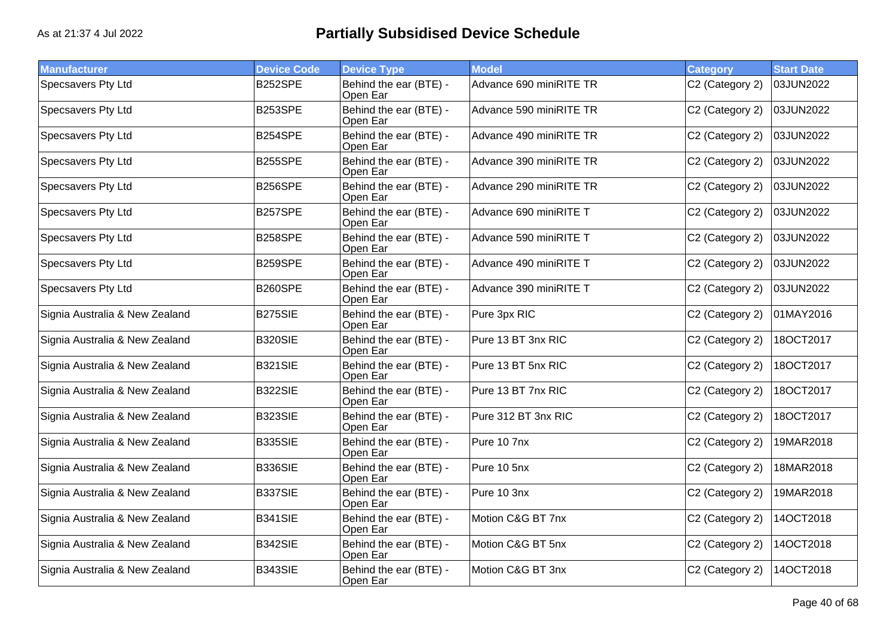| <b>Manufacturer</b>            | <b>Device Code</b> | <b>Device Type</b>                 | <b>Model</b>            | <b>Category</b> | <b>Start Date</b> |
|--------------------------------|--------------------|------------------------------------|-------------------------|-----------------|-------------------|
| Specsavers Pty Ltd             | B252SPE            | Behind the ear (BTE) -<br>Open Ear | Advance 690 miniRITE TR | C2 (Category 2) | 03JUN2022         |
| Specsavers Pty Ltd             | B253SPE            | Behind the ear (BTE) -<br>Open Ear | Advance 590 miniRITE TR | C2 (Category 2) | 03JUN2022         |
| Specsavers Pty Ltd             | B254SPE            | Behind the ear (BTE) -<br>Open Ear | Advance 490 miniRITE TR | C2 (Category 2) | 03JUN2022         |
| Specsavers Pty Ltd             | B255SPE            | Behind the ear (BTE) -<br>Open Ear | Advance 390 miniRITE TR | C2 (Category 2) | 03JUN2022         |
| Specsavers Pty Ltd             | <b>B256SPE</b>     | Behind the ear (BTE) -<br>Open Ear | Advance 290 miniRITE TR | C2 (Category 2) | 03JUN2022         |
| Specsavers Pty Ltd             | B257SPE            | Behind the ear (BTE) -<br>Open Ear | Advance 690 miniRITE T  | C2 (Category 2) | 03JUN2022         |
| Specsavers Pty Ltd             | B258SPE            | Behind the ear (BTE) -<br>Open Ear | Advance 590 miniRITE T  | C2 (Category 2) | 03JUN2022         |
| Specsavers Pty Ltd             | B259SPE            | Behind the ear (BTE) -<br>Open Ear | Advance 490 miniRITE T  | C2 (Category 2) | 03JUN2022         |
| Specsavers Pty Ltd             | <b>B260SPE</b>     | Behind the ear (BTE) -<br>Open Ear | Advance 390 miniRITE T  | C2 (Category 2) | 03JUN2022         |
| Signia Australia & New Zealand | <b>B275SIE</b>     | Behind the ear (BTE) -<br>Open Ear | Pure 3px RIC            | C2 (Category 2) | 01MAY2016         |
| Signia Australia & New Zealand | <b>B320SIE</b>     | Behind the ear (BTE) -<br>Open Ear | Pure 13 BT 3nx RIC      | C2 (Category 2) | 18OCT2017         |
| Signia Australia & New Zealand | <b>B321SIE</b>     | Behind the ear (BTE) -<br>Open Ear | Pure 13 BT 5nx RIC      | C2 (Category 2) | 18OCT2017         |
| Signia Australia & New Zealand | <b>B322SIE</b>     | Behind the ear (BTE) -<br>Open Ear | Pure 13 BT 7nx RIC      | C2 (Category 2) | 18OCT2017         |
| Signia Australia & New Zealand | <b>B323SIE</b>     | Behind the ear (BTE) -<br>Open Ear | Pure 312 BT 3nx RIC     | C2 (Category 2) | 18OCT2017         |
| Signia Australia & New Zealand | <b>B335SIE</b>     | Behind the ear (BTE) -<br>Open Ear | Pure 10 7nx             | C2 (Category 2) | 19MAR2018         |
| Signia Australia & New Zealand | <b>B336SIE</b>     | Behind the ear (BTE) -<br>Open Ear | Pure 10 5nx             | C2 (Category 2) | 18MAR2018         |
| Signia Australia & New Zealand | <b>B337SIE</b>     | Behind the ear (BTE) -<br>Open Ear | Pure 10 3nx             | C2 (Category 2) | 19MAR2018         |
| Signia Australia & New Zealand | <b>B341SIE</b>     | Behind the ear (BTE) -<br>Open Ear | Motion C&G BT 7nx       | C2 (Category 2) | 14OCT2018         |
| Signia Australia & New Zealand | <b>B342SIE</b>     | Behind the ear (BTE) -<br>Open Ear | Motion C&G BT 5nx       | C2 (Category 2) | 14OCT2018         |
| Signia Australia & New Zealand | B343SIE            | Behind the ear (BTE) -<br>Open Ear | Motion C&G BT 3nx       | C2 (Category 2) | 14OCT2018         |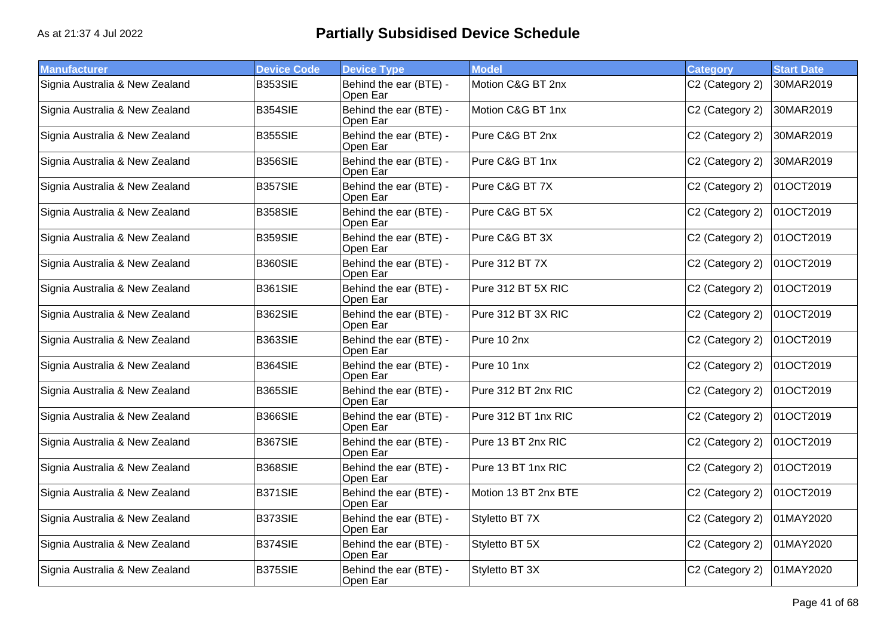| <b>Manufacturer</b>            | <b>Device Code</b> | <b>Device Type</b>                 | <b>Model</b>         | <b>Category</b> | <b>Start Date</b> |
|--------------------------------|--------------------|------------------------------------|----------------------|-----------------|-------------------|
| Signia Australia & New Zealand | <b>B353SIE</b>     | Behind the ear (BTE) -<br>Open Ear | Motion C&G BT 2nx    | C2 (Category 2) | 30MAR2019         |
| Signia Australia & New Zealand | <b>B354SIE</b>     | Behind the ear (BTE) -<br>Open Ear | Motion C&G BT 1nx    | C2 (Category 2) | 30MAR2019         |
| Signia Australia & New Zealand | <b>B355SIE</b>     | Behind the ear (BTE) -<br>Open Ear | Pure C&G BT 2nx      | C2 (Category 2) | 30MAR2019         |
| Signia Australia & New Zealand | <b>B356SIE</b>     | Behind the ear (BTE) -<br>Open Ear | Pure C&G BT 1nx      | C2 (Category 2) | 30MAR2019         |
| Signia Australia & New Zealand | <b>B357SIE</b>     | Behind the ear (BTE) -<br>Open Ear | Pure C&G BT 7X       | C2 (Category 2) | 01OCT2019         |
| Signia Australia & New Zealand | <b>B358SIE</b>     | Behind the ear (BTE) -<br>Open Ear | Pure C&G BT 5X       | C2 (Category 2) | 01OCT2019         |
| Signia Australia & New Zealand | <b>B359SIE</b>     | Behind the ear (BTE) -<br>Open Ear | Pure C&G BT 3X       | C2 (Category 2) | 01OCT2019         |
| Signia Australia & New Zealand | <b>B360SIE</b>     | Behind the ear (BTE) -<br>Open Ear | Pure 312 BT 7X       | C2 (Category 2) | 01OCT2019         |
| Signia Australia & New Zealand | <b>B361SIE</b>     | Behind the ear (BTE) -<br>Open Ear | Pure 312 BT 5X RIC   | C2 (Category 2) | 01OCT2019         |
| Signia Australia & New Zealand | B362SIE            | Behind the ear (BTE) -<br>Open Ear | Pure 312 BT 3X RIC   | C2 (Category 2) | 01OCT2019         |
| Signia Australia & New Zealand | <b>B363SIE</b>     | Behind the ear (BTE) -<br>Open Ear | Pure 10 2nx          | C2 (Category 2) | 01OCT2019         |
| Signia Australia & New Zealand | <b>B364SIE</b>     | Behind the ear (BTE) -<br>Open Ear | Pure 10 1nx          | C2 (Category 2) | 01OCT2019         |
| Signia Australia & New Zealand | <b>B365SIE</b>     | Behind the ear (BTE) -<br>Open Ear | Pure 312 BT 2nx RIC  | C2 (Category 2) | 01OCT2019         |
| Signia Australia & New Zealand | <b>B366SIE</b>     | Behind the ear (BTE) -<br>Open Ear | Pure 312 BT 1nx RIC  | C2 (Category 2) | 01OCT2019         |
| Signia Australia & New Zealand | <b>B367SIE</b>     | Behind the ear (BTE) -<br>Open Ear | Pure 13 BT 2nx RIC   | C2 (Category 2) | 01OCT2019         |
| Signia Australia & New Zealand | <b>B368SIE</b>     | Behind the ear (BTE) -<br>Open Ear | Pure 13 BT 1nx RIC   | C2 (Category 2) | 01OCT2019         |
| Signia Australia & New Zealand | <b>B371SIE</b>     | Behind the ear (BTE) -<br>Open Ear | Motion 13 BT 2nx BTE | C2 (Category 2) | 01OCT2019         |
| Signia Australia & New Zealand | <b>B373SIE</b>     | Behind the ear (BTE) -<br>Open Ear | Styletto BT 7X       | C2 (Category 2) | 01MAY2020         |
| Signia Australia & New Zealand | <b>B374SIE</b>     | Behind the ear (BTE) -<br>Open Ear | Styletto BT 5X       | C2 (Category 2) | 01MAY2020         |
| Signia Australia & New Zealand | <b>B375SIE</b>     | Behind the ear (BTE) -<br>Open Ear | Styletto BT 3X       | C2 (Category 2) | 01MAY2020         |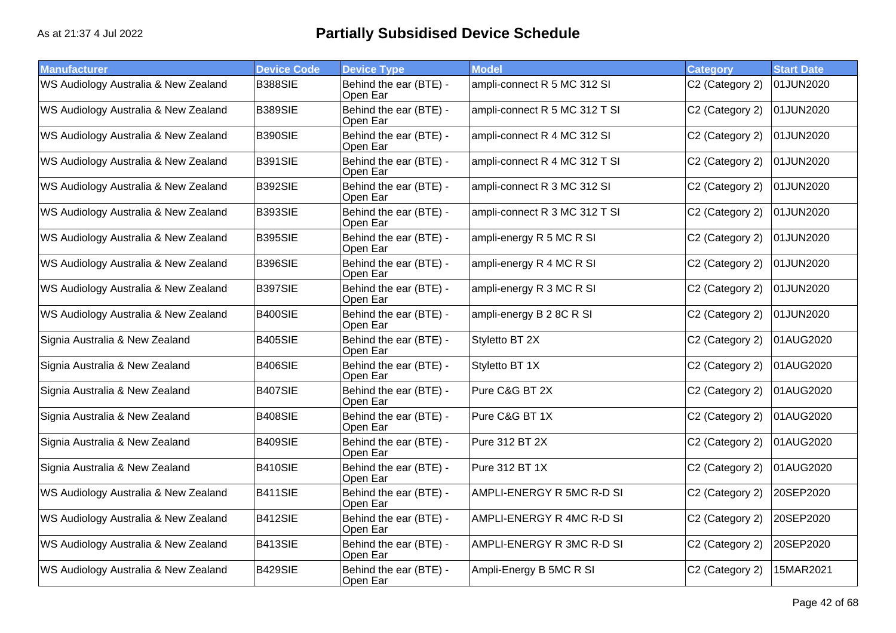| <b>Manufacturer</b>                  | <b>Device Code</b> | <b>Device Type</b>                 | <b>Model</b>                  | <b>Category</b> | <b>Start Date</b> |
|--------------------------------------|--------------------|------------------------------------|-------------------------------|-----------------|-------------------|
| WS Audiology Australia & New Zealand | <b>B388SIE</b>     | Behind the ear (BTE) -<br>Open Ear | ampli-connect R 5 MC 312 SI   | C2 (Category 2) | 01JUN2020         |
| WS Audiology Australia & New Zealand | <b>B389SIE</b>     | Behind the ear (BTE) -<br>Open Ear | ampli-connect R 5 MC 312 T SI | C2 (Category 2) | 01JUN2020         |
| WS Audiology Australia & New Zealand | B390SIE            | Behind the ear (BTE) -<br>Open Ear | ampli-connect R 4 MC 312 SI   | C2 (Category 2) | 01JUN2020         |
| WS Audiology Australia & New Zealand | B391SIE            | Behind the ear (BTE) -<br>Open Ear | ampli-connect R 4 MC 312 T SI | C2 (Category 2) | 01JUN2020         |
| WS Audiology Australia & New Zealand | B392SIE            | Behind the ear (BTE) -<br>Open Ear | ampli-connect R 3 MC 312 SI   | C2 (Category 2) | 01JUN2020         |
| WS Audiology Australia & New Zealand | <b>B393SIE</b>     | Behind the ear (BTE) -<br>Open Ear | ampli-connect R 3 MC 312 T SI | C2 (Category 2) | 01JUN2020         |
| WS Audiology Australia & New Zealand | B395SIE            | Behind the ear (BTE) -<br>Open Ear | ampli-energy R 5 MC R SI      | C2 (Category 2) | 01JUN2020         |
| WS Audiology Australia & New Zealand | B396SIE            | Behind the ear (BTE) -<br>Open Ear | ampli-energy R 4 MC R SI      | C2 (Category 2) | 01JUN2020         |
| WS Audiology Australia & New Zealand | <b>B397SIE</b>     | Behind the ear (BTE) -<br>Open Ear | ampli-energy R 3 MC R SI      | C2 (Category 2) | 01JUN2020         |
| WS Audiology Australia & New Zealand | B400SIE            | Behind the ear (BTE) -<br>Open Ear | ampli-energy B 2 8C R SI      | C2 (Category 2) | 01JUN2020         |
| Signia Australia & New Zealand       | <b>B405SIE</b>     | Behind the ear (BTE) -<br>Open Ear | Styletto BT 2X                | C2 (Category 2) | 01AUG2020         |
| Signia Australia & New Zealand       | B406SIE            | Behind the ear (BTE) -<br>Open Ear | Styletto BT 1X                | C2 (Category 2) | 01AUG2020         |
| Signia Australia & New Zealand       | B407SIE            | Behind the ear (BTE) -<br>Open Ear | Pure C&G BT 2X                | C2 (Category 2) | 01AUG2020         |
| Signia Australia & New Zealand       | B408SIE            | Behind the ear (BTE) -<br>Open Ear | Pure C&G BT 1X                | C2 (Category 2) | 01AUG2020         |
| Signia Australia & New Zealand       | <b>B409SIE</b>     | Behind the ear (BTE) -<br>Open Ear | Pure 312 BT 2X                | C2 (Category 2) | 01AUG2020         |
| Signia Australia & New Zealand       | <b>B410SIE</b>     | Behind the ear (BTE) -<br>Open Ear | Pure 312 BT 1X                | C2 (Category 2) | 01AUG2020         |
| WS Audiology Australia & New Zealand | B411SIE            | Behind the ear (BTE) -<br>Open Ear | AMPLI-ENERGY R 5MC R-D SI     | C2 (Category 2) | 20SEP2020         |
| WS Audiology Australia & New Zealand | B412SIE            | Behind the ear (BTE) -<br>Open Ear | AMPLI-ENERGY R 4MC R-D SI     | C2 (Category 2) | 20SEP2020         |
| WS Audiology Australia & New Zealand | B413SIE            | Behind the ear (BTE) -<br>Open Ear | AMPLI-ENERGY R 3MC R-D SI     | C2 (Category 2) | 20SEP2020         |
| WS Audiology Australia & New Zealand | B429SIE            | Behind the ear (BTE) -<br>Open Ear | Ampli-Energy B 5MC R SI       | C2 (Category 2) | 15MAR2021         |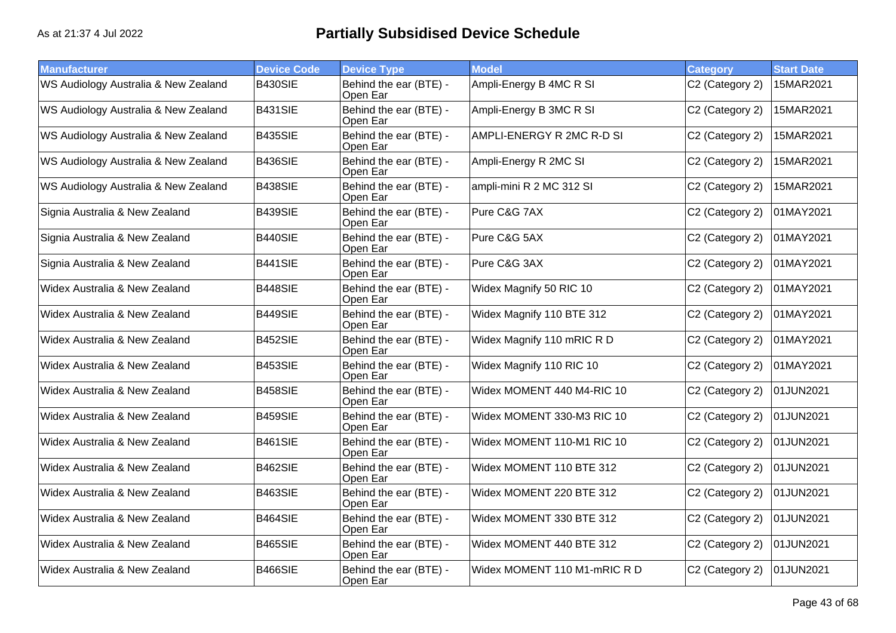| <b>Manufacturer</b>                  | <b>Device Code</b> | <b>Device Type</b>                 | <b>Model</b>                | <b>Category</b> | <b>Start Date</b> |
|--------------------------------------|--------------------|------------------------------------|-----------------------------|-----------------|-------------------|
| WS Audiology Australia & New Zealand | <b>B430SIE</b>     | Behind the ear (BTE) -<br>Open Ear | Ampli-Energy B 4MC R SI     | C2 (Category 2) | 15MAR2021         |
| WS Audiology Australia & New Zealand | B431SIE            | Behind the ear (BTE) -<br>Open Ear | Ampli-Energy B 3MC R SI     | C2 (Category 2) | 15MAR2021         |
| WS Audiology Australia & New Zealand | B435SIE            | Behind the ear (BTE) -<br>Open Ear | AMPLI-ENERGY R 2MC R-D SI   | C2 (Category 2) | 15MAR2021         |
| WS Audiology Australia & New Zealand | B436SIE            | Behind the ear (BTE) -<br>Open Ear | Ampli-Energy R 2MC SI       | C2 (Category 2) | 15MAR2021         |
| WS Audiology Australia & New Zealand | B438SIE            | Behind the ear (BTE) -<br>Open Ear | ampli-mini R 2 MC 312 SI    | C2 (Category 2) | 15MAR2021         |
| Signia Australia & New Zealand       | B439SIE            | Behind the ear (BTE) -<br>Open Ear | Pure C&G 7AX                | C2 (Category 2) | 01MAY2021         |
| Signia Australia & New Zealand       | B440SIE            | Behind the ear (BTE) -<br>Open Ear | Pure C&G 5AX                | C2 (Category 2) | 01MAY2021         |
| Signia Australia & New Zealand       | <b>B441SIE</b>     | Behind the ear (BTE) -<br>Open Ear | Pure C&G 3AX                | C2 (Category 2) | 01MAY2021         |
| Widex Australia & New Zealand        | B448SIE            | Behind the ear (BTE) -<br>Open Ear | Widex Magnify 50 RIC 10     | C2 (Category 2) | 01MAY2021         |
| Widex Australia & New Zealand        | B449SIE            | Behind the ear (BTE) -<br>Open Ear | Widex Magnify 110 BTE 312   | C2 (Category 2) | 01MAY2021         |
| Widex Australia & New Zealand        | B452SIE            | Behind the ear (BTE) -<br>Open Ear | Widex Magnify 110 mRIC R D  | C2 (Category 2) | 01MAY2021         |
| Widex Australia & New Zealand        | B453SIE            | Behind the ear (BTE) -<br>Open Ear | Widex Magnify 110 RIC 10    | C2 (Category 2) | 01MAY2021         |
| Widex Australia & New Zealand        | B458SIE            | Behind the ear (BTE) -<br>Open Ear | Widex MOMENT 440 M4-RIC 10  | C2 (Category 2) | 01JUN2021         |
| Widex Australia & New Zealand        | B459SIE            | Behind the ear (BTE) -<br>Open Ear | Widex MOMENT 330-M3 RIC 10  | C2 (Category 2) | 01JUN2021         |
| Widex Australia & New Zealand        | B461SIE            | Behind the ear (BTE) -<br>Open Ear | Widex MOMENT 110-M1 RIC 10  | C2 (Category 2) | 01JUN2021         |
| Widex Australia & New Zealand        | B462SIE            | Behind the ear (BTE) -<br>Open Ear | Widex MOMENT 110 BTE 312    | C2 (Category 2) | 01JUN2021         |
| Widex Australia & New Zealand        | B463SIE            | Behind the ear (BTE) -<br>Open Ear | Widex MOMENT 220 BTE 312    | C2 (Category 2) | 01JUN2021         |
| Widex Australia & New Zealand        | B464SIE            | Behind the ear (BTE) -<br>Open Ear | Widex MOMENT 330 BTE 312    | C2 (Category 2) | 01JUN2021         |
| Widex Australia & New Zealand        | <b>B465SIE</b>     | Behind the ear (BTE) -<br>Open Ear | Widex MOMENT 440 BTE 312    | C2 (Category 2) | 01JUN2021         |
| Widex Australia & New Zealand        | <b>B466SIE</b>     | Behind the ear (BTE) -<br>Open Ear | Widex MOMENT 110 M1-mRIC RD | C2 (Category 2) | 01JUN2021         |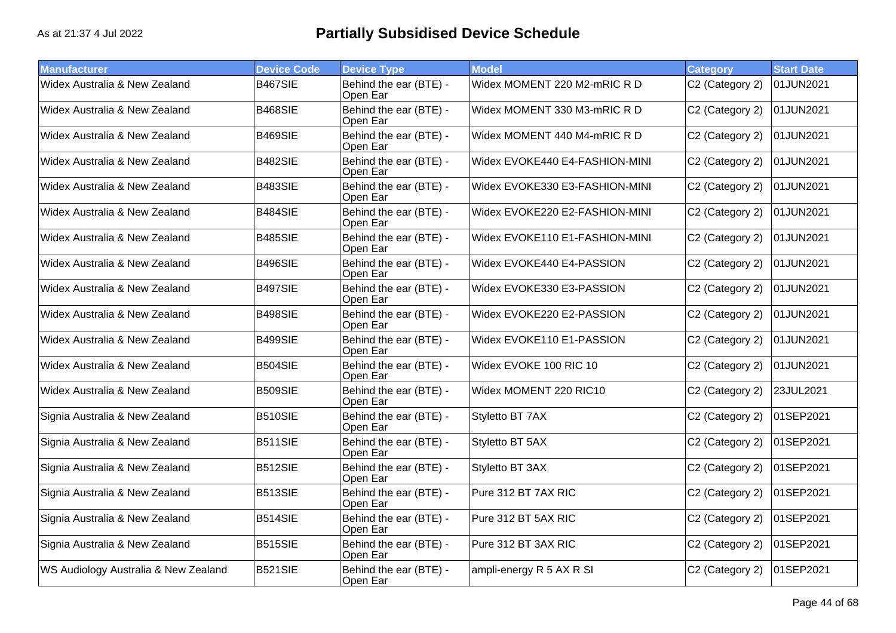| <b>Manufacturer</b>                  | <b>Device Code</b> | <b>Device Type</b>                 | <b>Model</b>                   | <b>Category</b> | <b>Start Date</b> |
|--------------------------------------|--------------------|------------------------------------|--------------------------------|-----------------|-------------------|
| Widex Australia & New Zealand        | B467SIE            | Behind the ear (BTE) -<br>Open Ear | Widex MOMENT 220 M2-mRIC R D   | C2 (Category 2) | 01JUN2021         |
| Widex Australia & New Zealand        | <b>B468SIE</b>     | Behind the ear (BTE) -<br>Open Ear | Widex MOMENT 330 M3-mRIC RD    | C2 (Category 2) | 01JUN2021         |
| Widex Australia & New Zealand        | B469SIE            | Behind the ear (BTE) -<br>Open Ear | Widex MOMENT 440 M4-mRIC R D   | C2 (Category 2) | 01JUN2021         |
| Widex Australia & New Zealand        | B482SIE            | Behind the ear (BTE) -<br>Open Ear | Widex EVOKE440 E4-FASHION-MINI | C2 (Category 2) | 01JUN2021         |
| Widex Australia & New Zealand        | B483SIE            | Behind the ear (BTE) -<br>Open Ear | Widex EVOKE330 E3-FASHION-MINI | C2 (Category 2) | 01JUN2021         |
| Widex Australia & New Zealand        | B484SIE            | Behind the ear (BTE) -<br>Open Ear | Widex EVOKE220 E2-FASHION-MINI | C2 (Category 2) | 01JUN2021         |
| Widex Australia & New Zealand        | <b>B485SIE</b>     | Behind the ear (BTE) -<br>Open Ear | Widex EVOKE110 E1-FASHION-MINI | C2 (Category 2) | 01JUN2021         |
| Widex Australia & New Zealand        | B496SIE            | Behind the ear (BTE) -<br>Open Ear | Widex EVOKE440 E4-PASSION      | C2 (Category 2) | 01JUN2021         |
| Widex Australia & New Zealand        | B497SIE            | Behind the ear (BTE) -<br>Open Ear | Widex EVOKE330 E3-PASSION      | C2 (Category 2) | 01JUN2021         |
| Widex Australia & New Zealand        | B498SIE            | Behind the ear (BTE) -<br>Open Ear | Widex EVOKE220 E2-PASSION      | C2 (Category 2) | 01JUN2021         |
| Widex Australia & New Zealand        | B499SIE            | Behind the ear (BTE) -<br>Open Ear | Widex EVOKE110 E1-PASSION      | C2 (Category 2) | 01JUN2021         |
| Widex Australia & New Zealand        | B504SIE            | Behind the ear (BTE) -<br>Open Ear | Widex EVOKE 100 RIC 10         | C2 (Category 2) | 01JUN2021         |
| Widex Australia & New Zealand        | <b>B509SIE</b>     | Behind the ear (BTE) -<br>Open Ear | Widex MOMENT 220 RIC10         | C2 (Category 2) | 23JUL2021         |
| Signia Australia & New Zealand       | B510SIE            | Behind the ear (BTE) -<br>Open Ear | Styletto BT 7AX                | C2 (Category 2) | 01SEP2021         |
| Signia Australia & New Zealand       | <b>B511SIE</b>     | Behind the ear (BTE) -<br>Open Ear | Styletto BT 5AX                | C2 (Category 2) | 01SEP2021         |
| Signia Australia & New Zealand       | B512SIE            | Behind the ear (BTE) -<br>Open Ear | Styletto BT 3AX                | C2 (Category 2) | 01SEP2021         |
| Signia Australia & New Zealand       | B513SIE            | Behind the ear (BTE) -<br>Open Ear | Pure 312 BT 7AX RIC            | C2 (Category 2) | 01SEP2021         |
| Signia Australia & New Zealand       | B514SIE            | Behind the ear (BTE) -<br>Open Ear | Pure 312 BT 5AX RIC            | C2 (Category 2) | 01SEP2021         |
| Signia Australia & New Zealand       | <b>B515SIE</b>     | Behind the ear (BTE) -<br>Open Ear | Pure 312 BT 3AX RIC            | C2 (Category 2) | 01SEP2021         |
| WS Audiology Australia & New Zealand | B521SIE            | Behind the ear (BTE) -<br>Open Ear | ampli-energy R 5 AX R SI       | C2 (Category 2) | 01SEP2021         |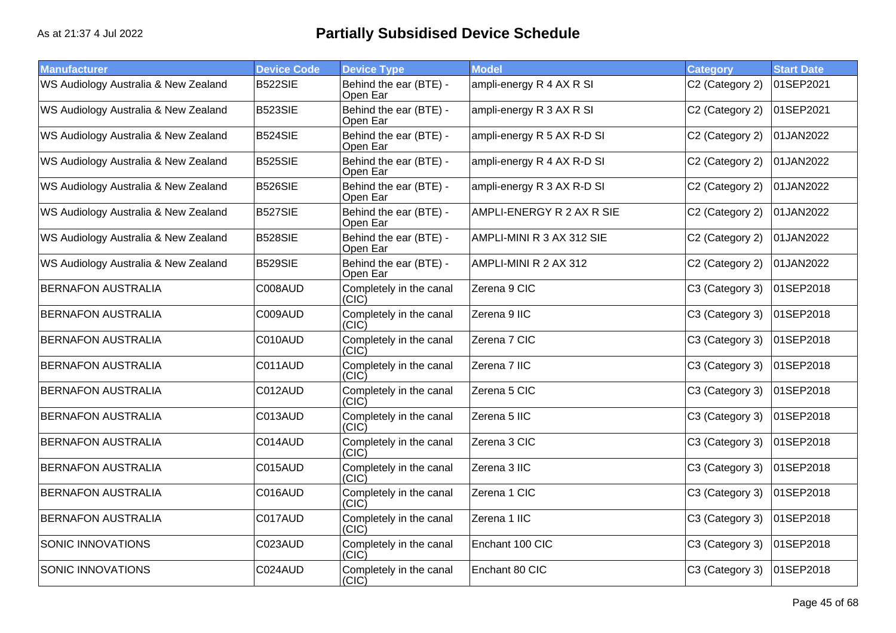| <b>Manufacturer</b>                  | <b>Device Code</b> | <b>Device Type</b>                           | <b>Model</b>               | <b>Category</b> | <b>Start Date</b> |
|--------------------------------------|--------------------|----------------------------------------------|----------------------------|-----------------|-------------------|
| WS Audiology Australia & New Zealand | B522SIE            | Behind the ear (BTE) -<br>Open Ear           | ampli-energy R 4 AX R SI   | C2 (Category 2) | 01SEP2021         |
| WS Audiology Australia & New Zealand | B523SIE            | Behind the ear (BTE) -<br>Open Ear           | ampli-energy R 3 AX R SI   | C2 (Category 2) | 01SEP2021         |
| WS Audiology Australia & New Zealand | B524SIE            | Behind the ear (BTE) -<br>Open Ear           | ampli-energy R 5 AX R-D SI | C2 (Category 2) | 01JAN2022         |
| WS Audiology Australia & New Zealand | B525SIE            | Behind the ear (BTE) -<br>Open Ear           | ampli-energy R 4 AX R-D SI | C2 (Category 2) | 01JAN2022         |
| WS Audiology Australia & New Zealand | B526SIE            | Behind the ear (BTE) -<br>Open Ear           | ampli-energy R 3 AX R-D SI | C2 (Category 2) | 01JAN2022         |
| WS Audiology Australia & New Zealand | <b>B527SIE</b>     | Behind the ear (BTE) -<br>Open Ear           | AMPLI-ENERGY R 2 AX R SIE  | C2 (Category 2) | 01JAN2022         |
| WS Audiology Australia & New Zealand | B528SIE            | Behind the ear (BTE) -<br>Open Ear           | AMPLI-MINI R 3 AX 312 SIE  | C2 (Category 2) | 01JAN2022         |
| WS Audiology Australia & New Zealand | B529SIE            | Behind the ear (BTE) -<br>Open Ear           | AMPLI-MINI R 2 AX 312      | C2 (Category 2) | 01JAN2022         |
| <b>BERNAFON AUSTRALIA</b>            | C008AUD            | Completely in the canal<br>(CIC)             | Zerena 9 CIC               | C3 (Category 3) | 01SEP2018         |
| <b>BERNAFON AUSTRALIA</b>            | C009AUD            | Completely in the canal<br>(CIC)             | Zerena 9 IIC               | C3 (Category 3) | 01SEP2018         |
| <b>BERNAFON AUSTRALIA</b>            | C010AUD            | Completely in the canal<br>(CIC)             | Zerena 7 CIC               | C3 (Category 3) | 01SEP2018         |
| <b>BERNAFON AUSTRALIA</b>            | C011AUD            | Completely in the canal<br>(CIC)             | Zerena 7 IIC               | C3 (Category 3) | 01SEP2018         |
| <b>BERNAFON AUSTRALIA</b>            | C012AUD            | Completely in the canal<br>(CIC)             | Zerena 5 CIC               | C3 (Category 3) | 01SEP2018         |
| <b>BERNAFON AUSTRALIA</b>            | C013AUD            | Completely in the canal<br>(CIC)             | Zerena 5 IIC               | C3 (Category 3) | 01SEP2018         |
| <b>BERNAFON AUSTRALIA</b>            | C014AUD            | Completely in the canal<br>(CIC)             | Zerena 3 CIC               | C3 (Category 3) | 01SEP2018         |
| <b>BERNAFON AUSTRALIA</b>            | C015AUD            | Completely in the canal<br>(CIC)             | Zerena 3 IIC               | C3 (Category 3) | 01SEP2018         |
| <b>BERNAFON AUSTRALIA</b>            | C016AUD            | Completely in the canal<br>(CIC)             | Zerena 1 CIC               | C3 (Category 3) | 01SEP2018         |
| <b>BERNAFON AUSTRALIA</b>            | C017AUD            | Completely in the canal<br>$\overline{C}$ IC | Zerena 1 IIC               | C3 (Category 3) | 01SEP2018         |
| <b>SONIC INNOVATIONS</b>             | C023AUD            | Completely in the canal<br>(CIC)             | Enchant 100 CIC            | C3 (Category 3) | 01SEP2018         |
| <b>SONIC INNOVATIONS</b>             | C024AUD            | Completely in the canal<br>(CIC)             | Enchant 80 CIC             | C3 (Category 3) | 01SEP2018         |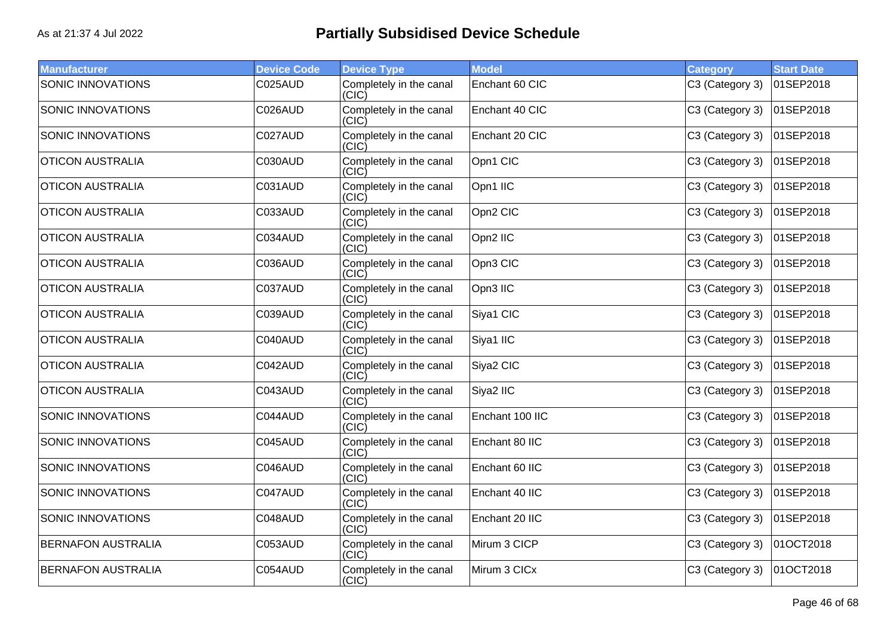| <b>Manufacturer</b>       | <b>Device Code</b> | <b>Device Type</b>               | <b>Model</b>    | <b>Category</b> | <b>Start Date</b> |
|---------------------------|--------------------|----------------------------------|-----------------|-----------------|-------------------|
| <b>SONIC INNOVATIONS</b>  | C025AUD            | Completely in the canal<br>(CIC) | Enchant 60 CIC  | C3 (Category 3) | 01SEP2018         |
| SONIC INNOVATIONS         | C026AUD            | Completely in the canal<br>(CIC) | Enchant 40 CIC  | C3 (Category 3) | 01SEP2018         |
| SONIC INNOVATIONS         | C027AUD            | Completely in the canal<br>(CIC) | Enchant 20 CIC  | C3 (Category 3) | 01SEP2018         |
| <b>OTICON AUSTRALIA</b>   | C030AUD            | Completely in the canal<br>(CIC) | Opn1 CIC        | C3 (Category 3) | 01SEP2018         |
| <b>OTICON AUSTRALIA</b>   | C031AUD            | Completely in the canal<br>(CIC) | Opn1 IIC        | C3 (Category 3) | 01SEP2018         |
| <b>OTICON AUSTRALIA</b>   | C033AUD            | Completely in the canal<br>(CIC) | Opn2 CIC        | C3 (Category 3) | 01SEP2018         |
| <b>OTICON AUSTRALIA</b>   | C034AUD            | Completely in the canal<br>(C C) | Opn2 IIC        | C3 (Category 3) | 01SEP2018         |
| <b>OTICON AUSTRALIA</b>   | C036AUD            | Completely in the canal<br>(CIC) | Opn3 CIC        | C3 (Category 3) | 01SEP2018         |
| <b>OTICON AUSTRALIA</b>   | C037AUD            | Completely in the canal<br>(CIC) | Opn3 IIC        | C3 (Category 3) | 01SEP2018         |
| <b>OTICON AUSTRALIA</b>   | C039AUD            | Completely in the canal<br>(CIC) | Siya1 CIC       | C3 (Category 3) | 01SEP2018         |
| <b>OTICON AUSTRALIA</b>   | C040AUD            | Completely in the canal<br>(CIC) | Siya1 IIC       | C3 (Category 3) | 01SEP2018         |
| <b>OTICON AUSTRALIA</b>   | C042AUD            | Completely in the canal<br>(CIC) | Siya2 CIC       | C3 (Category 3) | 01SEP2018         |
| <b>OTICON AUSTRALIA</b>   | C043AUD            | Completely in the canal<br>(CIC) | Siya2 IIC       | C3 (Category 3) | 01SEP2018         |
| <b>SONIC INNOVATIONS</b>  | C044AUD            | Completely in the canal<br>(CIC) | Enchant 100 IIC | C3 (Category 3) | 01SEP2018         |
| SONIC INNOVATIONS         | C045AUD            | Completely in the canal<br>(CIC) | Enchant 80 IIC  | C3 (Category 3) | 01SEP2018         |
| SONIC INNOVATIONS         | C046AUD            | Completely in the canal<br>(CIC) | Enchant 60 IIC  | C3 (Category 3) | 01SEP2018         |
| <b>SONIC INNOVATIONS</b>  | C047AUD            | Completely in the canal<br>(CIC) | Enchant 40 IIC  | C3 (Category 3) | 01SEP2018         |
| SONIC INNOVATIONS         | C048AUD            | Completely in the canal<br>(CIC) | Enchant 20 IIC  | C3 (Category 3) | 01SEP2018         |
| <b>BERNAFON AUSTRALIA</b> | C053AUD            | Completely in the canal<br>(CIC) | Mirum 3 CICP    | C3 (Category 3) | 01OCT2018         |
| <b>BERNAFON AUSTRALIA</b> | C054AUD            | Completely in the canal<br>(CIC) | Mirum 3 CICx    | C3 (Category 3) | 01OCT2018         |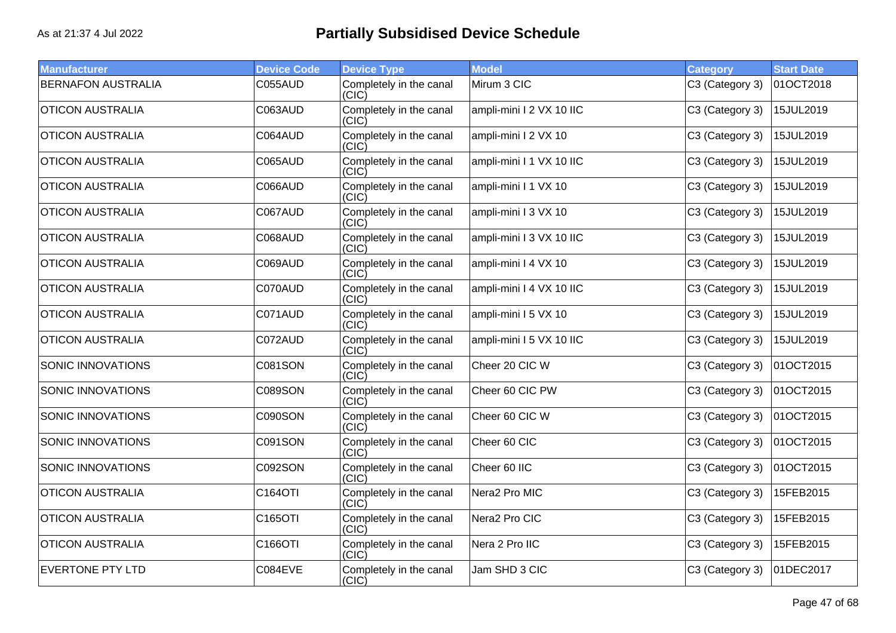| <b>Manufacturer</b>       | <b>Device Code</b> | <b>Device Type</b>               | <b>Model</b>             | <b>Category</b> | <b>Start Date</b> |
|---------------------------|--------------------|----------------------------------|--------------------------|-----------------|-------------------|
| <b>BERNAFON AUSTRALIA</b> | C055AUD            | Completely in the canal<br>(CIC) | Mirum 3 CIC              | C3 (Category 3) | 01OCT2018         |
| <b>OTICON AUSTRALIA</b>   | C063AUD            | Completely in the canal<br>(CIC) | ampli-mini I 2 VX 10 IIC | C3 (Category 3) | 15JUL2019         |
| <b>OTICON AUSTRALIA</b>   | C064AUD            | Completely in the canal<br>(CIC) | ampli-mini I 2 VX 10     | C3 (Category 3) | 15JUL2019         |
| <b>OTICON AUSTRALIA</b>   | C065AUD            | Completely in the canal<br>(CIC) | ampli-mini I 1 VX 10 IIC | C3 (Category 3) | 15JUL2019         |
| <b>OTICON AUSTRALIA</b>   | C066AUD            | Completely in the canal<br>(CIC) | ampli-mini I 1 VX 10     | C3 (Category 3) | 15JUL2019         |
| <b>OTICON AUSTRALIA</b>   | C067AUD            | Completely in the canal<br>(C C) | ampli-mini I 3 VX 10     | C3 (Category 3) | 15JUL2019         |
| <b>OTICON AUSTRALIA</b>   | C068AUD            | Completely in the canal<br>(CIC) | ampli-mini I 3 VX 10 IIC | C3 (Category 3) | 15JUL2019         |
| <b>OTICON AUSTRALIA</b>   | C069AUD            | Completely in the canal<br>(CIC) | ampli-mini I 4 VX 10     | C3 (Category 3) | 15JUL2019         |
| <b>OTICON AUSTRALIA</b>   | C070AUD            | Completely in the canal<br>(CIC) | ampli-mini I 4 VX 10 IIC | C3 (Category 3) | 15JUL2019         |
| <b>OTICON AUSTRALIA</b>   | C071AUD            | Completely in the canal<br>(CIC) | ampli-mini I 5 VX 10     | C3 (Category 3) | 15JUL2019         |
| <b>OTICON AUSTRALIA</b>   | C072AUD            | Completely in the canal<br>(CIC) | ampli-mini I 5 VX 10 IIC | C3 (Category 3) | 15JUL2019         |
| SONIC INNOVATIONS         | <b>C081SON</b>     | Completely in the canal<br>(CIC) | Cheer 20 CIC W           | C3 (Category 3) | 01OCT2015         |
| SONIC INNOVATIONS         | <b>C089SON</b>     | Completely in the canal<br>(CIC) | Cheer 60 CIC PW          | C3 (Category 3) | 01OCT2015         |
| SONIC INNOVATIONS         | C090SON            | Completely in the canal<br>(CIC) | Cheer 60 CIC W           | C3 (Category 3) | 01OCT2015         |
| SONIC INNOVATIONS         | C091SON            | Completely in the canal<br>(CIC) | Cheer 60 CIC             | C3 (Category 3) | 01OCT2015         |
| SONIC INNOVATIONS         | C092SON            | Completely in the canal<br>(CIC) | Cheer 60 IIC             | C3 (Category 3) | 01OCT2015         |
| <b>OTICON AUSTRALIA</b>   | C164OTI            | Completely in the canal<br>(CIC) | Nera2 Pro MIC            | C3 (Category 3) | 15FEB2015         |
| <b>OTICON AUSTRALIA</b>   | C165OTI            | Completely in the canal<br>(C C) | Nera2 Pro CIC            | C3 (Category 3) | 15FEB2015         |
| <b>OTICON AUSTRALIA</b>   | C166OTI            | Completely in the canal<br>(CIC) | Nera 2 Pro IIC           | C3 (Category 3) | 15FEB2015         |
| <b>EVERTONE PTY LTD</b>   | C084EVE            | Completely in the canal<br>(CIC) | Jam SHD 3 CIC            | C3 (Category 3) | 01DEC2017         |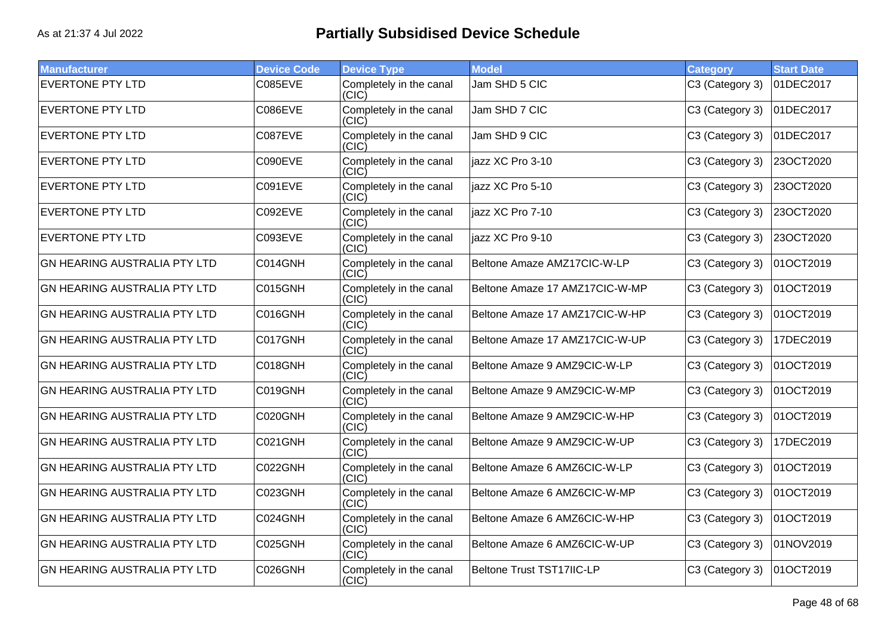| <b>Manufacturer</b>                 | <b>Device Code</b> | <b>Device Type</b>               | <b>Model</b>                   | Category        | <b>Start Date</b> |
|-------------------------------------|--------------------|----------------------------------|--------------------------------|-----------------|-------------------|
| <b>EVERTONE PTY LTD</b>             | <b>C085EVE</b>     | Completely in the canal<br>(C C) | Jam SHD 5 CIC                  | C3 (Category 3) | 01DEC2017         |
| <b>EVERTONE PTY LTD</b>             | C086EVE            | Completely in the canal<br>(CIC) | Jam SHD 7 CIC                  | C3 (Category 3) | 01DEC2017         |
| <b>EVERTONE PTY LTD</b>             | C087EVE            | Completely in the canal<br>(CIC) | Jam SHD 9 CIC                  | C3 (Category 3) | 01DEC2017         |
| <b>EVERTONE PTY LTD</b>             | C090EVE            | Completely in the canal<br>(CIC) | jazz XC Pro 3-10               | C3 (Category 3) | 23OCT2020         |
| <b>EVERTONE PTY LTD</b>             | C091EVE            | Completely in the canal<br>(CIC) | jazz XC Pro 5-10               | C3 (Category 3) | 23OCT2020         |
| <b>EVERTONE PTY LTD</b>             | C092EVE            | Completely in the canal<br>(CIC) | jazz XC Pro 7-10               | C3 (Category 3) | 23OCT2020         |
| <b>EVERTONE PTY LTD</b>             | <b>C093EVE</b>     | Completely in the canal<br>(CIC) | jazz XC Pro 9-10               | C3 (Category 3) | 23OCT2020         |
| GN HEARING AUSTRALIA PTY LTD        | C014GNH            | Completely in the canal<br>(CIC) | Beltone Amaze AMZ17CIC-W-LP    | C3 (Category 3) | 01OCT2019         |
| <b>GN HEARING AUSTRALIA PTY LTD</b> | C015GNH            | Completely in the canal<br>(CIC) | Beltone Amaze 17 AMZ17CIC-W-MP | C3 (Category 3) | 01OCT2019         |
| <b>GN HEARING AUSTRALIA PTY LTD</b> | C016GNH            | Completely in the canal<br>(CIC) | Beltone Amaze 17 AMZ17CIC-W-HP | C3 (Category 3) | 01OCT2019         |
| <b>GN HEARING AUSTRALIA PTY LTD</b> | C017GNH            | Completely in the canal<br>(CIC) | Beltone Amaze 17 AMZ17CIC-W-UP | C3 (Category 3) | 17DEC2019         |
| <b>GN HEARING AUSTRALIA PTY LTD</b> | C018GNH            | Completely in the canal<br>(CIC) | Beltone Amaze 9 AMZ9CIC-W-LP   | C3 (Category 3) | 01OCT2019         |
| GN HEARING AUSTRALIA PTY LTD        | C019GNH            | Completely in the canal<br>(CIC) | Beltone Amaze 9 AMZ9CIC-W-MP   | C3 (Category 3) | 01OCT2019         |
| <b>GN HEARING AUSTRALIA PTY LTD</b> | C020GNH            | Completely in the canal<br>(C C) | Beltone Amaze 9 AMZ9CIC-W-HP   | C3 (Category 3) | 01OCT2019         |
| <b>GN HEARING AUSTRALIA PTY LTD</b> | C021GNH            | Completely in the canal<br>(CIC) | Beltone Amaze 9 AMZ9CIC-W-UP   | C3 (Category 3) | 17DEC2019         |
| <b>GN HEARING AUSTRALIA PTY LTD</b> | C022GNH            | Completely in the canal<br>(CIC) | Beltone Amaze 6 AMZ6CIC-W-LP   | C3 (Category 3) | 01OCT2019         |
| GN HEARING AUSTRALIA PTY LTD        | C023GNH            | Completely in the canal<br>(CIC) | Beltone Amaze 6 AMZ6CIC-W-MP   | C3 (Category 3) | 01OCT2019         |
| GN HEARING AUSTRALIA PTY LTD        | C024GNH            | Completely in the canal<br>(C C) | Beltone Amaze 6 AMZ6CIC-W-HP   | C3 (Category 3) | 01OCT2019         |
| <b>GN HEARING AUSTRALIA PTY LTD</b> | C025GNH            | Completely in the canal<br>(CIC) | Beltone Amaze 6 AMZ6CIC-W-UP   | C3 (Category 3) | 01NOV2019         |
| <b>GN HEARING AUSTRALIA PTY LTD</b> | C026GNH            | Completely in the canal<br>(CIC) | Beltone Trust TST17IIC-LP      | C3 (Category 3) | 01OCT2019         |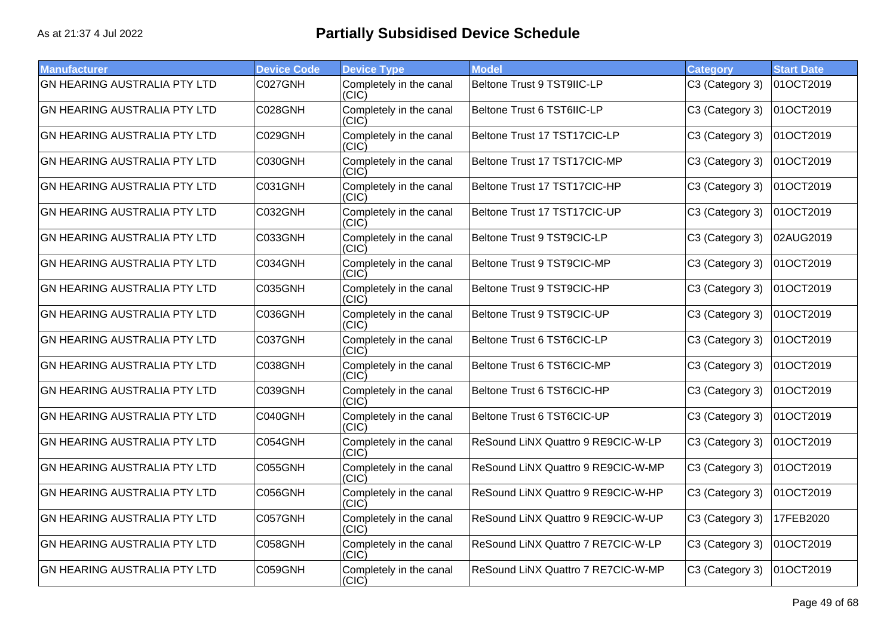| <b>Manufacturer</b>                 | <b>Device Code</b> | <b>Device Type</b>               | <b>Model</b>                       | Category        | <b>Start Date</b> |
|-------------------------------------|--------------------|----------------------------------|------------------------------------|-----------------|-------------------|
| <b>GN HEARING AUSTRALIA PTY LTD</b> | C027GNH            | Completely in the canal<br>(CIC) | Beltone Trust 9 TST9IIC-LP         | C3 (Category 3) | 01OCT2019         |
| <b>GN HEARING AUSTRALIA PTY LTD</b> | C028GNH            | Completely in the canal<br>(CIC) | Beltone Trust 6 TST6IIC-LP         | C3 (Category 3) | 01OCT2019         |
| <b>GN HEARING AUSTRALIA PTY LTD</b> | C029GNH            | Completely in the canal<br>(CIC) | Beltone Trust 17 TST17CIC-LP       | C3 (Category 3) | 01OCT2019         |
| <b>GN HEARING AUSTRALIA PTY LTD</b> | C030GNH            | Completely in the canal<br>(CIC) | Beltone Trust 17 TST17CIC-MP       | C3 (Category 3) | 01OCT2019         |
| <b>GN HEARING AUSTRALIA PTY LTD</b> | C031GNH            | Completely in the canal<br>(CIC) | Beltone Trust 17 TST17CIC-HP       | C3 (Category 3) | 01OCT2019         |
| <b>GN HEARING AUSTRALIA PTY LTD</b> | C032GNH            | Completely in the canal<br>(CIC) | Beltone Trust 17 TST17CIC-UP       | C3 (Category 3) | 01OCT2019         |
| <b>GN HEARING AUSTRALIA PTY LTD</b> | C033GNH            | Completely in the canal<br>(CIC) | Beltone Trust 9 TST9CIC-LP         | C3 (Category 3) | 02AUG2019         |
| <b>GN HEARING AUSTRALIA PTY LTD</b> | C034GNH            | Completely in the canal<br>(CIC) | Beltone Trust 9 TST9CIC-MP         | C3 (Category 3) | 01OCT2019         |
| <b>GN HEARING AUSTRALIA PTY LTD</b> | C035GNH            | Completely in the canal<br>(CIC) | Beltone Trust 9 TST9CIC-HP         | C3 (Category 3) | 01OCT2019         |
| <b>GN HEARING AUSTRALIA PTY LTD</b> | C036GNH            | Completely in the canal<br>(CIC) | Beltone Trust 9 TST9CIC-UP         | C3 (Category 3) | 01OCT2019         |
| <b>GN HEARING AUSTRALIA PTY LTD</b> | C037GNH            | Completely in the canal<br>(CIC) | Beltone Trust 6 TST6CIC-LP         | C3 (Category 3) | 01OCT2019         |
| <b>GN HEARING AUSTRALIA PTY LTD</b> | C038GNH            | Completely in the canal<br>(CIC) | Beltone Trust 6 TST6CIC-MP         | C3 (Category 3) | 01OCT2019         |
| <b>GN HEARING AUSTRALIA PTY LTD</b> | C039GNH            | Completely in the canal<br>(CIC) | Beltone Trust 6 TST6CIC-HP         | C3 (Category 3) | 01OCT2019         |
| <b>GN HEARING AUSTRALIA PTY LTD</b> | C040GNH            | Completely in the canal<br>(CIC) | Beltone Trust 6 TST6CIC-UP         | C3 (Category 3) | 01OCT2019         |
| <b>GN HEARING AUSTRALIA PTY LTD</b> | C054GNH            | Completely in the canal<br>(CIC) | ReSound LINX Quattro 9 RE9CIC-W-LP | C3 (Category 3) | 01OCT2019         |
| <b>GN HEARING AUSTRALIA PTY LTD</b> | C055GNH            | Completely in the canal<br>(CIC) | ReSound LINX Quattro 9 RE9CIC-W-MP | C3 (Category 3) | 01OCT2019         |
| <b>GN HEARING AUSTRALIA PTY LTD</b> | C056GNH            | Completely in the canal<br>(CIC  | ReSound LiNX Quattro 9 RE9CIC-W-HP | C3 (Category 3) | 01OCT2019         |
| <b>GN HEARING AUSTRALIA PTY LTD</b> | C057GNH            | Completely in the canal<br>(CIC) | ReSound LiNX Quattro 9 RE9CIC-W-UP | C3 (Category 3) | 17FEB2020         |
| <b>GN HEARING AUSTRALIA PTY LTD</b> | C058GNH            | Completely in the canal<br>(CIC) | ReSound LINX Quattro 7 RE7CIC-W-LP | C3 (Category 3) | 01OCT2019         |
| <b>GN HEARING AUSTRALIA PTY LTD</b> | C059GNH            | Completely in the canal<br>(CIC) | ReSound LiNX Quattro 7 RE7CIC-W-MP | C3 (Category 3) | 01OCT2019         |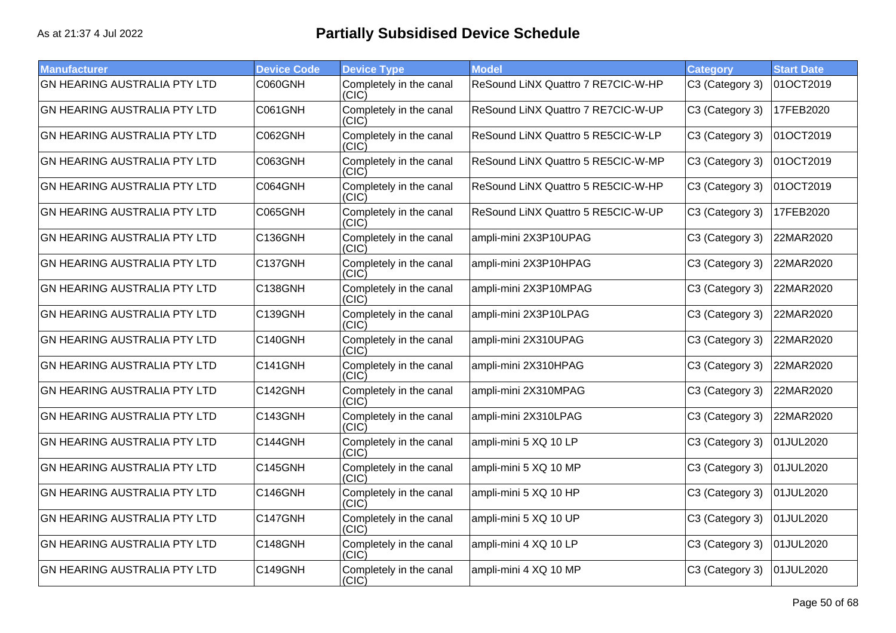| <b>Manufacturer</b>                 | <b>Device Code</b> | <b>Device Type</b>               | <b>Model</b>                       | <b>Category</b> | <b>Start Date</b> |
|-------------------------------------|--------------------|----------------------------------|------------------------------------|-----------------|-------------------|
| <b>GN HEARING AUSTRALIA PTY LTD</b> | C060GNH            | Completely in the canal<br>(CIC) | ReSound LINX Quattro 7 RE7CIC-W-HP | C3 (Category 3) | 01OCT2019         |
| <b>GN HEARING AUSTRALIA PTY LTD</b> | C061GNH            | Completely in the canal<br>(CIC) | ReSound LiNX Quattro 7 RE7CIC-W-UP | C3 (Category 3) | 17FEB2020         |
| <b>GN HEARING AUSTRALIA PTY LTD</b> | C062GNH            | Completely in the canal<br>(CIC) | ReSound LiNX Quattro 5 RE5CIC-W-LP | C3 (Category 3) | 01OCT2019         |
| <b>GN HEARING AUSTRALIA PTY LTD</b> | C063GNH            | Completely in the canal<br>(CIC) | ReSound LiNX Quattro 5 RE5CIC-W-MP | C3 (Category 3) | 01OCT2019         |
| <b>GN HEARING AUSTRALIA PTY LTD</b> | C064GNH            | Completely in the canal<br>(C C) | ReSound LiNX Quattro 5 RE5CIC-W-HP | C3 (Category 3) | 01OCT2019         |
| <b>GN HEARING AUSTRALIA PTY LTD</b> | C065GNH            | Completely in the canal<br>(CIC) | ReSound LiNX Quattro 5 RE5CIC-W-UP | C3 (Category 3) | 17FEB2020         |
| <b>GN HEARING AUSTRALIA PTY LTD</b> | C136GNH            | Completely in the canal<br>(CIC) | ampli-mini 2X3P10UPAG              | C3 (Category 3) | 22MAR2020         |
| <b>GN HEARING AUSTRALIA PTY LTD</b> | C137GNH            | Completely in the canal<br>(CIC) | ampli-mini 2X3P10HPAG              | C3 (Category 3) | 22MAR2020         |
| <b>GN HEARING AUSTRALIA PTY LTD</b> | <b>C138GNH</b>     | Completely in the canal<br>(CIC) | ampli-mini 2X3P10MPAG              | C3 (Category 3) | 22MAR2020         |
| <b>GN HEARING AUSTRALIA PTY LTD</b> | C139GNH            | Completely in the canal<br>(CIC) | ampli-mini 2X3P10LPAG              | C3 (Category 3) | 22MAR2020         |
| <b>GN HEARING AUSTRALIA PTY LTD</b> | C140GNH            | Completely in the canal<br>(CIC) | ampli-mini 2X310UPAG               | C3 (Category 3) | 22MAR2020         |
| <b>GN HEARING AUSTRALIA PTY LTD</b> | C141GNH            | Completely in the canal<br>(CIC) | ampli-mini 2X310HPAG               | C3 (Category 3) | 22MAR2020         |
| <b>GN HEARING AUSTRALIA PTY LTD</b> | C142GNH            | Completely in the canal<br>(CIC) | ampli-mini 2X310MPAG               | C3 (Category 3) | 22MAR2020         |
| <b>GN HEARING AUSTRALIA PTY LTD</b> | C143GNH            | Completely in the canal<br>(CIC) | ampli-mini 2X310LPAG               | C3 (Category 3) | 22MAR2020         |
| <b>GN HEARING AUSTRALIA PTY LTD</b> | C144GNH            | Completely in the canal<br>(CIC) | ampli-mini 5 XQ 10 LP              | C3 (Category 3) | 01JUL2020         |
| <b>GN HEARING AUSTRALIA PTY LTD</b> | C145GNH            | Completely in the canal<br>(CIC) | ampli-mini 5 XQ 10 MP              | C3 (Category 3) | 01JUL2020         |
| <b>GN HEARING AUSTRALIA PTY LTD</b> | C146GNH            | Completely in the canal<br>(CIC) | ampli-mini 5 XQ 10 HP              | C3 (Category 3) | 01JUL2020         |
| <b>GN HEARING AUSTRALIA PTY LTD</b> | C147GNH            | Completely in the canal<br>(C C) | ampli-mini 5 XQ 10 UP              | C3 (Category 3) | 01JUL2020         |
| <b>GN HEARING AUSTRALIA PTY LTD</b> | C148GNH            | Completely in the canal<br>(CIC) | ampli-mini 4 XQ 10 LP              | C3 (Category 3) | 01JUL2020         |
| <b>GN HEARING AUSTRALIA PTY LTD</b> | C149GNH            | Completely in the canal<br>(CIC) | ampli-mini 4 XQ 10 MP              | C3 (Category 3) | 01JUL2020         |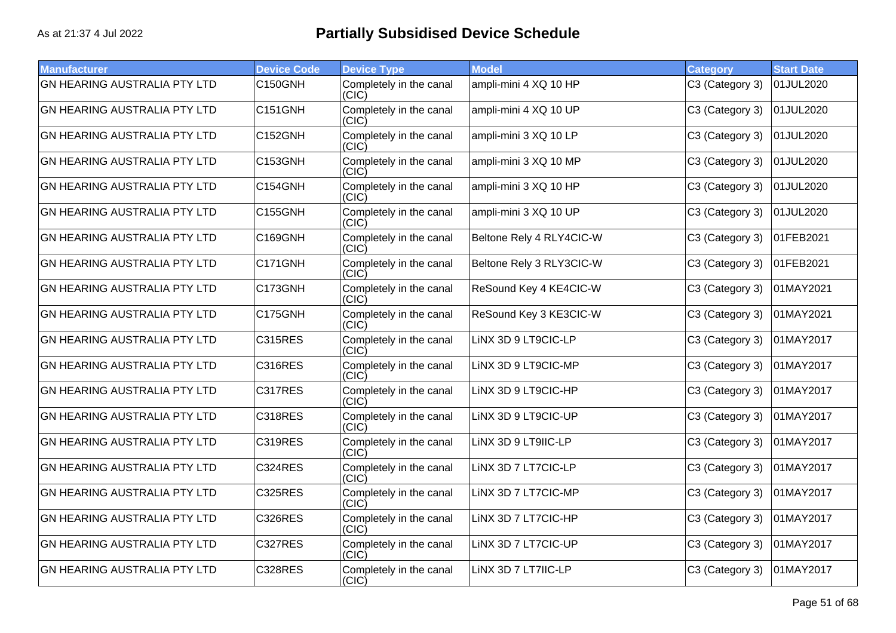| <b>Manufacturer</b>                 | <b>Device Code</b> | <b>Device Type</b>               | <b>Model</b>             | <b>Category</b> | <b>Start Date</b> |
|-------------------------------------|--------------------|----------------------------------|--------------------------|-----------------|-------------------|
| <b>GN HEARING AUSTRALIA PTY LTD</b> | C150GNH            | Completely in the canal<br>(CIC) | ampli-mini 4 XQ 10 HP    | C3 (Category 3) | 01JUL2020         |
| <b>GN HEARING AUSTRALIA PTY LTD</b> | <b>C151GNH</b>     | Completely in the canal<br>(CIC) | ampli-mini 4 XQ 10 UP    | C3 (Category 3) | 01JUL2020         |
| <b>GN HEARING AUSTRALIA PTY LTD</b> | C152GNH            | Completely in the canal<br>(CIC) | ampli-mini 3 XQ 10 LP    | C3 (Category 3) | 01JUL2020         |
| <b>GN HEARING AUSTRALIA PTY LTD</b> | C153GNH            | Completely in the canal<br>(CIC) | ampli-mini 3 XQ 10 MP    | C3 (Category 3) | 01JUL2020         |
| <b>GN HEARING AUSTRALIA PTY LTD</b> | C154GNH            | Completely in the canal<br>(CIC) | ampli-mini 3 XQ 10 HP    | C3 (Category 3) | 01JUL2020         |
| GN HEARING AUSTRALIA PTY LTD        | <b>C155GNH</b>     | Completely in the canal<br>(CIC) | ampli-mini 3 XQ 10 UP    | C3 (Category 3) | 01JUL2020         |
| <b>GN HEARING AUSTRALIA PTY LTD</b> | C169GNH            | Completely in the canal<br>(CIC) | Beltone Rely 4 RLY4CIC-W | C3 (Category 3) | 01FEB2021         |
| <b>GN HEARING AUSTRALIA PTY LTD</b> | C171GNH            | Completely in the canal<br>(CIC) | Beltone Rely 3 RLY3CIC-W | C3 (Category 3) | 01FEB2021         |
| <b>GN HEARING AUSTRALIA PTY LTD</b> | C173GNH            | Completely in the canal<br>(CIC) | ReSound Key 4 KE4CIC-W   | C3 (Category 3) | 01MAY2021         |
| <b>GN HEARING AUSTRALIA PTY LTD</b> | C175GNH            | Completely in the canal<br>(CIC) | ReSound Key 3 KE3CIC-W   | C3 (Category 3) | 01MAY2021         |
| <b>GN HEARING AUSTRALIA PTY LTD</b> | <b>C315RES</b>     | Completely in the canal<br>(CIC) | LINX 3D 9 LT9CIC-LP      | C3 (Category 3) | 01MAY2017         |
| <b>GN HEARING AUSTRALIA PTY LTD</b> | C316RES            | Completely in the canal<br>(CIC) | LINX 3D 9 LT9CIC-MP      | C3 (Category 3) | 01MAY2017         |
| <b>GN HEARING AUSTRALIA PTY LTD</b> | C317RES            | Completely in the canal<br>(CIC) | LINX 3D 9 LT9CIC-HP      | C3 (Category 3) | 01MAY2017         |
| <b>GN HEARING AUSTRALIA PTY LTD</b> | <b>C318RES</b>     | Completely in the canal<br>(CIC) | LINX 3D 9 LT9CIC-UP      | C3 (Category 3) | 01MAY2017         |
| <b>GN HEARING AUSTRALIA PTY LTD</b> | <b>C319RES</b>     | Completely in the canal<br>(CIC) | LINX 3D 9 LT9IIC-LP      | C3 (Category 3) | 01MAY2017         |
| <b>GN HEARING AUSTRALIA PTY LTD</b> | <b>C324RES</b>     | Completely in the canal<br>(C C) | LINX 3D 7 LT7CIC-LP      | C3 (Category 3) | 01MAY2017         |
| <b>GN HEARING AUSTRALIA PTY LTD</b> | <b>C325RES</b>     | Completely in the canal<br>(CIC) | LINX 3D 7 LT7CIC-MP      | C3 (Category 3) | 01MAY2017         |
| <b>GN HEARING AUSTRALIA PTY LTD</b> | <b>C326RES</b>     | Completely in the canal<br>(CIC) | LINX 3D 7 LT7CIC-HP      | C3 (Category 3) | 01MAY2017         |
| <b>GN HEARING AUSTRALIA PTY LTD</b> | C327RES            | Completely in the canal<br>(CIC) | LINX 3D 7 LT7CIC-UP      | C3 (Category 3) | 01MAY2017         |
| <b>GN HEARING AUSTRALIA PTY LTD</b> | <b>C328RES</b>     | Completely in the canal<br>(CIC) | LINX 3D 7 LT7IIC-LP      | C3 (Category 3) | 01MAY2017         |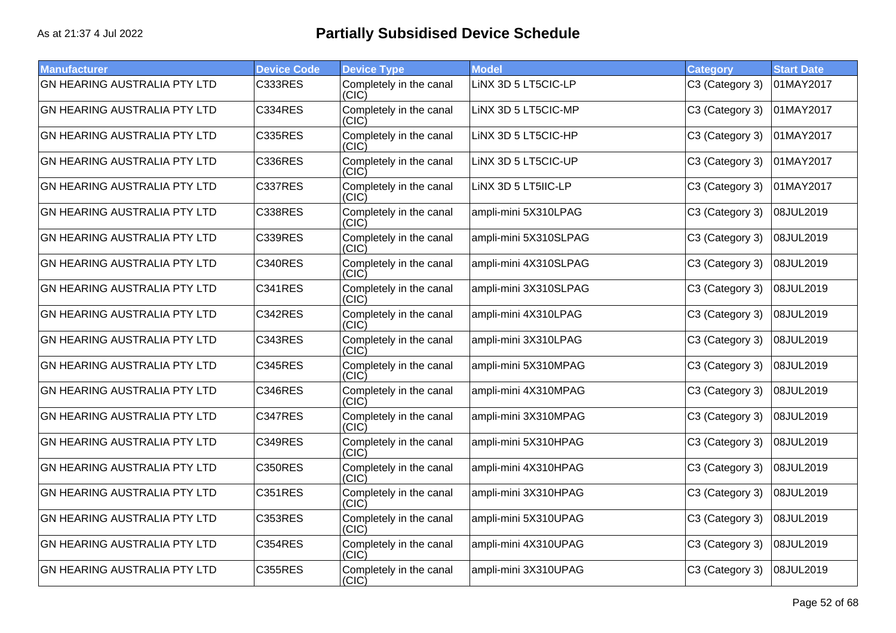| <b>Manufacturer</b>                 | <b>Device Code</b> | <b>Device Type</b>               | <b>Model</b>          | <b>Category</b> | <b>Start Date</b> |
|-------------------------------------|--------------------|----------------------------------|-----------------------|-----------------|-------------------|
| <b>GN HEARING AUSTRALIA PTY LTD</b> | <b>C333RES</b>     | Completely in the canal<br>(CIC) | LINX 3D 5 LT5CIC-LP   | C3 (Category 3) | 01MAY2017         |
| <b>GN HEARING AUSTRALIA PTY LTD</b> | <b>C334RES</b>     | Completely in the canal<br>(CIC) | LINX 3D 5 LT5CIC-MP   | C3 (Category 3) | 01MAY2017         |
| <b>GN HEARING AUSTRALIA PTY LTD</b> | <b>C335RES</b>     | Completely in the canal<br>(CIC) | LINX 3D 5 LT5CIC-HP   | C3 (Category 3) | 01MAY2017         |
| <b>GN HEARING AUSTRALIA PTY LTD</b> | <b>C336RES</b>     | Completely in the canal<br>(CIC) | LINX 3D 5 LT5CIC-UP   | C3 (Category 3) | 01MAY2017         |
| <b>GN HEARING AUSTRALIA PTY LTD</b> | C337RES            | Completely in the canal<br>(CIC) | LINX 3D 5 LT5IIC-LP   | C3 (Category 3) | 01MAY2017         |
| <b>GN HEARING AUSTRALIA PTY LTD</b> | <b>C338RES</b>     | Completely in the canal<br>(CIC) | ampli-mini 5X310LPAG  | C3 (Category 3) | 08JUL2019         |
| <b>GN HEARING AUSTRALIA PTY LTD</b> | <b>C339RES</b>     | Completely in the canal<br>(CIC) | ampli-mini 5X310SLPAG | C3 (Category 3) | 08JUL2019         |
| <b>GN HEARING AUSTRALIA PTY LTD</b> | <b>C340RES</b>     | Completely in the canal<br>(CIC) | ampli-mini 4X310SLPAG | C3 (Category 3) | 08JUL2019         |
| <b>GN HEARING AUSTRALIA PTY LTD</b> | <b>C341RES</b>     | Completely in the canal<br>(CIC) | ampli-mini 3X310SLPAG | C3 (Category 3) | 08JUL2019         |
| <b>GN HEARING AUSTRALIA PTY LTD</b> | C342RES            | Completely in the canal<br>(CIC) | ampli-mini 4X310LPAG  | C3 (Category 3) | 08JUL2019         |
| <b>GN HEARING AUSTRALIA PTY LTD</b> | <b>C343RES</b>     | Completely in the canal<br>(CIC) | ampli-mini 3X310LPAG  | C3 (Category 3) | 08JUL2019         |
| <b>GN HEARING AUSTRALIA PTY LTD</b> | <b>C345RES</b>     | Completely in the canal<br>(CIC) | ampli-mini 5X310MPAG  | C3 (Category 3) | 08JUL2019         |
| <b>GN HEARING AUSTRALIA PTY LTD</b> | <b>C346RES</b>     | Completely in the canal<br>(CIC) | ampli-mini 4X310MPAG  | C3 (Category 3) | 08JUL2019         |
| <b>GN HEARING AUSTRALIA PTY LTD</b> | C347RES            | Completely in the canal<br>(CIC) | ampli-mini 3X310MPAG  | C3 (Category 3) | 08JUL2019         |
| <b>GN HEARING AUSTRALIA PTY LTD</b> | <b>C349RES</b>     | Completely in the canal<br>(CIC) | ampli-mini 5X310HPAG  | C3 (Category 3) | 08JUL2019         |
| <b>GN HEARING AUSTRALIA PTY LTD</b> | <b>C350RES</b>     | Completely in the canal<br>(CIC) | ampli-mini 4X310HPAG  | C3 (Category 3) | 08JUL2019         |
| <b>GN HEARING AUSTRALIA PTY LTD</b> | <b>C351RES</b>     | Completely in the canal<br>(CIC) | ampli-mini 3X310HPAG  | C3 (Category 3) | 08JUL2019         |
| <b>GN HEARING AUSTRALIA PTY LTD</b> | <b>C353RES</b>     | Completely in the canal<br>(C C) | ampli-mini 5X310UPAG  | C3 (Category 3) | 08JUL2019         |
| <b>GN HEARING AUSTRALIA PTY LTD</b> | <b>C354RES</b>     | Completely in the canal<br>(CIC) | ampli-mini 4X310UPAG  | C3 (Category 3) | 08JUL2019         |
| <b>GN HEARING AUSTRALIA PTY LTD</b> | <b>C355RES</b>     | Completely in the canal<br>(CIC) | ampli-mini 3X310UPAG  | C3 (Category 3) | 08JUL2019         |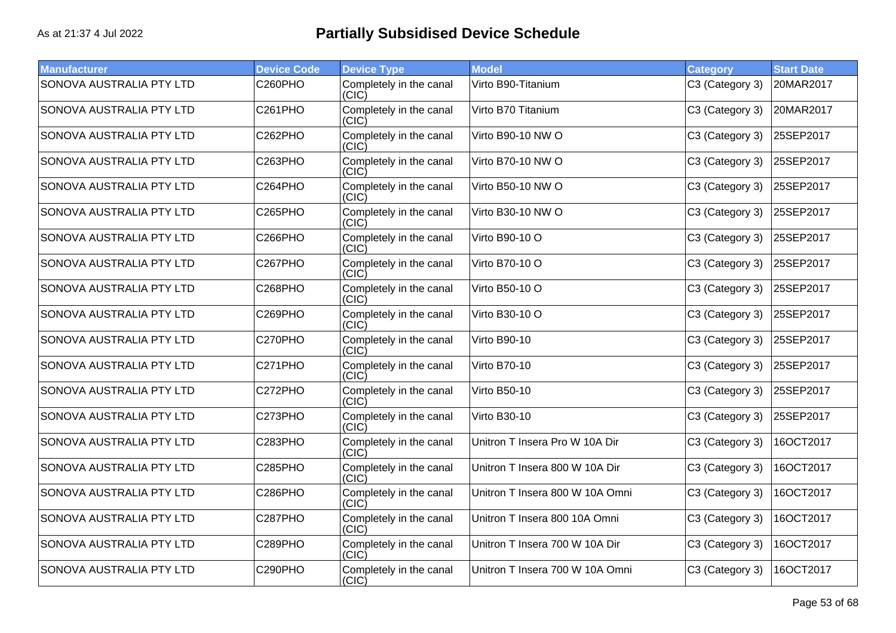| <b>Manufacturer</b>             | <b>Device Code</b>   | <b>Device Type</b>               | <b>Model</b>                    | <b>Category</b> | <b>Start Date</b> |
|---------------------------------|----------------------|----------------------------------|---------------------------------|-----------------|-------------------|
| SONOVA AUSTRALIA PTY LTD        | C260PHO              | Completely in the canal<br>(CIC) | Virto B90-Titanium              | C3 (Category 3) | 20MAR2017         |
| SONOVA AUSTRALIA PTY LTD        | C261PHO              | Completely in the canal<br>(CIC) | Virto B70 Titanium              | C3 (Category 3) | 20MAR2017         |
| SONOVA AUSTRALIA PTY LTD        | C262PHO              | Completely in the canal<br>(CIC) | Virto B90-10 NW O               | C3 (Category 3) | 25SEP2017         |
| SONOVA AUSTRALIA PTY LTD        | C263PHO              | Completely in the canal<br>(CIC) | Virto B70-10 NW O               | C3 (Category 3) | 25SEP2017         |
| SONOVA AUSTRALIA PTY LTD        | C264PHO              | Completely in the canal<br>(C C) | Virto B50-10 NW O               | C3 (Category 3) | 25SEP2017         |
| SONOVA AUSTRALIA PTY LTD        | C265PHO              | Completely in the canal<br>(CIC) | Virto B30-10 NW O               | C3 (Category 3) | 25SEP2017         |
| SONOVA AUSTRALIA PTY LTD        | C266PHO              | Completely in the canal<br>(CIC) | Virto B90-10 O                  | C3 (Category 3) | 25SEP2017         |
| SONOVA AUSTRALIA PTY LTD        | C <sub>267</sub> PHO | Completely in the canal<br>(CIC) | Virto B70-10 O                  | C3 (Category 3) | 25SEP2017         |
| SONOVA AUSTRALIA PTY LTD        | C268PHO              | Completely in the canal<br>(CIC) | Virto B50-10 O                  | C3 (Category 3) | 25SEP2017         |
| SONOVA AUSTRALIA PTY LTD        | C269PHO              | Completely in the canal<br>(CIC) | Virto B30-10 O                  | C3 (Category 3) | 25SEP2017         |
| <b>SONOVA AUSTRALIA PTY LTD</b> | C270PHO              | Completely in the canal<br>(CIC) | <b>Virto B90-10</b>             | C3 (Category 3) | 25SEP2017         |
| SONOVA AUSTRALIA PTY LTD        | C271PHO              | Completely in the canal<br>(CIC) | <b>Virto B70-10</b>             | C3 (Category 3) | 25SEP2017         |
| SONOVA AUSTRALIA PTY LTD        | C272PHO              | Completely in the canal<br>(CIC) | <b>Virto B50-10</b>             | C3 (Category 3) | 25SEP2017         |
| SONOVA AUSTRALIA PTY LTD        | C273PHO              | Completely in the canal<br>(CIC) | <b>Virto B30-10</b>             | C3 (Category 3) | 25SEP2017         |
| SONOVA AUSTRALIA PTY LTD        | C283PHO              | Completely in the canal<br>(CIC) | Unitron T Insera Pro W 10A Dir  | C3 (Category 3) | 16OCT2017         |
| SONOVA AUSTRALIA PTY LTD        | C285PHO              | Completely in the canal<br>(CIC) | Unitron T Insera 800 W 10A Dir  | C3 (Category 3) | 16OCT2017         |
| SONOVA AUSTRALIA PTY LTD        | C286PHO              | Completely in the canal<br>(CIC) | Unitron T Insera 800 W 10A Omni | C3 (Category 3) | 16OCT2017         |
| SONOVA AUSTRALIA PTY LTD        | C287PHO              | Completely in the canal<br>(CIC) | Unitron T Insera 800 10A Omni   | C3 (Category 3) | 16OCT2017         |
| SONOVA AUSTRALIA PTY LTD        | C289PHO              | Completely in the canal<br>(CIC) | Unitron T Insera 700 W 10A Dir  | C3 (Category 3) | 16OCT2017         |
| SONOVA AUSTRALIA PTY LTD        | C290PHO              | Completely in the canal<br>(CIC) | Unitron T Insera 700 W 10A Omni | C3 (Category 3) | 16OCT2017         |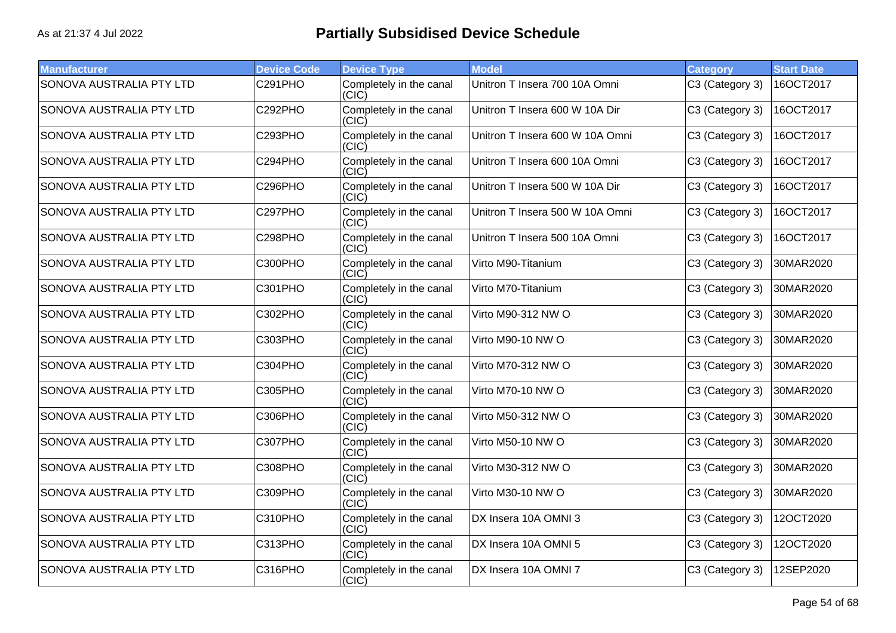| <b>Manufacturer</b>             | <b>Device Code</b> | <b>Device Type</b>               | <b>Model</b>                    | <b>Category</b> | <b>Start Date</b> |
|---------------------------------|--------------------|----------------------------------|---------------------------------|-----------------|-------------------|
| SONOVA AUSTRALIA PTY LTD        | C291PHO            | Completely in the canal<br>(CIC) | Unitron T Insera 700 10A Omni   | C3 (Category 3) | 16OCT2017         |
| <b>SONOVA AUSTRALIA PTY LTD</b> | C292PHO            | Completely in the canal<br>(CIC) | Unitron T Insera 600 W 10A Dir  | C3 (Category 3) | 16OCT2017         |
| SONOVA AUSTRALIA PTY LTD        | C293PHO            | Completely in the canal<br>(CIC) | Unitron T Insera 600 W 10A Omni | C3 (Category 3) | 16OCT2017         |
| SONOVA AUSTRALIA PTY LTD        | C294PHO            | Completely in the canal<br>(CIC) | Unitron T Insera 600 10A Omni   | C3 (Category 3) | 16OCT2017         |
| SONOVA AUSTRALIA PTY LTD        | C296PHO            | Completely in the canal<br>(C C) | Unitron T Insera 500 W 10A Dir  | C3 (Category 3) | 16OCT2017         |
| SONOVA AUSTRALIA PTY LTD        | C297PHO            | Completely in the canal<br>(CIC) | Unitron T Insera 500 W 10A Omni | C3 (Category 3) | 16OCT2017         |
| SONOVA AUSTRALIA PTY LTD        | C298PHO            | Completely in the canal<br>(CIC) | Unitron T Insera 500 10A Omni   | C3 (Category 3) | 16OCT2017         |
| SONOVA AUSTRALIA PTY LTD        | C300PHO            | Completely in the canal<br>(CIC) | Virto M90-Titanium              | C3 (Category 3) | 30MAR2020         |
| SONOVA AUSTRALIA PTY LTD        | C301PHO            | Completely in the canal<br>(CIC) | Virto M70-Titanium              | C3 (Category 3) | 30MAR2020         |
| <b>SONOVA AUSTRALIA PTY LTD</b> | C302PHO            | Completely in the canal<br>(CIC) | Virto M90-312 NW O              | C3 (Category 3) | 30MAR2020         |
| <b>SONOVA AUSTRALIA PTY LTD</b> | C303PHO            | Completely in the canal<br>(CIC) | Virto M90-10 NW O               | C3 (Category 3) | 30MAR2020         |
| SONOVA AUSTRALIA PTY LTD        | C304PHO            | Completely in the canal<br>(CIC) | Virto M70-312 NW O              | C3 (Category 3) | 30MAR2020         |
| SONOVA AUSTRALIA PTY LTD        | <b>C305PHO</b>     | Completely in the canal<br>(CIC) | Virto M70-10 NW O               | C3 (Category 3) | 30MAR2020         |
| SONOVA AUSTRALIA PTY LTD        | C306PHO            | Completely in the canal<br>(CIC) | Virto M50-312 NW O              | C3 (Category 3) | 30MAR2020         |
| SONOVA AUSTRALIA PTY LTD        | C307PHO            | Completely in the canal<br>(CIC) | Virto M50-10 NW O               | C3 (Category 3) | 30MAR2020         |
| <b>SONOVA AUSTRALIA PTY LTD</b> | <b>C308PHO</b>     | Completely in the canal<br>(CIC) | Virto M30-312 NW O              | C3 (Category 3) | 30MAR2020         |
| SONOVA AUSTRALIA PTY LTD        | C309PHO            | Completely in the canal<br>(CIC) | Virto M30-10 NW O               | C3 (Category 3) | 30MAR2020         |
| SONOVA AUSTRALIA PTY LTD        | C310PHO            | Completely in the canal<br>(CIC) | DX Insera 10A OMNI 3            | C3 (Category 3) | 12OCT2020         |
| SONOVA AUSTRALIA PTY LTD        | C313PHO            | Completely in the canal<br>(CIC) | DX Insera 10A OMNI 5            | C3 (Category 3) | 12OCT2020         |
| SONOVA AUSTRALIA PTY LTD        | C316PHO            | Completely in the canal<br>(CIC) | DX Insera 10A OMNI 7            | C3 (Category 3) | 12SEP2020         |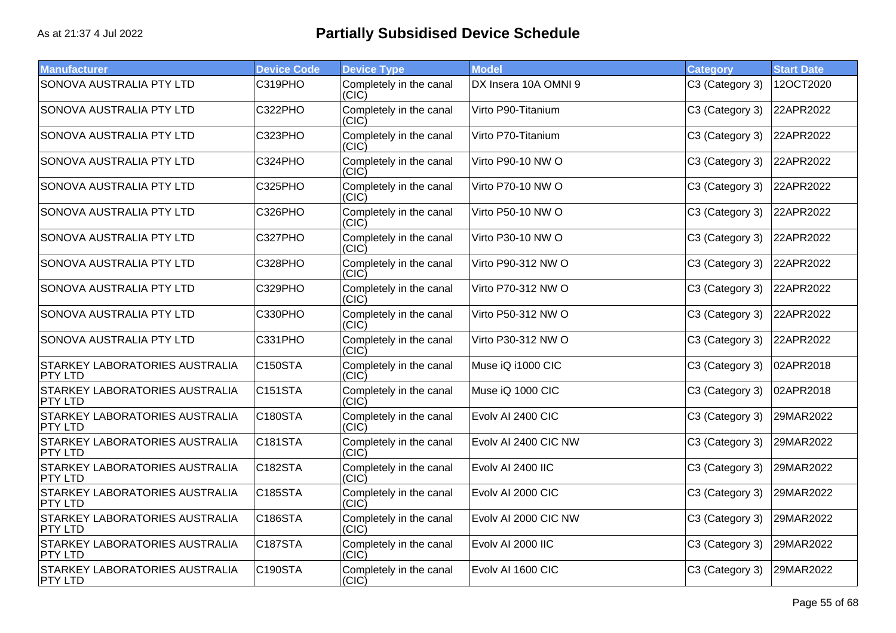| <b>Manufacturer</b>                                     | <b>Device Code</b> | <b>Device Type</b>               | <b>Model</b>         | <b>Category</b> | <b>Start Date</b> |
|---------------------------------------------------------|--------------------|----------------------------------|----------------------|-----------------|-------------------|
| SONOVA AUSTRALIA PTY LTD                                | C319PHO            | Completely in the canal<br>(CIC) | DX Insera 10A OMNI 9 | C3 (Category 3) | 12OCT2020         |
| SONOVA AUSTRALIA PTY LTD                                | C322PHO            | Completely in the canal<br>(CIC) | Virto P90-Titanium   | C3 (Category 3) | 22APR2022         |
| SONOVA AUSTRALIA PTY LTD                                | C323PHO            | Completely in the canal<br>(C C) | Virto P70-Titanium   | C3 (Category 3) | 22APR2022         |
| SONOVA AUSTRALIA PTY LTD                                | C324PHO            | Completely in the canal<br>(C C) | Virto P90-10 NW O    | C3 (Category 3) | 22APR2022         |
| SONOVA AUSTRALIA PTY LTD                                | C325PHO            | Completely in the canal<br>(CIC) | Virto P70-10 NW O    | C3 (Category 3) | 22APR2022         |
| SONOVA AUSTRALIA PTY LTD                                | C326PHO            | Completely in the canal<br>(CIC) | Virto P50-10 NW O    | C3 (Category 3) | 22APR2022         |
| SONOVA AUSTRALIA PTY LTD                                | C327PHO            | Completely in the canal<br>(CIC) | Virto P30-10 NW O    | C3 (Category 3) | 22APR2022         |
| SONOVA AUSTRALIA PTY LTD                                | C328PHO            | Completely in the canal<br>(C C) | Virto P90-312 NW O   | C3 (Category 3) | 22APR2022         |
| SONOVA AUSTRALIA PTY LTD                                | C329PHO            | Completely in the canal<br>(CIC) | Virto P70-312 NW O   | C3 (Category 3) | 22APR2022         |
| SONOVA AUSTRALIA PTY LTD                                | C330PHO            | Completely in the canal<br>(CIC) | Virto P50-312 NW O   | C3 (Category 3) | 22APR2022         |
| SONOVA AUSTRALIA PTY LTD                                | C331PHO            | Completely in the canal<br>(CIC) | Virto P30-312 NW O   | C3 (Category 3) | 22APR2022         |
| STARKEY LABORATORIES AUSTRALIA<br>PTY LTD               | C150STA            | Completely in the canal<br>(CIC) | Muse iQ i1000 CIC    | C3 (Category 3) | 02APR2018         |
| STARKEY LABORATORIES AUSTRALIA<br><b>PTY LTD</b>        | C151STA            | Completely in the canal<br>(CIC) | Muse iQ 1000 CIC     | C3 (Category 3) | 02APR2018         |
| <b>STARKEY LABORATORIES AUSTRALIA</b><br><b>PTY LTD</b> | C180STA            | Completely in the canal<br>(CIC) | Evolv AI 2400 CIC    | C3 (Category 3) | 29MAR2022         |
| STARKEY LABORATORIES AUSTRALIA<br><b>PTY LTD</b>        | <b>C181STA</b>     | Completely in the canal<br>(CIC) | Evolv AI 2400 CIC NW | C3 (Category 3) | 29MAR2022         |
| STARKEY LABORATORIES AUSTRALIA<br>PTY LTD               | C182STA            | Completely in the canal<br>(CIC) | Evolv AI 2400 IIC    | C3 (Category 3) | 29MAR2022         |
| STARKEY LABORATORIES AUSTRALIA<br>PTY LTD               | <b>C185STA</b>     | Completely in the canal<br>(CIC) | Evolv AI 2000 CIC    | C3 (Category 3) | 29MAR2022         |
| STARKEY LABORATORIES AUSTRALIA<br><b>PTY LTD</b>        | C186STA            | Completely in the canal<br>(CIC) | Evolv AI 2000 CIC NW | C3 (Category 3) | 29MAR2022         |
| <b>STARKEY LABORATORIES AUSTRALIA</b><br><b>PTY LTD</b> | C187STA            | Completely in the canal<br>(CIC) | Evolv AI 2000 IIC    | C3 (Category 3) | 29MAR2022         |
| STARKEY LABORATORIES AUSTRALIA<br><b>PTY LTD</b>        | C190STA            | Completely in the canal<br>(CIC) | Evolv AI 1600 CIC    | C3 (Category 3) | 29MAR2022         |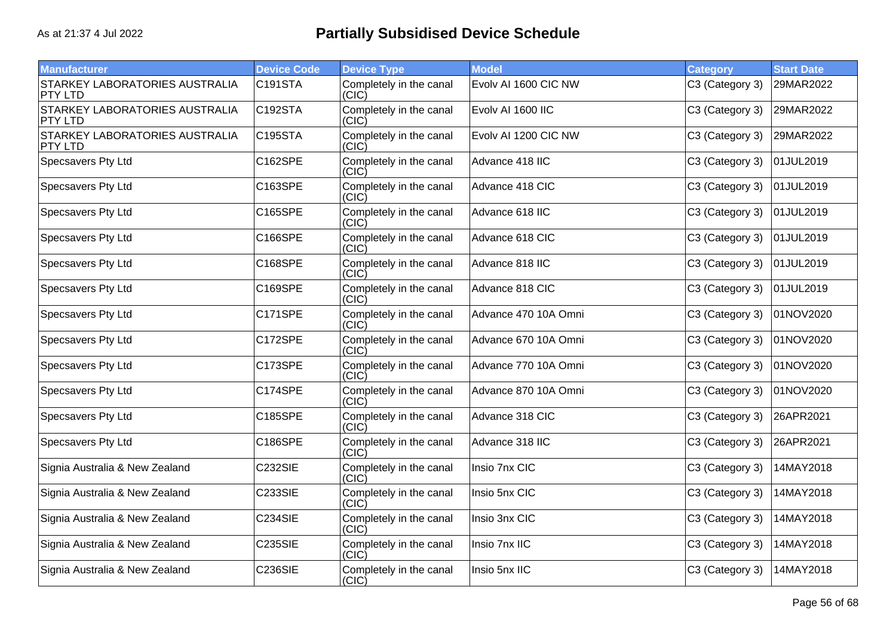| <b>Manufacturer</b>                                     | <b>Device Code</b>   | <b>Device Type</b>               | <b>Model</b>         | <b>Category</b> | <b>Start Date</b> |
|---------------------------------------------------------|----------------------|----------------------------------|----------------------|-----------------|-------------------|
| <b>STARKEY LABORATORIES AUSTRALIA</b><br>PTY LTD        | C191STA              | Completely in the canal<br>(CIC) | Evolv AI 1600 CIC NW | C3 (Category 3) | 29MAR2022         |
| <b>STARKEY LABORATORIES AUSTRALIA</b><br><b>PTY LTD</b> | C <sub>192</sub> STA | Completely in the canal<br>(CIC) | Evolv AI 1600 IIC    | C3 (Category 3) | 29MAR2022         |
| <b>STARKEY LABORATORIES AUSTRALIA</b><br><b>PTY LTD</b> | C195STA              | Completely in the canal<br>(CIC) | Evolv AI 1200 CIC NW | C3 (Category 3) | 29MAR2022         |
| Specsavers Pty Ltd                                      | C162SPE              | Completely in the canal<br>(CIC) | Advance 418 IIC      | C3 (Category 3) | 01JUL2019         |
| Specsavers Pty Ltd                                      | C163SPE              | Completely in the canal<br>(C C) | Advance 418 CIC      | C3 (Category 3) | 01JUL2019         |
| Specsavers Pty Ltd                                      | C165SPE              | Completely in the canal<br>(CIC) | Advance 618 IIC      | C3 (Category 3) | 01JUL2019         |
| Specsavers Pty Ltd                                      | C166SPE              | Completely in the canal<br>(C C) | Advance 618 CIC      | C3 (Category 3) | 01JUL2019         |
| Specsavers Pty Ltd                                      | C168SPE              | Completely in the canal<br>(CIC) | Advance 818 IIC      | C3 (Category 3) | 01JUL2019         |
| Specsavers Pty Ltd                                      | C169SPE              | Completely in the canal<br>(CIC) | Advance 818 CIC      | C3 (Category 3) | 01JUL2019         |
| Specsavers Pty Ltd                                      | <b>C171SPE</b>       | Completely in the canal<br>(CIC) | Advance 470 10A Omni | C3 (Category 3) | 01NOV2020         |
| Specsavers Pty Ltd                                      | C172SPE              | Completely in the canal<br>(CIC) | Advance 670 10A Omni | C3 (Category 3) | 01NOV2020         |
| Specsavers Pty Ltd                                      | C173SPE              | Completely in the canal<br>(CIC) | Advance 770 10A Omni | C3 (Category 3) | 01NOV2020         |
| Specsavers Pty Ltd                                      | C174SPE              | Completely in the canal<br>(CIC) | Advance 870 10A Omni | C3 (Category 3) | 01NOV2020         |
| Specsavers Pty Ltd                                      | C185SPE              | Completely in the canal<br>(CIC) | Advance 318 CIC      | C3 (Category 3) | 26APR2021         |
| Specsavers Pty Ltd                                      | C186SPE              | Completely in the canal<br>(CIC) | Advance 318 IIC      | C3 (Category 3) | 26APR2021         |
| Signia Australia & New Zealand                          | <b>C232SIE</b>       | Completely in the canal<br>(CIC) | Insio 7nx CIC        | C3 (Category 3) | 14MAY2018         |
| Signia Australia & New Zealand                          | <b>C233SIE</b>       | Completely in the canal<br>(CIC) | Insio 5nx CIC        | C3 (Category 3) | 14MAY2018         |
| Signia Australia & New Zealand                          | <b>C234SIE</b>       | Completely in the canal<br>(C C) | Insio 3nx CIC        | C3 (Category 3) | 14MAY2018         |
| Signia Australia & New Zealand                          | <b>C235SIE</b>       | Completely in the canal<br>(CIC) | Insio 7nx IIC        | C3 (Category 3) | 14MAY2018         |
| Signia Australia & New Zealand                          | <b>C236SIE</b>       | Completely in the canal<br>(CIC) | Insio 5nx IIC        | C3 (Category 3) | 14MAY2018         |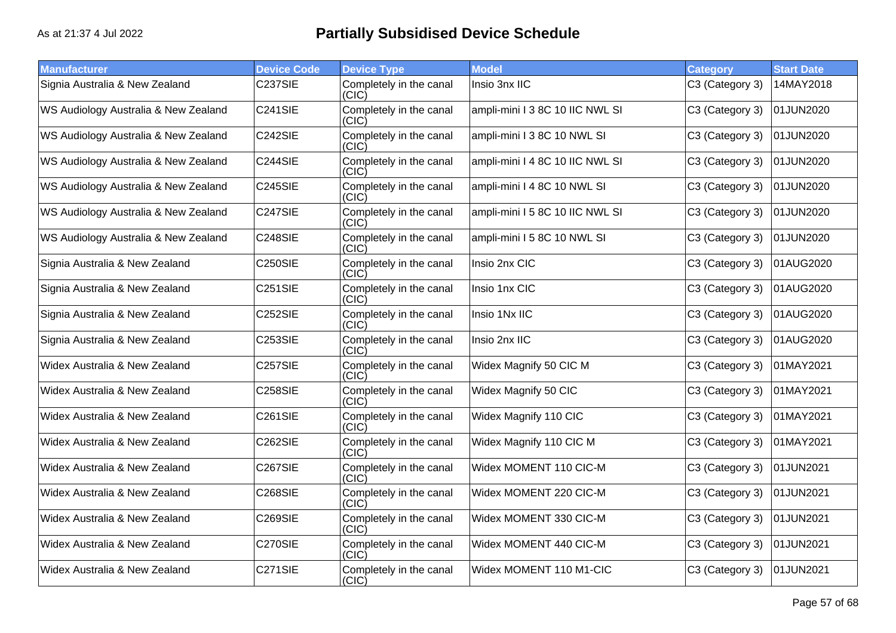| <b>Manufacturer</b>                  | <b>Device Code</b> | <b>Device Type</b>               | <b>Model</b>                    | <b>Category</b> | <b>Start Date</b> |
|--------------------------------------|--------------------|----------------------------------|---------------------------------|-----------------|-------------------|
| Signia Australia & New Zealand       | <b>C237SIE</b>     | Completely in the canal<br>(CIC) | Insio 3nx IIC                   | C3 (Category 3) | 14MAY2018         |
| WS Audiology Australia & New Zealand | C241SIE            | Completely in the canal<br>(CIC) | ampli-mini I 3 8C 10 IIC NWL SI | C3 (Category 3) | 01JUN2020         |
| WS Audiology Australia & New Zealand | C242SIE            | Completely in the canal<br>(CIC) | ampli-mini I 3 8C 10 NWL SI     | C3 (Category 3) | 01JUN2020         |
| WS Audiology Australia & New Zealand | C244SIE            | Completely in the canal<br>(CIC) | ampli-mini I 4 8C 10 IIC NWL SI | C3 (Category 3) | 01JUN2020         |
| WS Audiology Australia & New Zealand | C245SIE            | Completely in the canal<br>(C C) | ampli-mini I 4 8C 10 NWL SI     | C3 (Category 3) | 01JUN2020         |
| WS Audiology Australia & New Zealand | C247SIE            | Completely in the canal<br>(CIC) | ampli-mini I 5 8C 10 IIC NWL SI | C3 (Category 3) | 01JUN2020         |
| WS Audiology Australia & New Zealand | <b>C248SIE</b>     | Completely in the canal<br>(CIC) | ampli-mini I 5 8C 10 NWL SI     | C3 (Category 3) | 01JUN2020         |
| Signia Australia & New Zealand       | <b>C250SIE</b>     | Completely in the canal<br>(CIC) | Insio 2nx CIC                   | C3 (Category 3) | 01AUG2020         |
| Signia Australia & New Zealand       | <b>C251SIE</b>     | Completely in the canal<br>(CIC) | Insio 1nx CIC                   | C3 (Category 3) | 01AUG2020         |
| Signia Australia & New Zealand       | <b>C252SIE</b>     | Completely in the canal<br>(CIC) | Insio 1Nx IIC                   | C3 (Category 3) | 01AUG2020         |
| Signia Australia & New Zealand       | <b>C253SIE</b>     | Completely in the canal<br>(CIC) | Insio 2nx IIC                   | C3 (Category 3) | 01AUG2020         |
| Widex Australia & New Zealand        | <b>C257SIE</b>     | Completely in the canal<br>(CIC) | Widex Magnify 50 CIC M          | C3 (Category 3) | 01MAY2021         |
| Widex Australia & New Zealand        | <b>C258SIE</b>     | Completely in the canal<br>(CIC) | Widex Magnify 50 CIC            | C3 (Category 3) | 01MAY2021         |
| Widex Australia & New Zealand        | <b>C261SIE</b>     | Completely in the canal<br>(CIC) | Widex Magnify 110 CIC           | C3 (Category 3) | 01MAY2021         |
| Widex Australia & New Zealand        | <b>C262SIE</b>     | Completely in the canal<br>(CIC) | Widex Magnify 110 CIC M         | C3 (Category 3) | 01MAY2021         |
| Widex Australia & New Zealand        | <b>C267SIE</b>     | Completely in the canal<br>(CIC) | Widex MOMENT 110 CIC-M          | C3 (Category 3) | 01JUN2021         |
| Widex Australia & New Zealand        | <b>C268SIE</b>     | Completely in the canal<br>(CIC) | Widex MOMENT 220 CIC-M          | C3 (Category 3) | 01JUN2021         |
| Widex Australia & New Zealand        | <b>C269SIE</b>     | Completely in the canal<br>(C C) | Widex MOMENT 330 CIC-M          | C3 (Category 3) | 01JUN2021         |
| Widex Australia & New Zealand        | C270SIE            | Completely in the canal<br>(CIC) | Widex MOMENT 440 CIC-M          | C3 (Category 3) | 01JUN2021         |
| Widex Australia & New Zealand        | C271SIE            | Completely in the canal<br>(CIC) | Widex MOMENT 110 M1-CIC         | C3 (Category 3) | 01JUN2021         |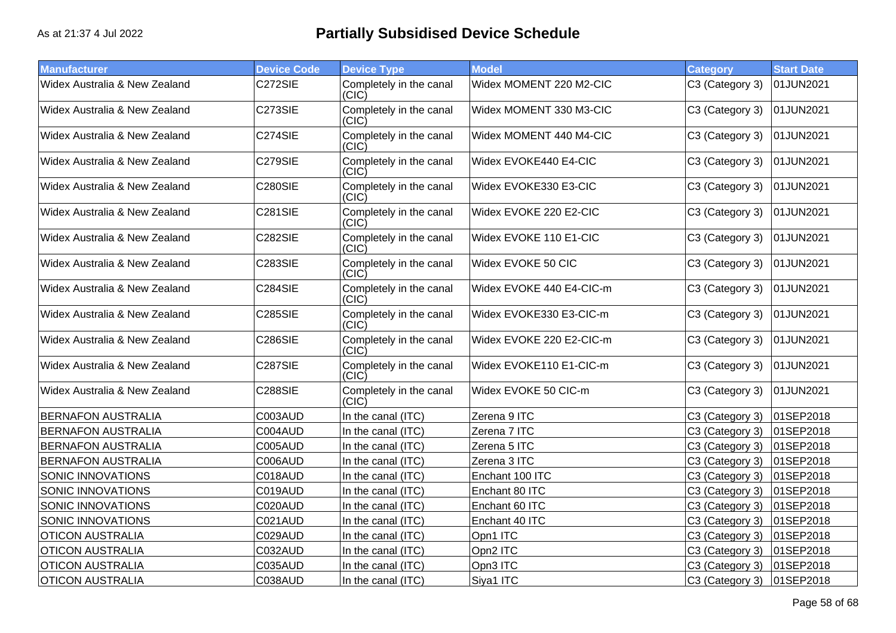| <b>Manufacturer</b>           | <b>Device Code</b> | <b>Device Type</b>               | <b>Model</b>             | <b>Category</b> | <b>Start Date</b> |
|-------------------------------|--------------------|----------------------------------|--------------------------|-----------------|-------------------|
| Widex Australia & New Zealand | C272SIE            | Completely in the canal<br>(CIC) | Widex MOMENT 220 M2-CIC  | C3 (Category 3) | 01JUN2021         |
| Widex Australia & New Zealand | <b>C273SIE</b>     | Completely in the canal<br>(CIC) | Widex MOMENT 330 M3-CIC  | C3 (Category 3) | 01JUN2021         |
| Widex Australia & New Zealand | C274SIE            | Completely in the canal<br>(CIC) | Widex MOMENT 440 M4-CIC  | C3 (Category 3) | 01JUN2021         |
| Widex Australia & New Zealand | <b>C279SIE</b>     | Completely in the canal<br>(CIC) | Widex EVOKE440 E4-CIC    | C3 (Category 3) | 01JUN2021         |
| Widex Australia & New Zealand | <b>C280SIE</b>     | Completely in the canal<br>(CIC) | Widex EVOKE330 E3-CIC    | C3 (Category 3) | 01JUN2021         |
| Widex Australia & New Zealand | <b>C281SIE</b>     | Completely in the canal<br>(CIC) | Widex EVOKE 220 E2-CIC   | C3 (Category 3) | 01JUN2021         |
| Widex Australia & New Zealand | <b>C282SIE</b>     | Completely in the canal<br>(C C) | Widex EVOKE 110 E1-CIC   | C3 (Category 3) | 01JUN2021         |
| Widex Australia & New Zealand | <b>C283SIE</b>     | Completely in the canal<br>(CIC) | Widex EVOKE 50 CIC       | C3 (Category 3) | 01JUN2021         |
| Widex Australia & New Zealand | <b>C284SIE</b>     | Completely in the canal<br>(CIC) | Widex EVOKE 440 E4-CIC-m | C3 (Category 3) | 01JUN2021         |
| Widex Australia & New Zealand | <b>C285SIE</b>     | Completely in the canal<br>(CIC) | Widex EVOKE330 E3-CIC-m  | C3 (Category 3) | 01JUN2021         |
| Widex Australia & New Zealand | <b>C286SIE</b>     | Completely in the canal<br>(CIC) | Widex EVOKE 220 E2-CIC-m | C3 (Category 3) | 01JUN2021         |
| Widex Australia & New Zealand | <b>C287SIE</b>     | Completely in the canal<br>(CIC) | Widex EVOKE110 E1-CIC-m  | C3 (Category 3) | 01JUN2021         |
| Widex Australia & New Zealand | <b>C288SIE</b>     | Completely in the canal<br>(CIC) | Widex EVOKE 50 CIC-m     | C3 (Category 3) | 01JUN2021         |
| <b>BERNAFON AUSTRALIA</b>     | C003AUD            | In the canal (ITC)               | Zerena 9 ITC             | C3 (Category 3) | 01SEP2018         |
| <b>BERNAFON AUSTRALIA</b>     | C004AUD            | In the canal (ITC)               | Zerena 7 ITC             | C3 (Category 3) | 01SEP2018         |
| <b>BERNAFON AUSTRALIA</b>     | C005AUD            | In the canal (ITC)               | Zerena 5 ITC             | C3 (Category 3) | 01SEP2018         |
| <b>BERNAFON AUSTRALIA</b>     | C006AUD            | In the canal (ITC)               | Zerena 3 ITC             | C3 (Category 3) | 01SEP2018         |
| SONIC INNOVATIONS             | C018AUD            | In the canal (ITC)               | Enchant 100 ITC          | C3 (Category 3) | 01SEP2018         |
| SONIC INNOVATIONS             | C019AUD            | In the canal (ITC)               | Enchant 80 ITC           | C3 (Category 3) | 01SEP2018         |
| SONIC INNOVATIONS             | C020AUD            | In the canal (ITC)               | Enchant 60 ITC           | C3 (Category 3) | 01SEP2018         |
| SONIC INNOVATIONS             | C021AUD            | In the canal (ITC)               | Enchant 40 ITC           | C3 (Category 3) | 01SEP2018         |
| <b>OTICON AUSTRALIA</b>       | C029AUD            | In the canal (ITC)               | Opn1 ITC                 | C3 (Category 3) | 01SEP2018         |
| <b>OTICON AUSTRALIA</b>       | C032AUD            | In the canal (ITC)               | Opn2 ITC                 | C3 (Category 3) | 01SEP2018         |
| <b>OTICON AUSTRALIA</b>       | C035AUD            | In the canal (ITC)               | Opn3 ITC                 | C3 (Category 3) | 01SEP2018         |
| <b>OTICON AUSTRALIA</b>       | C038AUD            | In the canal (ITC)               | Siya1 ITC                | C3 (Category 3) | 01SEP2018         |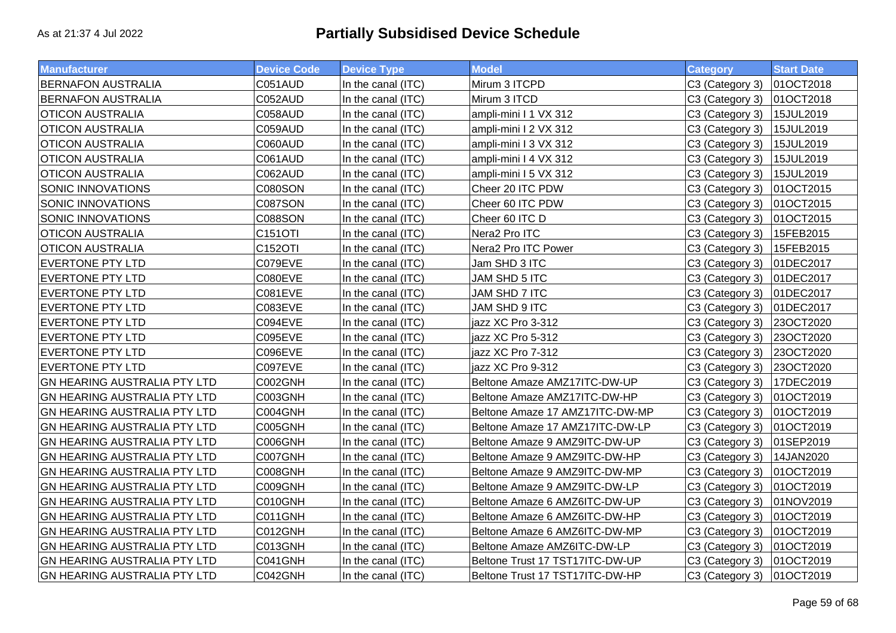| <b>Manufacturer</b>                 | <b>Device Code</b> | <b>Device Type</b> | <b>Model</b>                    | <b>Category</b> | <b>Start Date</b> |
|-------------------------------------|--------------------|--------------------|---------------------------------|-----------------|-------------------|
| <b>BERNAFON AUSTRALIA</b>           | C051AUD            | In the canal (ITC) | Mirum 3 ITCPD                   | C3 (Category 3) | 01OCT2018         |
| <b>BERNAFON AUSTRALIA</b>           | C052AUD            | In the canal (ITC) | Mirum 3 ITCD                    | C3 (Category 3) | 01OCT2018         |
| <b>OTICON AUSTRALIA</b>             | C058AUD            | In the canal (ITC) | ampli-mini I 1 VX 312           | C3 (Category 3) | 15JUL2019         |
| <b>OTICON AUSTRALIA</b>             | C059AUD            | In the canal (ITC) | ampli-mini I 2 VX 312           | C3 (Category 3) | 15JUL2019         |
| <b>OTICON AUSTRALIA</b>             | C060AUD            | In the canal (ITC) | ampli-mini I 3 VX 312           | C3 (Category 3) | 15JUL2019         |
| <b>OTICON AUSTRALIA</b>             | C061AUD            | In the canal (ITC) | ampli-mini I 4 VX 312           | C3 (Category 3) | 15JUL2019         |
| <b>OTICON AUSTRALIA</b>             | C062AUD            | In the canal (ITC) | ampli-mini I 5 VX 312           | C3 (Category 3) | 15JUL2019         |
| SONIC INNOVATIONS                   | C080SON            | In the canal (ITC) | Cheer 20 ITC PDW                | C3 (Category 3) | 01OCT2015         |
| SONIC INNOVATIONS                   | C087SON            | In the canal (ITC) | Cheer 60 ITC PDW                | C3 (Category 3) | 01OCT2015         |
| SONIC INNOVATIONS                   | C088SON            | In the canal (ITC) | Cheer 60 ITC D                  | C3 (Category 3) | 01OCT2015         |
| <b>OTICON AUSTRALIA</b>             | <b>C151OTI</b>     | In the canal (ITC) | Nera2 Pro ITC                   | C3 (Category 3) | 15FEB2015         |
| <b>OTICON AUSTRALIA</b>             | C152OTI            | In the canal (ITC) | Nera2 Pro ITC Power             | C3 (Category 3) | 15FEB2015         |
| <b>EVERTONE PTY LTD</b>             | C079EVE            | In the canal (ITC) | Jam SHD 3 ITC                   | C3 (Category 3) | 01DEC2017         |
| <b>EVERTONE PTY LTD</b>             | C080EVE            | In the canal (ITC) | JAM SHD 5 ITC                   | C3 (Category 3) | 01DEC2017         |
| <b>EVERTONE PTY LTD</b>             | C081EVE            | In the canal (ITC) | JAM SHD 7 ITC                   | C3 (Category 3) | 01DEC2017         |
| <b>EVERTONE PTY LTD</b>             | C083EVE            | In the canal (ITC) | JAM SHD 9 ITC                   | C3 (Category 3) | 01DEC2017         |
| <b>EVERTONE PTY LTD</b>             | C094EVE            | In the canal (ITC) | jazz XC Pro 3-312               | C3 (Category 3) | 23OCT2020         |
| <b>EVERTONE PTY LTD</b>             | C095EVE            | In the canal (ITC) | jazz XC Pro 5-312               | C3 (Category 3) | 23OCT2020         |
| <b>EVERTONE PTY LTD</b>             | C096EVE            | In the canal (ITC) | jazz XC Pro 7-312               | C3 (Category 3) | 23OCT2020         |
| <b>EVERTONE PTY LTD</b>             | C097EVE            | In the canal (ITC) | jazz XC Pro 9-312               | C3 (Category 3) | 23OCT2020         |
| <b>GN HEARING AUSTRALIA PTY LTD</b> | C002GNH            | In the canal (ITC) | Beltone Amaze AMZ17ITC-DW-UP    | C3 (Category 3) | 17DEC2019         |
| GN HEARING AUSTRALIA PTY LTD        | C003GNH            | In the canal (ITC) | Beltone Amaze AMZ17ITC-DW-HP    | C3 (Category 3) | 01OCT2019         |
| <b>GN HEARING AUSTRALIA PTY LTD</b> | C004GNH            | In the canal (ITC) | Beltone Amaze 17 AMZ17ITC-DW-MP | C3 (Category 3) | 01OCT2019         |
| GN HEARING AUSTRALIA PTY LTD        | C005GNH            | In the canal (ITC) | Beltone Amaze 17 AMZ17ITC-DW-LP | C3 (Category 3) | 01OCT2019         |
| GN HEARING AUSTRALIA PTY LTD        | C006GNH            | In the canal (ITC) | Beltone Amaze 9 AMZ9ITC-DW-UP   | C3 (Category 3) | 01SEP2019         |
| GN HEARING AUSTRALIA PTY LTD        | C007GNH            | In the canal (ITC) | Beltone Amaze 9 AMZ9ITC-DW-HP   | C3 (Category 3) | 14JAN2020         |
| GN HEARING AUSTRALIA PTY LTD        | C008GNH            | In the canal (ITC) | Beltone Amaze 9 AMZ9ITC-DW-MP   | C3 (Category 3) | 01OCT2019         |
| GN HEARING AUSTRALIA PTY LTD        | C009GNH            | In the canal (ITC) | Beltone Amaze 9 AMZ9ITC-DW-LP   | C3 (Category 3) | 01OCT2019         |
| GN HEARING AUSTRALIA PTY LTD        | C010GNH            | In the canal (ITC) | Beltone Amaze 6 AMZ6ITC-DW-UP   | C3 (Category 3) | 01NOV2019         |
| GN HEARING AUSTRALIA PTY LTD        | C011GNH            | In the canal (ITC) | Beltone Amaze 6 AMZ6ITC-DW-HP   | C3 (Category 3) | 01OCT2019         |
| <b>GN HEARING AUSTRALIA PTY LTD</b> | C012GNH            | In the canal (ITC) | Beltone Amaze 6 AMZ6ITC-DW-MP   | C3 (Category 3) | 01OCT2019         |
| GN HEARING AUSTRALIA PTY LTD        | C013GNH            | In the canal (ITC) | Beltone Amaze AMZ6ITC-DW-LP     | C3 (Category 3) | 01OCT2019         |
| <b>GN HEARING AUSTRALIA PTY LTD</b> | C041GNH            | In the canal (ITC) | Beltone Trust 17 TST17ITC-DW-UP | C3 (Category 3) | 01OCT2019         |
| <b>GN HEARING AUSTRALIA PTY LTD</b> | C042GNH            | In the canal (ITC) | Beltone Trust 17 TST17ITC-DW-HP | C3 (Category 3) | 01OCT2019         |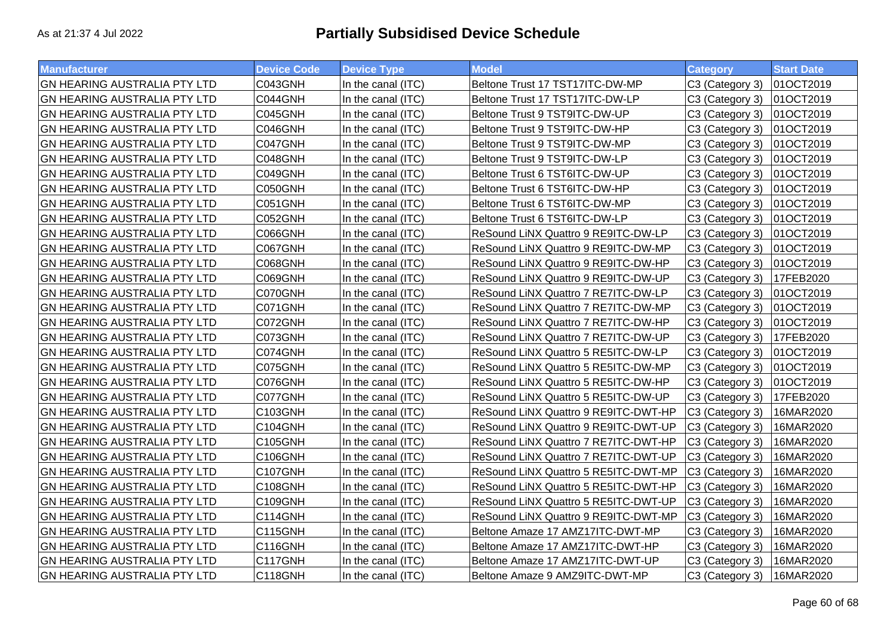| <b>Manufacturer</b>                 | <b>Device Code</b> | <b>Device Type</b> | <b>Model</b>                         | <b>Category</b> | <b>Start Date</b> |
|-------------------------------------|--------------------|--------------------|--------------------------------------|-----------------|-------------------|
| <b>GN HEARING AUSTRALIA PTY LTD</b> | C043GNH            | In the canal (ITC) | Beltone Trust 17 TST17ITC-DW-MP      | C3 (Category 3) | 01OCT2019         |
| <b>GN HEARING AUSTRALIA PTY LTD</b> | C044GNH            | In the canal (ITC) | Beltone Trust 17 TST17ITC-DW-LP      | C3 (Category 3) | 01OCT2019         |
| <b>GN HEARING AUSTRALIA PTY LTD</b> | C045GNH            | In the canal (ITC) | Beltone Trust 9 TST9ITC-DW-UP        | C3 (Category 3) | 01OCT2019         |
| <b>GN HEARING AUSTRALIA PTY LTD</b> | C046GNH            | In the canal (ITC) | Beltone Trust 9 TST9ITC-DW-HP        | C3 (Category 3) | 01OCT2019         |
| <b>GN HEARING AUSTRALIA PTY LTD</b> | C047GNH            | In the canal (ITC) | Beltone Trust 9 TST9ITC-DW-MP        | C3 (Category 3) | 01OCT2019         |
| <b>GN HEARING AUSTRALIA PTY LTD</b> | C048GNH            | In the canal (ITC) | Beltone Trust 9 TST9ITC-DW-LP        | C3 (Category 3) | 01OCT2019         |
| <b>GN HEARING AUSTRALIA PTY LTD</b> | C049GNH            | In the canal (ITC) | Beltone Trust 6 TST6ITC-DW-UP        | C3 (Category 3) | 01OCT2019         |
| <b>GN HEARING AUSTRALIA PTY LTD</b> | C050GNH            | In the canal (ITC) | Beltone Trust 6 TST6ITC-DW-HP        | C3 (Category 3) | 01OCT2019         |
| <b>GN HEARING AUSTRALIA PTY LTD</b> | C051GNH            | In the canal (ITC) | Beltone Trust 6 TST6ITC-DW-MP        | C3 (Category 3) | 01OCT2019         |
| <b>GN HEARING AUSTRALIA PTY LTD</b> | C052GNH            | In the canal (ITC) | Beltone Trust 6 TST6ITC-DW-LP        | C3 (Category 3) | 01OCT2019         |
| <b>GN HEARING AUSTRALIA PTY LTD</b> | C066GNH            | In the canal (ITC) | ReSound LiNX Quattro 9 RE9ITC-DW-LP  | C3 (Category 3) | 01OCT2019         |
| <b>GN HEARING AUSTRALIA PTY LTD</b> | C067GNH            | In the canal (ITC) | ReSound LiNX Quattro 9 RE9ITC-DW-MP  | C3 (Category 3) | 01OCT2019         |
| <b>GN HEARING AUSTRALIA PTY LTD</b> | C068GNH            | In the canal (ITC) | ReSound LiNX Quattro 9 RE9ITC-DW-HP  | C3 (Category 3) | 01OCT2019         |
| <b>GN HEARING AUSTRALIA PTY LTD</b> | C069GNH            | In the canal (ITC) | ReSound LiNX Quattro 9 RE9ITC-DW-UP  | C3 (Category 3) | 17FEB2020         |
| GN HEARING AUSTRALIA PTY LTD        | C070GNH            | In the canal (ITC) | ReSound LiNX Quattro 7 RE7ITC-DW-LP  | C3 (Category 3) | 01OCT2019         |
| GN HEARING AUSTRALIA PTY LTD        | C071GNH            | In the canal (ITC) | ReSound LiNX Quattro 7 RE7ITC-DW-MP  | C3 (Category 3) | 01OCT2019         |
| <b>GN HEARING AUSTRALIA PTY LTD</b> | C072GNH            | In the canal (ITC) | ReSound LiNX Quattro 7 RE7ITC-DW-HP  | C3 (Category 3) | 01OCT2019         |
| GN HEARING AUSTRALIA PTY LTD        | C073GNH            | In the canal (ITC) | ReSound LiNX Quattro 7 RE7ITC-DW-UP  | C3 (Category 3) | 17FEB2020         |
| <b>GN HEARING AUSTRALIA PTY LTD</b> | C074GNH            | In the canal (ITC) | ReSound LiNX Quattro 5 RE5ITC-DW-LP  | C3 (Category 3) | 01OCT2019         |
| <b>GN HEARING AUSTRALIA PTY LTD</b> | C075GNH            | In the canal (ITC) | ReSound LiNX Quattro 5 RE5ITC-DW-MP  | C3 (Category 3) | 01OCT2019         |
| <b>GN HEARING AUSTRALIA PTY LTD</b> | C076GNH            | In the canal (ITC) | ReSound LiNX Quattro 5 RE5ITC-DW-HP  | C3 (Category 3) | 01OCT2019         |
| <b>GN HEARING AUSTRALIA PTY LTD</b> | C077GNH            | In the canal (ITC) | ReSound LiNX Quattro 5 RE5ITC-DW-UP  | C3 (Category 3) | 17FEB2020         |
| <b>GN HEARING AUSTRALIA PTY LTD</b> | <b>C103GNH</b>     | In the canal (ITC) | ReSound LiNX Quattro 9 RE9ITC-DWT-HP | C3 (Category 3) | 16MAR2020         |
| <b>GN HEARING AUSTRALIA PTY LTD</b> | C104GNH            | In the canal (ITC) | ReSound LiNX Quattro 9 RE9ITC-DWT-UP | C3 (Category 3) | 16MAR2020         |
| GN HEARING AUSTRALIA PTY LTD        | C105GNH            | In the canal (ITC) | ReSound LiNX Quattro 7 RE7ITC-DWT-HP | C3 (Category 3) | 16MAR2020         |
| GN HEARING AUSTRALIA PTY LTD        | C106GNH            | In the canal (ITC) | ReSound LiNX Quattro 7 RE7ITC-DWT-UP | C3 (Category 3) | 16MAR2020         |
| GN HEARING AUSTRALIA PTY LTD        | C107GNH            | In the canal (ITC) | ReSound LINX Quattro 5 RE5ITC-DWT-MP | C3 (Category 3) | 16MAR2020         |
| <b>GN HEARING AUSTRALIA PTY LTD</b> | C108GNH            | In the canal (ITC) | ReSound LiNX Quattro 5 RE5ITC-DWT-HP | C3 (Category 3) | 16MAR2020         |
| GN HEARING AUSTRALIA PTY LTD        | C109GNH            | In the canal (ITC) | ReSound LiNX Quattro 5 RE5ITC-DWT-UP | C3 (Category 3) | 16MAR2020         |
| <b>GN HEARING AUSTRALIA PTY LTD</b> | C114GNH            | In the canal (ITC) | ReSound LiNX Quattro 9 RE9ITC-DWT-MP | C3 (Category 3) | 16MAR2020         |
| <b>GN HEARING AUSTRALIA PTY LTD</b> | C115GNH            | In the canal (ITC) | Beltone Amaze 17 AMZ17ITC-DWT-MP     | C3 (Category 3) | 16MAR2020         |
| <b>GN HEARING AUSTRALIA PTY LTD</b> | C116GNH            | In the canal (ITC) | Beltone Amaze 17 AMZ17ITC-DWT-HP     | C3 (Category 3) | 16MAR2020         |
| <b>GN HEARING AUSTRALIA PTY LTD</b> | C117GNH            | In the canal (ITC) | Beltone Amaze 17 AMZ17ITC-DWT-UP     | C3 (Category 3) | 16MAR2020         |
| <b>GN HEARING AUSTRALIA PTY LTD</b> | C118GNH            | In the canal (ITC) | Beltone Amaze 9 AMZ9ITC-DWT-MP       | C3 (Category 3) | 16MAR2020         |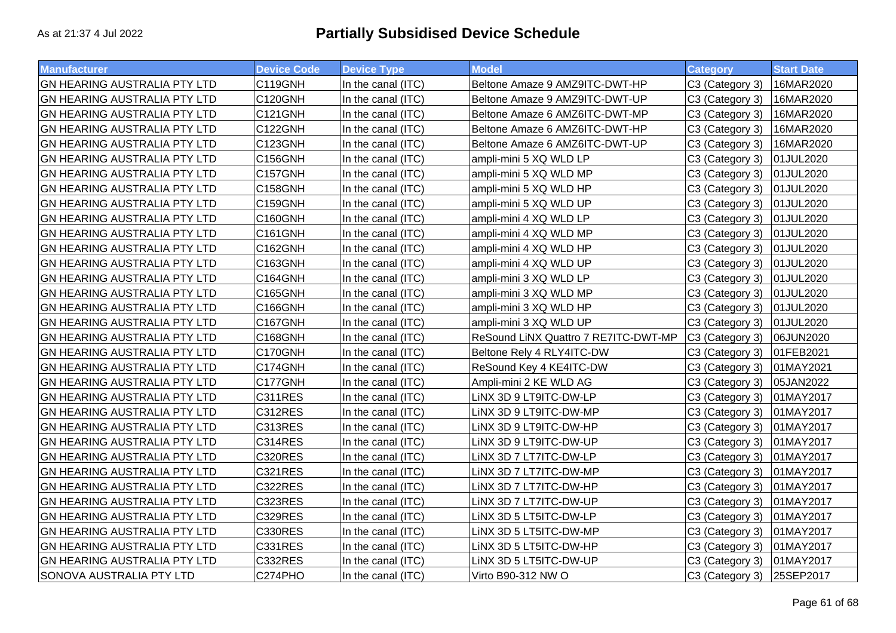| <b>Manufacturer</b>                 | <b>Device Code</b>   | <b>Device Type</b> | <b>Model</b>                         | <b>Category</b> | <b>Start Date</b> |
|-------------------------------------|----------------------|--------------------|--------------------------------------|-----------------|-------------------|
| <b>GN HEARING AUSTRALIA PTY LTD</b> | C119GNH              | In the canal (ITC) | Beltone Amaze 9 AMZ9ITC-DWT-HP       | C3 (Category 3) | 16MAR2020         |
| <b>GN HEARING AUSTRALIA PTY LTD</b> | C120GNH              | In the canal (ITC) | Beltone Amaze 9 AMZ9ITC-DWT-UP       | C3 (Category 3) | 16MAR2020         |
| <b>GN HEARING AUSTRALIA PTY LTD</b> | C121GNH              | In the canal (ITC) | Beltone Amaze 6 AMZ6ITC-DWT-MP       | C3 (Category 3) | 16MAR2020         |
| <b>GN HEARING AUSTRALIA PTY LTD</b> | C122GNH              | In the canal (ITC) | Beltone Amaze 6 AMZ6ITC-DWT-HP       | C3 (Category 3) | 16MAR2020         |
| <b>GN HEARING AUSTRALIA PTY LTD</b> | C123GNH              | In the canal (ITC) | Beltone Amaze 6 AMZ6ITC-DWT-UP       | C3 (Category 3) | 16MAR2020         |
| <b>GN HEARING AUSTRALIA PTY LTD</b> | C156GNH              | In the canal (ITC) | ampli-mini 5 XQ WLD LP               | C3 (Category 3) | 01JUL2020         |
| <b>GN HEARING AUSTRALIA PTY LTD</b> | C157GNH              | In the canal (ITC) | ampli-mini 5 XQ WLD MP               | C3 (Category 3) | 01JUL2020         |
| GN HEARING AUSTRALIA PTY LTD        | C158GNH              | In the canal (ITC) | ampli-mini 5 XQ WLD HP               | C3 (Category 3) | 01JUL2020         |
| <b>GN HEARING AUSTRALIA PTY LTD</b> | C159GNH              | In the canal (ITC) | ampli-mini 5 XQ WLD UP               | C3 (Category 3) | 01JUL2020         |
| GN HEARING AUSTRALIA PTY LTD        | C160GNH              | In the canal (ITC) | ampli-mini 4 XQ WLD LP               | C3 (Category 3) | 01JUL2020         |
| <b>GN HEARING AUSTRALIA PTY LTD</b> | C <sub>161</sub> GNH | In the canal (ITC) | ampli-mini 4 XQ WLD MP               | C3 (Category 3) | 01JUL2020         |
| <b>GN HEARING AUSTRALIA PTY LTD</b> | C162GNH              | In the canal (ITC) | ampli-mini 4 XQ WLD HP               | C3 (Category 3) | 01JUL2020         |
| <b>GN HEARING AUSTRALIA PTY LTD</b> | C163GNH              | In the canal (ITC) | ampli-mini 4 XQ WLD UP               | C3 (Category 3) | 01JUL2020         |
| <b>GN HEARING AUSTRALIA PTY LTD</b> | C164GNH              | In the canal (ITC) | ampli-mini 3 XQ WLD LP               | C3 (Category 3) | 01JUL2020         |
| <b>GN HEARING AUSTRALIA PTY LTD</b> | C165GNH              | In the canal (ITC) | ampli-mini 3 XQ WLD MP               | C3 (Category 3) | 01JUL2020         |
| <b>GN HEARING AUSTRALIA PTY LTD</b> | C166GNH              | In the canal (ITC) | ampli-mini 3 XQ WLD HP               | C3 (Category 3) | 01JUL2020         |
| <b>GN HEARING AUSTRALIA PTY LTD</b> | C167GNH              | In the canal (ITC) | ampli-mini 3 XQ WLD UP               | C3 (Category 3) | 01JUL2020         |
| <b>GN HEARING AUSTRALIA PTY LTD</b> | C168GNH              | In the canal (ITC) | ReSound LiNX Quattro 7 RE7ITC-DWT-MP | C3 (Category 3) | 06JUN2020         |
| <b>GN HEARING AUSTRALIA PTY LTD</b> | C170GNH              | In the canal (ITC) | Beltone Rely 4 RLY4ITC-DW            | C3 (Category 3) | 01FEB2021         |
| <b>GN HEARING AUSTRALIA PTY LTD</b> | C174GNH              | In the canal (ITC) | ReSound Key 4 KE4ITC-DW              | C3 (Category 3) | 01MAY2021         |
| <b>GN HEARING AUSTRALIA PTY LTD</b> | C177GNH              | In the canal (ITC) | Ampli-mini 2 KE WLD AG               | C3 (Category 3) | 05JAN2022         |
| <b>GN HEARING AUSTRALIA PTY LTD</b> | C311RES              | In the canal (ITC) | LINX 3D 9 LT9ITC-DW-LP               | C3 (Category 3) | 01MAY2017         |
| <b>GN HEARING AUSTRALIA PTY LTD</b> | C312RES              | In the canal (ITC) | LINX 3D 9 LT9ITC-DW-MP               | C3 (Category 3) | 01MAY2017         |
| <b>GN HEARING AUSTRALIA PTY LTD</b> | C313RES              | In the canal (ITC) | LINX 3D 9 LT9ITC-DW-HP               | C3 (Category 3) | 01MAY2017         |
| GN HEARING AUSTRALIA PTY LTD        | <b>C314RES</b>       | In the canal (ITC) | LINX 3D 9 LT9ITC-DW-UP               | C3 (Category 3) | 01MAY2017         |
| GN HEARING AUSTRALIA PTY LTD        | C320RES              | In the canal (ITC) | LINX 3D 7 LT7ITC-DW-LP               | C3 (Category 3) | 01MAY2017         |
| GN HEARING AUSTRALIA PTY LTD        | C321RES              | In the canal (ITC) | LINX 3D 7 LT7ITC-DW-MP               | C3 (Category 3) | 01MAY2017         |
| GN HEARING AUSTRALIA PTY LTD        | C322RES              | In the canal (ITC) | LINX 3D 7 LT7ITC-DW-HP               | C3 (Category 3) | 01MAY2017         |
| <b>GN HEARING AUSTRALIA PTY LTD</b> | C323RES              | In the canal (ITC) | LINX 3D 7 LT7ITC-DW-UP               | C3 (Category 3) | 01MAY2017         |
| <b>GN HEARING AUSTRALIA PTY LTD</b> | C329RES              | In the canal (ITC) | LINX 3D 5 LT5ITC-DW-LP               | C3 (Category 3) | 01MAY2017         |
| <b>GN HEARING AUSTRALIA PTY LTD</b> | C330RES              | In the canal (ITC) | LINX 3D 5 LT5ITC-DW-MP               | C3 (Category 3) | 01MAY2017         |
| <b>GN HEARING AUSTRALIA PTY LTD</b> | C331RES              | In the canal (ITC) | LINX 3D 5 LT5ITC-DW-HP               | C3 (Category 3) | 01MAY2017         |
| <b>GN HEARING AUSTRALIA PTY LTD</b> | C332RES              | In the canal (ITC) | LINX 3D 5 LT5ITC-DW-UP               | C3 (Category 3) | 01MAY2017         |
| SONOVA AUSTRALIA PTY LTD            | C274PHO              | In the canal (ITC) | Virto B90-312 NW O                   | C3 (Category 3) | 25SEP2017         |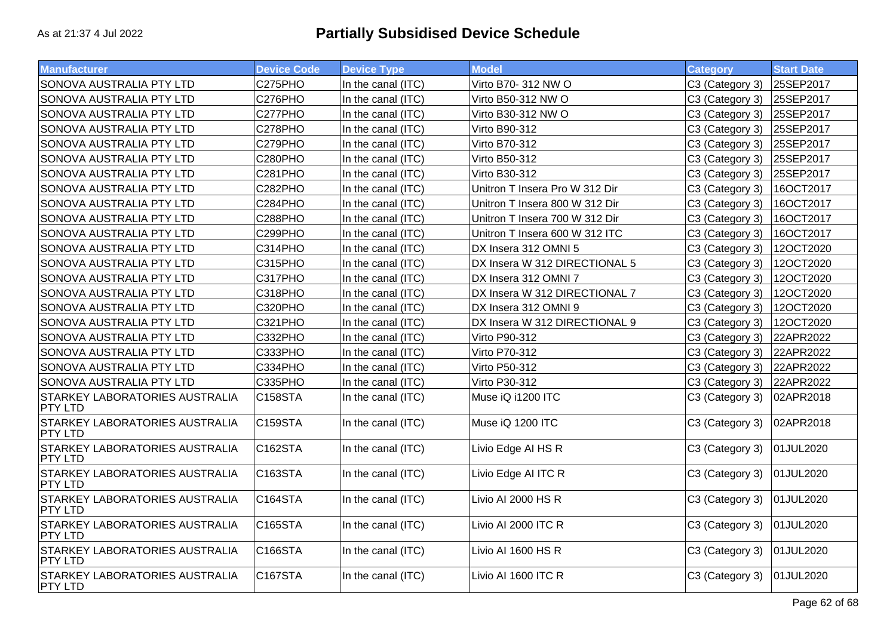| <b>Manufacturer</b>                                     | <b>Device Code</b>   | <b>Device Type</b> | <b>Model</b>                   | <b>Category</b> | <b>Start Date</b> |
|---------------------------------------------------------|----------------------|--------------------|--------------------------------|-----------------|-------------------|
| SONOVA AUSTRALIA PTY LTD                                | C275PHO              | In the canal (ITC) | Virto B70- 312 NW O            | C3 (Category 3) | 25SEP2017         |
| SONOVA AUSTRALIA PTY LTD                                | C276PHO              | In the canal (ITC) | Virto B50-312 NW O             | C3 (Category 3) | 25SEP2017         |
| SONOVA AUSTRALIA PTY LTD                                | C277PHO              | In the canal (ITC) | Virto B30-312 NW O             | C3 (Category 3) | 25SEP2017         |
| SONOVA AUSTRALIA PTY LTD                                | C278PHO              | In the canal (ITC) | Virto B90-312                  | C3 (Category 3) | 25SEP2017         |
| SONOVA AUSTRALIA PTY LTD                                | C279PHO              | In the canal (ITC) | Virto B70-312                  | C3 (Category 3) | 25SEP2017         |
| SONOVA AUSTRALIA PTY LTD                                | C280PHO              | In the canal (ITC) | Virto B50-312                  | C3 (Category 3) | 25SEP2017         |
| SONOVA AUSTRALIA PTY LTD                                | C281PHO              | In the canal (ITC) | Virto B30-312                  | C3 (Category 3) | 25SEP2017         |
| SONOVA AUSTRALIA PTY LTD                                | C282PHO              | In the canal (ITC) | Unitron T Insera Pro W 312 Dir | C3 (Category 3) | 16OCT2017         |
| SONOVA AUSTRALIA PTY LTD                                | C284PHO              | In the canal (ITC) | Unitron T Insera 800 W 312 Dir | C3 (Category 3) | 16OCT2017         |
| SONOVA AUSTRALIA PTY LTD                                | C288PHO              | In the canal (ITC) | Unitron T Insera 700 W 312 Dir | C3 (Category 3) | 16OCT2017         |
| SONOVA AUSTRALIA PTY LTD                                | C299PHO              | In the canal (ITC) | Unitron T Insera 600 W 312 ITC | C3 (Category 3) | 16OCT2017         |
| SONOVA AUSTRALIA PTY LTD                                | C314PHO              | In the canal (ITC) | DX Insera 312 OMNI 5           | C3 (Category 3) | 12OCT2020         |
| SONOVA AUSTRALIA PTY LTD                                | C315PHO              | In the canal (ITC) | DX Insera W 312 DIRECTIONAL 5  | C3 (Category 3) | 12OCT2020         |
| SONOVA AUSTRALIA PTY LTD                                | C317PHO              | In the canal (ITC) | DX Insera 312 OMNI 7           | C3 (Category 3) | 12OCT2020         |
| SONOVA AUSTRALIA PTY LTD                                | C318PHO              | In the canal (ITC) | DX Insera W 312 DIRECTIONAL 7  | C3 (Category 3) | 12OCT2020         |
| SONOVA AUSTRALIA PTY LTD                                | C320PHO              | In the canal (ITC) | DX Insera 312 OMNI 9           | C3 (Category 3) | 12OCT2020         |
| SONOVA AUSTRALIA PTY LTD                                | C321PHO              | In the canal (ITC) | DX Insera W 312 DIRECTIONAL 9  | C3 (Category 3) | 12OCT2020         |
| SONOVA AUSTRALIA PTY LTD                                | C332PHO              | In the canal (ITC) | Virto P90-312                  | C3 (Category 3) | 22APR2022         |
| SONOVA AUSTRALIA PTY LTD                                | C333PHO              | In the canal (ITC) | Virto P70-312                  | C3 (Category 3) | 22APR2022         |
| SONOVA AUSTRALIA PTY LTD                                | C334PHO              | In the canal (ITC) | Virto P50-312                  | C3 (Category 3) | 22APR2022         |
| SONOVA AUSTRALIA PTY LTD                                | C335PHO              | In the canal (ITC) | Virto P30-312                  | C3 (Category 3) | 22APR2022         |
| <b>STARKEY LABORATORIES AUSTRALIA</b><br><b>PTY LTD</b> | <b>C158STA</b>       | In the canal (ITC) | Muse iQ i1200 ITC              | C3 (Category 3) | 02APR2018         |
| <b>STARKEY LABORATORIES AUSTRALIA</b><br><b>PTY LTD</b> | <b>C159STA</b>       | In the canal (ITC) | Muse iQ 1200 ITC               | C3 (Category 3) | 02APR2018         |
| <b>STARKEY LABORATORIES AUSTRALIA</b><br><b>PTY LTD</b> | C162STA              | In the canal (ITC) | Livio Edge AI HS R             | C3 (Category 3) | 01JUL2020         |
| <b>STARKEY LABORATORIES AUSTRALIA</b><br><b>PTY LTD</b> | C163STA              | In the canal (ITC) | Livio Edge AI ITC R            | C3 (Category 3) | 01JUL2020         |
| <b>STARKEY LABORATORIES AUSTRALIA</b><br><b>PTY LTD</b> | C <sub>164</sub> STA | In the canal (ITC) | Livio AI 2000 HS R             | C3 (Category 3) | 01JUL2020         |
| <b>STARKEY LABORATORIES AUSTRALIA</b><br><b>PTY LTD</b> | C <sub>165</sub> STA | In the canal (ITC) | Livio AI 2000 ITC R            | C3 (Category 3) | 01JUL2020         |
| <b>STARKEY LABORATORIES AUSTRALIA</b><br><b>PTY LTD</b> | C <sub>166</sub> STA | In the canal (ITC) | Livio AI 1600 HS R             | C3 (Category 3) | 01JUL2020         |
| <b>STARKEY LABORATORIES AUSTRALIA</b><br><b>PTY LTD</b> | C <sub>167</sub> STA | In the canal (ITC) | Livio AI 1600 ITC R            | C3 (Category 3) | 01JUL2020         |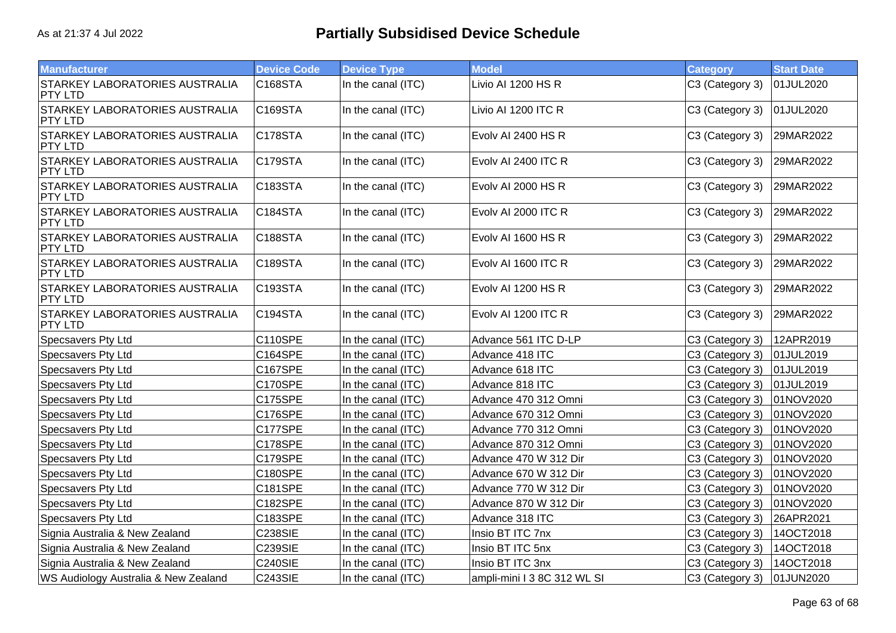| <b>Manufacturer</b>                                     | <b>Device Code</b> | <b>Device Type</b> | <b>Model</b>                | <b>Category</b> | <b>Start Date</b> |
|---------------------------------------------------------|--------------------|--------------------|-----------------------------|-----------------|-------------------|
| <b>STARKEY LABORATORIES AUSTRALIA</b><br>PTY LTD        | C168STA            | In the canal (ITC) | Livio AI 1200 HS R          | C3 (Category 3) | 01JUL2020         |
| STARKEY LABORATORIES AUSTRALIA<br><b>PTY LTD</b>        | C169STA            | In the canal (ITC) | Livio AI 1200 ITC R         | C3 (Category 3) | 01JUL2020         |
| STARKEY LABORATORIES AUSTRALIA<br><b>PTY LTD</b>        | C178STA            | In the canal (ITC) | Evolv AI 2400 HS R          | C3 (Category 3) | 29MAR2022         |
| <b>STARKEY LABORATORIES AUSTRALIA</b><br><b>PTY LTD</b> | C179STA            | In the canal (ITC) | Evoly AI 2400 ITC R         | C3 (Category 3) | 29MAR2022         |
| <b>STARKEY LABORATORIES AUSTRALIA</b><br><b>PTY LTD</b> | C183STA            | In the canal (ITC) | Evolv AI 2000 HS R          | C3 (Category 3) | 29MAR2022         |
| <b>STARKEY LABORATORIES AUSTRALIA</b><br><b>PTY LTD</b> | C184STA            | In the canal (ITC) | Evolv AI 2000 ITC R         | C3 (Category 3) | 29MAR2022         |
| STARKEY LABORATORIES AUSTRALIA<br><b>PTY LTD</b>        | <b>C188STA</b>     | In the canal (ITC) | Evolv AI 1600 HS R          | C3 (Category 3) | 29MAR2022         |
| <b>STARKEY LABORATORIES AUSTRALIA</b><br><b>PTY LTD</b> | C189STA            | In the canal (ITC) | Evolv AI 1600 ITC R         | C3 (Category 3) | 29MAR2022         |
| <b>STARKEY LABORATORIES AUSTRALIA</b><br><b>PTY LTD</b> | C193STA            | In the canal (ITC) | Evolv AI 1200 HS R          | C3 (Category 3) | 29MAR2022         |
| <b>STARKEY LABORATORIES AUSTRALIA</b><br><b>PTY LTD</b> | C194STA            | In the canal (ITC) | Evolv AI 1200 ITC R         | C3 (Category 3) | 29MAR2022         |
| Specsavers Pty Ltd                                      | C110SPE            | In the canal (ITC) | Advance 561 ITC D-LP        | C3 (Category 3) | 12APR2019         |
| Specsavers Pty Ltd                                      | C164SPE            | In the canal (ITC) | Advance 418 ITC             | C3 (Category 3) | 01JUL2019         |
| Specsavers Pty Ltd                                      | C167SPE            | In the canal (ITC) | Advance 618 ITC             | C3 (Category 3) | 01JUL2019         |
| Specsavers Pty Ltd                                      | C170SPE            | In the canal (ITC) | Advance 818 ITC             | C3 (Category 3) | 01JUL2019         |
| Specsavers Pty Ltd                                      | C175SPE            | In the canal (ITC) | Advance 470 312 Omni        | C3 (Category 3) | 01NOV2020         |
| Specsavers Pty Ltd                                      | C176SPE            | In the canal (ITC) | Advance 670 312 Omni        | C3 (Category 3) | 01NOV2020         |
| Specsavers Pty Ltd                                      | C177SPE            | In the canal (ITC) | Advance 770 312 Omni        | C3 (Category 3) | 01NOV2020         |
| Specsavers Pty Ltd                                      | C178SPE            | In the canal (ITC) | Advance 870 312 Omni        | C3 (Category 3) | 01NOV2020         |
| Specsavers Pty Ltd                                      | C179SPE            | In the canal (ITC) | Advance 470 W 312 Dir       | C3 (Category 3) | 01NOV2020         |
| Specsavers Pty Ltd                                      | C180SPE            | In the canal (ITC) | Advance 670 W 312 Dir       | C3 (Category 3) | 01NOV2020         |
| Specsavers Pty Ltd                                      | C181SPE            | In the canal (ITC) | Advance 770 W 312 Dir       | C3 (Category 3) | 01NOV2020         |
| Specsavers Pty Ltd                                      | C182SPE            | In the canal (ITC) | Advance 870 W 312 Dir       | C3 (Category 3) | 01NOV2020         |
| Specsavers Pty Ltd                                      | C183SPE            | In the canal (ITC) | Advance 318 ITC             | C3 (Category 3) | 26APR2021         |
| Signia Australia & New Zealand                          | <b>C238SIE</b>     | In the canal (ITC) | Insio BT ITC 7nx            | C3 (Category 3) | 14OCT2018         |
| Signia Australia & New Zealand                          | <b>C239SIE</b>     | In the canal (ITC) | Insio BT ITC 5nx            | C3 (Category 3) | 14OCT2018         |
| Signia Australia & New Zealand                          | <b>C240SIE</b>     | In the canal (ITC) | Insio BT ITC 3nx            | C3 (Category 3) | 14OCT2018         |
| WS Audiology Australia & New Zealand                    | C243SIE            | In the canal (ITC) | ampli-mini I 3 8C 312 WL SI | C3 (Category 3) | 01JUN2020         |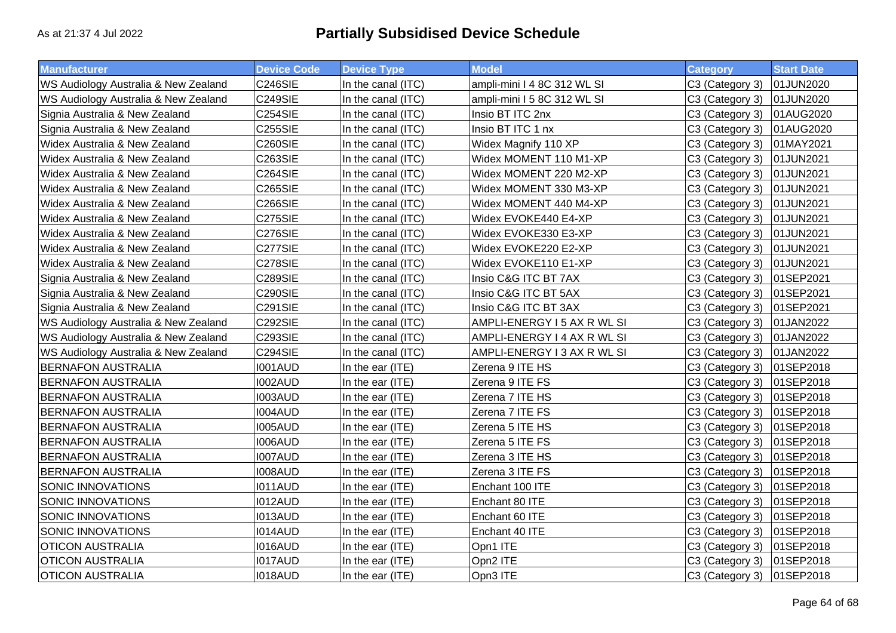| <b>Manufacturer</b>                  | <b>Device Code</b> | <b>Device Type</b> | <b>Model</b>                | <b>Category</b> | <b>Start Date</b> |
|--------------------------------------|--------------------|--------------------|-----------------------------|-----------------|-------------------|
| WS Audiology Australia & New Zealand | C246SIE            | In the canal (ITC) | ampli-mini I 4 8C 312 WL SI | C3 (Category 3) | 01JUN2020         |
| WS Audiology Australia & New Zealand | C249SIE            | In the canal (ITC) | ampli-mini I 5 8C 312 WL SI | C3 (Category 3) | 01JUN2020         |
| Signia Australia & New Zealand       | <b>C254SIE</b>     | In the canal (ITC) | Insio BT ITC 2nx            | C3 (Category 3) | 01AUG2020         |
| Signia Australia & New Zealand       | <b>C255SIE</b>     | In the canal (ITC) | Insio BT ITC 1 nx           | C3 (Category 3) | 01AUG2020         |
| Widex Australia & New Zealand        | <b>C260SIE</b>     | In the canal (ITC) | Widex Magnify 110 XP        | C3 (Category 3) | 01MAY2021         |
| Widex Australia & New Zealand        | <b>C263SIE</b>     | In the canal (ITC) | Widex MOMENT 110 M1-XP      | C3 (Category 3) | 01JUN2021         |
| Widex Australia & New Zealand        | <b>C264SIE</b>     | In the canal (ITC) | Widex MOMENT 220 M2-XP      | C3 (Category 3) | 01JUN2021         |
| Widex Australia & New Zealand        | <b>C265SIE</b>     | In the canal (ITC) | Widex MOMENT 330 M3-XP      | C3 (Category 3) | 01JUN2021         |
| Widex Australia & New Zealand        | <b>C266SIE</b>     | In the canal (ITC) | Widex MOMENT 440 M4-XP      | C3 (Category 3) | 01JUN2021         |
| Widex Australia & New Zealand        | <b>C275SIE</b>     | In the canal (ITC) | Widex EVOKE440 E4-XP        | C3 (Category 3) | 01JUN2021         |
| Widex Australia & New Zealand        | C276SIE            | In the canal (ITC) | Widex EVOKE330 E3-XP        | C3 (Category 3) | 01JUN2021         |
| Widex Australia & New Zealand        | C277SIE            | In the canal (ITC) | Widex EVOKE220 E2-XP        | C3 (Category 3) | 01JUN2021         |
| Widex Australia & New Zealand        | <b>C278SIE</b>     | In the canal (ITC) | Widex EVOKE110 E1-XP        | C3 (Category 3) | 01JUN2021         |
| Signia Australia & New Zealand       | <b>C289SIE</b>     | In the canal (ITC) | Insio C&G ITC BT 7AX        | C3 (Category 3) | 01SEP2021         |
| Signia Australia & New Zealand       | <b>C290SIE</b>     | In the canal (ITC) | Insio C&G ITC BT 5AX        | C3 (Category 3) | 01SEP2021         |
| Signia Australia & New Zealand       | <b>C291SIE</b>     | In the canal (ITC) | Insio C&G ITC BT 3AX        | C3 (Category 3) | 01SEP2021         |
| WS Audiology Australia & New Zealand | C292SIE            | In the canal (ITC) | AMPLI-ENERGY I 5 AX R WL SI | C3 (Category 3) | 01JAN2022         |
| WS Audiology Australia & New Zealand | C293SIE            | In the canal (ITC) | AMPLI-ENERGY I 4 AX R WL SI | C3 (Category 3) | 01JAN2022         |
| WS Audiology Australia & New Zealand | C294SIE            | In the canal (ITC) | AMPLI-ENERGY I 3 AX R WL SI | C3 (Category 3) | 01JAN2022         |
| <b>BERNAFON AUSTRALIA</b>            | <b>I001AUD</b>     | In the ear (ITE)   | Zerena 9 ITE HS             | C3 (Category 3) | 01SEP2018         |
| <b>BERNAFON AUSTRALIA</b>            | I002AUD            | In the ear (ITE)   | Zerena 9 ITE FS             | C3 (Category 3) | 01SEP2018         |
| <b>BERNAFON AUSTRALIA</b>            | I003AUD            | In the ear (ITE)   | Zerena 7 ITE HS             | C3 (Category 3) | 01SEP2018         |
| <b>BERNAFON AUSTRALIA</b>            | <b>I004AUD</b>     | In the ear (ITE)   | Zerena 7 ITE FS             | C3 (Category 3) | 01SEP2018         |
| <b>BERNAFON AUSTRALIA</b>            | <b>I005AUD</b>     | In the ear (ITE)   | Zerena 5 ITE HS             | C3 (Category 3) | 01SEP2018         |
| <b>BERNAFON AUSTRALIA</b>            | <b>I006AUD</b>     | In the ear (ITE)   | Zerena 5 ITE FS             | C3 (Category 3) | 01SEP2018         |
| <b>BERNAFON AUSTRALIA</b>            | I007AUD            | In the ear (ITE)   | Zerena 3 ITE HS             | C3 (Category 3) | 01SEP2018         |
| <b>BERNAFON AUSTRALIA</b>            | <b>I008AUD</b>     | In the ear (ITE)   | Zerena 3 ITE FS             | C3 (Category 3) | 01SEP2018         |
| <b>SONIC INNOVATIONS</b>             | <b>I011AUD</b>     | In the ear (ITE)   | Enchant 100 ITE             | C3 (Category 3) | 01SEP2018         |
| SONIC INNOVATIONS                    | I012AUD            | In the ear (ITE)   | Enchant 80 ITE              | C3 (Category 3) | 01SEP2018         |
| <b>SONIC INNOVATIONS</b>             | I013AUD            | In the ear (ITE)   | Enchant 60 ITE              | C3 (Category 3) | 01SEP2018         |
| SONIC INNOVATIONS                    | <b>I014AUD</b>     | In the ear (ITE)   | Enchant 40 ITE              | C3 (Category 3) | 01SEP2018         |
| <b>OTICON AUSTRALIA</b>              | I016AUD            | In the ear (ITE)   | Opn1 ITE                    | C3 (Category 3) | 01SEP2018         |
| <b>OTICON AUSTRALIA</b>              | I017AUD            | In the ear (ITE)   | Opn2 ITE                    | C3 (Category 3) | 01SEP2018         |
| <b>OTICON AUSTRALIA</b>              | <b>I018AUD</b>     | In the ear (ITE)   | Opn3 ITE                    | C3 (Category 3) | 01SEP2018         |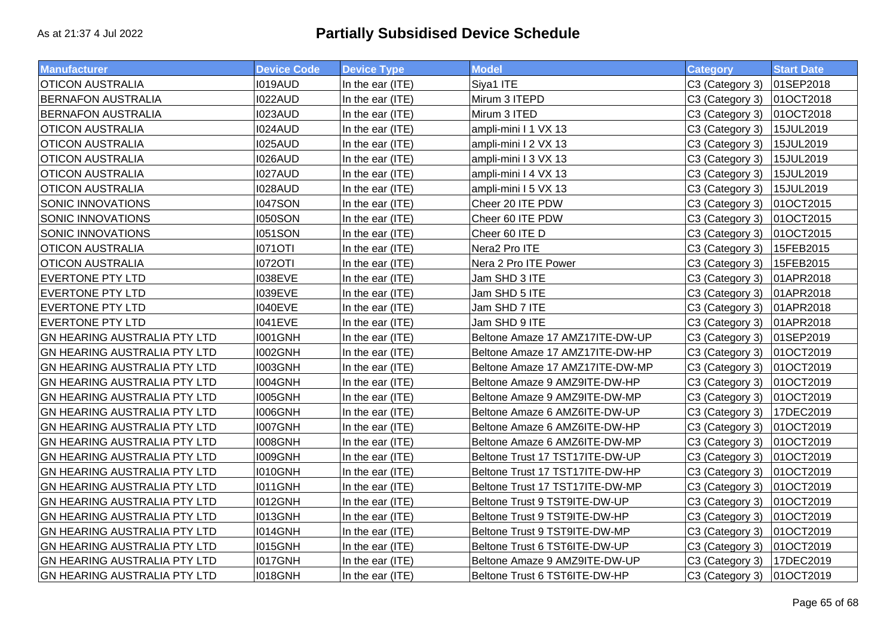| <b>Manufacturer</b>                 | <b>Device Code</b> | <b>Device Type</b> | <b>Model</b>                    | <b>Category</b> | <b>Start Date</b> |
|-------------------------------------|--------------------|--------------------|---------------------------------|-----------------|-------------------|
| <b>OTICON AUSTRALIA</b>             | I019AUD            | In the ear (ITE)   | Siya1 ITE                       | C3 (Category 3) | 01SEP2018         |
| <b>BERNAFON AUSTRALIA</b>           | I022AUD            | In the ear (ITE)   | Mirum 3 ITEPD                   | C3 (Category 3) | 01OCT2018         |
| <b>BERNAFON AUSTRALIA</b>           | I023AUD            | In the ear (ITE)   | Mirum 3 ITED                    | C3 (Category 3) | 01OCT2018         |
| <b>OTICON AUSTRALIA</b>             | I024AUD            | In the ear (ITE)   | ampli-mini I 1 VX 13            | C3 (Category 3) | 15JUL2019         |
| <b>OTICON AUSTRALIA</b>             | I025AUD            | In the ear (ITE)   | ampli-mini I 2 VX 13            | C3 (Category 3) | 15JUL2019         |
| <b>OTICON AUSTRALIA</b>             | I026AUD            | In the ear (ITE)   | ampli-mini I 3 VX 13            | C3 (Category 3) | 15JUL2019         |
| <b>OTICON AUSTRALIA</b>             | I027AUD            | In the ear (ITE)   | ampli-mini I 4 VX 13            | C3 (Category 3) | 15JUL2019         |
| <b>OTICON AUSTRALIA</b>             | I028AUD            | In the ear (ITE)   | ampli-mini I 5 VX 13            | C3 (Category 3) | 15JUL2019         |
| SONIC INNOVATIONS                   | <b>I047SON</b>     | In the ear (ITE)   | Cheer 20 ITE PDW                | C3 (Category 3) | 01OCT2015         |
| SONIC INNOVATIONS                   | <b>I050SON</b>     | In the ear (ITE)   | Cheer 60 ITE PDW                | C3 (Category 3) | 01OCT2015         |
| SONIC INNOVATIONS                   | <b>1051SON</b>     | In the ear (ITE)   | Cheer 60 ITE D                  | C3 (Category 3) | 01OCT2015         |
| <b>OTICON AUSTRALIA</b>             | <b>I071OTI</b>     | In the ear (ITE)   | Nera2 Pro ITE                   | C3 (Category 3) | 15FEB2015         |
| <b>OTICON AUSTRALIA</b>             | <b>1072OTI</b>     | In the ear (ITE)   | Nera 2 Pro ITE Power            | C3 (Category 3) | 15FEB2015         |
| <b>EVERTONE PTY LTD</b>             | <b>I038EVE</b>     | In the ear (ITE)   | Jam SHD 3 ITE                   | C3 (Category 3) | 01APR2018         |
| <b>EVERTONE PTY LTD</b>             | <b>I039EVE</b>     | In the ear (ITE)   | Jam SHD 5 ITE                   | C3 (Category 3) | 01APR2018         |
| <b>EVERTONE PTY LTD</b>             | <b>I040EVE</b>     | In the ear (ITE)   | Jam SHD 7 ITE                   | C3 (Category 3) | 01APR2018         |
| <b>EVERTONE PTY LTD</b>             | <b>I041EVE</b>     | In the ear (ITE)   | Jam SHD 9 ITE                   | C3 (Category 3) | 01APR2018         |
| <b>GN HEARING AUSTRALIA PTY LTD</b> | <b>I001GNH</b>     | In the ear (ITE)   | Beltone Amaze 17 AMZ17ITE-DW-UP | C3 (Category 3) | 01SEP2019         |
| GN HEARING AUSTRALIA PTY LTD        | <b>I002GNH</b>     | In the ear (ITE)   | Beltone Amaze 17 AMZ17ITE-DW-HP | C3 (Category 3) | 01OCT2019         |
| <b>GN HEARING AUSTRALIA PTY LTD</b> | <b>I003GNH</b>     | In the ear (ITE)   | Beltone Amaze 17 AMZ17ITE-DW-MP | C3 (Category 3) | 01OCT2019         |
| GN HEARING AUSTRALIA PTY LTD        | I004GNH            | In the ear (ITE)   | Beltone Amaze 9 AMZ9ITE-DW-HP   | C3 (Category 3) | 01OCT2019         |
| <b>GN HEARING AUSTRALIA PTY LTD</b> | <b>I005GNH</b>     | In the ear (ITE)   | Beltone Amaze 9 AMZ9ITE-DW-MP   | C3 (Category 3) | 01OCT2019         |
| <b>GN HEARING AUSTRALIA PTY LTD</b> | <b>I006GNH</b>     | In the ear (ITE)   | Beltone Amaze 6 AMZ6ITE-DW-UP   | C3 (Category 3) | 17DEC2019         |
| GN HEARING AUSTRALIA PTY LTD        | I007GNH            | In the ear (ITE)   | Beltone Amaze 6 AMZ6ITE-DW-HP   | C3 (Category 3) | 01OCT2019         |
| GN HEARING AUSTRALIA PTY LTD        | <b>I008GNH</b>     | In the ear (ITE)   | Beltone Amaze 6 AMZ6ITE-DW-MP   | C3 (Category 3) | 01OCT2019         |
| GN HEARING AUSTRALIA PTY LTD        | <b>I009GNH</b>     | In the ear (ITE)   | Beltone Trust 17 TST17ITE-DW-UP | C3 (Category 3) | 01OCT2019         |
| GN HEARING AUSTRALIA PTY LTD        | <b>I010GNH</b>     | In the ear (ITE)   | Beltone Trust 17 TST17ITE-DW-HP | C3 (Category 3) | 01OCT2019         |
| GN HEARING AUSTRALIA PTY LTD        | 1011GNH            | In the ear (ITE)   | Beltone Trust 17 TST17ITE-DW-MP | C3 (Category 3) | 01OCT2019         |
| GN HEARING AUSTRALIA PTY LTD        | 1012GNH            | In the ear (ITE)   | Beltone Trust 9 TST9ITE-DW-UP   | C3 (Category 3) | 01OCT2019         |
| GN HEARING AUSTRALIA PTY LTD        | <b>I013GNH</b>     | In the ear (ITE)   | Beltone Trust 9 TST9ITE-DW-HP   | C3 (Category 3) | 01OCT2019         |
| <b>GN HEARING AUSTRALIA PTY LTD</b> | <b>I014GNH</b>     | In the ear (ITE)   | Beltone Trust 9 TST9ITE-DW-MP   | C3 (Category 3) | 01OCT2019         |
| <b>GN HEARING AUSTRALIA PTY LTD</b> | 1015GNH            | In the ear (ITE)   | Beltone Trust 6 TST6ITE-DW-UP   | C3 (Category 3) | 01OCT2019         |
| <b>GN HEARING AUSTRALIA PTY LTD</b> | I017GNH            | In the ear (ITE)   | Beltone Amaze 9 AMZ9ITE-DW-UP   | C3 (Category 3) | 17DEC2019         |
| <b>GN HEARING AUSTRALIA PTY LTD</b> | <b>I018GNH</b>     | In the ear (ITE)   | Beltone Trust 6 TST6ITE-DW-HP   | C3 (Category 3) | 01OCT2019         |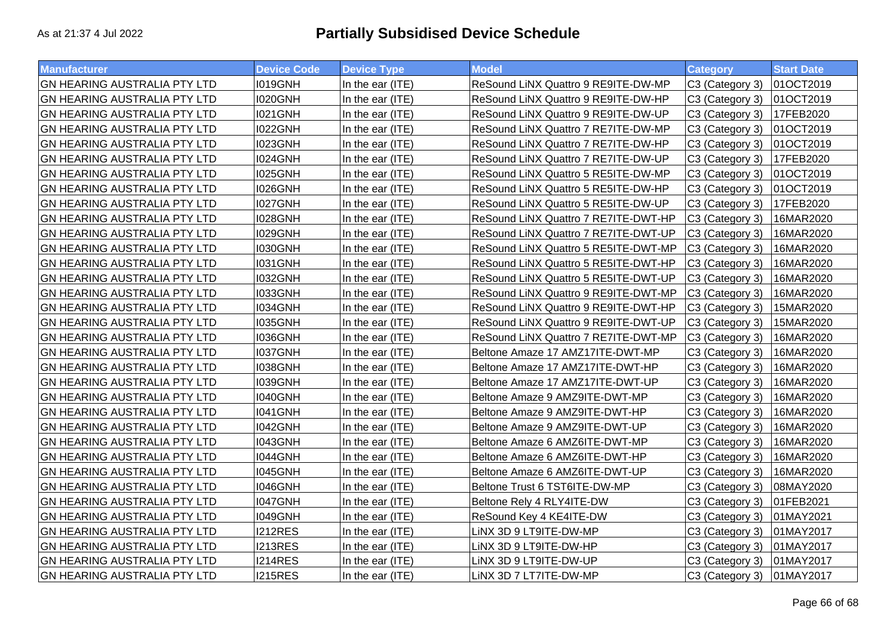| <b>Manufacturer</b>                 | <b>Device Code</b> | <b>Device Type</b> | <b>Model</b>                         | <b>Category</b> | <b>Start Date</b> |
|-------------------------------------|--------------------|--------------------|--------------------------------------|-----------------|-------------------|
| GN HEARING AUSTRALIA PTY LTD        | <b>I019GNH</b>     | In the ear (ITE)   | ReSound LiNX Quattro 9 RE9ITE-DW-MP  | C3 (Category 3) | 01OCT2019         |
| GN HEARING AUSTRALIA PTY LTD        | <b>I020GNH</b>     | In the ear (ITE)   | ReSound LiNX Quattro 9 RE9ITE-DW-HP  | C3 (Category 3) | 01OCT2019         |
| GN HEARING AUSTRALIA PTY LTD        | <b>I021GNH</b>     | In the ear (ITE)   | ReSound LiNX Quattro 9 RE9ITE-DW-UP  | C3 (Category 3) | 17FEB2020         |
| GN HEARING AUSTRALIA PTY LTD        | <b>I022GNH</b>     | In the ear (ITE)   | ReSound LiNX Quattro 7 RE7ITE-DW-MP  | C3 (Category 3) | 01OCT2019         |
| GN HEARING AUSTRALIA PTY LTD        | <b>I023GNH</b>     | In the ear (ITE)   | ReSound LiNX Quattro 7 RE7ITE-DW-HP  | C3 (Category 3) | 01OCT2019         |
| GN HEARING AUSTRALIA PTY LTD        | <b>I024GNH</b>     | In the ear (ITE)   | ReSound LiNX Quattro 7 RE7ITE-DW-UP  | C3 (Category 3) | 17FEB2020         |
| GN HEARING AUSTRALIA PTY LTD        | <b>I025GNH</b>     | In the ear (ITE)   | ReSound LiNX Quattro 5 RE5ITE-DW-MP  | C3 (Category 3) | 01OCT2019         |
| GN HEARING AUSTRALIA PTY LTD        | <b>I026GNH</b>     | In the ear (ITE)   | ReSound LiNX Quattro 5 RE5ITE-DW-HP  | C3 (Category 3) | 01OCT2019         |
| GN HEARING AUSTRALIA PTY LTD        | <b>I027GNH</b>     | In the ear (ITE)   | ReSound LiNX Quattro 5 RE5ITE-DW-UP  | C3 (Category 3) | 17FEB2020         |
| GN HEARING AUSTRALIA PTY LTD        | <b>I028GNH</b>     | In the ear (ITE)   | ReSound LiNX Quattro 7 RE7ITE-DWT-HP | C3 (Category 3) | 16MAR2020         |
| GN HEARING AUSTRALIA PTY LTD        | <b>I029GNH</b>     | In the ear (ITE)   | ReSound LiNX Quattro 7 RE7ITE-DWT-UP | C3 (Category 3) | 16MAR2020         |
| GN HEARING AUSTRALIA PTY LTD        | <b>I030GNH</b>     | In the ear (ITE)   | ReSound LiNX Quattro 5 RE5ITE-DWT-MP | C3 (Category 3) | 16MAR2020         |
| GN HEARING AUSTRALIA PTY LTD        | <b>I031GNH</b>     | In the ear (ITE)   | ReSound LiNX Quattro 5 RE5ITE-DWT-HP | C3 (Category 3) | 16MAR2020         |
| GN HEARING AUSTRALIA PTY LTD        | <b>I032GNH</b>     | In the ear (ITE)   | ReSound LiNX Quattro 5 RE5ITE-DWT-UP | C3 (Category 3) | 16MAR2020         |
| GN HEARING AUSTRALIA PTY LTD        | <b>I033GNH</b>     | In the ear (ITE)   | ReSound LiNX Quattro 9 RE9ITE-DWT-MP | C3 (Category 3) | 16MAR2020         |
| GN HEARING AUSTRALIA PTY LTD        | <b>I034GNH</b>     | In the ear (ITE)   | ReSound LiNX Quattro 9 RE9ITE-DWT-HP | C3 (Category 3) | 15MAR2020         |
| <b>GN HEARING AUSTRALIA PTY LTD</b> | <b>I035GNH</b>     | In the ear (ITE)   | ReSound LiNX Quattro 9 RE9ITE-DWT-UP | C3 (Category 3) | 15MAR2020         |
| GN HEARING AUSTRALIA PTY LTD        | <b>I036GNH</b>     | In the ear (ITE)   | ReSound LiNX Quattro 7 RE7ITE-DWT-MP | C3 (Category 3) | 16MAR2020         |
| GN HEARING AUSTRALIA PTY LTD        | <b>I037GNH</b>     | In the ear (ITE)   | Beltone Amaze 17 AMZ17ITE-DWT-MP     | C3 (Category 3) | 16MAR2020         |
| GN HEARING AUSTRALIA PTY LTD        | <b>I038GNH</b>     | In the ear (ITE)   | Beltone Amaze 17 AMZ17ITE-DWT-HP     | C3 (Category 3) | 16MAR2020         |
| GN HEARING AUSTRALIA PTY LTD        | <b>I039GNH</b>     | In the ear (ITE)   | Beltone Amaze 17 AMZ17ITE-DWT-UP     | C3 (Category 3) | 16MAR2020         |
| GN HEARING AUSTRALIA PTY LTD        | <b>I040GNH</b>     | In the ear (ITE)   | Beltone Amaze 9 AMZ9ITE-DWT-MP       | C3 (Category 3) | 16MAR2020         |
| GN HEARING AUSTRALIA PTY LTD        | <b>I041GNH</b>     | In the ear (ITE)   | Beltone Amaze 9 AMZ9ITE-DWT-HP       | C3 (Category 3) | 16MAR2020         |
| GN HEARING AUSTRALIA PTY LTD        | I042GNH            | In the ear (ITE)   | Beltone Amaze 9 AMZ9ITE-DWT-UP       | C3 (Category 3) | 16MAR2020         |
| GN HEARING AUSTRALIA PTY LTD        | <b>I043GNH</b>     | In the ear (ITE)   | Beltone Amaze 6 AMZ6ITE-DWT-MP       | C3 (Category 3) | 16MAR2020         |
| GN HEARING AUSTRALIA PTY LTD        | I044GNH            | In the ear (ITE)   | Beltone Amaze 6 AMZ6ITE-DWT-HP       | C3 (Category 3) | 16MAR2020         |
| GN HEARING AUSTRALIA PTY LTD        | <b>I045GNH</b>     | In the ear $(ITE)$ | Beltone Amaze 6 AMZ6ITE-DWT-UP       | C3 (Category 3) | 16MAR2020         |
| GN HEARING AUSTRALIA PTY LTD        | <b>I046GNH</b>     | In the ear (ITE)   | Beltone Trust 6 TST6ITE-DW-MP        | C3 (Category 3) | 08MAY2020         |
| GN HEARING AUSTRALIA PTY LTD        | <b>I047GNH</b>     | In the ear (ITE)   | Beltone Rely 4 RLY4ITE-DW            | C3 (Category 3) | 01FEB2021         |
| GN HEARING AUSTRALIA PTY LTD        | <b>I049GNH</b>     | In the ear (ITE)   | ReSound Key 4 KE4ITE-DW              | C3 (Category 3) | 01MAY2021         |
| GN HEARING AUSTRALIA PTY LTD        | <b>I212RES</b>     | In the ear (ITE)   | LINX 3D 9 LT9ITE-DW-MP               | C3 (Category 3) | 01MAY2017         |
| GN HEARING AUSTRALIA PTY LTD        | <b>I213RES</b>     | In the ear (ITE)   | LINX 3D 9 LT9ITE-DW-HP               | C3 (Category 3) | 01MAY2017         |
| <b>GN HEARING AUSTRALIA PTY LTD</b> | <b>I214RES</b>     | In the ear (ITE)   | LINX 3D 9 LT9ITE-DW-UP               | C3 (Category 3) | 01MAY2017         |
| <b>GN HEARING AUSTRALIA PTY LTD</b> | <b>I215RES</b>     | In the ear (ITE)   | LINX 3D 7 LT7ITE-DW-MP               | C3 (Category 3) | 01MAY2017         |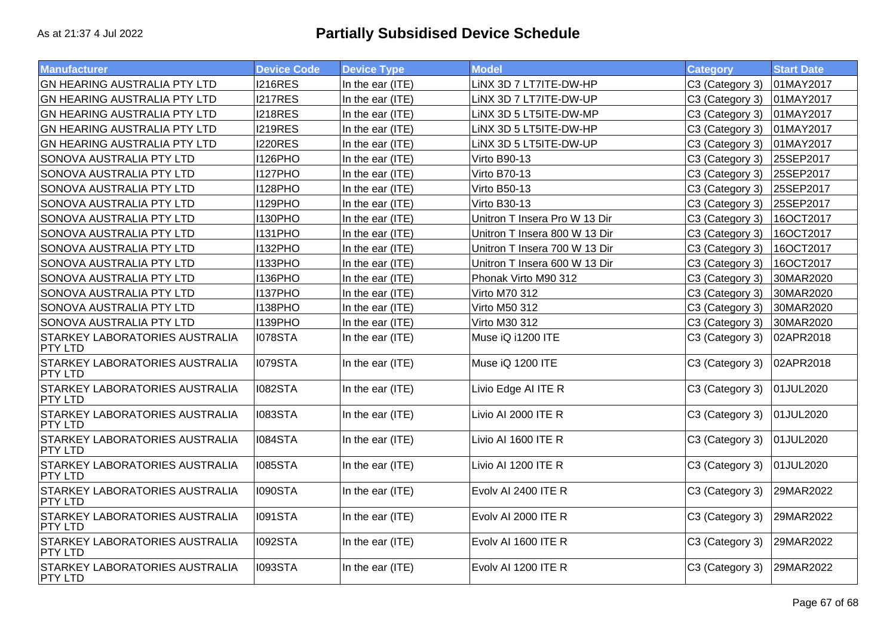| <b>Manufacturer</b>                                     | <b>Device Code</b> | <b>Device Type</b> | <b>Model</b>                  | <b>Category</b> | <b>Start Date</b> |
|---------------------------------------------------------|--------------------|--------------------|-------------------------------|-----------------|-------------------|
| <b>GN HEARING AUSTRALIA PTY LTD</b>                     | <b>I216RES</b>     | In the ear (ITE)   | LINX 3D 7 LT7ITE-DW-HP        | C3 (Category 3) | 01MAY2017         |
| GN HEARING AUSTRALIA PTY LTD                            | <b>I217RES</b>     | In the ear (ITE)   | LINX 3D 7 LT7ITE-DW-UP        | C3 (Category 3) | 01MAY2017         |
| GN HEARING AUSTRALIA PTY LTD                            | <b>I218RES</b>     | In the ear (ITE)   | LINX 3D 5 LT5ITE-DW-MP        | C3 (Category 3) | 01MAY2017         |
| <b>GN HEARING AUSTRALIA PTY LTD</b>                     | <b>I219RES</b>     | In the ear (ITE)   | LINX 3D 5 LT5ITE-DW-HP        | C3 (Category 3) | 01MAY2017         |
| GN HEARING AUSTRALIA PTY LTD                            | <b>I220RES</b>     | In the ear (ITE)   | LINX 3D 5 LT5ITE-DW-UP        | C3 (Category 3) | 01MAY2017         |
| SONOVA AUSTRALIA PTY LTD                                | <b>I126PHO</b>     | In the ear (ITE)   | <b>Virto B90-13</b>           | C3 (Category 3) | 25SEP2017         |
| SONOVA AUSTRALIA PTY LTD                                | <b>I127PHO</b>     | In the ear (ITE)   | <b>Virto B70-13</b>           | C3 (Category 3) | 25SEP2017         |
| SONOVA AUSTRALIA PTY LTD                                | <b>I128PHO</b>     | In the ear (ITE)   | <b>Virto B50-13</b>           | C3 (Category 3) | 25SEP2017         |
| SONOVA AUSTRALIA PTY LTD                                | <b>I129PHO</b>     | In the ear (ITE)   | Virto B30-13                  | C3 (Category 3) | 25SEP2017         |
| SONOVA AUSTRALIA PTY LTD                                | <b>I130PHO</b>     | In the ear (ITE)   | Unitron T Insera Pro W 13 Dir | C3 (Category 3) | 16OCT2017         |
| <b>SONOVA AUSTRALIA PTY LTD</b>                         | 1131 PHO           | In the ear (ITE)   | Unitron T Insera 800 W 13 Dir | C3 (Category 3) | 16OCT2017         |
| SONOVA AUSTRALIA PTY LTD                                | <b>I132PHO</b>     | In the ear (ITE)   | Unitron T Insera 700 W 13 Dir | C3 (Category 3) | 16OCT2017         |
| SONOVA AUSTRALIA PTY LTD                                | <b>I133PHO</b>     | In the ear (ITE)   | Unitron T Insera 600 W 13 Dir | C3 (Category 3) | 16OCT2017         |
| SONOVA AUSTRALIA PTY LTD                                | <b>I136PHO</b>     | In the ear (ITE)   | Phonak Virto M90 312          | C3 (Category 3) | 30MAR2020         |
| SONOVA AUSTRALIA PTY LTD                                | I137PHO            | In the ear (ITE)   | Virto M70 312                 | C3 (Category 3) | 30MAR2020         |
| SONOVA AUSTRALIA PTY LTD                                | <b>I138PHO</b>     | In the ear (ITE)   | Virto M50 312                 | C3 (Category 3) | 30MAR2020         |
| SONOVA AUSTRALIA PTY LTD                                | <b>I139PHO</b>     | In the ear (ITE)   | Virto M30 312                 | C3 (Category 3) | 30MAR2020         |
| STARKEY LABORATORIES AUSTRALIA<br>PTY LTD               | <b>I078STA</b>     | In the ear (ITE)   | Muse iQ i1200 ITE             | C3 (Category 3) | 02APR2018         |
| <b>STARKEY LABORATORIES AUSTRALIA</b><br><b>PTY LTD</b> | 1079STA            | In the ear (ITE)   | Muse iQ 1200 ITE              | C3 (Category 3) | 02APR2018         |
| <b>STARKEY LABORATORIES AUSTRALIA</b><br><b>PTY LTD</b> | <b>I082STA</b>     | In the ear (ITE)   | Livio Edge AI ITE R           | C3 (Category 3) | 01JUL2020         |
| <b>STARKEY LABORATORIES AUSTRALIA</b><br><b>PTY LTD</b> | <b>I083STA</b>     | In the ear (ITE)   | Livio AI 2000 ITE R           | C3 (Category 3) | 01JUL2020         |
| <b>STARKEY LABORATORIES AUSTRALIA</b><br>PTY LTD        | <b>I084STA</b>     | In the ear (ITE)   | Livio AI 1600 ITE R           | C3 (Category 3) | 01JUL2020         |
| <b>STARKEY LABORATORIES AUSTRALIA</b><br><b>PTY LTD</b> | <b>I085STA</b>     | In the ear (ITE)   | Livio AI 1200 ITE R           | C3 (Category 3) | 01JUL2020         |
| <b>STARKEY LABORATORIES AUSTRALIA</b><br><b>PTY LTD</b> | <b>I090STA</b>     | In the ear (ITE)   | Evolv AI 2400 ITE R           | C3 (Category 3) | 29MAR2022         |
| <b>STARKEY LABORATORIES AUSTRALIA</b><br><b>PTY LTD</b> | <b>I091STA</b>     | In the ear (ITE)   | Evolv AI 2000 ITE R           | C3 (Category 3) | 29MAR2022         |
| <b>STARKEY LABORATORIES AUSTRALIA</b><br><b>PTY LTD</b> | <b>I092STA</b>     | In the ear (ITE)   | Evolv AI 1600 ITE R           | C3 (Category 3) | 29MAR2022         |
| <b>STARKEY LABORATORIES AUSTRALIA</b><br><b>PTY LTD</b> | <b>I093STA</b>     | In the ear (ITE)   | Evolv AI 1200 ITE R           | C3 (Category 3) | 29MAR2022         |